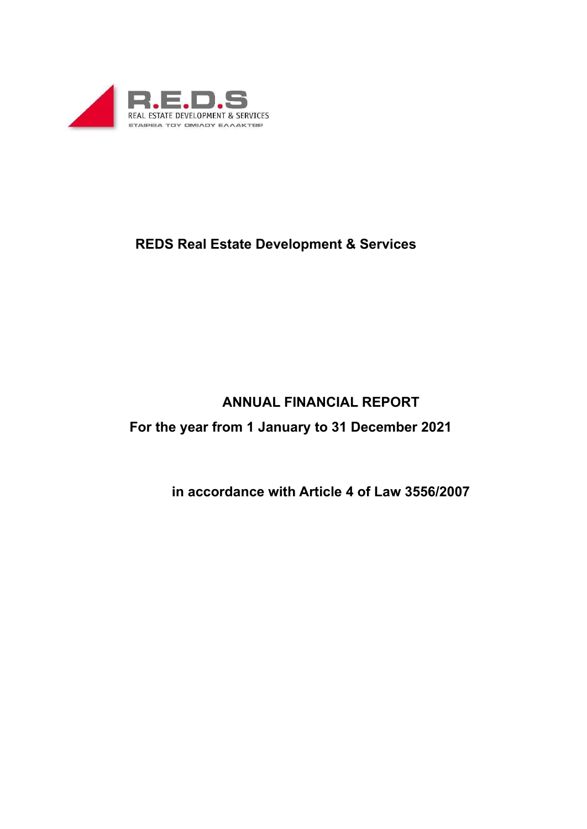

## **REDS Real Estate Development & Services**

## **ANNUAL FINANCIAL REPORT**

**For the year from 1 January to 31 December 2021**

**in accordance with Article 4 of Law 3556/2007**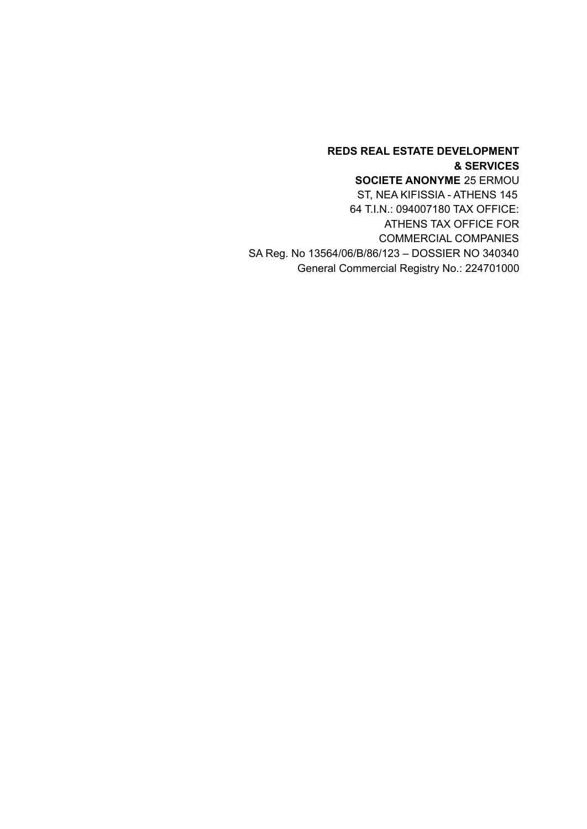## **REDS REAL ESTATE DEVELOPMENT & SERVICES**

**SOCIETE ANONYME** 25 ERMOU ST, NEA KIFISSIA - ATHENS 145 64 T.I.N.: 094007180 TAX OFFICE: ATHENS TAX OFFICE FOR COMMERCIAL COMPANIES SA Reg. No 13564/06/Β/86/123 – DOSSIER NO 340340 General Commercial Registry No.: 224701000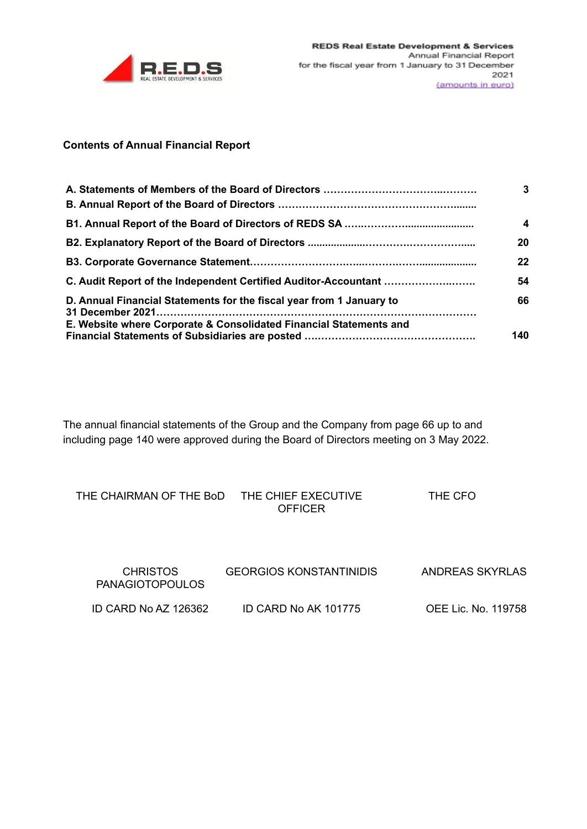

## **Contents of Annual Financial Report**

|                                                                                                                                            | $\mathbf{3}$     |
|--------------------------------------------------------------------------------------------------------------------------------------------|------------------|
|                                                                                                                                            | $\boldsymbol{4}$ |
|                                                                                                                                            | 20               |
|                                                                                                                                            | 22               |
|                                                                                                                                            | 54               |
| D. Annual Financial Statements for the fiscal year from 1 January to<br>E. Website where Corporate & Consolidated Financial Statements and | 66<br>140        |

The annual financial statements of the Group and the Company from page 66 up to and including page 140 were approved during the Board of Directors meeting on 3 May 2022.

| THE CHAIRMAN OF THE BoD                   | THE CHIEF EXECUTIVE<br>OFFICER | THE CFO             |
|-------------------------------------------|--------------------------------|---------------------|
| <b>CHRISTOS</b><br><b>PANAGIOTOPOULOS</b> | GEORGIOS KONSTANTINIDIS        | ANDREAS SKYRLAS     |
| ID CARD No AZ 126362                      | ID CARD No AK 101775           | OEE Lic. No. 119758 |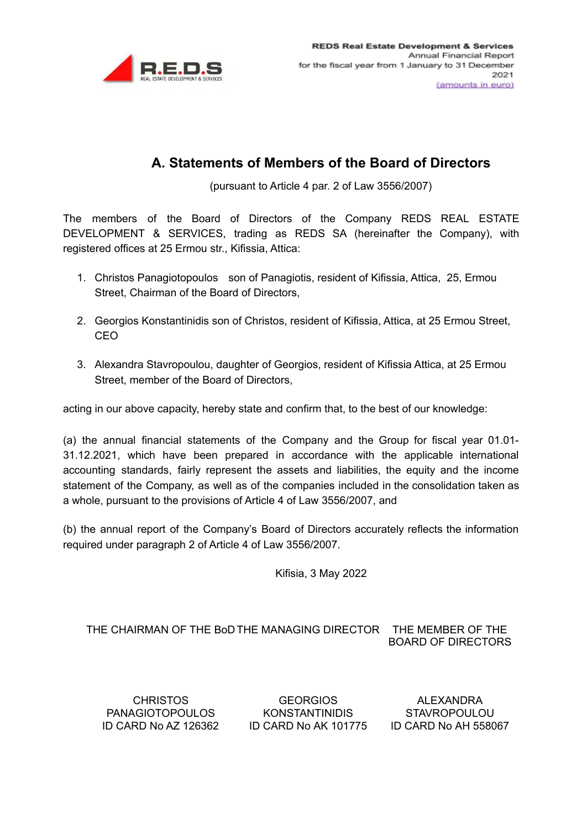

## **Α. Statements of Members of the Board of Directors**

(pursuant to Article 4 par. 2 of Law 3556/2007)

The members of the Board of Directors of the Company REDS REAL ESTATE DEVELOPMENT & SERVICES, trading as REDS SA (hereinafter the Company), with registered offices at 25 Ermou str., Kifissia, Attica:

- 1. Christos Panagiotopoulos son of Panagiotis, resident of Kifissia, Attica, 25, Ermou Street, Chairman of the Board of Directors,
- 2. Georgios Konstantinidis son of Christos, resident of Kifissia, Attica, at 25 Ermou Street, CEO
- 3. Alexandra Stavropoulou, daughter of Georgios, resident of Kifissia Attica, at 25 Ermou Street, member of the Board of Directors,

acting in our above capacity, hereby state and confirm that, to the best of our knowledge:

(a) the annual financial statements of the Company and the Group for fiscal year 01.01- 31.12.2021, which have been prepared in accordance with the applicable international accounting standards, fairly represent the assets and liabilities, the equity and the income statement of the Company, as well as of the companies included in the consolidation taken as a whole, pursuant to the provisions of Article 4 of Law 3556/2007, and

(b) the annual report of the Company's Board of Directors accurately reflects the information required under paragraph 2 of Article 4 of Law 3556/2007.

Kifisia, 3 May 2022

## THE CHAIRMAN OF THE BoDTHE MANAGING DIRECTOR THE MEMBER OF THE BOARD OF DIRECTORS

**CHRISTOS** PANAGIOTOPOULOS

**GEORGIOS** KONSTANTINIDIS ID CARD No AZ 126362 ID CARD No ΑΚ 101775 ID CARD No ΑΗ 558067

ALEXANDRA **STAVROPOULOU**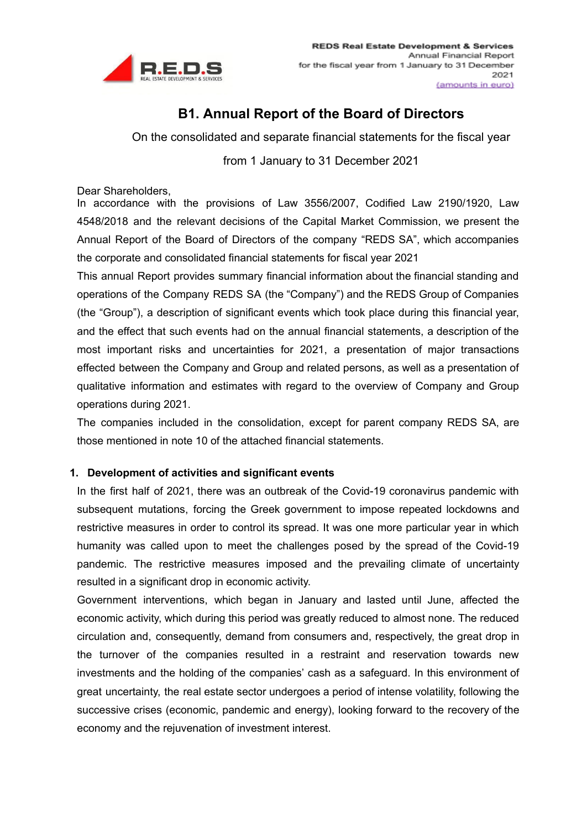

## **Β1. Annual Report of the Board of Directors**

On the consolidated and separate financial statements for the fiscal year

from 1 January to 31 December 2021

Dear Shareholders,

In accordance with the provisions of Law 3556/2007, Codified Law 2190/1920, Law 4548/2018 and the relevant decisions of the Capital Market Commission, we present the Annual Report of the Board of Directors of the company "REDS SA", which accompanies the corporate and consolidated financial statements for fiscal year 2021

This annual Report provides summary financial information about the financial standing and operations of the Company REDS SA (the "Company") and the REDS Group of Companies (the "Group"), a description of significant events which took place during this financial year, and the effect that such events had on the annual financial statements, a description of the most important risks and uncertainties for 2021, a presentation of major transactions effected between the Company and Group and related persons, as well as a presentation of qualitative information and estimates with regard to the overview of Company and Group operations during 2021.

The companies included in the consolidation, except for parent company REDS SA, are those mentioned in note 10 of the attached financial statements.

## **1. Development of activities and significant events**

In the first half of 2021, there was an outbreak of the Covid-19 coronavirus pandemic with subsequent mutations, forcing the Greek government to impose repeated lockdowns and restrictive measures in order to control its spread. It was one more particular year in which humanity was called upon to meet the challenges posed by the spread of the Covid-19 pandemic. The restrictive measures imposed and the prevailing climate of uncertainty resulted in a significant drop in economic activity.

Government interventions, which began in January and lasted until June, affected the economic activity, which during this period was greatly reduced to almost none. The reduced circulation and, consequently, demand from consumers and, respectively, the great drop in the turnover of the companies resulted in a restraint and reservation towards new investments and the holding of the companies' cash as a safeguard. In this environment of great uncertainty, the real estate sector undergoes a period of intense volatility, following the successive crises (economic, pandemic and energy), looking forward to the recovery of the economy and the rejuvenation of investment interest.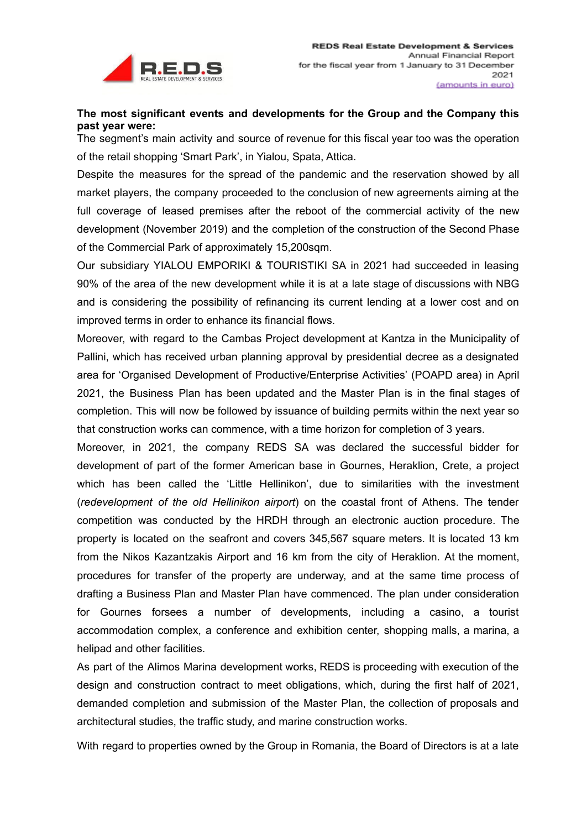

## **The most significant events and developments for the Group and the Company this past year were:**

The segment's main activity and source of revenue for this fiscal year too was the operation of the retail shopping 'Smart Park', in Yialou, Spata, Attica.

Despite the measures for the spread of the pandemic and the reservation showed by all market players, the company proceeded to the conclusion of new agreements aiming at the full coverage of leased premises after the reboot of the commercial activity of the new development (November 2019) and the completion of the construction of the Second Phase of the Commercial Park of approximately 15,200sqm.

Our subsidiary YIALOU EMPORIKI & TOURISTIKI SA in 2021 had succeeded in leasing 90% of the area of the new development while it is at a late stage of discussions with NBG and is considering the possibility of refinancing its current lending at a lower cost and on improved terms in order to enhance its financial flows.

Moreover, with regard to the Cambas Project development at Kantza in the Municipality of Pallini, which has received urban planning approval by presidential decree as a designated area for 'Organised Development of Productive/Enterprise Activities' (POAPD area) in April 2021, the Business Plan has been updated and the Master Plan is in the final stages of completion. This will now be followed by issuance of building permits within the next year so that construction works can commence, with a time horizon for completion of 3 years.

Moreover, in 2021, the company REDS SA was declared the successful bidder for development of part of the former American base in Gournes, Heraklion, Crete, a project which has been called the 'Little Hellinikon', due to similarities with the investment (*redevelopment of the old Hellinikon airport*) on the coastal front of Athens. The tender competition was conducted by the HRDH through an electronic auction procedure. The property is located on the seafront and covers 345,567 square meters. It is located 13 km from the Nikos Kazantzakis Airport and 16 km from the city of Heraklion. At the moment, procedures for transfer of the property are underway, and at the same time process of drafting a Business Plan and Master Plan have commenced. The plan under consideration for Gournes forsees a number of developments, including a casino, a tourist accommodation complex, a conference and exhibition center, shopping malls, a marina, a helipad and other facilities.

As part of the Alimos Marina development works, REDS is proceeding with execution of the design and construction contract to meet obligations, which, during the first half of 2021, demanded completion and submission of the Master Plan, the collection of proposals and architectural studies, the traffic study, and marine construction works.

With regard to properties owned by the Group in Romania, the Board of Directors is at a late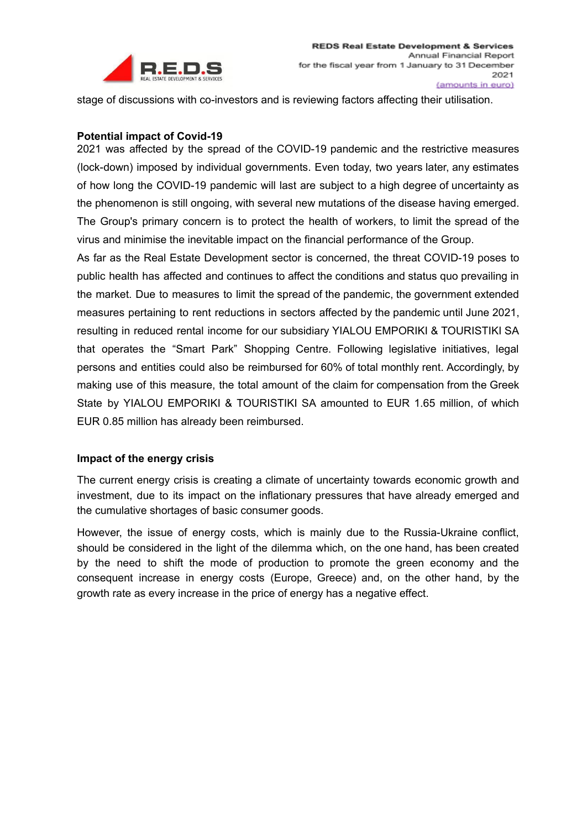

stage of discussions with co-investors and is reviewing factors affecting their utilisation.

## **Potential impact of Covid-19**

2021 was affected by the spread of the COVID-19 pandemic and the restrictive measures (lock-down) imposed by individual governments. Even today, two years later, any estimates of how long the COVID-19 pandemic will last are subject to a high degree of uncertainty as the phenomenon is still ongoing, with several new mutations of the disease having emerged. The Group's primary concern is to protect the health of workers, to limit the spread of the virus and minimise the inevitable impact on the financial performance of the Group.

As far as the Real Estate Development sector is concerned, the threat COVID-19 poses to public health has affected and continues to affect the conditions and status quo prevailing in the market. Due to measures to limit the spread of the pandemic, the government extended measures pertaining to rent reductions in sectors affected by the pandemic until June 2021, resulting in reduced rental income for our subsidiary YIALOU EMPORIKI & TOURISTIKI SA that operates the "Smart Park" Shopping Centre. Following legislative initiatives, legal persons and entities could also be reimbursed for 60% of total monthly rent. Accordingly, by making use of this measure, the total amount of the claim for compensation from the Greek State by YIALOU EMPORIKI & TOURISTIKI SA amounted to EUR 1.65 million, of which EUR 0.85 million has already been reimbursed.

## **Impact of the energy crisis**

The current energy crisis is creating a climate of uncertainty towards economic growth and investment, due to its impact on the inflationary pressures that have already emerged and the cumulative shortages of basic consumer goods.

However, the issue of energy costs, which is mainly due to the Russia-Ukraine conflict, should be considered in the light of the dilemma which, on the one hand, has been created by the need to shift the mode of production to promote the green economy and the consequent increase in energy costs (Europe, Greece) and, on the other hand, by the growth rate as every increase in the price of energy has a negative effect.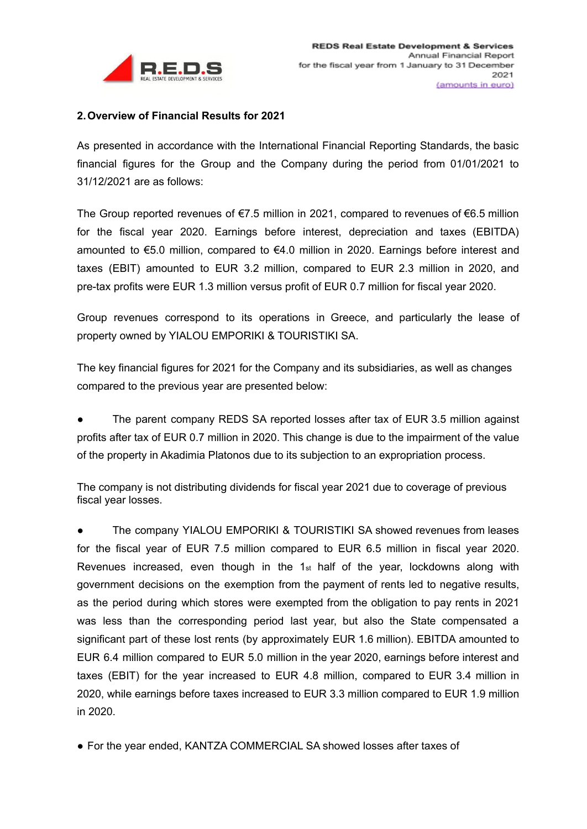

## **2.Overview of Financial Results for 2021**

As presented in accordance with the International Financial Reporting Standards, the basic financial figures for the Group and the Company during the period from 01/01/2021 to 31/12/2021 are as follows:

The Group reported revenues of  $\epsilon$ 7.5 million in 2021, compared to revenues of  $\epsilon$ 6.5 million for the fiscal year 2020. Earnings before interest, depreciation and taxes (EBITDA) amounted to €5.0 million, compared to €4.0 million in 2020. Earnings before interest and taxes (EBIT) amounted to EUR 3.2 million, compared to EUR 2.3 million in 2020, and pre-tax profits were EUR 1.3 million versus profit of EUR 0.7 million for fiscal year 2020.

Group revenues correspond to its operations in Greece, and particularly the lease of property owned by YIALOU EMPORIKI & TOURISTIKI SA.

The key financial figures for 2021 for the Company and its subsidiaries, as well as changes compared to the previous year are presented below:

The parent company REDS SA reported losses after tax of EUR 3.5 million against profits after tax of EUR 0.7 million in 2020. This change is due to the impairment of the value of the property in Akadimia Platonos due to its subjection to an expropriation process.

The company is not distributing dividends for fiscal year 2021 due to coverage of previous fiscal year losses.

The company YIALOU EMPORIKI & TOURISTIKI SA showed revenues from leases for the fiscal year of EUR 7.5 million compared to EUR 6.5 million in fiscal year 2020. Revenues increased, even though in the 1st half of the year, lockdowns along with government decisions on the exemption from the payment of rents led to negative results, as the period during which stores were exempted from the obligation to pay rents in 2021 was less than the corresponding period last year, but also the State compensated a significant part of these lost rents (by approximately EUR 1.6 million). EBITDA amounted to EUR 6.4 million compared to EUR 5.0 million in the year 2020, earnings before interest and taxes (EBIT) for the year increased to EUR 4.8 million, compared to EUR 3.4 million in 2020, while earnings before taxes increased to EUR 3.3 million compared to EUR 1.9 million in 2020.

● For the year ended, KANTZA COMMERCIAL SA showed losses after taxes of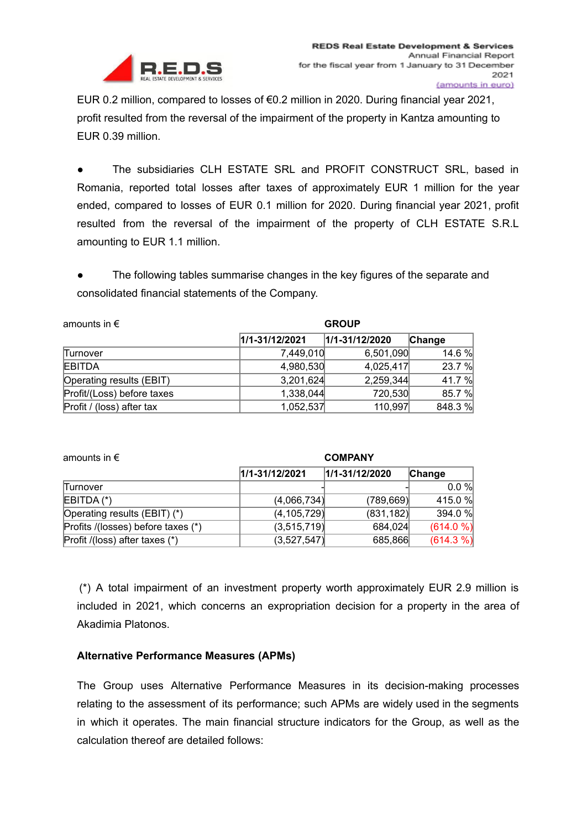

EUR 0.2 million, compared to losses of €0.2 million in 2020. During financial year 2021, profit resulted from the reversal of the impairment of the property in Kantza amounting to EUR 0.39 million.

The subsidiaries CLH ESTATE SRL and PROFIT CONSTRUCT SRL, based in Romania, reported total losses after taxes of approximately EUR 1 million for the year ended, compared to losses of EUR 0.1 million for 2020. During financial year 2021, profit resulted from the reversal of the impairment of the property of CLH ESTATE S.R.L amounting to EUR 1.1 million.

● The following tables summarise changes in the key figures of the separate and consolidated financial statements of the Company.

| amounts in $\epsilon$      |                | <b>GROUP</b>       |         |  |  |  |
|----------------------------|----------------|--------------------|---------|--|--|--|
|                            | 1/1-31/12/2021 | $1/1 - 31/12/2020$ | Change  |  |  |  |
| Turnover                   | 7,449,010      | 6,501,090          | 14.6 %  |  |  |  |
| <b>EBITDA</b>              | 4,980,530      | 4,025,417          | 23.7 %  |  |  |  |
| Operating results (EBIT)   | 3,201,624      | 2,259,344          | 41.7 %  |  |  |  |
| Profit/(Loss) before taxes | 1,338,044      | 720,530            | 85.7 %  |  |  |  |
| Profit / (loss) after tax  | 1,052,537      | 110,997            | 848.3 % |  |  |  |

| amounts in $\epsilon$              | <b>COMPANY</b> |                |             |  |  |
|------------------------------------|----------------|----------------|-------------|--|--|
|                                    | 1/1-31/12/2021 | 1/1-31/12/2020 | Change      |  |  |
| Turnover                           |                |                | 0.0 %       |  |  |
| $EBITDA (*)$                       | (4,066,734)    | (789, 669)     | 415.0 %     |  |  |
| Operating results (EBIT) (*)       | (4, 105, 729)  | (831, 182)     | 394.0 %     |  |  |
| Profits /(losses) before taxes (*) | (3,515,719)    | 684,024        | (614.0 %)   |  |  |
| Profit /(loss) after taxes (*)     | (3,527,547)    | 685,866        | $(614.3\%)$ |  |  |

(\*) A total impairment of an investment property worth approximately EUR 2.9 million is included in 2021, which concerns an expropriation decision for a property in the area of Akadimia Platonos.

## **Alternative Performance Measures (APMs)**

The Group uses Alternative Performance Measures in its decision-making processes relating to the assessment of its performance; such APMs are widely used in the segments in which it operates. The main financial structure indicators for the Group, as well as the calculation thereof are detailed follows: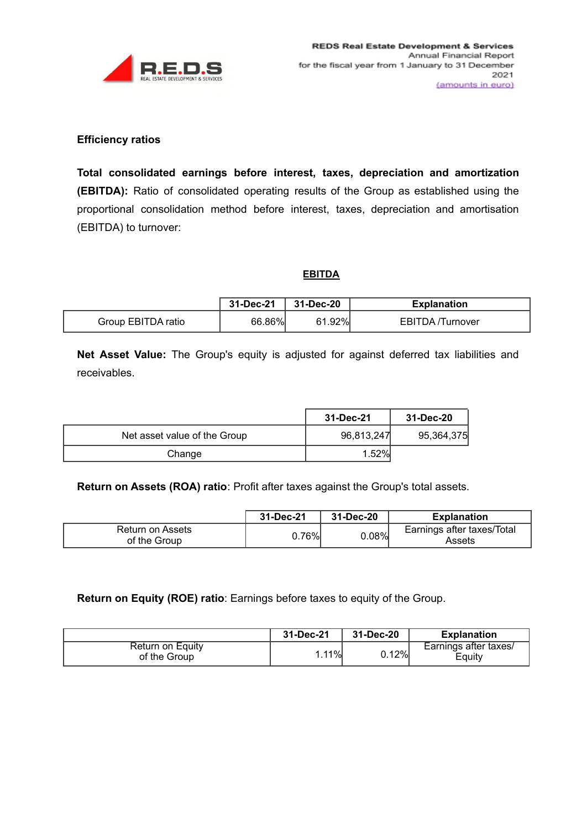

## **Efficiency ratios**

**Total consolidated earnings before interest, taxes, depreciation and amortization (EBITDA):** Ratio of consolidated operating results of the Group as established using the proportional consolidation method before interest, taxes, depreciation and amortisation (EBITDA) to turnover:

## **EBITDA**

|                    | 31-Dec-21 | 31-Dec-20 | <b>Explanation</b> |
|--------------------|-----------|-----------|--------------------|
| Group EBITDA ratio | 66.86%    | 61.92%    | EBITDA /Turnover   |

**Net Asset Value:** The Group's equity is adjusted for against deferred tax liabilities and receivables.

|                              | 31-Dec-21  | 31-Dec-20  |
|------------------------------|------------|------------|
| Net asset value of the Group | 96,813,247 | 95,364,375 |
| Change                       | 1.52%      |            |

**Return on Assets (ROA) ratio**: Profit after taxes against the Group's total assets.

|                                  | 31-Dec-21 | 31-Dec-20 | <b>Explanation</b>                   |
|----------------------------------|-----------|-----------|--------------------------------------|
| Return on Assets<br>of the Group | 0.76%l    | 0.08%     | Earnings after taxes/Total<br>Assets |

## **Return on Equity (ROE) ratio**: Earnings before taxes to equity of the Group.

|                                  | 31-Dec-21 | 31-Dec-20 | <b>Explanation</b>              |
|----------------------------------|-----------|-----------|---------------------------------|
| Return on Equity<br>of the Group | ا11%، ،   | 0.12%l    | Earnings after taxes/<br>Equity |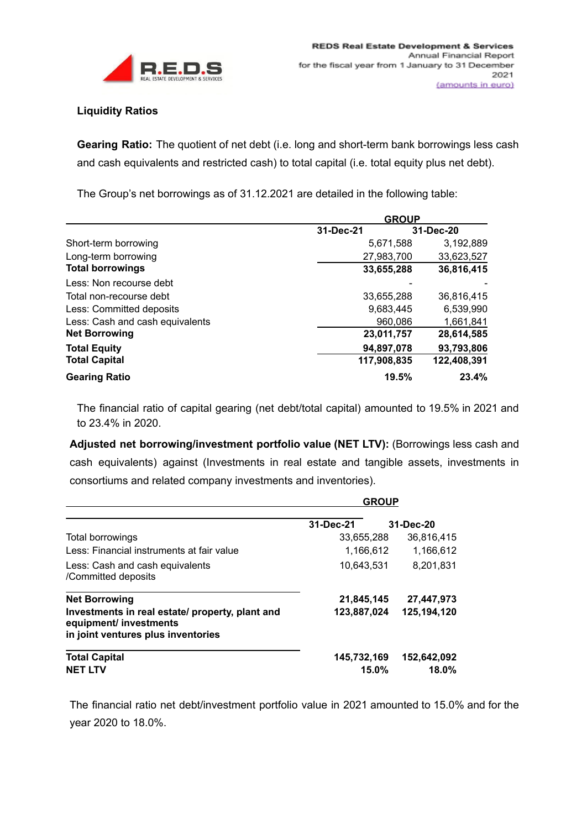

## **Liquidity Ratios**

**Gearing Ratio:** The quotient of net debt (i.e. long and short-term bank borrowings less cash and cash equivalents and restricted cash) to total capital (i.e. total equity plus net debt).

The Group's net borrowings as of 31.12.2021 are detailed in the following table:

|                                 | <b>GROUP</b> |             |
|---------------------------------|--------------|-------------|
|                                 | 31-Dec-21    | 31-Dec-20   |
| Short-term borrowing            | 5,671,588    | 3,192,889   |
| Long-term borrowing             | 27,983,700   | 33,623,527  |
| <b>Total borrowings</b>         | 33,655,288   | 36,816,415  |
| Less: Non recourse debt         |              |             |
| Total non-recourse debt         | 33,655,288   | 36,816,415  |
| Less: Committed deposits        | 9,683,445    | 6,539,990   |
| Less: Cash and cash equivalents | 960.086      | 1,661,841   |
| <b>Net Borrowing</b>            | 23,011,757   | 28,614,585  |
| <b>Total Equity</b>             | 94,897,078   | 93,793,806  |
| <b>Total Capital</b>            | 117,908,835  | 122,408,391 |
| <b>Gearing Ratio</b>            | 19.5%        | 23.4%       |

The financial ratio of capital gearing (net debt/total capital) amounted to 19.5% in 2021 and to 23.4% in 2020.

**Adjusted net borrowing/investment portfolio value (ΝΕΤ LTV):** (Borrowings less cash and cash equivalents) against (Investments in real estate and tangible assets, investments in consortiums and related company investments and inventories).

|                                                                                                                 | <b>GROUP</b> |               |  |  |
|-----------------------------------------------------------------------------------------------------------------|--------------|---------------|--|--|
|                                                                                                                 | 31-Dec-21    | 31-Dec-20     |  |  |
| Total borrowings                                                                                                | 33,655,288   | 36,816,415    |  |  |
| Less: Financial instruments at fair value                                                                       | 1,166,612    | 1,166,612     |  |  |
| Less: Cash and cash equivalents<br>/Committed deposits                                                          | 10.643.531   | 8,201,831     |  |  |
| <b>Net Borrowing</b>                                                                                            | 21,845,145   | 27,447,973    |  |  |
| Investments in real estate/ property, plant and<br>equipment/ investments<br>in joint ventures plus inventories | 123,887,024  | 125, 194, 120 |  |  |
| <b>Total Capital</b>                                                                                            | 145,732,169  | 152,642,092   |  |  |
| <b>NET LTV</b>                                                                                                  | 15.0%        | 18.0%         |  |  |

The financial ratio net debt/investment portfolio value in 2021 amounted to 15.0% and for the year 2020 to 18.0%.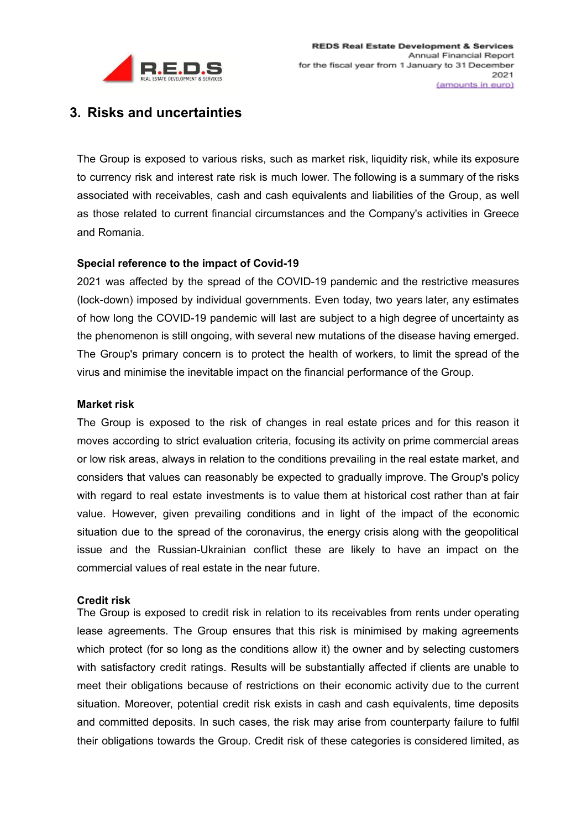

## **3. Risks and uncertainties**

The Group is exposed to various risks, such as market risk, liquidity risk, while its exposure to currency risk and interest rate risk is much lower. The following is a summary of the risks associated with receivables, cash and cash equivalents and liabilities of the Group, as well as those related to current financial circumstances and the Company's activities in Greece and Romania.

## **Special reference to the impact of Covid-19**

2021 was affected by the spread of the COVID-19 pandemic and the restrictive measures (lock-down) imposed by individual governments. Even today, two years later, any estimates of how long the COVID-19 pandemic will last are subject to a high degree of uncertainty as the phenomenon is still ongoing, with several new mutations of the disease having emerged. The Group's primary concern is to protect the health of workers, to limit the spread of the virus and minimise the inevitable impact on the financial performance of the Group.

## **Market risk**

The Group is exposed to the risk of changes in real estate prices and for this reason it moves according to strict evaluation criteria, focusing its activity on prime commercial areas or low risk areas, always in relation to the conditions prevailing in the real estate market, and considers that values can reasonably be expected to gradually improve. The Group's policy with regard to real estate investments is to value them at historical cost rather than at fair value. However, given prevailing conditions and in light of the impact of the economic situation due to the spread of the coronavirus, the energy crisis along with the geopolitical issue and the Russian-Ukrainian conflict these are likely to have an impact on the commercial values of real estate in the near future.

## **Credit risk**

The Group is exposed to credit risk in relation to its receivables from rents under operating lease agreements. The Group ensures that this risk is minimised by making agreements which protect (for so long as the conditions allow it) the owner and by selecting customers with satisfactory credit ratings. Results will be substantially affected if clients are unable to meet their obligations because of restrictions on their economic activity due to the current situation. Moreover, potential credit risk exists in cash and cash equivalents, time deposits and committed deposits. In such cases, the risk may arise from counterparty failure to fulfil their obligations towards the Group. Credit risk of these categories is considered limited, as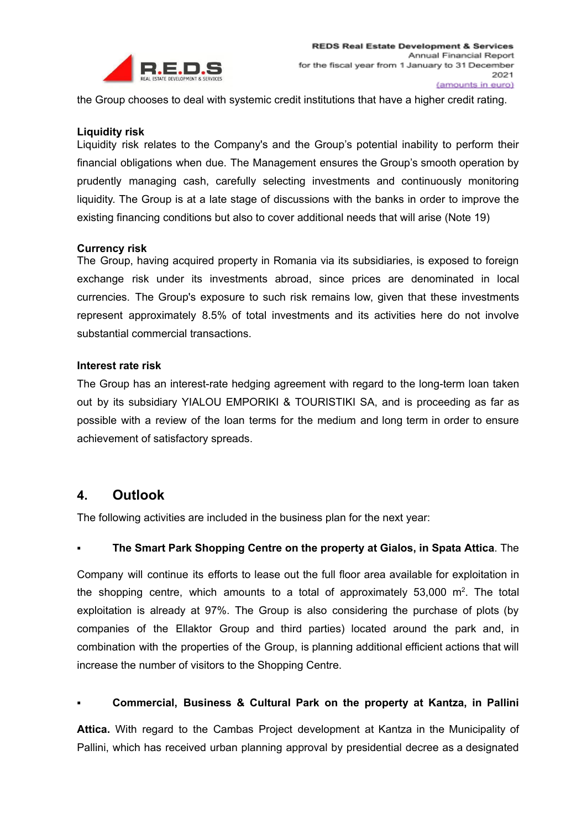

the Group chooses to deal with systemic credit institutions that have a higher credit rating.

## **Liquidity risk**

Liquidity risk relates to the Company's and the Group's potential inability to perform their financial obligations when due. The Management ensures the Group's smooth operation by prudently managing cash, carefully selecting investments and continuously monitoring liquidity. The Group is at a late stage of discussions with the banks in order to improve the existing financing conditions but also to cover additional needs that will arise (Note 19)

## **Currency risk**

The Group, having acquired property in Romania via its subsidiaries, is exposed to foreign exchange risk under its investments abroad, since prices are denominated in local currencies. The Group's exposure to such risk remains low, given that these investments represent approximately 8.5% of total investments and its activities here do not involve substantial commercial transactions.

## **Interest rate risk**

The Group has an interest-rate hedging agreement with regard to the long-term loan taken out by its subsidiary YIALOU EMPORIKI & TOURISTIKI SA, and is proceeding as far as possible with a review of the loan terms for the medium and long term in order to ensure achievement of satisfactory spreads.

## **4. Outlook**

The following activities are included in the business plan for the next year:

## ▪ **The Smart Park Shopping Centre on the property at Gialos, in Spata Attica**. The

Company will continue its efforts to lease out the full floor area available for exploitation in the shopping centre, which amounts to a total of approximately 53,000  $m^2$ . The total exploitation is already at 97%. The Group is also considering the purchase of plots (by companies of the Ellaktor Group and third parties) located around the park and, in combination with the properties of the Group, is planning additional efficient actions that will increase the number of visitors to the Shopping Centre.

## ▪ **Commercial, Business & Cultural Park on the property at Kantza, in Pallini**

**Attica.** With regard to the Cambas Project development at Kantza in the Municipality of Pallini, which has received urban planning approval by presidential decree as a designated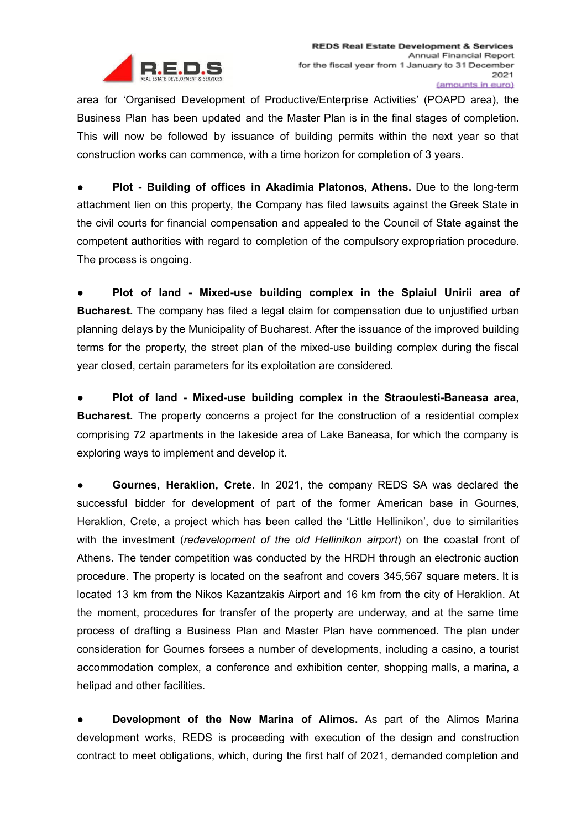

area for 'Organised Development of Productive/Enterprise Activities' (POAPD area), the Business Plan has been updated and the Master Plan is in the final stages of completion. This will now be followed by issuance of building permits within the next year so that construction works can commence, with a time horizon for completion of 3 years.

● **Plot - Building of offices in Akadimia Platonos, Athens.** Due to the long-term attachment lien on this property, the Company has filed lawsuits against the Greek State in the civil courts for financial compensation and appealed to the Council of State against the competent authorities with regard to completion of the compulsory expropriation procedure. The process is ongoing.

● **Plot of land - Mixed-use building complex in the Splaiul Unirii area of Bucharest.** The company has filed a legal claim for compensation due to unjustified urban planning delays by the Municipality of Bucharest. After the issuance of the improved building terms for the property, the street plan of the mixed-use building complex during the fiscal year closed, certain parameters for its exploitation are considered.

● **Plot of land - Mixed-use building complex in the Straoulesti-Baneasa area, Bucharest.** The property concerns a project for the construction of a residential complex comprising 72 apartments in the lakeside area of Lake Baneasa, for which the company is exploring ways to implement and develop it.

● **Gournes, Heraklion, Crete.** In 2021, the company REDS SA was declared the successful bidder for development of part of the former American base in Gournes, Heraklion, Crete, a project which has been called the 'Little Hellinikon', due to similarities with the investment (*redevelopment of the old Hellinikon airport*) on the coastal front of Athens. The tender competition was conducted by the HRDH through an electronic auction procedure. The property is located on the seafront and covers 345,567 square meters. It is located 13 km from the Nikos Kazantzakis Airport and 16 km from the city of Heraklion. At the moment, procedures for transfer of the property are underway, and at the same time process of drafting a Business Plan and Master Plan have commenced. The plan under consideration for Gournes forsees a number of developments, including a casino, a tourist accommodation complex, a conference and exhibition center, shopping malls, a marina, a helipad and other facilities.

● **Development of the New Marina of Alimos.** As part of the Alimos Marina development works, REDS is proceeding with execution of the design and construction contract to meet obligations, which, during the first half of 2021, demanded completion and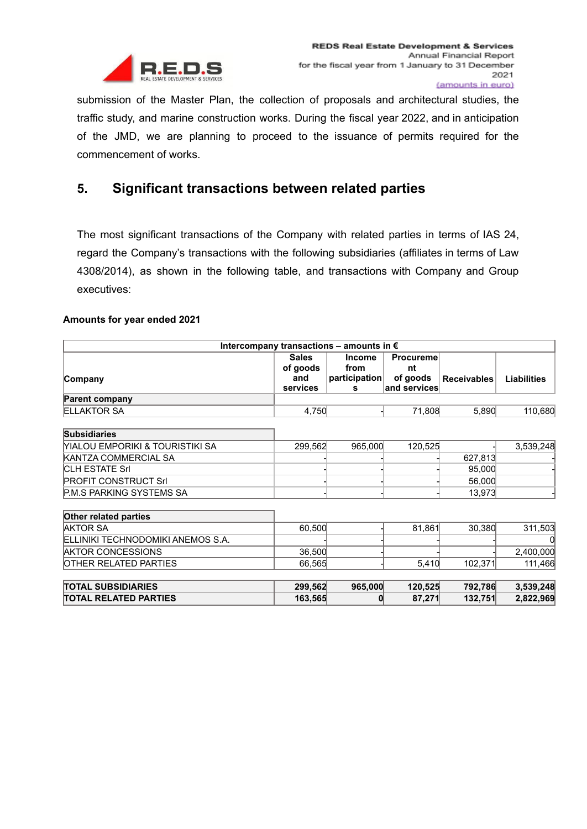

submission of the Master Plan, the collection of proposals and architectural studies, the traffic study, and marine construction works. During the fiscal year 2022, and in anticipation of the JMD, we are planning to proceed to the issuance of permits required for the commencement of works.

## **5. Significant transactions between related parties**

The most significant transactions of the Company with related parties in terms of IAS 24, regard the Company's transactions with the following subsidiaries (affiliates in terms of Law 4308/2014), as shown in the following table, and transactions with Company and Group executives:

#### **Amounts for year ended 2021**

|                                   | Intercompany transactions - amounts in € |               |                  |                    |                    |
|-----------------------------------|------------------------------------------|---------------|------------------|--------------------|--------------------|
|                                   | <b>Sales</b>                             | <b>Income</b> | <b>Procureme</b> |                    |                    |
|                                   | of goods                                 | from          | nt               |                    |                    |
| Company                           | and                                      | participation | of goods         | <b>Receivables</b> | <b>Liabilities</b> |
|                                   | services                                 | s             | and services     |                    |                    |
| <b>Parent company</b>             |                                          |               |                  |                    |                    |
| <b>ELLAKTOR SA</b>                | 4,750                                    |               | 71,808           | 5,890              | 110,680            |
| <b>Subsidiaries</b>               |                                          |               |                  |                    |                    |
| MIALOU EMPORIKI & TOURISTIKI SA   |                                          | 965,000       |                  |                    | 3,539,248          |
|                                   | 299,562                                  |               | 120,525          |                    |                    |
| KANTZA COMMERCIAL SA              |                                          |               |                  | 627,813            |                    |
| ICLH ESTATE Srl                   |                                          |               |                  | 95,000             |                    |
| <b>PROFIT CONSTRUCT Srl</b>       |                                          |               |                  | 56,000             |                    |
| P.M.S PARKING SYSTEMS SA          |                                          |               |                  | 13,973             |                    |
| Other related parties             |                                          |               |                  |                    |                    |
| AKTOR SA                          | 60,500                                   |               | 81,861           | 30,380             | 311,503            |
| ELLINIKI TECHNODOMIKI ANEMOS S.A. |                                          |               |                  |                    |                    |
| <b>AKTOR CONCESSIONS</b>          | 36,500                                   |               |                  |                    | 2,400,000          |
| OTHER RELATED PARTIES             | 66,565                                   |               | 5,410            | 102,371            | 111,466            |
| <b>TOTAL SUBSIDIARIES</b>         | 299,562                                  | 965,000       | 120,525          | 792,786            | 3,539,248          |
| <b>TOTAL RELATED PARTIES</b>      | 163,565                                  | 0             | 87,271           | 132,751            | 2,822,969          |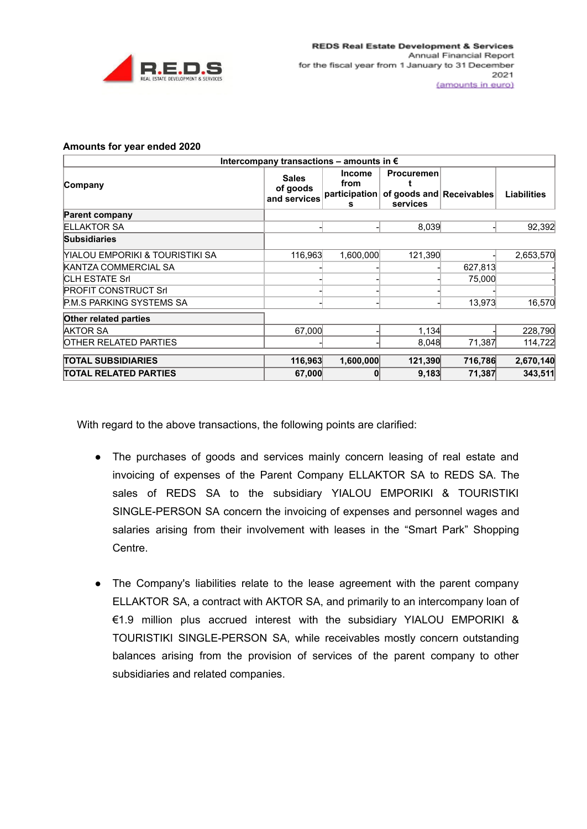

#### **Amounts for year ended 2020**

| Intercompany transactions - amounts in $\epsilon$ |                                          |                                             |                                                           |         |                    |
|---------------------------------------------------|------------------------------------------|---------------------------------------------|-----------------------------------------------------------|---------|--------------------|
| Company                                           | <b>Sales</b><br>of goods<br>and services | <b>Income</b><br>from<br>participation<br>s | <b>Procuremen</b><br>of goods and Receivables<br>services |         | <b>Liabilities</b> |
| <b>Parent company</b>                             |                                          |                                             |                                                           |         |                    |
| <b>ELLAKTOR SA</b>                                |                                          |                                             | 8,039                                                     |         | 92,392             |
| <b>Subsidiaries</b>                               |                                          |                                             |                                                           |         |                    |
| YIALOU EMPORIKI & TOURISTIKI SA                   | 116,963                                  | 1,600,000                                   | 121,390                                                   |         | 2,653,570          |
| KANTZA COMMERCIAL SA                              |                                          |                                             |                                                           | 627,813 |                    |
| <b>CLH ESTATE Srl</b>                             |                                          |                                             |                                                           | 75,000  |                    |
| <b>PROFIT CONSTRUCT Srl</b>                       |                                          |                                             |                                                           |         |                    |
| <b>P.M.S PARKING SYSTEMS SA</b>                   |                                          |                                             |                                                           | 13,973  | 16,570             |
| Other related parties                             |                                          |                                             |                                                           |         |                    |
| <b>AKTOR SA</b>                                   | 67,000                                   |                                             | 1,134                                                     |         | 228,790            |
| <b>OTHER RELATED PARTIES</b>                      |                                          |                                             | 8,048                                                     | 71,387  | 114,722            |
| <b>TOTAL SUBSIDIARIES</b>                         | 116,963                                  | 1,600,000                                   | 121,390                                                   | 716,786 | 2,670,140          |
| <b>TOTAL RELATED PARTIES</b>                      | 67,000                                   |                                             | 9,183                                                     | 71,387  | 343,511            |

With regard to the above transactions, the following points are clarified:

- The purchases of goods and services mainly concern leasing of real estate and invoicing of expenses of the Parent Company ELLAKTOR SA to REDS SA. The sales of REDS SA to the subsidiary YIALOU EMPORIKI & TOURISTIKI SINGLE-PERSON SA concern the invoicing of expenses and personnel wages and salaries arising from their involvement with leases in the "Smart Park" Shopping Centre.
- The Company's liabilities relate to the lease agreement with the parent company ELLAKTOR SA, a contract with AKTOR SA, and primarily to an intercompany loan of €1.9 million plus accrued interest with the subsidiary YIALOU EMPORIKI & TOURISTIKI SINGLE-PERSON SA, while receivables mostly concern outstanding balances arising from the provision of services of the parent company to other subsidiaries and related companies.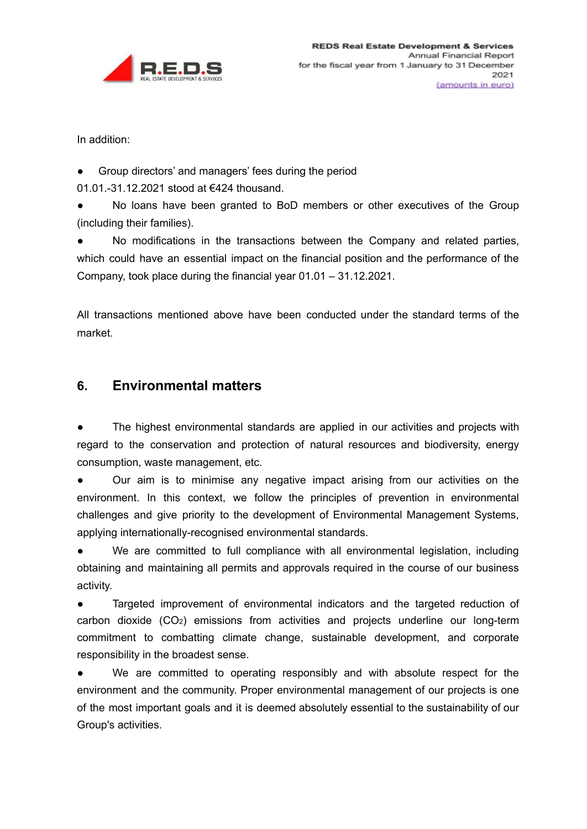

In addition:

Group directors' and managers' fees during the period

01.01.-31.12.2021 stood at €424 thousand.

No loans have been granted to BoD members or other executives of the Group (including their families).

No modifications in the transactions between the Company and related parties, which could have an essential impact on the financial position and the performance of the Company, took place during the financial year 01.01 – 31.12.2021.

All transactions mentioned above have been conducted under the standard terms of the market.

## **6. Environmental matters**

The highest environmental standards are applied in our activities and projects with regard to the conservation and protection of natural resources and biodiversity, energy consumption, waste management, etc.

Our aim is to minimise any negative impact arising from our activities on the environment. In this context, we follow the principles of prevention in environmental challenges and give priority to the development of Environmental Management Systems, applying internationally-recognised environmental standards.

We are committed to full compliance with all environmental legislation, including obtaining and maintaining all permits and approvals required in the course of our business activity.

● Targeted improvement of environmental indicators and the targeted reduction of carbon dioxide (CΟ2) emissions from activities and projects underline our long-term commitment to combatting climate change, sustainable development, and corporate responsibility in the broadest sense.

● We are committed to operating responsibly and with absolute respect for the environment and the community. Proper environmental management of our projects is one of the most important goals and it is deemed absolutely essential to the sustainability of our Group's activities.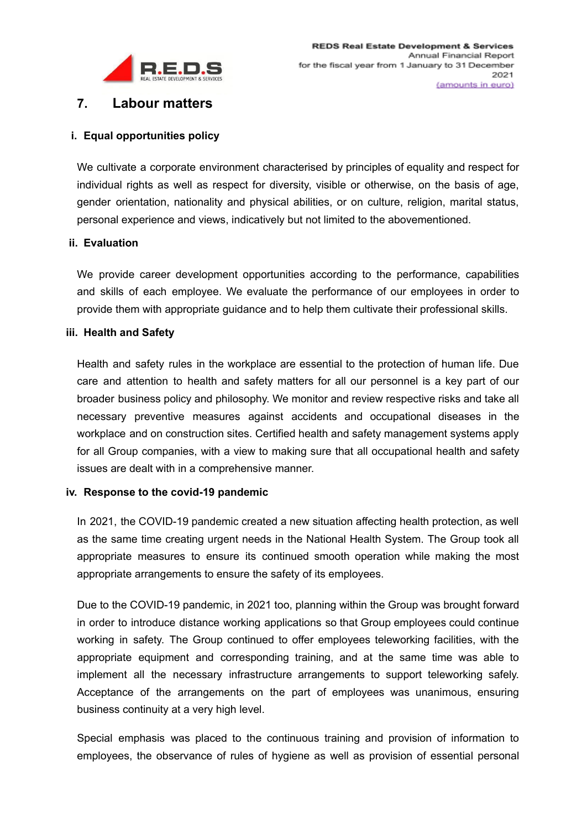

## **7. Labour matters**

## **i. Equal opportunities policy**

We cultivate a corporate environment characterised by principles of equality and respect for individual rights as well as respect for diversity, visible or otherwise, on the basis of age, gender orientation, nationality and physical abilities, or on culture, religion, marital status, personal experience and views, indicatively but not limited to the abovementioned.

## **ii. Evaluation**

We provide career development opportunities according to the performance, capabilities and skills of each employee. We evaluate the performance of our employees in order to provide them with appropriate guidance and to help them cultivate their professional skills.

#### **iii. Health and Safety**

Health and safety rules in the workplace are essential to the protection of human life. Due care and attention to health and safety matters for all our personnel is a key part of our broader business policy and philosophy. We monitor and review respective risks and take all necessary preventive measures against accidents and occupational diseases in the workplace and on construction sites. Certified health and safety management systems apply for all Group companies, with a view to making sure that all occupational health and safety issues are dealt with in a comprehensive manner.

## **iv. Response to the covid-19 pandemic**

In 2021, the COVID-19 pandemic created a new situation affecting health protection, as well as the same time creating urgent needs in the National Health System. The Group took all appropriate measures to ensure its continued smooth operation while making the most appropriate arrangements to ensure the safety of its employees.

Due to the COVID-19 pandemic, in 2021 too, planning within the Group was brought forward in order to introduce distance working applications so that Group employees could continue working in safety. The Group continued to offer employees teleworking facilities, with the appropriate equipment and corresponding training, and at the same time was able to implement all the necessary infrastructure arrangements to support teleworking safely. Acceptance of the arrangements on the part of employees was unanimous, ensuring business continuity at a very high level.

Special emphasis was placed to the continuous training and provision of information to employees, the observance of rules of hygiene as well as provision of essential personal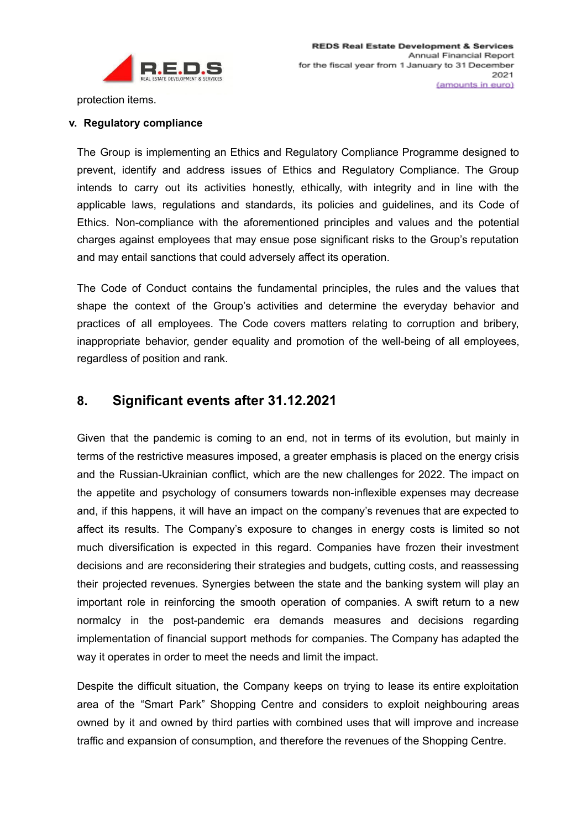

protection items.

#### **v. Regulatory compliance**

The Group is implementing an Ethics and Regulatory Compliance Programme designed to prevent, identify and address issues of Ethics and Regulatory Compliance. The Group intends to carry out its activities honestly, ethically, with integrity and in line with the applicable laws, regulations and standards, its policies and guidelines, and its Code of Ethics. Non-compliance with the aforementioned principles and values and the potential charges against employees that may ensue pose significant risks to the Group's reputation and may entail sanctions that could adversely affect its operation.

The Code of Conduct contains the fundamental principles, the rules and the values that shape the context of the Group's activities and determine the everyday behavior and practices of all employees. The Code covers matters relating to corruption and bribery, inappropriate behavior, gender equality and promotion of the well-being of all employees, regardless of position and rank.

## **8. Significant events after 31.12.2021**

Given that the pandemic is coming to an end, not in terms of its evolution, but mainly in terms of the restrictive measures imposed, a greater emphasis is placed on the energy crisis and the Russian-Ukrainian conflict, which are the new challenges for 2022. The impact on the appetite and psychology of consumers towards non-inflexible expenses may decrease and, if this happens, it will have an impact on the company's revenues that are expected to affect its results. The Company's exposure to changes in energy costs is limited so not much diversification is expected in this regard. Companies have frozen their investment decisions and are reconsidering their strategies and budgets, cutting costs, and reassessing their projected revenues. Synergies between the state and the banking system will play an important role in reinforcing the smooth operation of companies. A swift return to a new normalcy in the post-pandemic era demands measures and decisions regarding implementation of financial support methods for companies. The Company has adapted the way it operates in order to meet the needs and limit the impact.

Despite the difficult situation, the Company keeps on trying to lease its entire exploitation area of the "Smart Park" Shopping Centre and considers to exploit neighbouring areas owned by it and owned by third parties with combined uses that will improve and increase traffic and expansion of consumption, and therefore the revenues of the Shopping Centre.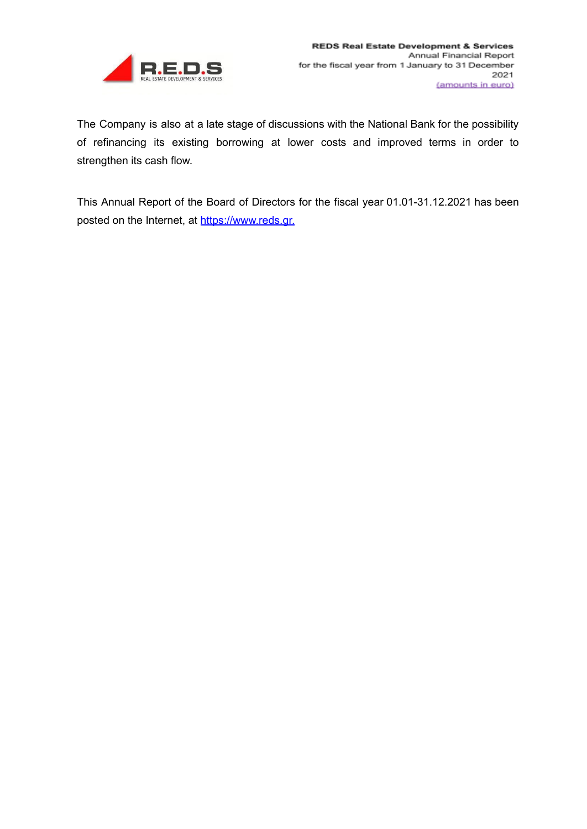

The Company is also at a late stage of discussions with the National Bank for the possibility of refinancing its existing borrowing at lower costs and improved terms in order to strengthen its cash flow.

This Annual Report of the Board of Directors for the fiscal year 01.01-31.12.2021 has been posted on the Internet, at [https://w](http://www.reds.gr/)ww.reds.gr.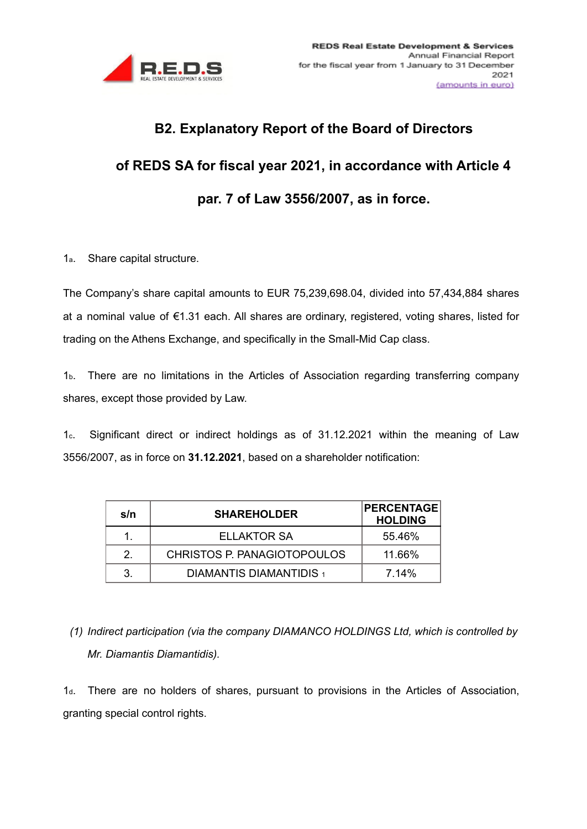

# **B2. Explanatory Report of the Board of Directors of REDS SA for fiscal year 2021, in accordance with Article 4 par. 7 of Law 3556/2007, as in force.**

1a. Share capital structure.

The Company's share capital amounts to EUR 75,239,698.04, divided into 57,434,884 shares at a nominal value of €1.31 each. All shares are ordinary, registered, voting shares, listed for trading on the Athens Exchange, and specifically in the Small-Mid Cap class.

1b. There are no limitations in the Articles of Association regarding transferring company shares, except those provided by Law.

1c. Significant direct or indirect holdings as of 31.12.2021 within the meaning of Law 3556/2007, as in force on **31.12.2021**, based on a shareholder notification:

| s/n           | <b>SHAREHOLDER</b>             | <b>PERCENTAGE</b><br><b>HOLDING</b> |  |
|---------------|--------------------------------|-------------------------------------|--|
|               | ELLAKTOR SA                    | 55.46%                              |  |
| $\mathcal{P}$ | CHRISTOS P. PANAGIOTOPOULOS    | 11.66%                              |  |
| 3.            | <b>DIAMANTIS DIAMANTIDIS 1</b> | $7.14\%$                            |  |

*(1) Indirect participation (via the company DIAMANCO HOLDINGS Ltd, which is controlled by Mr. Diamantis Diamantidis).*

1d. There are no holders of shares, pursuant to provisions in the Articles of Association, granting special control rights.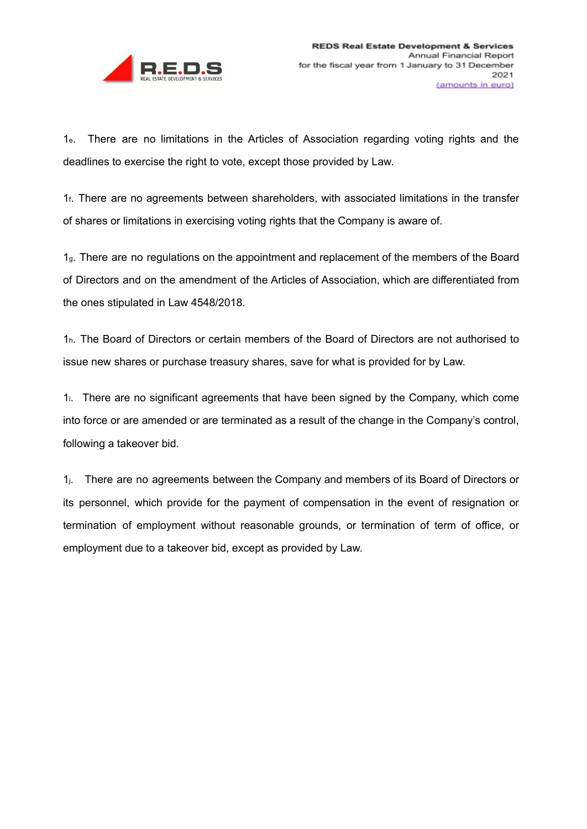

1e. There are no limitations in the Articles of Association regarding voting rights and the deadlines to exercise the right to vote, except those provided by Law.

1f. There are no agreements between shareholders, with associated limitations in the transfer of shares or limitations in exercising voting rights that the Company is aware of.

1<sub>g</sub>. There are no regulations on the appointment and replacement of the members of the Board of Directors and on the amendment of the Articles of Association, which are differentiated from the ones stipulated in Law 4548/2018.

1h. The Board of Directors or certain members of the Board of Directors are not authorised to issue new shares or purchase treasury shares, save for what is provided for by Law.

1i. There are no significant agreements that have been signed by the Company, which come into force or are amended or are terminated as a result of the change in the Company's control, following a takeover bid.

1j. There are no agreements between the Company and members of its Board of Directors or its personnel, which provide for the payment of compensation in the event of resignation or termination of employment without reasonable grounds, or termination of term of office, or employment due to a takeover bid, except as provided by Law.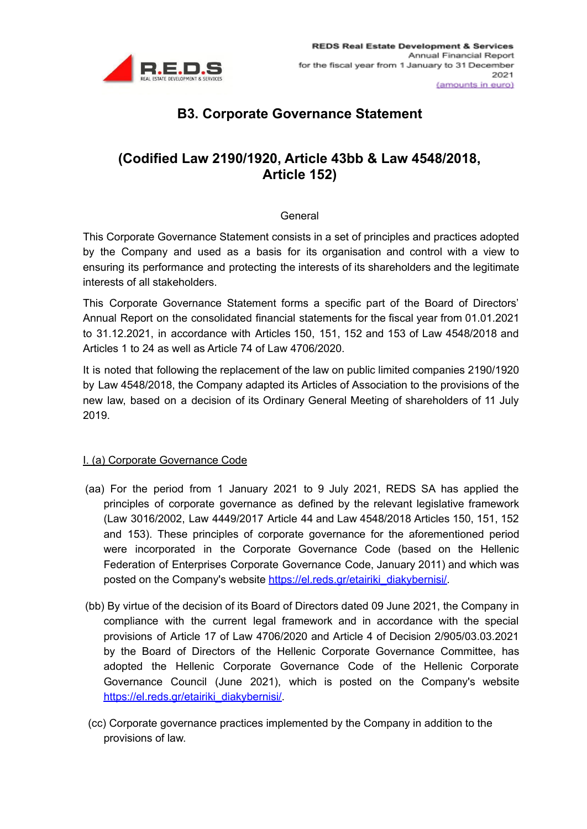

## **B3. Corporate Governance Statement**

## **(Codified Law 2190/1920, Article 43bb & Law 4548/2018, Article 152)**

## General

This Corporate Governance Statement consists in a set of principles and practices adopted by the Company and used as a basis for its organisation and control with a view to ensuring its performance and protecting the interests of its shareholders and the legitimate interests of all stakeholders.

This Corporate Governance Statement forms a specific part of the Board of Directors' Annual Report on the consolidated financial statements for the fiscal year from 01.01.2021 to 31.12.2021, in accordance with Articles 150, 151, 152 and 153 of Law 4548/2018 and Articles 1 to 24 as well as Article 74 of Law 4706/2020.

It is noted that following the replacement of the law on public limited companies 2190/1920 by Law 4548/2018, the Company adapted its Articles of Association to the provisions of the new law, based on a decision of its Ordinary General Meeting of shareholders of 11 July 2019.

## I. (a) Corporate Governance Code

- (aa) For the period from 1 January 2021 to 9 July 2021, REDS SA has applied the principles of corporate governance as defined by the relevant legislative framework (Law 3016/2002, Law 4449/2017 Article 44 and Law 4548/2018 Articles 150, 151, 152 and 153). These principles of corporate governance for the aforementioned period were incorporated in the Corporate Governance Code (based on the Hellenic Federation of Enterprises Corporate Governance Code, January 2011) and which was posted on the Company's website [https://el.reds.gr/etairiki\\_diakybernisi/.](https://el.reds.gr/etairiki_diakybernisi/)
- (bb) By virtue of the decision of its Board of Directors dated 09 June 2021, the Company in compliance with the current legal framework and in accordance with the special provisions of Article 17 of Law 4706/2020 and Article 4 of Decision 2/905/03.03.2021 by the Board of Directors of the Hellenic Corporate Governance Committee, has adopted the Hellenic Corporate Governance Code of the Hellenic Corporate Governance Council (June 2021), which is posted on the Company's website [https://el.reds.gr/etairiki\\_diakybernisi/](https://el.reds.gr/etairiki_diakybernisi/).
- (cc) Corporate governance practices implemented by the Company in addition to the provisions of law.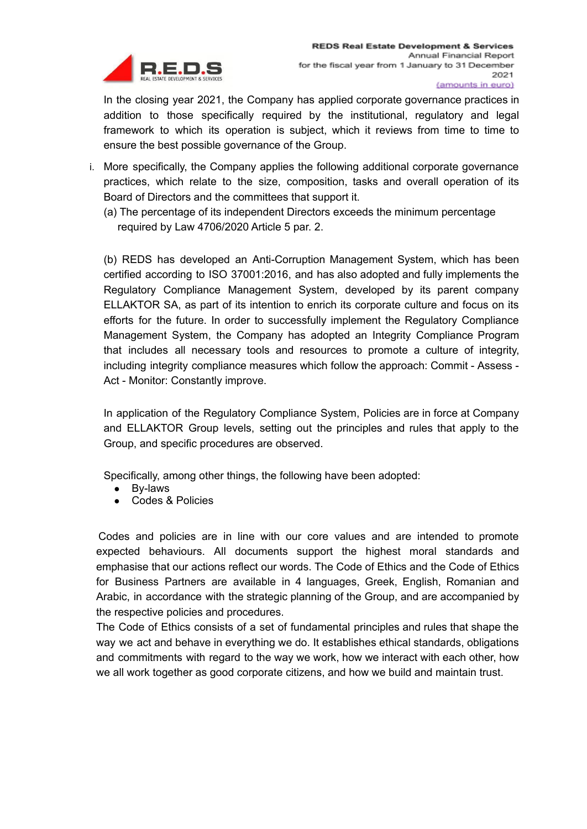

In the closing year 2021, the Company has applied corporate governance practices in addition to those specifically required by the institutional, regulatory and legal framework to which its operation is subject, which it reviews from time to time to ensure the best possible governance of the Group.

- i. More specifically, the Company applies the following additional corporate governance practices, which relate to the size, composition, tasks and overall operation of its Board of Directors and the committees that support it.
	- (a) The percentage of its independent Directors exceeds the minimum percentage required by Law 4706/2020 Article 5 par. 2.

(b) REDS has developed an Anti-Corruption Management System, which has been certified according to ISO 37001:2016, and has also adopted and fully implements the Regulatory Compliance Management System, developed by its parent company ELLAKTOR SA, as part of its intention to enrich its corporate culture and focus on its efforts for the future. In order to successfully implement the Regulatory Compliance Management System, the Company has adopted an Integrity Compliance Program that includes all necessary tools and resources to promote a culture of integrity, including integrity compliance measures which follow the approach: Commit - Assess - Act - Monitor: Constantly improve.

In application of the Regulatory Compliance System, Policies are in force at Company and ELLAKTOR Group levels, setting out the principles and rules that apply to the Group, and specific procedures are observed.

Specifically, among other things, the following have been adopted:

- By-laws
- Codes & Policies

Codes and policies are in line with our core values and are intended to promote expected behaviours. All documents support the highest moral standards and emphasise that our actions reflect our words. The Code of Ethics and the Code of Ethics for Business Partners are available in 4 languages, Greek, English, Romanian and Arabic, in accordance with the strategic planning of the Group, and are accompanied by the respective policies and procedures.

The Code of Ethics consists of a set of fundamental principles and rules that shape the way we act and behave in everything we do. It establishes ethical standards, obligations and commitments with regard to the way we work, how we interact with each other, how we all work together as good corporate citizens, and how we build and maintain trust.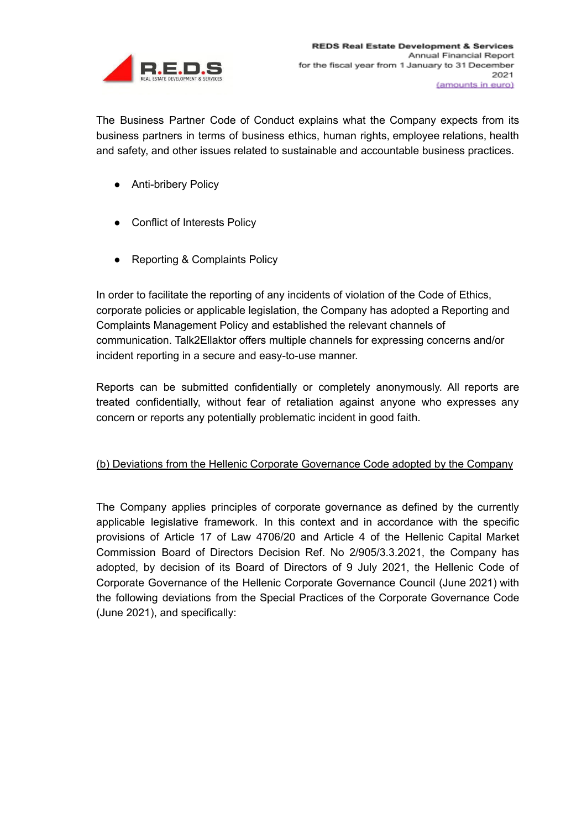

The Business Partner Code of Conduct explains what the Company expects from its business partners in terms of business ethics, human rights, employee relations, health and safety, and other issues related to sustainable and accountable business practices.

- Anti-bribery Policy
- Conflict of Interests Policy
- Reporting & Complaints Policy

In order to facilitate the reporting of any incidents of violation of the Code of Ethics, corporate policies or applicable legislation, the Company has adopted a Reporting and Complaints Management Policy and established the relevant channels of communication. Talk2Ellaktor offers multiple channels for expressing concerns and/or incident reporting in a secure and easy-to-use manner.

Reports can be submitted confidentially or completely anonymously. All reports are treated confidentially, without fear of retaliation against anyone who expresses any concern or reports any potentially problematic incident in good faith.

## (b) Deviations from the Hellenic Corporate Governance Code adopted by the Company

The Company applies principles of corporate governance as defined by the currently applicable legislative framework. In this context and in accordance with the specific provisions of Article 17 of Law 4706/20 and Article 4 of the Hellenic Capital Market Commission Board of Directors Decision Ref. No 2/905/3.3.2021, the Company has adopted, by decision of its Board of Directors of 9 July 2021, the Hellenic Code of Corporate Governance of the Hellenic Corporate Governance Council (June 2021) with the following deviations from the Special Practices of the Corporate Governance Code (June 2021), and specifically: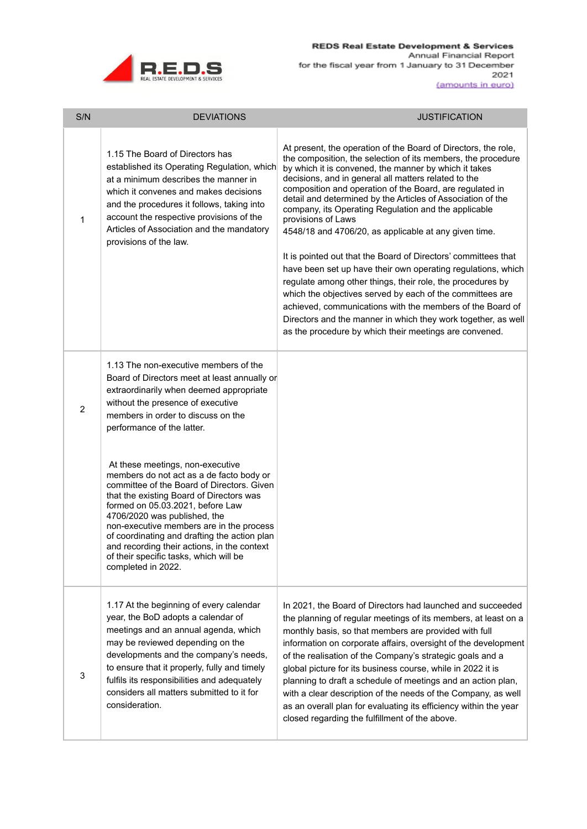

| S/N            | <b>DEVIATIONS</b>                                                                                                                                                                                                                                                                                                                                                                                                                                                                                                                                                                                                                                                                                  | <b>JUSTIFICATION</b>                                                                                                                                                                                                                                                                                                                                                                                                                                                                                                                                                                                                                                                                                                                                                                                                                                                                                                                                                   |
|----------------|----------------------------------------------------------------------------------------------------------------------------------------------------------------------------------------------------------------------------------------------------------------------------------------------------------------------------------------------------------------------------------------------------------------------------------------------------------------------------------------------------------------------------------------------------------------------------------------------------------------------------------------------------------------------------------------------------|------------------------------------------------------------------------------------------------------------------------------------------------------------------------------------------------------------------------------------------------------------------------------------------------------------------------------------------------------------------------------------------------------------------------------------------------------------------------------------------------------------------------------------------------------------------------------------------------------------------------------------------------------------------------------------------------------------------------------------------------------------------------------------------------------------------------------------------------------------------------------------------------------------------------------------------------------------------------|
| 1              | 1.15 The Board of Directors has<br>established its Operating Regulation, which<br>at a minimum describes the manner in<br>which it convenes and makes decisions<br>and the procedures it follows, taking into<br>account the respective provisions of the<br>Articles of Association and the mandatory<br>provisions of the law.                                                                                                                                                                                                                                                                                                                                                                   | At present, the operation of the Board of Directors, the role,<br>the composition, the selection of its members, the procedure<br>by which it is convened, the manner by which it takes<br>decisions, and in general all matters related to the<br>composition and operation of the Board, are regulated in<br>detail and determined by the Articles of Association of the<br>company, its Operating Regulation and the applicable<br>provisions of Laws<br>4548/18 and 4706/20, as applicable at any given time.<br>It is pointed out that the Board of Directors' committees that<br>have been set up have their own operating regulations, which<br>regulate among other things, their role, the procedures by<br>which the objectives served by each of the committees are<br>achieved, communications with the members of the Board of<br>Directors and the manner in which they work together, as well<br>as the procedure by which their meetings are convened. |
| $\overline{2}$ | 1.13 The non-executive members of the<br>Board of Directors meet at least annually or<br>extraordinarily when deemed appropriate<br>without the presence of executive<br>members in order to discuss on the<br>performance of the latter.<br>At these meetings, non-executive<br>members do not act as a de facto body or<br>committee of the Board of Directors. Given<br>that the existing Board of Directors was<br>formed on 05.03.2021, before Law<br>4706/2020 was published, the<br>non-executive members are in the process<br>of coordinating and drafting the action plan<br>and recording their actions, in the context<br>of their specific tasks, which will be<br>completed in 2022. |                                                                                                                                                                                                                                                                                                                                                                                                                                                                                                                                                                                                                                                                                                                                                                                                                                                                                                                                                                        |
| 3              | 1.17 At the beginning of every calendar<br>year, the BoD adopts a calendar of<br>meetings and an annual agenda, which<br>may be reviewed depending on the<br>developments and the company's needs,<br>to ensure that it properly, fully and timely<br>fulfils its responsibilities and adequately<br>considers all matters submitted to it for<br>consideration.                                                                                                                                                                                                                                                                                                                                   | In 2021, the Board of Directors had launched and succeeded<br>the planning of regular meetings of its members, at least on a<br>monthly basis, so that members are provided with full<br>information on corporate affairs, oversight of the development<br>of the realisation of the Company's strategic goals and a<br>global picture for its business course, while in 2022 it is<br>planning to draft a schedule of meetings and an action plan,<br>with a clear description of the needs of the Company, as well<br>as an overall plan for evaluating its efficiency within the year<br>closed regarding the fulfillment of the above.                                                                                                                                                                                                                                                                                                                             |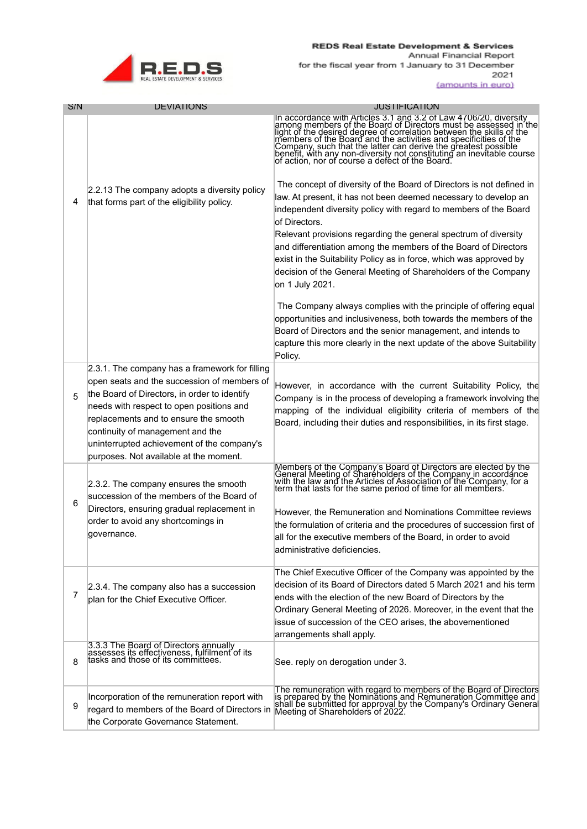

| (amounts in euro) |  |  |  |
|-------------------|--|--|--|
|                   |  |  |  |

| S/N | <b>DEVIATIONS</b>                                                                                                                                                                                                                                                                                                                                              | <b>JUSTIFICATION</b>                                                                                                                                                                                                                                                                                                                                                                                                                                                                                                          |
|-----|----------------------------------------------------------------------------------------------------------------------------------------------------------------------------------------------------------------------------------------------------------------------------------------------------------------------------------------------------------------|-------------------------------------------------------------------------------------------------------------------------------------------------------------------------------------------------------------------------------------------------------------------------------------------------------------------------------------------------------------------------------------------------------------------------------------------------------------------------------------------------------------------------------|
|     |                                                                                                                                                                                                                                                                                                                                                                | In accordance with Articles 3.1 and 3.2 of Law 4706/20, diversity<br>among members of the Board of Directors must be assessed in the<br>light of the desired degree of correlation between the skills of the<br>members of the Board an                                                                                                                                                                                                                                                                                       |
| 4   | 2.2.13 The company adopts a diversity policy<br>that forms part of the eligibility policy.                                                                                                                                                                                                                                                                     | The concept of diversity of the Board of Directors is not defined in<br>law. At present, it has not been deemed necessary to develop an<br>independent diversity policy with regard to members of the Board<br>of Directors.<br>Relevant provisions regarding the general spectrum of diversity<br>and differentiation among the members of the Board of Directors<br>exist in the Suitability Policy as in force, which was approved by<br>decision of the General Meeting of Shareholders of the Company<br>on 1 July 2021. |
|     |                                                                                                                                                                                                                                                                                                                                                                | The Company always complies with the principle of offering equal<br>opportunities and inclusiveness, both towards the members of the<br>Board of Directors and the senior management, and intends to<br>capture this more clearly in the next update of the above Suitability<br>Policy.                                                                                                                                                                                                                                      |
| 5   | 2.3.1. The company has a framework for filling<br>open seats and the succession of members of<br>the Board of Directors, in order to identify<br>needs with respect to open positions and<br>replacements and to ensure the smooth<br>continuity of management and the<br>uninterrupted achievement of the company's<br>purposes. Not available at the moment. | However, in accordance with the current Suitability Policy, the<br>Company is in the process of developing a framework involving the<br>mapping of the individual eligibility criteria of members of the<br>Board, including their duties and responsibilities, in its first stage.                                                                                                                                                                                                                                           |
| 6   | 2.3.2. The company ensures the smooth<br>succession of the members of the Board of<br>Directors, ensuring gradual replacement in<br>order to avoid any shortcomings in<br>governance.                                                                                                                                                                          | Members of the Company's Board of Directors are elected by the General Meeting of Shareholders of the Company in accordance with the law and the Articles of Association of the Company, for a term that lasts for the same pe<br>However, the Remuneration and Nominations Committee reviews<br>the formulation of criteria and the procedures of succession first of<br>all for the executive members of the Board, in order to avoid<br>administrative deficiencies.                                                       |
| 7   | 2.3.4. The company also has a succession<br>plan for the Chief Executive Officer.                                                                                                                                                                                                                                                                              | The Chief Executive Officer of the Company was appointed by the<br>decision of its Board of Directors dated 5 March 2021 and his term<br>ends with the election of the new Board of Directors by the<br>Ordinary General Meeting of 2026. Moreover, in the event that the<br>issue of succession of the CEO arises, the abovementioned<br>arrangements shall apply.                                                                                                                                                           |
| 8   | 3.3.3 The Board of Directors annually<br>assesses its effectiveness, fulfilment of its<br>tasks and those of its committees.                                                                                                                                                                                                                                   | See. reply on derogation under 3.                                                                                                                                                                                                                                                                                                                                                                                                                                                                                             |
| 9   | the Corporate Governance Statement.                                                                                                                                                                                                                                                                                                                            | Incorporation of the remuneration report with The remuneration with regard to members of the Board of Directors<br>regard to members of the Board of Directors in Shall be submitted for approval by the Company's Ordinary Gener                                                                                                                                                                                                                                                                                             |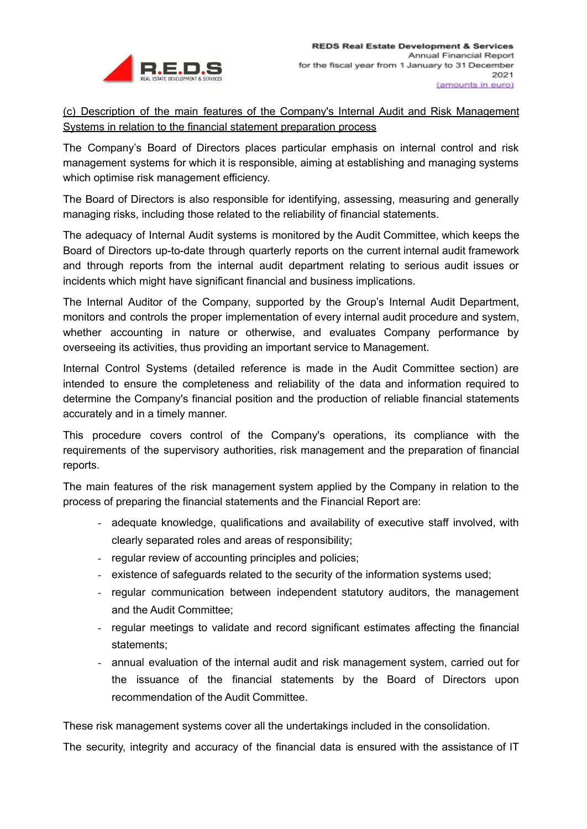

(c) Description of the main features of the Company's Internal Audit and Risk Management Systems in relation to the financial statement preparation process

The Company's Board of Directors places particular emphasis on internal control and risk management systems for which it is responsible, aiming at establishing and managing systems which optimise risk management efficiency.

The Board of Directors is also responsible for identifying, assessing, measuring and generally managing risks, including those related to the reliability of financial statements.

The adequacy of Internal Audit systems is monitored by the Audit Committee, which keeps the Board of Directors up-to-date through quarterly reports on the current internal audit framework and through reports from the internal audit department relating to serious audit issues or incidents which might have significant financial and business implications.

The Internal Auditor of the Company, supported by the Group's Internal Audit Department, monitors and controls the proper implementation of every internal audit procedure and system, whether accounting in nature or otherwise, and evaluates Company performance by overseeing its activities, thus providing an important service to Management.

Internal Control Systems (detailed reference is made in the Audit Committee section) are intended to ensure the completeness and reliability of the data and information required to determine the Company's financial position and the production of reliable financial statements accurately and in a timely manner.

This procedure covers control of the Company's operations, its compliance with the requirements of the supervisory authorities, risk management and the preparation of financial reports.

The main features of the risk management system applied by the Company in relation to the process of preparing the financial statements and the Financial Report are:

- adequate knowledge, qualifications and availability of executive staff involved, with clearly separated roles and areas of responsibility;
- regular review of accounting principles and policies;
- existence of safeguards related to the security of the information systems used;
- regular communication between independent statutory auditors, the management and the Audit Committee;
- regular meetings to validate and record significant estimates affecting the financial statements;
- annual evaluation of the internal audit and risk management system, carried out for the issuance of the financial statements by the Board of Directors upon recommendation of the Audit Committee.

These risk management systems cover all the undertakings included in the consolidation.

The security, integrity and accuracy of the financial data is ensured with the assistance of IT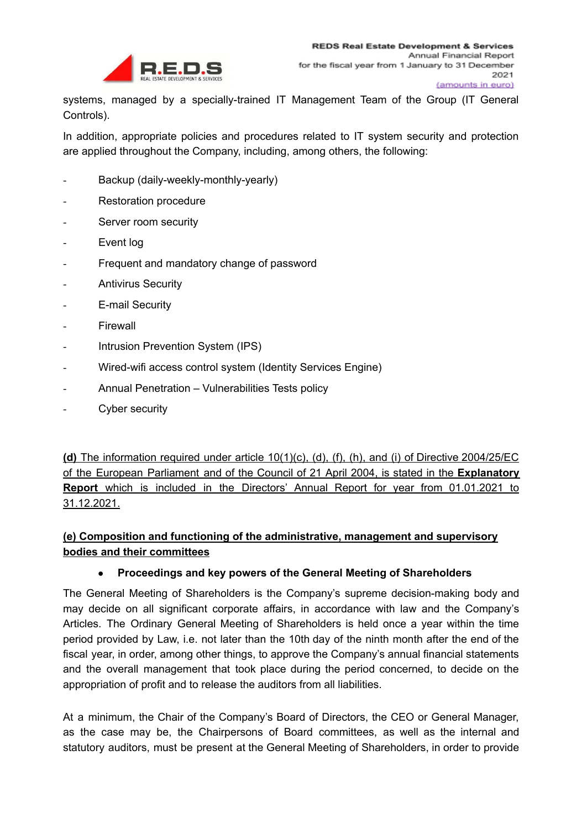

systems, managed by a specially-trained IT Management Team of the Group (IT General Controls).

In addition, appropriate policies and procedures related to IT system security and protection are applied throughout the Company, including, among others, the following:

- Backup (daily-weekly-monthly-yearly)
- Restoration procedure
- Server room security
- Event log
- Frequent and mandatory change of password
- Antivirus Security
- E-mail Security
- **Firewall**
- Intrusion Prevention System (IPS)
- Wired-wifi access control system (Identity Services Engine)
- Annual Penetration Vulnerabilities Tests policy
- Cyber security

**(d)** The information required under article 10(1)(c), (d), (f), (h), and (i) of Directive 2004/25/EC of the European Parliament and of the Council of 21 April 2004, is stated in the **Explanatory Report** which is included in the Directors' Annual Report for year from 01.01.2021 to 31.12.2021.

## **(e) Composition and functioning of the administrative, management and supervisory bodies and their committees**

## ● **Proceedings and key powers of the General Meeting of Shareholders**

The General Meeting of Shareholders is the Company's supreme decision-making body and may decide on all significant corporate affairs, in accordance with law and the Company's Articles. The Ordinary General Meeting of Shareholders is held once a year within the time period provided by Law, i.e. not later than the 10th day of the ninth month after the end of the fiscal year, in order, among other things, to approve the Company's annual financial statements and the overall management that took place during the period concerned, to decide on the appropriation of profit and to release the auditors from all liabilities.

At a minimum, the Chair of the Company's Board of Directors, the CEO or General Manager, as the case may be, the Chairpersons of Board committees, as well as the internal and statutory auditors, must be present at the General Meeting of Shareholders, in order to provide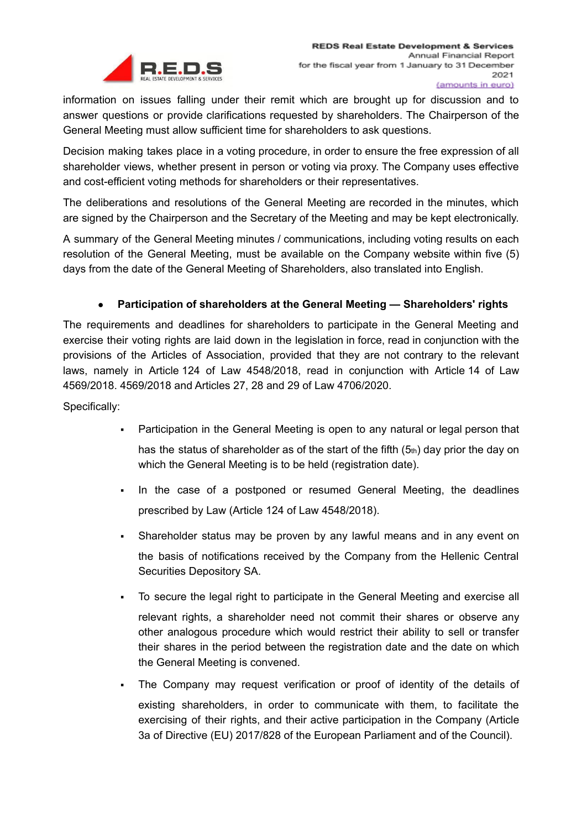

information on issues falling under their remit which are brought up for discussion and to answer questions or provide clarifications requested by shareholders. The Chairperson of the General Meeting must allow sufficient time for shareholders to ask questions.

Decision making takes place in a voting procedure, in order to ensure the free expression of all shareholder views, whether present in person or voting via proxy. The Company uses effective and cost-efficient voting methods for shareholders or their representatives.

The deliberations and resolutions of the General Meeting are recorded in the minutes, which are signed by the Chairperson and the Secretary of the Meeting and may be kept electronically.

A summary of the General Meeting minutes / communications, including voting results on each resolution of the General Meeting, must be available on the Company website within five (5) days from the date of the General Meeting of Shareholders, also translated into English.

## ● **Participation of shareholders at the General Meeting — Shareholders' rights**

The requirements and deadlines for shareholders to participate in the General Meeting and exercise their voting rights are laid down in the legislation in force, read in conjunction with the provisions of the Articles of Association, provided that they are not contrary to the relevant laws, namely in Article 124 of Law 4548/2018, read in conjunction with Article 14 of Law 4569/2018. 4569/2018 and Articles 27, 28 and 29 of Law 4706/2020.

Specifically:

- Participation in the General Meeting is open to any natural or legal person that has the status of shareholder as of the start of the fifth  $(5<sub>th</sub>)$  day prior the day on which the General Meeting is to be held (registration date).
- In the case of a postponed or resumed General Meeting, the deadlines prescribed by Law (Article 124 of Law 4548/2018).
- Shareholder status may be proven by any lawful means and in any event on the basis of notifications received by the Company from the Hellenic Central Securities Depository SA.
- To secure the legal right to participate in the General Meeting and exercise all relevant rights, a shareholder need not commit their shares or observe any other analogous procedure which would restrict their ability to sell or transfer their shares in the period between the registration date and the date on which the General Meeting is convened.
- The Company may request verification or proof of identity of the details of existing shareholders, in order to communicate with them, to facilitate the exercising of their rights, and their active participation in the Company (Article 3a of Directive (EU) 2017/828 of the European Parliament and of the Council).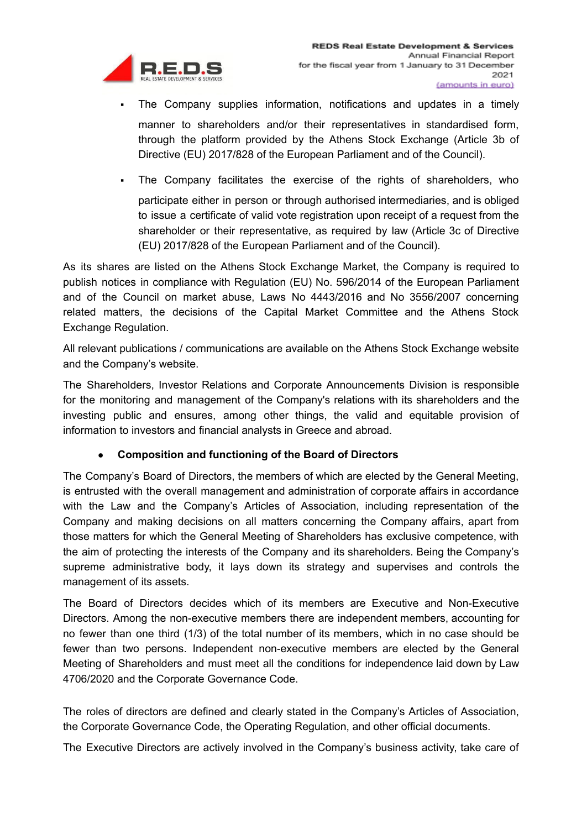

- The Company supplies information, notifications and updates in a timely manner to shareholders and/or their representatives in standardised form, through the platform provided by the Athens Stock Exchange (Article 3b of Directive (EU) 2017/828 of the European Parliament and of the Council).
- The Company facilitates the exercise of the rights of shareholders, who participate either in person or through authorised intermediaries, and is obliged to issue a certificate of valid vote registration upon receipt of a request from the shareholder or their representative, as required by law (Article 3c of Directive (EU) 2017/828 of the European Parliament and of the Council).

As its shares are listed on the Athens Stock Exchange Market, the Company is required to publish notices in compliance with Regulation (EU) No. 596/2014 of the European Parliament and of the Council on market abuse, Laws No 4443/2016 and No 3556/2007 concerning related matters, the decisions of the Capital Market Committee and the Athens Stock Exchange Regulation.

All relevant publications / communications are available on the Athens Stock Exchange website and the Company's website.

The Shareholders, Investor Relations and Corporate Announcements Division is responsible for the monitoring and management of the Company's relations with its shareholders and the investing public and ensures, among other things, the valid and equitable provision of information to investors and financial analysts in Greece and abroad.

## ● **Composition and functioning of the Board of Directors**

The Company's Board of Directors, the members of which are elected by the General Meeting, is entrusted with the overall management and administration of corporate affairs in accordance with the Law and the Company's Articles of Association, including representation of the Company and making decisions on all matters concerning the Company affairs, apart from those matters for which the General Meeting of Shareholders has exclusive competence, with the aim of protecting the interests of the Company and its shareholders. Being the Company's supreme administrative body, it lays down its strategy and supervises and controls the management of its assets.

The Board of Directors decides which of its members are Executive and Non-Executive Directors. Among the non-executive members there are independent members, accounting for no fewer than one third (1/3) of the total number of its members, which in no case should be fewer than two persons. Independent non-executive members are elected by the General Meeting of Shareholders and must meet all the conditions for independence laid down by Law 4706/2020 and the Corporate Governance Code.

The roles of directors are defined and clearly stated in the Company's Articles of Association, the Corporate Governance Code, the Operating Regulation, and other official documents.

The Executive Directors are actively involved in the Company's business activity, take care of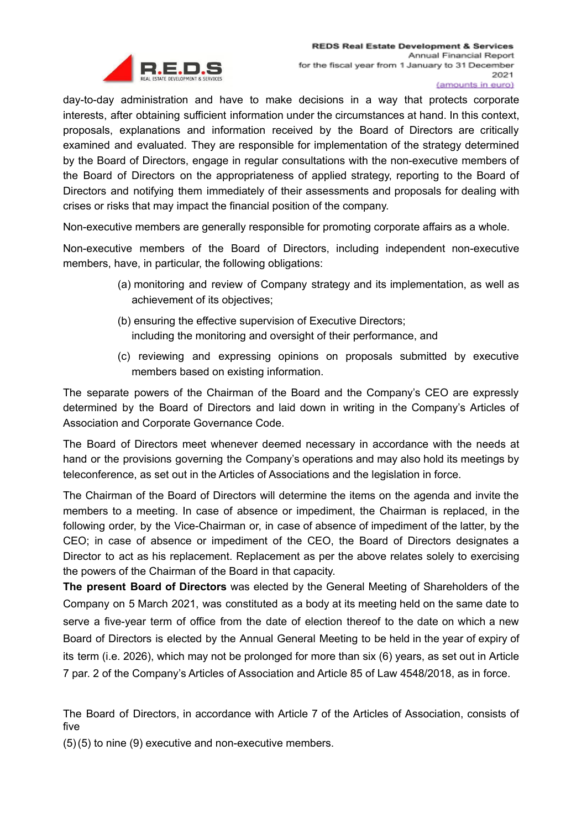

day-to-day administration and have to make decisions in a way that protects corporate interests, after obtaining sufficient information under the circumstances at hand. In this context, proposals, explanations and information received by the Board of Directors are critically examined and evaluated. They are responsible for implementation of the strategy determined by the Board of Directors, engage in regular consultations with the non-executive members of the Board of Directors on the appropriateness of applied strategy, reporting to the Board of Directors and notifying them immediately of their assessments and proposals for dealing with crises or risks that may impact the financial position of the company.

Non-executive members are generally responsible for promoting corporate affairs as a whole.

Non-executive members of the Board of Directors, including independent non-executive members, have, in particular, the following obligations:

- (a) monitoring and review of Company strategy and its implementation, as well as achievement of its objectives;
- (b) ensuring the effective supervision of Executive Directors; including the monitoring and oversight of their performance, and
- (c) reviewing and expressing opinions on proposals submitted by executive members based on existing information.

The separate powers of the Chairman of the Board and the Company's CEO are expressly determined by the Board of Directors and laid down in writing in the Company's Articles of Association and Corporate Governance Code.

The Board of Directors meet whenever deemed necessary in accordance with the needs at hand or the provisions governing the Company's operations and may also hold its meetings by teleconference, as set out in the Articles of Associations and the legislation in force.

The Chairman of the Board of Directors will determine the items on the agenda and invite the members to a meeting. In case of absence or impediment, the Chairman is replaced, in the following order, by the Vice-Chairman or, in case of absence of impediment of the latter, by the CEO; in case of absence or impediment of the CEO, the Board of Directors designates a Director to act as his replacement. Replacement as per the above relates solely to exercising the powers of the Chairman of the Board in that capacity.

**The present Board of Directors** was elected by the General Meeting of Shareholders of the Company on 5 March 2021, was constituted as a body at its meeting held on the same date to serve a five-year term of office from the date of election thereof to the date on which a new Board of Directors is elected by the Annual General Meeting to be held in the year of expiry of its term (i.e. 2026), which may not be prolonged for more than six (6) years, as set out in Article 7 par. 2 of the Company's Articles of Association and Article 85 of Law 4548/2018, as in force.

The Board of Directors, in accordance with Article 7 of the Articles of Association, consists of five

(5)(5) to nine (9) executive and non-executive members.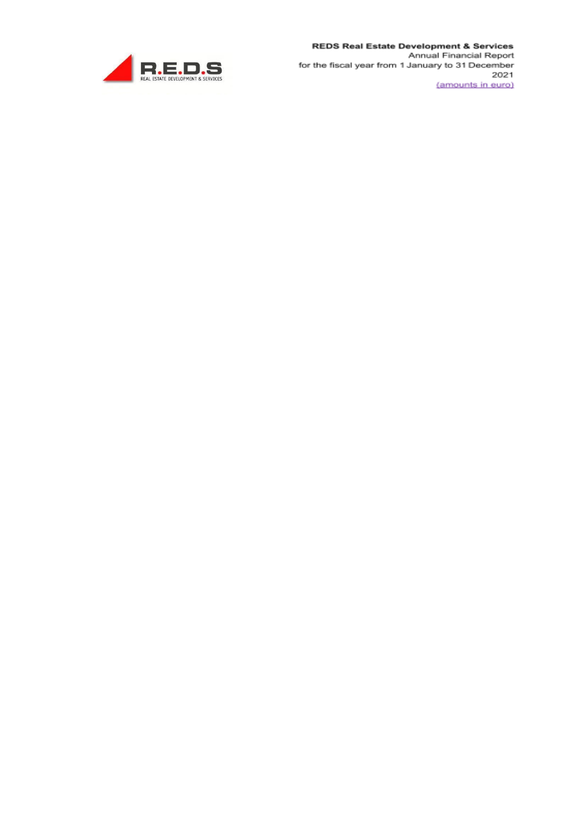

**REDS Real Estate Development & Services** Annual Financial Report for the fiscal year from 1 January to 31 December 2021 (amounts in euro)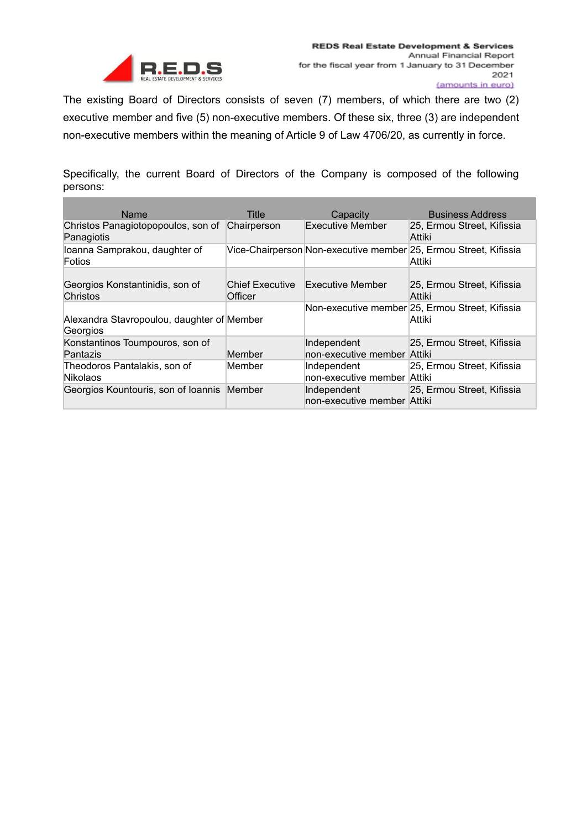

The existing Board of Directors consists of seven (7) members, of which there are two (2) executive member and five (5) non-executive members. Of these six, three (3) are independent non-executive members within the meaning of Article 9 of Law 4706/20, as currently in force.

Specifically, the current Board of Directors of the Company is composed of the following persons:

| <b>Name</b>                                            | Title                      | Capacity                                   | <b>Business Address</b>                                                    |
|--------------------------------------------------------|----------------------------|--------------------------------------------|----------------------------------------------------------------------------|
| Christos Panagiotopopoulos, son of<br>Panagiotis       | Chairperson                | <b>Executive Member</b>                    | 25, Ermou Street, Kifissia<br>Attiki                                       |
| loanna Samprakou, daughter of<br>Fotios                |                            |                                            | Vice-Chairperson Non-executive member 25, Ermou Street, Kifissia<br>Attiki |
| Georgios Konstantinidis, son of<br><b>Christos</b>     | Chief Executive<br>Officer | Executive Member                           | 25, Ermou Street, Kifissia<br>Attiki                                       |
| Alexandra Stavropoulou, daughter of Member<br>Georgios |                            |                                            | Non-executive member 25, Ermou Street, Kifissia<br>Attiki                  |
| Konstantinos Toumpouros, son of<br>Pantazis            | Member                     | Independent<br>non-executive member Attiki | 25, Ermou Street, Kifissia                                                 |
| Theodoros Pantalakis, son of<br>Nikolaos               | Member                     | Independent<br>non-executive member Attiki | 25, Ermou Street, Kifissia                                                 |
| Georgios Kountouris, son of Ioannis                    | <b>Member</b>              | Independent<br>non-executive member Attiki | 25, Ermou Street, Kifissia                                                 |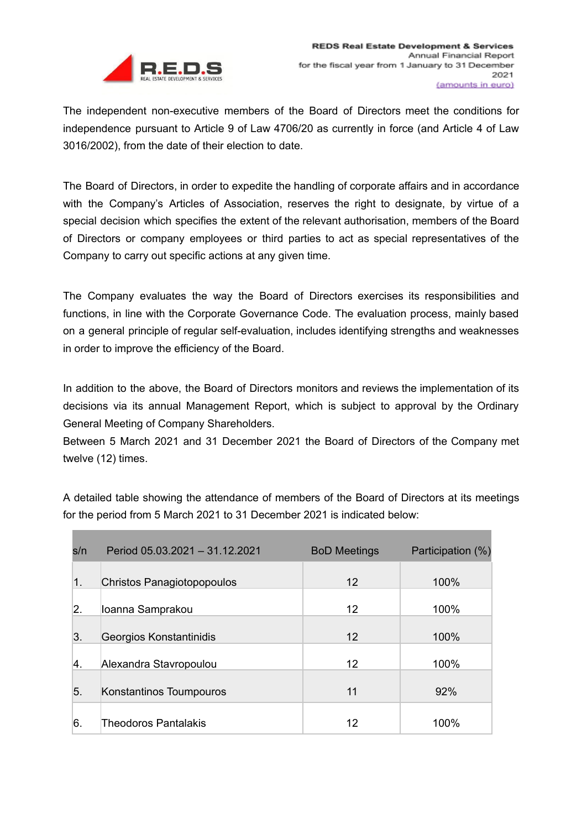

The independent non-executive members of the Board of Directors meet the conditions for independence pursuant to Article 9 of Law 4706/20 as currently in force (and Article 4 of Law 3016/2002), from the date of their election to date.

The Board of Directors, in order to expedite the handling of corporate affairs and in accordance with the Company's Articles of Association, reserves the right to designate, by virtue of a special decision which specifies the extent of the relevant authorisation, members of the Board of Directors or company employees or third parties to act as special representatives of the Company to carry out specific actions at any given time.

The Company evaluates the way the Board of Directors exercises its responsibilities and functions, in line with the Corporate Governance Code. The evaluation process, mainly based on a general principle of regular self-evaluation, includes identifying strengths and weaknesses in order to improve the efficiency of the Board.

In addition to the above, the Board of Directors monitors and reviews the implementation of its decisions via its annual Management Report, which is subject to approval by the Ordinary General Meeting of Company Shareholders.

Between 5 March 2021 and 31 December 2021 the Board of Directors of the Company met twelve (12) times.

A detailed table showing the attendance of members of the Board of Directors at its meetings for the period from 5 March 2021 to 31 December 2021 is indicated below:

| s/n | Period 05.03.2021 - 31.12.2021 | <b>BoD Meetings</b> | Participation (%) |
|-----|--------------------------------|---------------------|-------------------|
| 1.  | Christos Panagiotopopoulos     | $12 \overline{ }$   | 100%              |
| 2.  | loanna Samprakou               | 12                  | 100%              |
| 3.  | Georgios Konstantinidis        | 12                  | 100%              |
| 4.  | Alexandra Stavropoulou         | 12                  | 100%              |
| 5.  | Konstantinos Toumpouros        | 11                  | 92%               |
| 6.  | <b>Theodoros Pantalakis</b>    | 12                  | 100%              |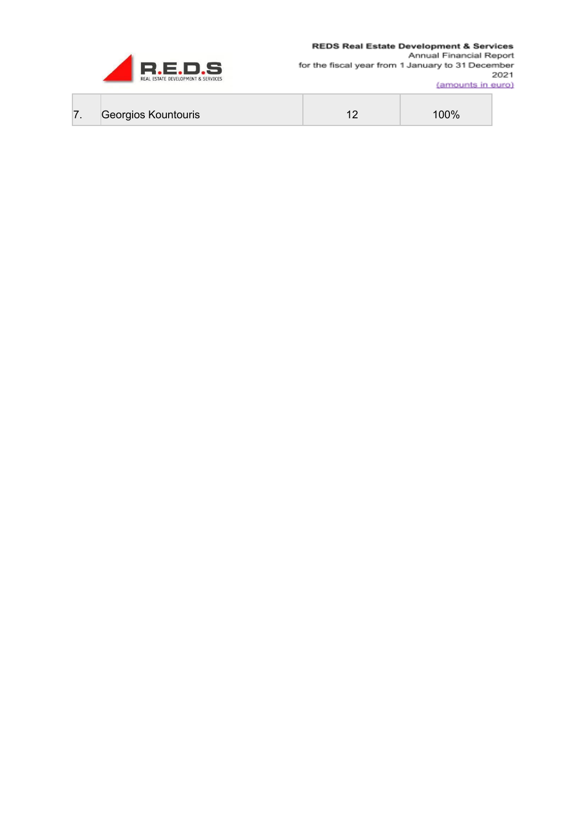

#### **REDS Real Estate Development & Services**

Annual Financial Report for the fiscal year from 1 January to 31 December 2021

(amounts in euro)

| $\prime$ . | Georgios Kountouris | 100% |
|------------|---------------------|------|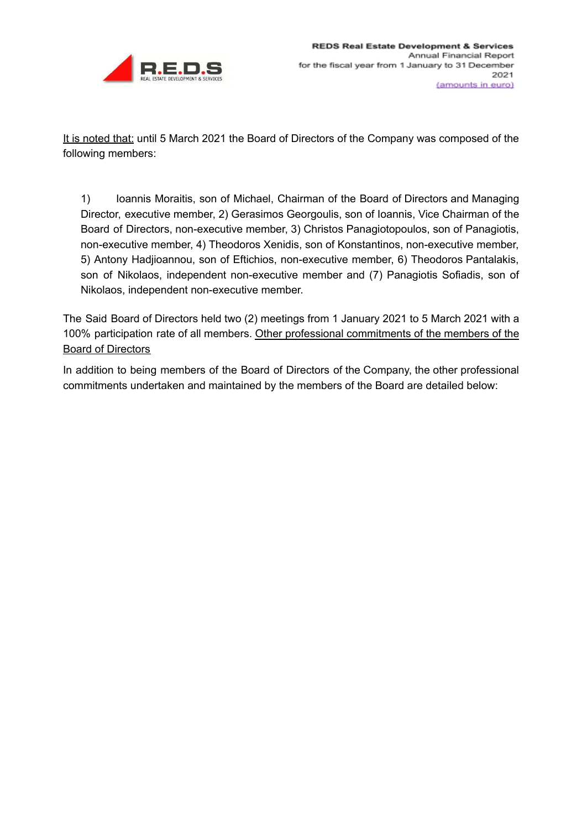

It is noted that: until 5 March 2021 the Board of Directors of the Company was composed of the following members:

1) Ioannis Moraitis, son of Michael, Chairman of the Board of Directors and Managing Director, executive member, 2) Gerasimos Georgoulis, son of Ioannis, Vice Chairman of the Board of Directors, non-executive member, 3) Christos Panagiotopoulos, son of Panagiotis, non-executive member, 4) Theodoros Xenidis, son of Konstantinos, non-executive member, 5) Antony Hadjioannou, son of Eftichios, non-executive member, 6) Theodoros Pantalakis, son of Nikolaos, independent non-executive member and (7) Panagiotis Sofiadis, son of Nikolaos, independent non-executive member.

The Said Board of Directors held two (2) meetings from 1 January 2021 to 5 March 2021 with a 100% participation rate of all members. Other professional commitments of the members of the Board of Directors

In addition to being members of the Board of Directors of the Company, the other professional commitments undertaken and maintained by the members of the Board are detailed below: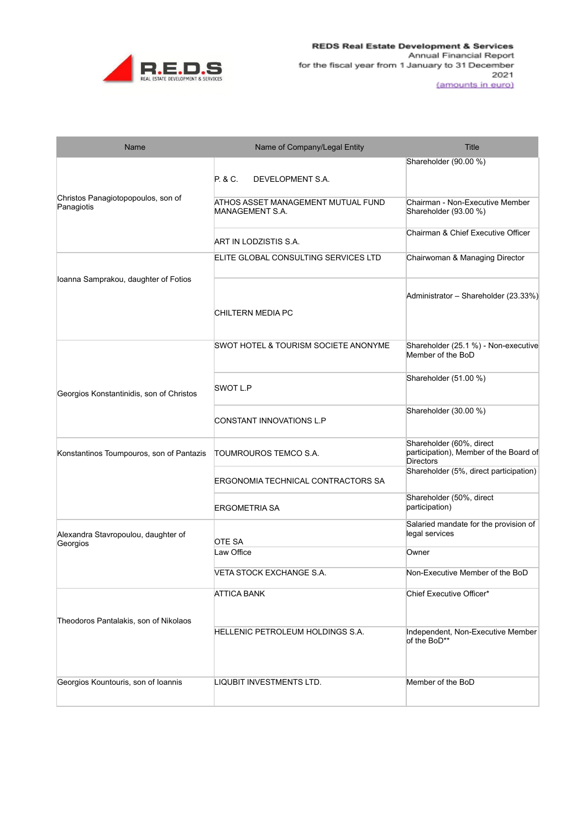

| Name                                             | Name of Company/Legal Entity                          | <b>Title</b>                                                                           |
|--------------------------------------------------|-------------------------------------------------------|----------------------------------------------------------------------------------------|
|                                                  |                                                       | Shareholder (90.00 %)                                                                  |
|                                                  | P. & C.<br>DEVELOPMENT S.A.                           |                                                                                        |
| Christos Panagiotopopoulos, son of<br>Panagiotis | ATHOS ASSET MANAGEMENT MUTUAL FUND<br>MANAGEMENT S.A. | Chairman - Non-Executive Member<br>Shareholder (93.00 %)                               |
|                                                  | ART IN LODZISTIS S.A.                                 | Chairman & Chief Executive Officer                                                     |
|                                                  | ELITE GLOBAL CONSULTING SERVICES LTD                  | Chairwoman & Managing Director                                                         |
| loanna Samprakou, daughter of Fotios             | CHILTERN MEDIA PC                                     | Administrator - Shareholder (23.33%)                                                   |
|                                                  | SWOT HOTEL & TOURISM SOCIETE ANONYME                  | Shareholder (25.1 %) - Non-executive<br>Member of the BoD                              |
| Georgios Konstantinidis, son of Christos         | SWOT L.P                                              | Shareholder (51.00 %)                                                                  |
|                                                  | CONSTANT INNOVATIONS L.P                              | Shareholder (30.00 %)                                                                  |
| Konstantinos Toumpouros, son of Pantazis         | TOUMROUROS TEMCO S.A.                                 | Shareholder (60%, direct<br>participation), Member of the Board of<br><b>Directors</b> |
|                                                  | ERGONOMIA TECHNICAL CONTRACTORS SA                    | Shareholder (5%, direct participation)                                                 |
|                                                  | <b>ERGOMETRIA SA</b>                                  | Shareholder (50%, direct<br>participation)                                             |
| Alexandra Stavropoulou, daughter of<br>Georgios  | <b>OTE SA</b>                                         | Salaried mandate for the provision of<br>legal services                                |
|                                                  | Law Office                                            | Owner                                                                                  |
|                                                  | VETA STOCK EXCHANGE S.A.                              | Non-Executive Member of the BoD                                                        |
| Theodoros Pantalakis, son of Nikolaos            | ATTICA BANK                                           | Chief Executive Officer*                                                               |
|                                                  | HELLENIC PETROLEUM HOLDINGS S.A.                      | Independent, Non-Executive Member<br>of the BoD**                                      |
| Georgios Kountouris, son of Ioannis              | LIQUBIT INVESTMENTS LTD.                              | Member of the BoD                                                                      |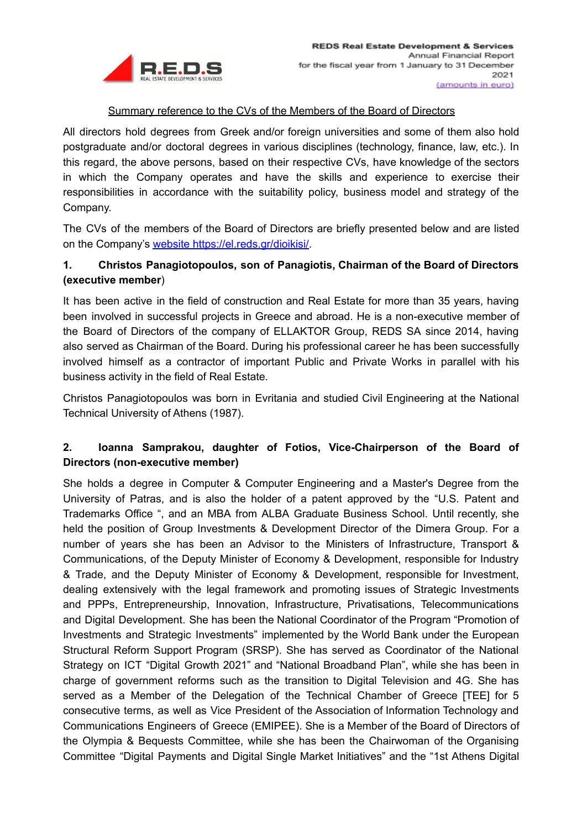

#### Summary reference to the CVs of the Members of the Board of Directors

All directors hold degrees from Greek and/or foreign universities and some of them also hold postgraduate and/or doctoral degrees in various disciplines (technology, finance, law, etc.). In this regard, the above persons, based on their respective CVs, have knowledge of the sectors in which the Company operates and have the skills and experience to exercise their responsibilities in accordance with the suitability policy, business model and strategy of the Company.

The CVs of the members of the Board of Directors are briefly presented below and are listed on the Company's website [https://el.reds.gr/dioikisi/.](https://el.reds.gr/dioikisi/)

# **1. Christos Panagiotopoulos, son of Panagiotis, Chairman of the Board of Directors (executive member**)

It has been active in the field of construction and Real Estate for more than 35 years, having been involved in successful projects in Greece and abroad. He is a non-executive member of the Board of Directors of the company of ELLAKTOR Group, REDS SA since 2014, having also served as Chairman of the Board. During his professional career he has been successfully involved himself as a contractor of important Public and Private Works in parallel with his business activity in the field of Real Estate.

Christos Panagiotopoulos was born in Evritania and studied Civil Engineering at the National Technical University of Athens (1987).

# **2. Ioanna Samprakou, daughter of Fotios, Vice-Chairperson of the Board of Directors (non-executive member)**

She holds a degree in Computer & Computer Engineering and a Master's Degree from the University of Patras, and is also the holder of a patent approved by the "U.S. Patent and Trademarks Office ", and an MBA from ALBA Graduate Business School. Until recently, she held the position of Group Investments & Development Director of the Dimera Group. For a number of years she has been an Advisor to the Ministers of Infrastructure, Transport & Communications, of the Deputy Minister of Economy & Development, responsible for Industry & Trade, and the Deputy Minister of Economy & Development, responsible for Investment, dealing extensively with the legal framework and promoting issues of Strategic Investments and PPPs, Entrepreneurship, Innovation, Infrastructure, Privatisations, Telecommunications and Digital Development. She has been the National Coordinator of the Program "Promotion of Investments and Strategic Investments" implemented by the World Bank under the European Structural Reform Support Program (SRSP). She has served as Coordinator of the National Strategy on ICT "Digital Growth 2021" and "National Broadband Plan", while she has been in charge of government reforms such as the transition to Digital Television and 4G. She has served as a Member of the Delegation of the Technical Chamber of Greece [TEE] for 5 consecutive terms, as well as Vice President of the Association of Information Technology and Communications Engineers of Greece (EMIPEE). She is a Member of the Board of Directors of the Olympia & Bequests Committee, while she has been the Chairwoman of the Organising Committee "Digital Payments and Digital Single Market Initiatives" and the "1st Athens Digital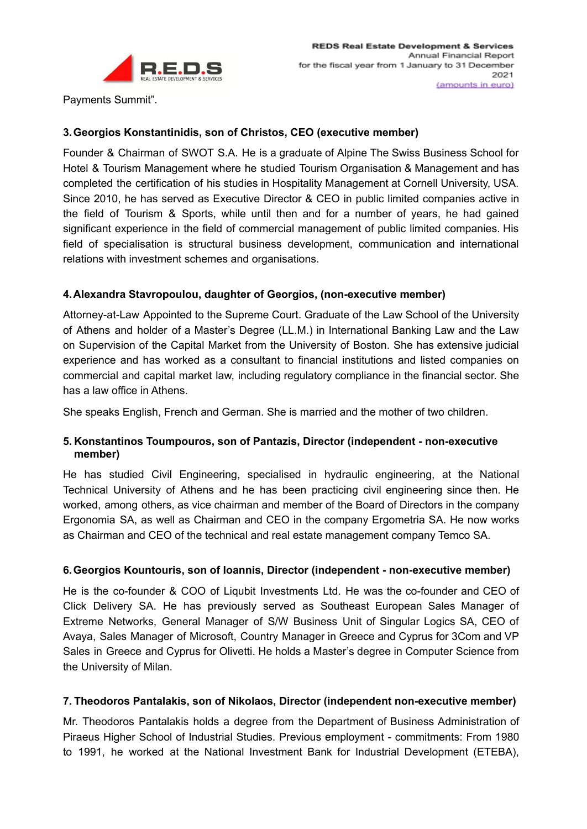

Payments Summit".

## **3.Georgios Konstantinidis, son of Christos, CEO (executive member)**

Founder & Chairman of SWOT S.A. He is a graduate of Alpine The Swiss Business School for Hotel & Tourism Management where he studied Tourism Organisation & Management and has completed the certification of his studies in Hospitality Management at Cornell University, USA. Since 2010, he has served as Executive Director & CEO in public limited companies active in the field of Tourism & Sports, while until then and for a number of years, he had gained significant experience in the field of commercial management of public limited companies. His field of specialisation is structural business development, communication and international relations with investment schemes and organisations.

## **4.Alexandra Stavropoulou, daughter of Georgios, (non-executive member)**

Attorney-at-Law Appointed to the Supreme Court. Graduate of the Law School of the University of Athens and holder of a Master's Degree (LL.M.) in International Banking Law and the Law on Supervision of the Capital Market from the University of Boston. She has extensive judicial experience and has worked as a consultant to financial institutions and listed companies on commercial and capital market law, including regulatory compliance in the financial sector. She has a law office in Athens.

She speaks English, French and German. She is married and the mother of two children.

#### **5. Konstantinos Toumpouros, son of Pantazis, Director (independent - non-executive member)**

He has studied Civil Engineering, specialised in hydraulic engineering, at the National Technical University of Athens and he has been practicing civil engineering since then. He worked, among others, as vice chairman and member of the Board of Directors in the company Ergonomia SA, as well as Chairman and CEO in the company Ergometria SA. He now works as Chairman and CEO of the technical and real estate management company Temco SA.

#### **6.Georgios Kountouris, son of Ioannis, Director (independent - non-executive member)**

He is the co-founder & COO of Liqubit Investments Ltd. He was the co-founder and CEO of Click Delivery SA. He has previously served as Southeast European Sales Manager of Extreme Networks, General Manager of S/W Business Unit of Singular Logics SA, CEO of Avaya, Sales Manager of Microsoft, Country Manager in Greece and Cyprus for 3Com and VP Sales in Greece and Cyprus for Olivetti. He holds a Master's degree in Computer Science from the University of Milan.

#### **7. Theodoros Pantalakis, son of Nikolaos, Director (independent non-executive member)**

Mr. Theodoros Pantalakis holds a degree from the Department of Business Administration of Piraeus Higher School of Industrial Studies. Previous employment - commitments: From 1980 to 1991, he worked at the National Investment Bank for Industrial Development (ETEBA),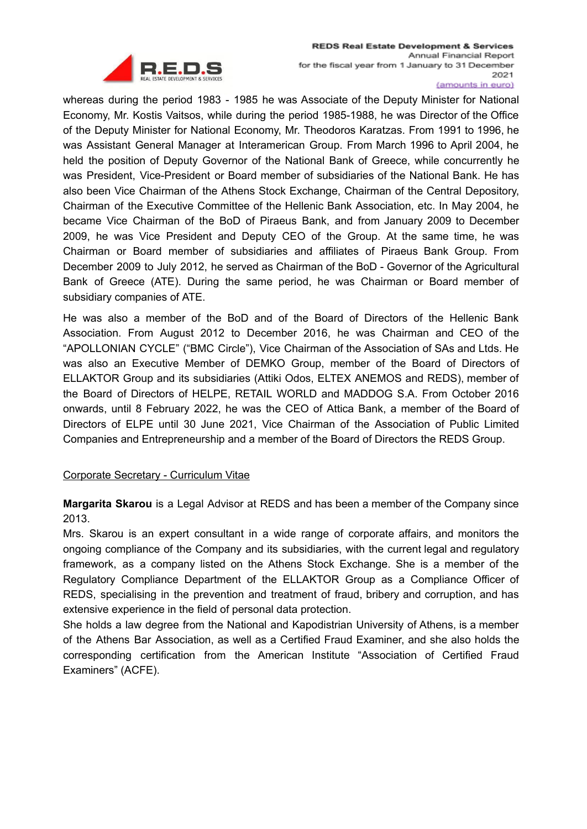

(amounts in euro)

whereas during the period 1983 - 1985 he was Associate of the Deputy Minister for National Economy, Mr. Kostis Vaitsos, while during the period 1985-1988, he was Director of the Office of the Deputy Minister for National Economy, Mr. Theodoros Karatzas. From 1991 to 1996, he was Assistant General Manager at Interamerican Group. From March 1996 to April 2004, he held the position of Deputy Governor of the National Bank of Greece, while concurrently he was President, Vice-President or Board member of subsidiaries of the National Bank. He has also been Vice Chairman of the Athens Stock Exchange, Chairman of the Central Depository, Chairman of the Executive Committee of the Hellenic Bank Association, etc. In May 2004, he became Vice Chairman of the BoD of Piraeus Bank, and from January 2009 to December 2009, he was Vice President and Deputy CEO of the Group. At the same time, he was Chairman or Board member of subsidiaries and affiliates of Piraeus Bank Group. From December 2009 to July 2012, he served as Chairman of the BoD - Governor of the Agricultural Bank of Greece (ATE). During the same period, he was Chairman or Board member of subsidiary companies of ΑΤΕ.

He was also a member of the BoD and of the Board of Directors of the Hellenic Bank Association. From August 2012 to December 2016, he was Chairman and CEO of the "APOLLONIAN CYCLE" ("BMC Circle"), Vice Chairman of the Association of SAs and Ltds. He was also an Executive Member of DEMKO Group, member of the Board of Directors of ELLAKTOR Group and its subsidiaries (Attiki Odos, ELTEX ANEMOS and REDS), member of the Board of Directors of HELPE, RETAIL WORLD and MADDOG S.A. From October 2016 onwards, until 8 February 2022, he was the CEO of Attica Bank, a member of the Board of Directors of ELPE until 30 June 2021, Vice Chairman of the Association of Public Limited Companies and Entrepreneurship and a member of the Board of Directors the REDS Group.

#### Corporate Secretary - Curriculum Vitae

**Margarita Skarou** is a Legal Advisor at REDS and has been a member of the Company since 2013.

Mrs. Skarou is an expert consultant in a wide range of corporate affairs, and monitors the ongoing compliance of the Company and its subsidiaries, with the current legal and regulatory framework, as a company listed on the Athens Stock Exchange. She is a member of the Regulatory Compliance Department of the ELLAKTOR Group as a Compliance Officer of REDS, specialising in the prevention and treatment of fraud, bribery and corruption, and has extensive experience in the field of personal data protection.

She holds a law degree from the National and Kapodistrian University of Athens, is a member of the Athens Bar Association, as well as a Certified Fraud Examiner, and she also holds the corresponding certification from the American Institute "Association of Certified Fraud Examiners" (ACFE).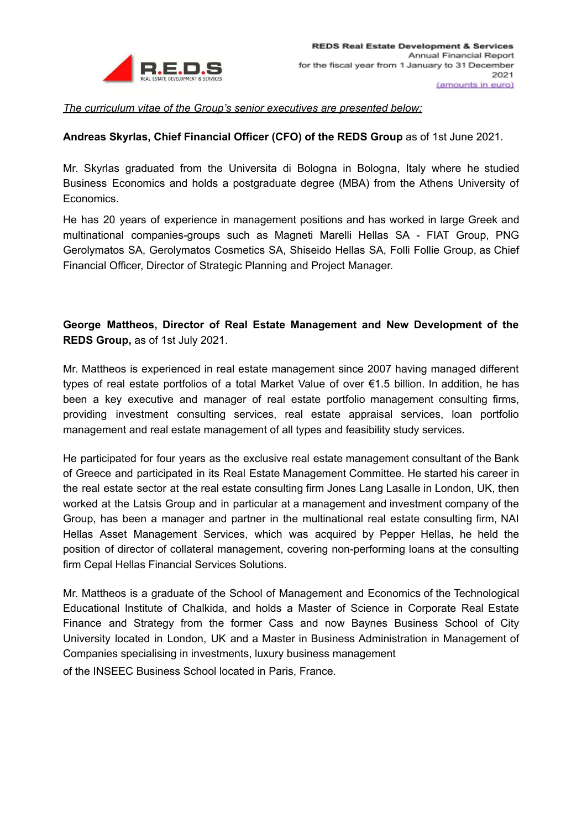

#### *The curriculum vitae of the Group's senior executives are presented below:*

#### **Andreas Skyrlas, Chief Financial Officer (CFO) of the REDS Group** as of 1st June 2021.

Mr. Skyrlas graduated from the Universita di Bologna in Bologna, Italy where he studied Business Economics and holds a postgraduate degree (MBA) from the Athens University of Economics.

He has 20 years of experience in management positions and has worked in large Greek and multinational companies-groups such as Magneti Marelli Hellas SA - FIAT Group, PNG Gerolymatos SA, Gerolymatos Cosmetics SA, Shiseido Hellas SA, Folli Follie Group, as Chief Financial Officer, Director of Strategic Planning and Project Manager.

**George Mattheos, Director of Real Estate Management and New Development of the REDS Group,** as of 1st July 2021.

Mr. Mattheos is experienced in real estate management since 2007 having managed different types of real estate portfolios of a total Market Value of over €1.5 billion. In addition, he has been a key executive and manager of real estate portfolio management consulting firms, providing investment consulting services, real estate appraisal services, loan portfolio management and real estate management of all types and feasibility study services.

He participated for four years as the exclusive real estate management consultant of the Bank of Greece and participated in its Real Estate Management Committee. He started his career in the real estate sector at the real estate consulting firm Jones Lang Lasalle in London, UK, then worked at the Latsis Group and in particular at a management and investment company of the Group, has been a manager and partner in the multinational real estate consulting firm, NAI Hellas Asset Management Services, which was acquired by Pepper Hellas, he held the position of director of collateral management, covering non-performing loans at the consulting firm Cepal Hellas Financial Services Solutions.

Mr. Mattheos is a graduate of the School of Management and Economics of the Technological Educational Institute of Chalkida, and holds a Master of Science in Corporate Real Estate Finance and Strategy from the former Cass and now Baynes Business School of City University located in London, UK and a Master in Business Administration in Management of Companies specialising in investments, luxury business management

of the INSEEC Business School located in Paris, France.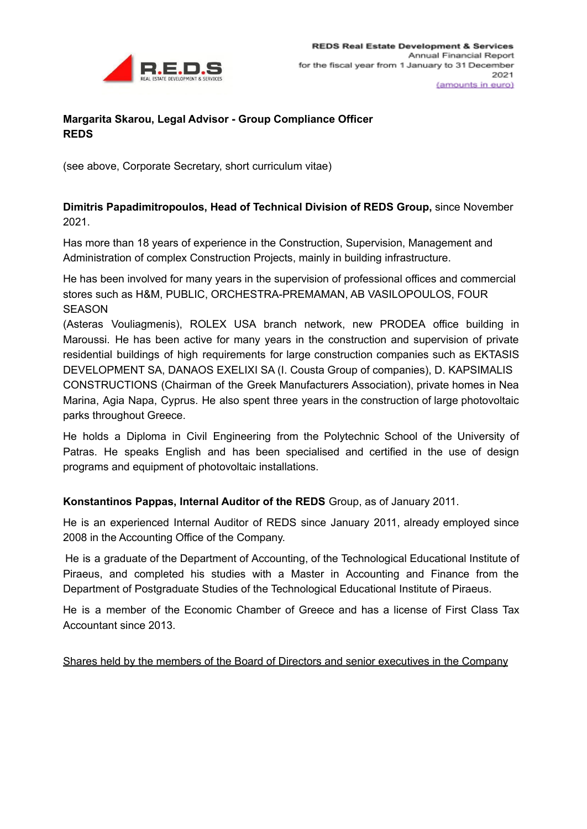

## **Margarita Skarou, Legal Advisor - Group Compliance Officer REDS**

(see above, Corporate Secretary, short curriculum vitae)

# **Dimitris Papadimitropoulos, Head of Technical Division of REDS Group,** since November 2021.

Has more than 18 years of experience in the Construction, Supervision, Management and Administration of complex Construction Projects, mainly in building infrastructure.

He has been involved for many years in the supervision of professional offices and commercial stores such as H&M, PUBLIC, ORCHESTRA-PREMAMAN, AB VASILOPOULOS, FOUR **SEASON** 

(Asteras Vouliagmenis), ROLEX USA branch network, new PRODEA office building in Maroussi. He has been active for many years in the construction and supervision of private residential buildings of high requirements for large construction companies such as EKTASIS DEVELOPMENT SA, DANAOS EXELIXI SA (I. Cousta Group of companies), D. KAPSIMALIS CONSTRUCTIONS (Chairman of the Greek Manufacturers Association), private homes in Nea Marina, Agia Napa, Cyprus. He also spent three years in the construction of large photovoltaic parks throughout Greece.

He holds a Diploma in Civil Engineering from the Polytechnic School of the University of Patras. He speaks English and has been specialised and certified in the use of design programs and equipment of photovoltaic installations.

## **Konstantinos Pappas, Internal Auditor of the REDS** Group, as of January 2011.

He is an experienced Internal Auditor of REDS since January 2011, already employed since 2008 in the Accounting Office of the Company.

He is a graduate of the Department of Accounting, of the Technological Educational Institute of Piraeus, and completed his studies with a Master in Accounting and Finance from the Department of Postgraduate Studies of the Technological Educational Institute of Piraeus.

He is a member of the Economic Chamber of Greece and has a license of First Class Tax Accountant since 2013.

Shares held by the members of the Board of Directors and senior executives in the Company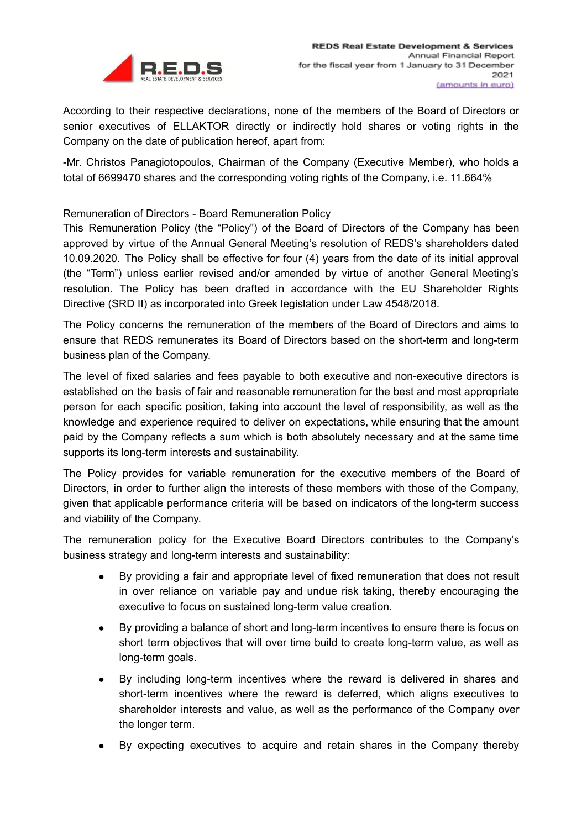

According to their respective declarations, none of the members of the Board of Directors or senior executives of ELLAKTOR directly or indirectly hold shares or voting rights in the Company on the date of publication hereof, apart from:

-Mr. Christos Panagiotopoulos, Chairman of the Company (Executive Member), who holds a total of 6699470 shares and the corresponding voting rights of the Company, i.e. 11.664%

## Remuneration of Directors - Board Remuneration Policy

This Remuneration Policy (the "Policy") of the Board of Directors of the Company has been approved by virtue of the Annual General Meeting's resolution of REDS's shareholders dated 10.09.2020. The Policy shall be effective for four (4) years from the date of its initial approval (the "Term") unless earlier revised and/or amended by virtue of another General Meeting's resolution. The Policy has been drafted in accordance with the EU Shareholder Rights Directive (SRD II) as incorporated into Greek legislation under Law 4548/2018.

The Policy concerns the remuneration of the members of the Board of Directors and aims to ensure that REDS remunerates its Board of Directors based on the short-term and long-term business plan of the Company.

The level of fixed salaries and fees payable to both executive and non-executive directors is established on the basis of fair and reasonable remuneration for the best and most appropriate person for each specific position, taking into account the level of responsibility, as well as the knowledge and experience required to deliver on expectations, while ensuring that the amount paid by the Company reflects a sum which is both absolutely necessary and at the same time supports its long-term interests and sustainability.

The Policy provides for variable remuneration for the executive members of the Board of Directors, in order to further align the interests of these members with those of the Company, given that applicable performance criteria will be based on indicators of the long-term success and viability of the Company.

The remuneration policy for the Executive Board Directors contributes to the Company's business strategy and long-term interests and sustainability:

- By providing a fair and appropriate level of fixed remuneration that does not result in over reliance on variable pay and undue risk taking, thereby encouraging the executive to focus on sustained long-term value creation.
- By providing a balance of short and long-term incentives to ensure there is focus on short term objectives that will over time build to create long-term value, as well as long-term goals.
- By including long-term incentives where the reward is delivered in shares and short-term incentives where the reward is deferred, which aligns executives to shareholder interests and value, as well as the performance of the Company over the longer term.
- By expecting executives to acquire and retain shares in the Company thereby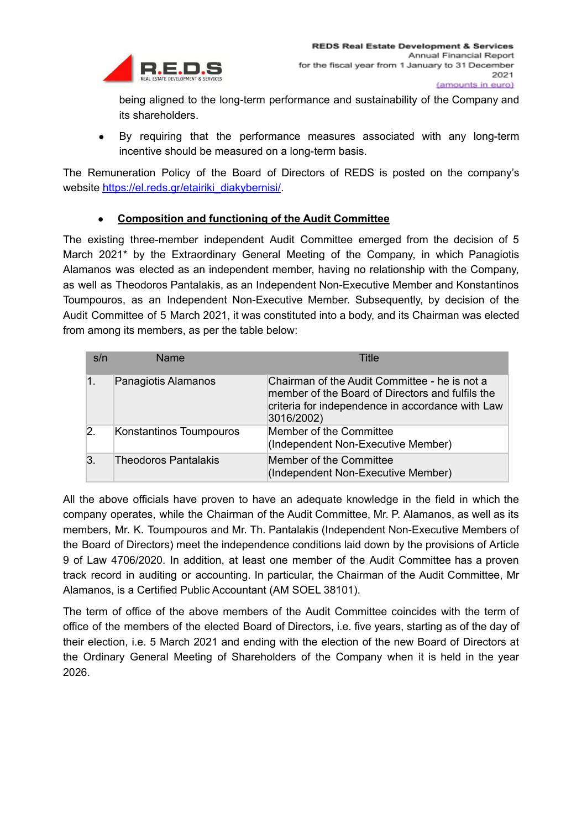

being aligned to the long-term performance and sustainability of the Company and its shareholders.

By requiring that the performance measures associated with any long-term incentive should be measured on a long-term basis.

The Remuneration Policy of the Board of Directors of REDS is posted on the company's website [https://el.reds.gr/etairiki\\_diakybernisi/](https://el.reds.gr/etairiki_diakybernisi/).

# ● **Composition and functioning of the Audit Committee**

The existing three-member independent Audit Committee emerged from the decision of 5 March 2021\* by the Extraordinary General Meeting of the Company, in which Panagiotis Alamanos was elected as an independent member, having no relationship with the Company, as well as Theodoros Pantalakis, as an Independent Non-Executive Member and Konstantinos Toumpouros, as an Independent Non-Executive Member. Subsequently, by decision of the Audit Committee of 5 March 2021, it was constituted into a body, and its Chairman was elected from among its members, as per the table below:

| s/n | <b>Name</b>                 | Title                                                                                                                                                               |
|-----|-----------------------------|---------------------------------------------------------------------------------------------------------------------------------------------------------------------|
|     | Panagiotis Alamanos         | Chairman of the Audit Committee - he is not a<br>member of the Board of Directors and fulfils the<br>criteria for independence in accordance with Law<br>3016/2002) |
| 2.  | Konstantinos Toumpouros     | Member of the Committee<br>(Independent Non-Executive Member)                                                                                                       |
| З.  | <b>Theodoros Pantalakis</b> | Member of the Committee<br>(Independent Non-Executive Member)                                                                                                       |

All the above officials have proven to have an adequate knowledge in the field in which the company operates, while the Chairman of the Audit Committee, Mr. P. Alamanos, as well as its members, Mr. K. Toumpouros and Mr. Th. Pantalakis (Independent Non-Executive Members of the Board of Directors) meet the independence conditions laid down by the provisions of Article 9 of Law 4706/2020. In addition, at least one member of the Audit Committee has a proven track record in auditing or accounting. In particular, the Chairman of the Audit Committee, Mr Alamanos, is a Certified Public Accountant (AM SOEL 38101).

The term of office of the above members of the Audit Committee coincides with the term of office of the members of the elected Board of Directors, i.e. five years, starting as of the day of their election, i.e. 5 March 2021 and ending with the election of the new Board of Directors at the Ordinary General Meeting of Shareholders of the Company when it is held in the year 2026.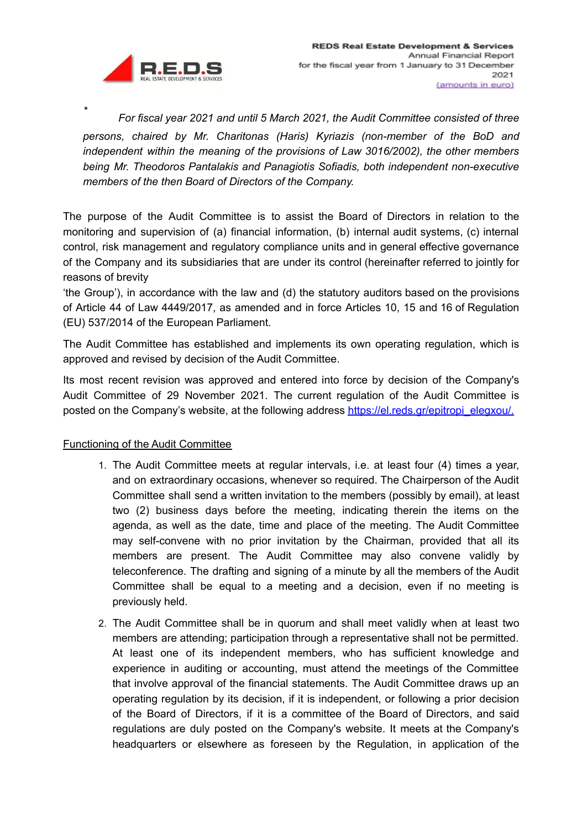

*\**

*For fiscal year 2021 and until 5 March 2021, the Audit Committee consisted of three*

*persons, chaired by Mr. Charitonas (Haris) Kyriazis (non-member of the BoD and independent within the meaning of the provisions of Law 3016/2002), the other members being Mr. Theodoros Pantalakis and Panagiotis Sofiadis, both independent non-executive members of the then Board of Directors of the Company.*

The purpose of the Audit Committee is to assist the Board of Directors in relation to the monitoring and supervision of (a) financial information, (b) internal audit systems, (c) internal control, risk management and regulatory compliance units and in general effective governance of the Company and its subsidiaries that are under its control (hereinafter referred to jointly for reasons of brevity

'the Group'), in accordance with the law and (d) the statutory auditors based on the provisions of Article 44 of Law 4449/2017, as amended and in force Articles 10, 15 and 16 of Regulation (EU) 537/2014 of the European Parliament.

The Audit Committee has established and implements its own operating regulation, which is approved and revised by decision of the Audit Committee.

Its most recent revision was approved and entered into force by decision of the Company's Audit Committee of 29 November 2021. The current regulation of the Audit Committee is posted on the Company's website, at the following address [https://el.reds.gr/epitropi\\_elegxou/](https://el.reds.gr/epitropi_elegxou/).

## Functioning of the Audit Committee

- 1. The Audit Committee meets at regular intervals, i.e. at least four (4) times a year, and on extraordinary occasions, whenever so required. The Chairperson of the Audit Committee shall send a written invitation to the members (possibly by email), at least two (2) business days before the meeting, indicating therein the items on the agenda, as well as the date, time and place of the meeting. The Audit Committee may self-convene with no prior invitation by the Chairman, provided that all its members are present. The Audit Committee may also convene validly by teleconference. The drafting and signing of a minute by all the members of the Audit Committee shall be equal to a meeting and a decision, even if no meeting is previously held.
- 2. The Audit Committee shall be in quorum and shall meet validly when at least two members are attending; participation through a representative shall not be permitted. At least one of its independent members, who has sufficient knowledge and experience in auditing or accounting, must attend the meetings of the Committee that involve approval of the financial statements. The Audit Committee draws up an operating regulation by its decision, if it is independent, or following a prior decision of the Board of Directors, if it is a committee of the Board of Directors, and said regulations are duly posted on the Company's website. It meets at the Company's headquarters or elsewhere as foreseen by the Regulation, in application of the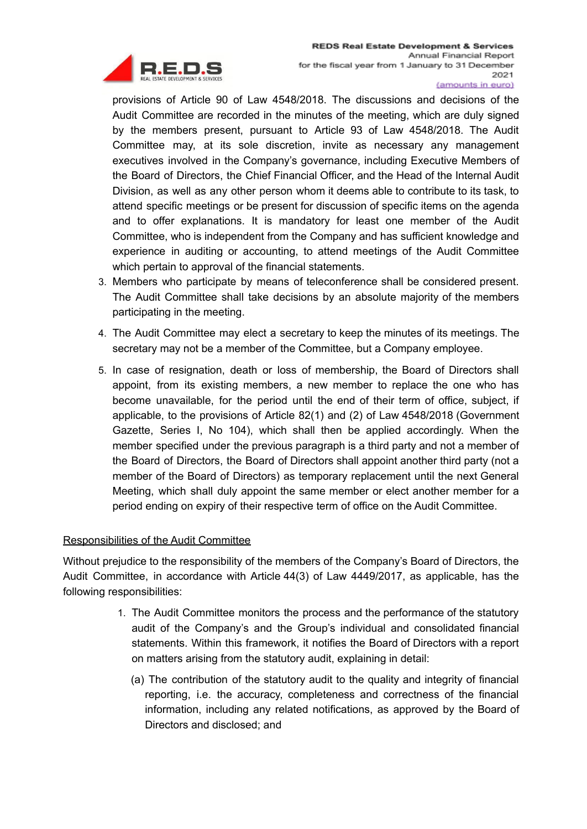

provisions of Article 90 of Law 4548/2018. The discussions and decisions of the Audit Committee are recorded in the minutes of the meeting, which are duly signed by the members present, pursuant to Article 93 of Law 4548/2018. The Audit Committee may, at its sole discretion, invite as necessary any management executives involved in the Company's governance, including Executive Members of the Board of Directors, the Chief Financial Officer, and the Head of the Internal Audit Division, as well as any other person whom it deems able to contribute to its task, to attend specific meetings or be present for discussion of specific items on the agenda and to offer explanations. It is mandatory for least one member of the Audit Committee, who is independent from the Company and has sufficient knowledge and experience in auditing or accounting, to attend meetings of the Audit Committee which pertain to approval of the financial statements.

- 3. Members who participate by means of teleconference shall be considered present. The Audit Committee shall take decisions by an absolute majority of the members participating in the meeting.
- 4. The Audit Committee may elect a secretary to keep the minutes of its meetings. The secretary may not be a member of the Committee, but a Company employee.
- 5. In case of resignation, death or loss of membership, the Board of Directors shall appoint, from its existing members, a new member to replace the one who has become unavailable, for the period until the end of their term of office, subject, if applicable, to the provisions of Article 82(1) and (2) of Law 4548/2018 (Government Gazette, Series I, No 104), which shall then be applied accordingly. When the member specified under the previous paragraph is a third party and not a member of the Board of Directors, the Board of Directors shall appoint another third party (not a member of the Board of Directors) as temporary replacement until the next General Meeting, which shall duly appoint the same member or elect another member for a period ending on expiry of their respective term of office on the Audit Committee.

## Responsibilities of the Audit Committee

Without prejudice to the responsibility of the members of the Company's Board of Directors, the Audit Committee, in accordance with Article 44(3) of Law 4449/2017, as applicable, has the following responsibilities:

- 1. The Audit Committee monitors the process and the performance of the statutory audit of the Company's and the Group's individual and consolidated financial statements. Within this framework, it notifies the Board of Directors with a report on matters arising from the statutory audit, explaining in detail:
	- (a) The contribution of the statutory audit to the quality and integrity of financial reporting, i.e. the accuracy, completeness and correctness of the financial information, including any related notifications, as approved by the Board of Directors and disclosed; and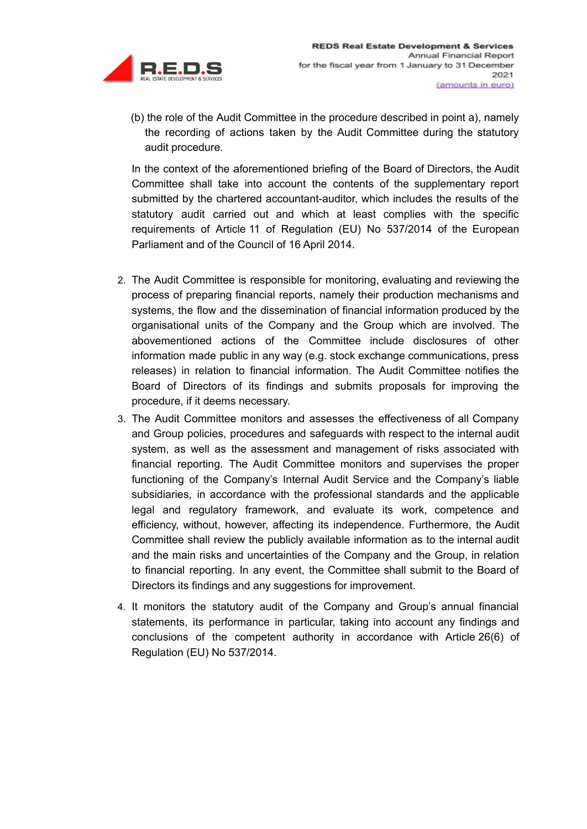

(b) the role of the Audit Committee in the procedure described in point a), namely the recording of actions taken by the Audit Committee during the statutory audit procedure.

In the context of the aforementioned briefing of the Board of Directors, the Audit Committee shall take into account the contents of the supplementary report submitted by the chartered accountant-auditor, which includes the results of the statutory audit carried out and which at least complies with the specific requirements of Article 11 of Regulation (EU) No 537/2014 of the European Parliament and of the Council of 16 April 2014.

- 2. The Audit Committee is responsible for monitoring, evaluating and reviewing the process of preparing financial reports, namely their production mechanisms and systems, the flow and the dissemination of financial information produced by the organisational units of the Company and the Group which are involved. The abovementioned actions of the Committee include disclosures of other information made public in any way (e.g. stock exchange communications, press releases) in relation to financial information. The Audit Committee notifies the Board of Directors of its findings and submits proposals for improving the procedure, if it deems necessary.
- 3. The Audit Committee monitors and assesses the effectiveness of all Company and Group policies, procedures and safeguards with respect to the internal audit system, as well as the assessment and management of risks associated with financial reporting. The Audit Committee monitors and supervises the proper functioning of the Company's Internal Audit Service and the Company's liable subsidiaries, in accordance with the professional standards and the applicable legal and regulatory framework, and evaluate its work, competence and efficiency, without, however, affecting its independence. Furthermore, the Audit Committee shall review the publicly available information as to the internal audit and the main risks and uncertainties of the Company and the Group, in relation to financial reporting. In any event, the Committee shall submit to the Board of Directors its findings and any suggestions for improvement.
- 4. It monitors the statutory audit of the Company and Group's annual financial statements, its performance in particular, taking into account any findings and conclusions of the competent authority in accordance with Article 26(6) of Regulation (EU) No 537/2014.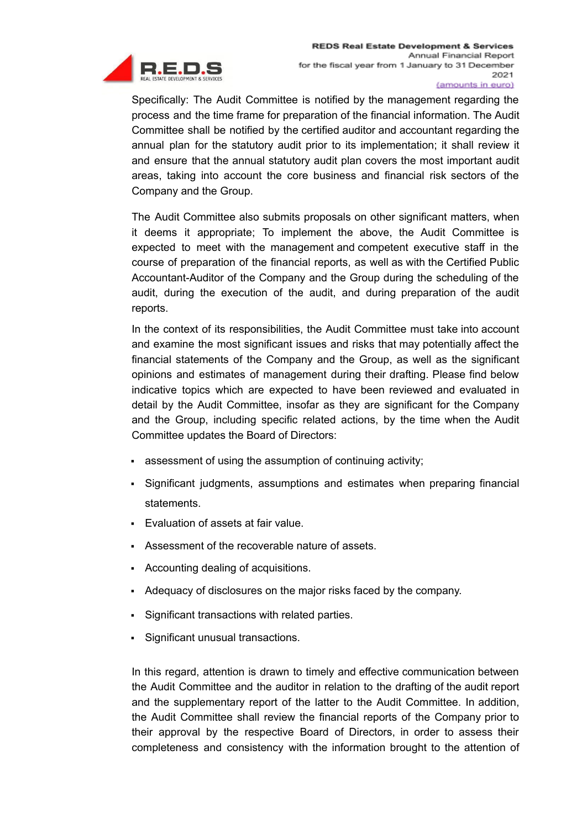

Specifically: The Audit Committee is notified by the management regarding the process and the time frame for preparation of the financial information. The Audit Committee shall be notified by the certified auditor and accountant regarding the annual plan for the statutory audit prior to its implementation; it shall review it and ensure that the annual statutory audit plan covers the most important audit areas, taking into account the core business and financial risk sectors of the Company and the Group.

The Audit Committee also submits proposals on other significant matters, when it deems it appropriate; To implement the above, the Audit Committee is expected to meet with the management and competent executive staff in the course of preparation of the financial reports, as well as with the Certified Public Accountant-Auditor of the Company and the Group during the scheduling of the audit, during the execution of the audit, and during preparation of the audit reports.

In the context of its responsibilities, the Audit Committee must take into account and examine the most significant issues and risks that may potentially affect the financial statements of the Company and the Group, as well as the significant opinions and estimates of management during their drafting. Please find below indicative topics which are expected to have been reviewed and evaluated in detail by the Audit Committee, insofar as they are significant for the Company and the Group, including specific related actions, by the time when the Audit Committee updates the Board of Directors:

- **EXE** assessment of using the assumption of continuing activity;
- Significant judgments, assumptions and estimates when preparing financial statements.
- Evaluation of assets at fair value.
- Assessment of the recoverable nature of assets.
- Accounting dealing of acquisitions.
- Adequacy of disclosures on the major risks faced by the company.
- **Significant transactions with related parties.**
- Significant unusual transactions.

In this regard, attention is drawn to timely and effective communication between the Audit Committee and the auditor in relation to the drafting of the audit report and the supplementary report of the latter to the Audit Committee. In addition, the Audit Committee shall review the financial reports of the Company prior to their approval by the respective Board of Directors, in order to assess their completeness and consistency with the information brought to the attention of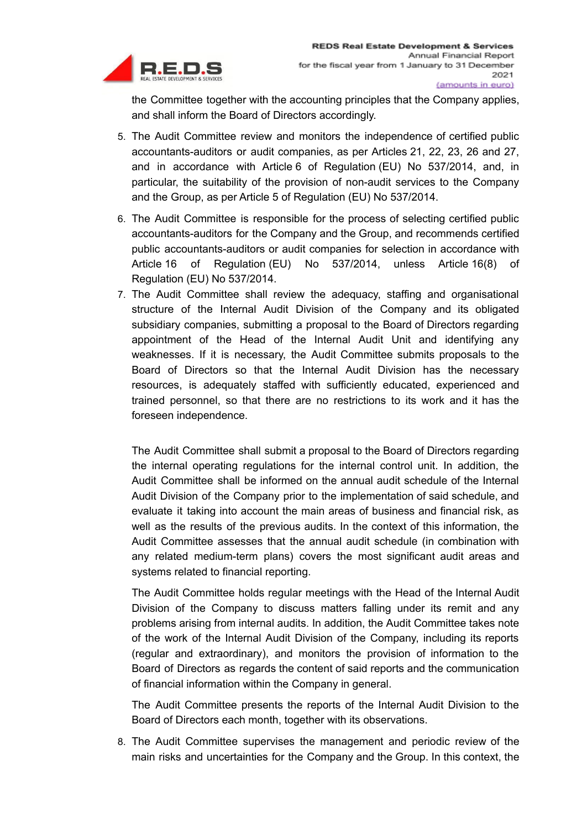

the Committee together with the accounting principles that the Company applies, and shall inform the Board of Directors accordingly.

- 5. The Audit Committee review and monitors the independence of certified public accountants-auditors or audit companies, as per Articles 21, 22, 23, 26 and 27, and in accordance with Article 6 of Regulation (EU) No 537/2014, and, in particular, the suitability of the provision of non-audit services to the Company and the Group, as per Article 5 of Regulation (EU) No 537/2014.
- 6. The Audit Committee is responsible for the process of selecting certified public accountants-auditors for the Company and the Group, and recommends certified public accountants-auditors or audit companies for selection in accordance with Article 16 of Regulation (EU) No 537/2014, unless Article 16(8) of Regulation (EU) No 537/2014.
- 7. The Audit Committee shall review the adequacy, staffing and organisational structure of the Internal Audit Division of the Company and its obligated subsidiary companies, submitting a proposal to the Board of Directors regarding appointment of the Head of the Internal Audit Unit and identifying any weaknesses. If it is necessary, the Audit Committee submits proposals to the Board of Directors so that the Internal Audit Division has the necessary resources, is adequately staffed with sufficiently educated, experienced and trained personnel, so that there are no restrictions to its work and it has the foreseen independence.

The Audit Committee shall submit a proposal to the Board of Directors regarding the internal operating regulations for the internal control unit. In addition, the Audit Committee shall be informed on the annual audit schedule of the Internal Audit Division of the Company prior to the implementation of said schedule, and evaluate it taking into account the main areas of business and financial risk, as well as the results of the previous audits. In the context of this information, the Audit Committee assesses that the annual audit schedule (in combination with any related medium-term plans) covers the most significant audit areas and systems related to financial reporting.

The Audit Committee holds regular meetings with the Head of the Internal Audit Division of the Company to discuss matters falling under its remit and any problems arising from internal audits. In addition, the Audit Committee takes note of the work of the Internal Audit Division of the Company, including its reports (regular and extraordinary), and monitors the provision of information to the Board of Directors as regards the content of said reports and the communication of financial information within the Company in general.

The Audit Committee presents the reports of the Internal Audit Division to the Board of Directors each month, together with its observations.

8. The Audit Committee supervises the management and periodic review of the main risks and uncertainties for the Company and the Group. In this context, the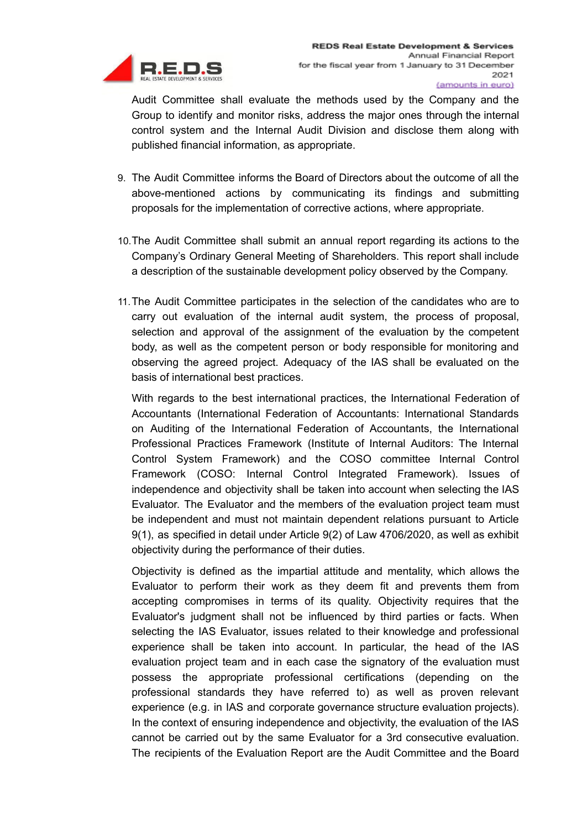

Audit Committee shall evaluate the methods used by the Company and the Group to identify and monitor risks, address the major ones through the internal control system and the Internal Audit Division and disclose them along with published financial information, as appropriate.

- 9. The Audit Committee informs the Board of Directors about the outcome of all the above-mentioned actions by communicating its findings and submitting proposals for the implementation of corrective actions, where appropriate.
- 10.The Audit Committee shall submit an annual report regarding its actions to the Company's Ordinary General Meeting of Shareholders. This report shall include a description of the sustainable development policy observed by the Company.
- 11.The Audit Committee participates in the selection of the candidates who are to carry out evaluation of the internal audit system, the process of proposal, selection and approval of the assignment of the evaluation by the competent body, as well as the competent person or body responsible for monitoring and observing the agreed project. Adequacy of the IAS shall be evaluated on the basis of international best practices.

With regards to the best international practices, the International Federation of Accountants (International Federation of Accountants: International Standards on Auditing of the International Federation of Accountants, the International Professional Practices Framework (Institute of Internal Auditors: The Internal Control System Framework) and the COSO committee Internal Control Framework (COSO: Internal Control Integrated Framework). Issues of independence and objectivity shall be taken into account when selecting the IAS Evaluator. The Evaluator and the members of the evaluation project team must be independent and must not maintain dependent relations pursuant to Article 9(1), as specified in detail under Article 9(2) of Law 4706/2020, as well as exhibit objectivity during the performance of their duties.

Objectivity is defined as the impartial attitude and mentality, which allows the Evaluator to perform their work as they deem fit and prevents them from accepting compromises in terms of its quality. Objectivity requires that the Evaluator's judgment shall not be influenced by third parties or facts. When selecting the IAS Evaluator, issues related to their knowledge and professional experience shall be taken into account. In particular, the head of the IAS evaluation project team and in each case the signatory of the evaluation must possess the appropriate professional certifications (depending on the professional standards they have referred to) as well as proven relevant experience (e.g. in IAS and corporate governance structure evaluation projects). In the context of ensuring independence and objectivity, the evaluation of the IAS cannot be carried out by the same Evaluator for a 3rd consecutive evaluation. The recipients of the Evaluation Report are the Audit Committee and the Board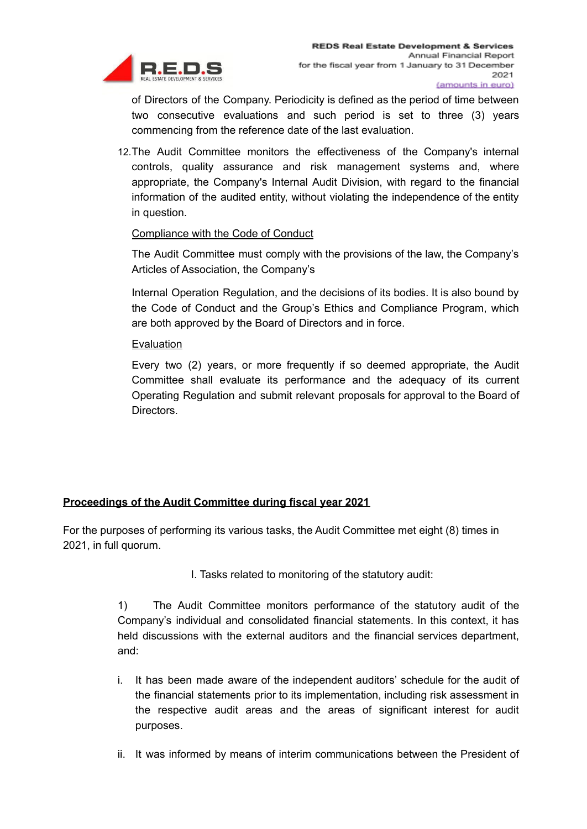

of Directors of the Company. Periodicity is defined as the period of time between two consecutive evaluations and such period is set to three (3) years commencing from the reference date of the last evaluation.

12.The Audit Committee monitors the effectiveness of the Company's internal controls, quality assurance and risk management systems and, where appropriate, the Company's Internal Audit Division, with regard to the financial information of the audited entity, without violating the independence of the entity in question.

#### Compliance with the Code of Conduct

The Audit Committee must comply with the provisions of the law, the Company's Articles of Association, the Company's

Internal Operation Regulation, and the decisions of its bodies. It is also bound by the Code of Conduct and the Group's Ethics and Compliance Program, which are both approved by the Board of Directors and in force.

#### **Evaluation**

Every two (2) years, or more frequently if so deemed appropriate, the Audit Committee shall evaluate its performance and the adequacy of its current Operating Regulation and submit relevant proposals for approval to the Board of **Directors** 

## **Proceedings of the Audit Committee during fiscal year 2021**

For the purposes of performing its various tasks, the Audit Committee met eight (8) times in 2021, in full quorum.

I. Tasks related to monitoring of the statutory audit:

1) The Audit Committee monitors performance of the statutory audit of the Company's individual and consolidated financial statements. In this context, it has held discussions with the external auditors and the financial services department, and:

- i. It has been made aware of the independent auditors' schedule for the audit of the financial statements prior to its implementation, including risk assessment in the respective audit areas and the areas of significant interest for audit purposes.
- ii. It was informed by means of interim communications between the President of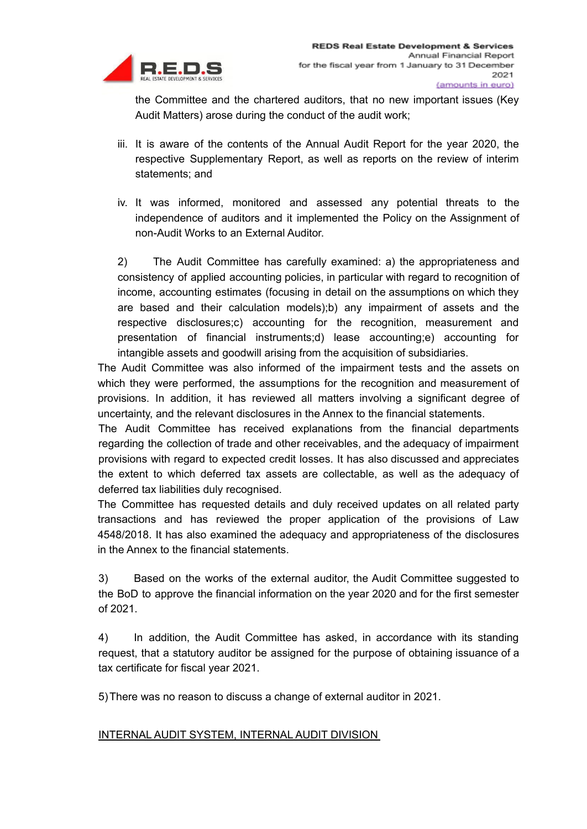

the Committee and the chartered auditors, that no new important issues (Key Audit Matters) arose during the conduct of the audit work;

- iii. It is aware of the contents of the Annual Audit Report for the year 2020, the respective Supplementary Report, as well as reports on the review of interim statements; and
- iv. It was informed, monitored and assessed any potential threats to the independence of auditors and it implemented the Policy on the Assignment of non-Audit Works to an External Auditor.

2) The Audit Committee has carefully examined: a) the appropriateness and consistency of applied accounting policies, in particular with regard to recognition of income, accounting estimates (focusing in detail on the assumptions on which they are based and their calculation models);b) any impairment of assets and the respective disclosures;c) accounting for the recognition, measurement and presentation of financial instruments;d) lease accounting;e) accounting for intangible assets and goodwill arising from the acquisition of subsidiaries.

The Audit Committee was also informed of the impairment tests and the assets on which they were performed, the assumptions for the recognition and measurement of provisions. In addition, it has reviewed all matters involving a significant degree of uncertainty, and the relevant disclosures in the Annex to the financial statements.

The Audit Committee has received explanations from the financial departments regarding the collection of trade and other receivables, and the adequacy of impairment provisions with regard to expected credit losses. It has also discussed and appreciates the extent to which deferred tax assets are collectable, as well as the adequacy of deferred tax liabilities duly recognised.

The Committee has requested details and duly received updates on all related party transactions and has reviewed the proper application of the provisions of Law 4548/2018. It has also examined the adequacy and appropriateness of the disclosures in the Annex to the financial statements.

3) Based on the works of the external auditor, the Audit Committee suggested to the BoD to approve the financial information on the year 2020 and for the first semester of 2021.

4) In addition, the Audit Committee has asked, in accordance with its standing request, that a statutory auditor be assigned for the purpose of obtaining issuance of a tax certificate for fiscal year 2021.

5)There was no reason to discuss a change of external auditor in 2021.

## INTERNAL AUDIT SYSTEM, INTERNAL AUDIT DIVISION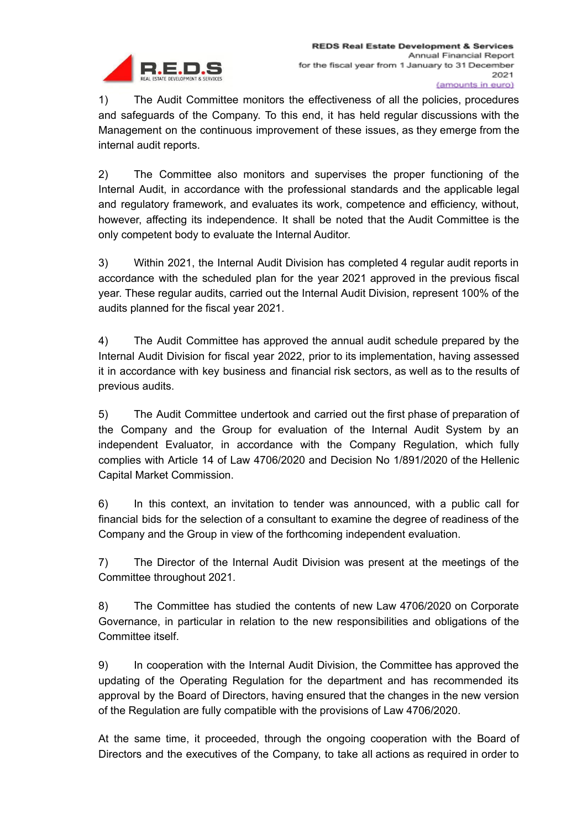

1) The Audit Committee monitors the effectiveness of all the policies, procedures and safeguards of the Company. To this end, it has held regular discussions with the Management on the continuous improvement of these issues, as they emerge from the internal audit reports.

2) The Committee also monitors and supervises the proper functioning of the Internal Audit, in accordance with the professional standards and the applicable legal and regulatory framework, and evaluates its work, competence and efficiency, without, however, affecting its independence. It shall be noted that the Audit Committee is the only competent body to evaluate the Internal Auditor.

3) Within 2021, the Internal Audit Division has completed 4 regular audit reports in accordance with the scheduled plan for the year 2021 approved in the previous fiscal year. These regular audits, carried out the Internal Audit Division, represent 100% of the audits planned for the fiscal year 2021.

4) The Audit Committee has approved the annual audit schedule prepared by the Internal Audit Division for fiscal year 2022, prior to its implementation, having assessed it in accordance with key business and financial risk sectors, as well as to the results of previous audits.

5) The Audit Committee undertook and carried out the first phase of preparation of the Company and the Group for evaluation of the Internal Audit System by an independent Evaluator, in accordance with the Company Regulation, which fully complies with Article 14 of Law 4706/2020 and Decision No 1/891/2020 of the Hellenic Capital Market Commission.

6) In this context, an invitation to tender was announced, with a public call for financial bids for the selection of a consultant to examine the degree of readiness of the Company and the Group in view of the forthcoming independent evaluation.

7) The Director of the Internal Audit Division was present at the meetings of the Committee throughout 2021.

8) The Committee has studied the contents of new Law 4706/2020 on Corporate Governance, in particular in relation to the new responsibilities and obligations of the Committee itself.

9) In cooperation with the Internal Audit Division, the Committee has approved the updating of the Operating Regulation for the department and has recommended its approval by the Board of Directors, having ensured that the changes in the new version of the Regulation are fully compatible with the provisions of Law 4706/2020.

At the same time, it proceeded, through the ongoing cooperation with the Board of Directors and the executives of the Company, to take all actions as required in order to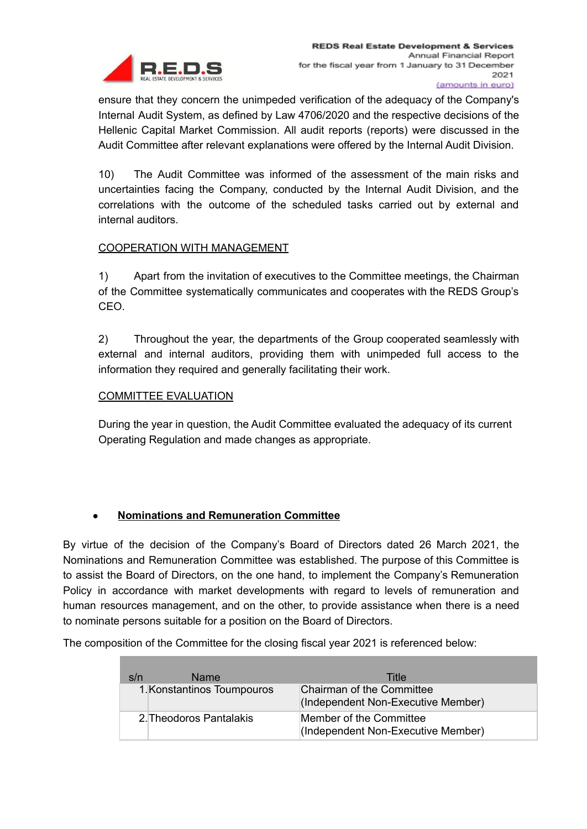

ensure that they concern the unimpeded verification of the adequacy of the Company's Internal Audit System, as defined by Law 4706/2020 and the respective decisions of the Hellenic Capital Market Commission. All audit reports (reports) were discussed in the Audit Committee after relevant explanations were offered by the Internal Audit Division.

10) The Audit Committee was informed of the assessment of the main risks and uncertainties facing the Company, conducted by the Internal Audit Division, and the correlations with the outcome of the scheduled tasks carried out by external and internal auditors.

#### COOPERATION WITH MANAGEMENT

1) Apart from the invitation of executives to the Committee meetings, the Chairman of the Committee systematically communicates and cooperates with the REDS Group's CEO.

2) Throughout the year, the departments of the Group cooperated seamlessly with external and internal auditors, providing them with unimpeded full access to the information they required and generally facilitating their work.

#### COMMITTEE EVALUATION

During the year in question, the Audit Committee evaluated the adequacy of its current Operating Regulation and made changes as appropriate.

## ● **Nominations and Remuneration Committee**

By virtue of the decision of the Company's Board of Directors dated 26 March 2021, the Nominations and Remuneration Committee was established. The purpose of this Committee is to assist the Board of Directors, on the one hand, to implement the Company's Remuneration Policy in accordance with market developments with regard to levels of remuneration and human resources management, and on the other, to provide assistance when there is a need to nominate persons suitable for a position on the Board of Directors.

The composition of the Committee for the closing fiscal year 2021 is referenced below:

| Name.<br>s/n               | Title                                                           |
|----------------------------|-----------------------------------------------------------------|
| 1. Konstantinos Toumpouros | Chairman of the Committee<br>(Independent Non-Executive Member) |
| 2. Theodoros Pantalakis    | Member of the Committee<br>(Independent Non-Executive Member)   |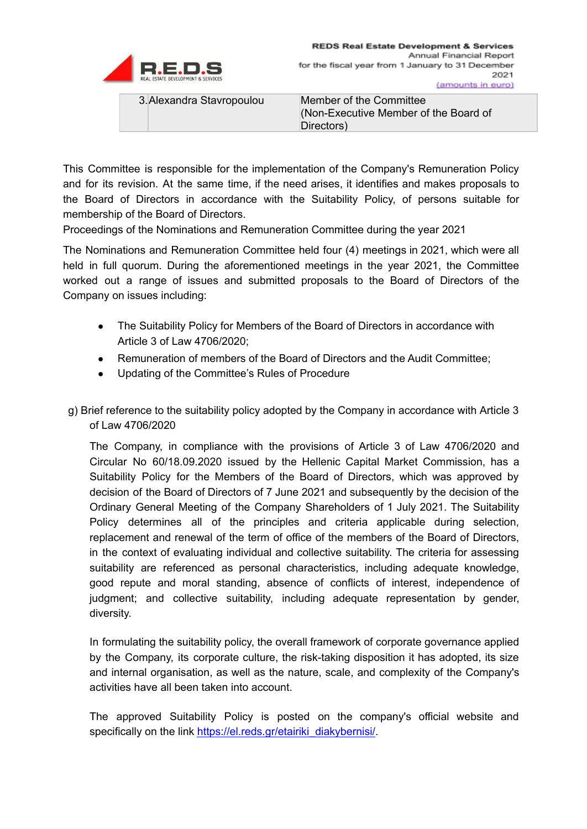

3.Alexandra Stavropoulou Member of the Committee (Non-Executive Member of the Board of Directors)

This Committee is responsible for the implementation of the Company's Remuneration Policy and for its revision. At the same time, if the need arises, it identifies and makes proposals to the Board of Directors in accordance with the Suitability Policy, of persons suitable for membership of the Board of Directors.

Proceedings of the Nominations and Remuneration Committee during the year 2021

The Nominations and Remuneration Committee held four (4) meetings in 2021, which were all held in full quorum. During the aforementioned meetings in the year 2021, the Committee worked out a range of issues and submitted proposals to the Board of Directors of the Company on issues including:

- The Suitability Policy for Members of the Board of Directors in accordance with Article 3 of Law 4706/2020;
- Remuneration of members of the Board of Directors and the Audit Committee:
- Updating of the Committee's Rules of Procedure
- g) Brief reference to the suitability policy adopted by the Company in accordance with Article 3 of Law 4706/2020

The Company, in compliance with the provisions of Article 3 of Law 4706/2020 and Circular No 60/18.09.2020 issued by the Hellenic Capital Market Commission, has a Suitability Policy for the Members of the Board of Directors, which was approved by decision of the Board of Directors of 7 June 2021 and subsequently by the decision of the Ordinary General Meeting of the Company Shareholders of 1 July 2021. The Suitability Policy determines all of the principles and criteria applicable during selection, replacement and renewal of the term of office of the members of the Board of Directors, in the context of evaluating individual and collective suitability. The criteria for assessing suitability are referenced as personal characteristics, including adequate knowledge, good repute and moral standing, absence of conflicts of interest, independence of judgment; and collective suitability, including adequate representation by gender, diversity.

In formulating the suitability policy, the overall framework of corporate governance applied by the Company, its corporate culture, the risk-taking disposition it has adopted, its size and internal organisation, as well as the nature, scale, and complexity of the Company's activities have all been taken into account.

The approved Suitability Policy is posted on the company's official website and specifically on the link [https://el.reds.gr/etairiki\\_diakybernisi/.](https://el.reds.gr/etairiki_diakybernisi/)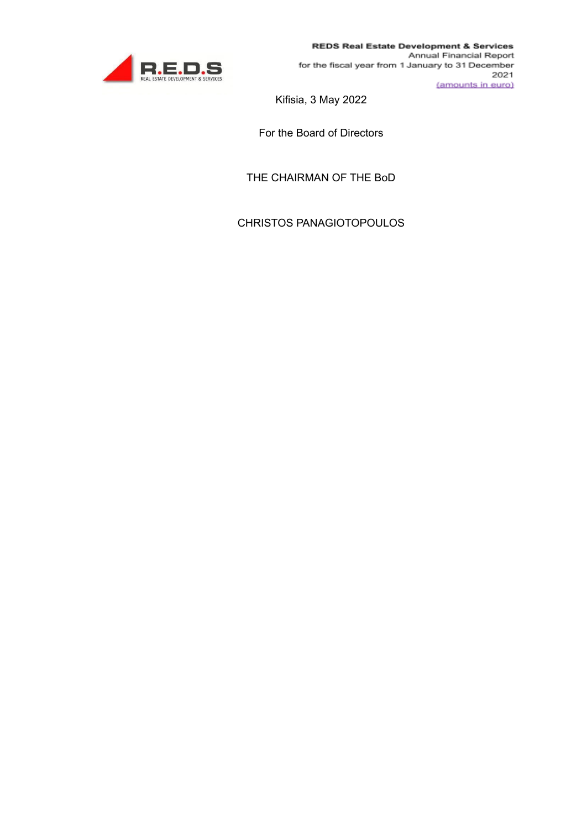

Kifisia, 3 May 2022

For the Board of Directors

THE CHAIRMAN OF THE BoD

CHRISTOS PANAGIOTOPOULOS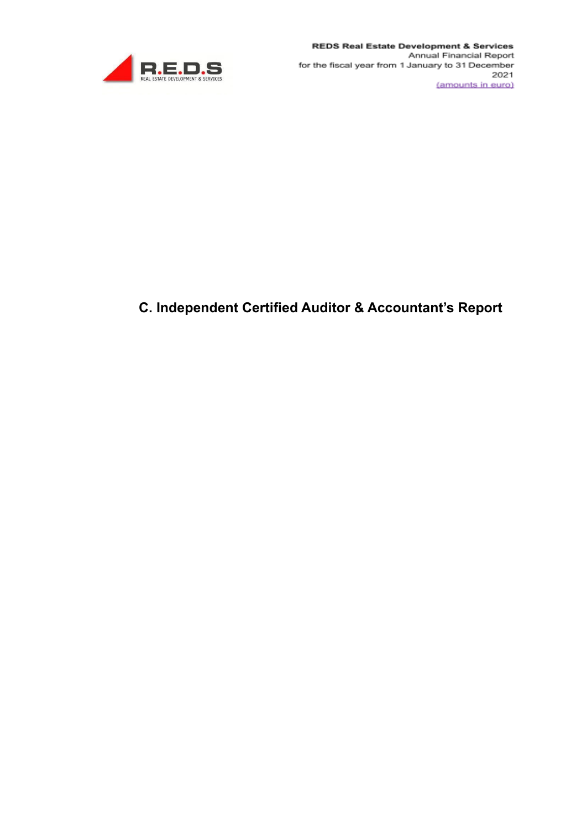

# **C. Independent Certified Auditor & Accountant's Report**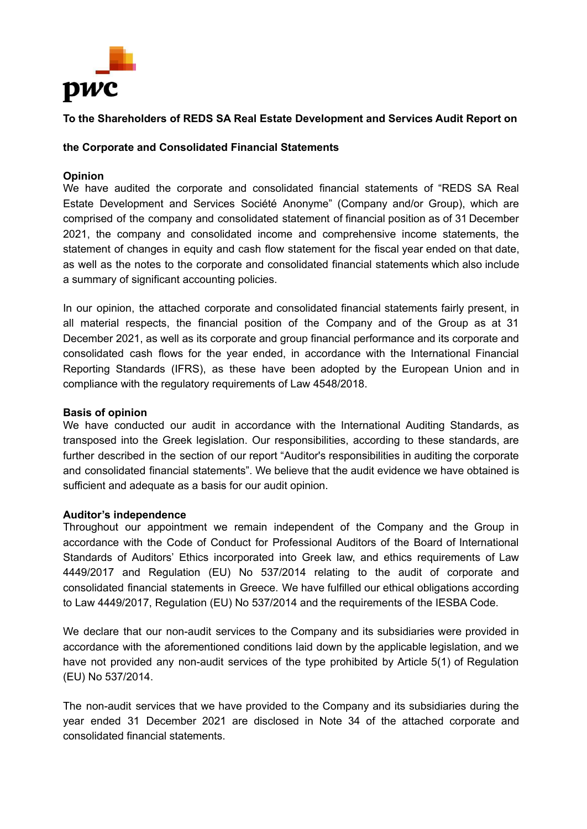

## **To the Shareholders of REDS SA Real Estate Development and Services Audit Report on**

#### **the Corporate and Consolidated Financial Statements**

#### **Opinion**

We have audited the corporate and consolidated financial statements of "REDS SA Real Estate Development and Services Société Anonyme" (Company and/or Group), which are comprised of the company and consolidated statement of financial position as of 31 December 2021, the company and consolidated income and comprehensive income statements, the statement of changes in equity and cash flow statement for the fiscal year ended on that date, as well as the notes to the corporate and consolidated financial statements which also include a summary of significant accounting policies.

In our opinion, the attached corporate and consolidated financial statements fairly present, in all material respects, the financial position of the Company and of the Group as at 31 December 2021, as well as its corporate and group financial performance and its corporate and consolidated cash flows for the year ended, in accordance with the International Financial Reporting Standards (IFRS), as these have been adopted by the European Union and in compliance with the regulatory requirements of Law 4548/2018.

#### **Basis of opinion**

We have conducted our audit in accordance with the International Auditing Standards, as transposed into the Greek legislation. Our responsibilities, according to these standards, are further described in the section of our report "Auditor's responsibilities in auditing the corporate and consolidated financial statements". We believe that the audit evidence we have obtained is sufficient and adequate as a basis for our audit opinion.

#### **Auditor's independence**

Throughout our appointment we remain independent of the Company and the Group in accordance with the Code of Conduct for Professional Auditors of the Board of International Standards of Auditors' Ethics incorporated into Greek law, and ethics requirements of Law 4449/2017 and Regulation (EU) No 537/2014 relating to the audit of corporate and consolidated financial statements in Greece. We have fulfilled our ethical obligations according to Law 4449/2017, Regulation (EU) No 537/2014 and the requirements of the IESBA Code.

We declare that our non-audit services to the Company and its subsidiaries were provided in accordance with the aforementioned conditions laid down by the applicable legislation, and we have not provided any non-audit services of the type prohibited by Article 5(1) of Regulation (EU) No 537/2014.

The non-audit services that we have provided to the Company and its subsidiaries during the year ended 31 December 2021 are disclosed in Note 34 of the attached corporate and consolidated financial statements.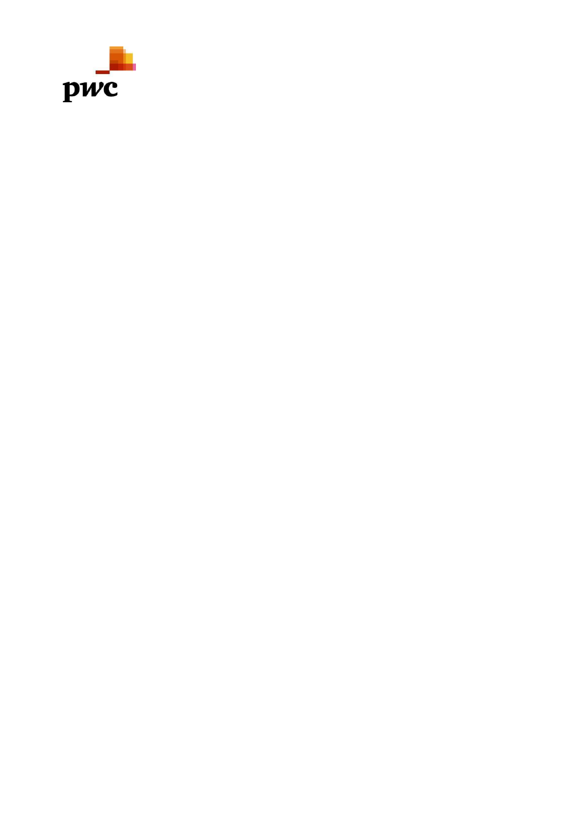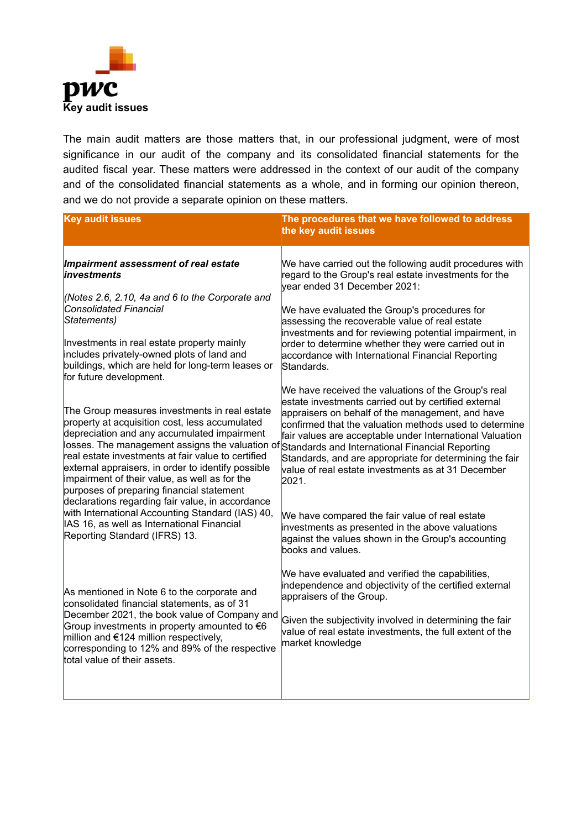

The main audit matters are those matters that, in our professional judgment, were of most significance in our audit of the company and its consolidated financial statements for the audited fiscal year. These matters were addressed in the context of our audit of the company and of the consolidated financial statements as a whole, and in forming our opinion thereon, and we do not provide a separate opinion on these matters.

| <b>Key audit issues</b>                                                                                                                                                                                                                                                                                                                                                                                                                                                                                                                                                                                                                                                       | The procedures that we have followed to address<br>the key audit issues                                                                                                                                                                                                                                                                                                                                                                                                                                                                                                                          |
|-------------------------------------------------------------------------------------------------------------------------------------------------------------------------------------------------------------------------------------------------------------------------------------------------------------------------------------------------------------------------------------------------------------------------------------------------------------------------------------------------------------------------------------------------------------------------------------------------------------------------------------------------------------------------------|--------------------------------------------------------------------------------------------------------------------------------------------------------------------------------------------------------------------------------------------------------------------------------------------------------------------------------------------------------------------------------------------------------------------------------------------------------------------------------------------------------------------------------------------------------------------------------------------------|
| Impairment assessment of real estate<br><i><b>investments</b></i><br>Notes 2.6, 2.10, 4a and 6 to the Corporate and<br><b>Consolidated Financial</b><br>Statements)<br>Investments in real estate property mainly<br>includes privately-owned plots of land and<br>buildings, which are held for long-term leases or                                                                                                                                                                                                                                                                                                                                                          | We have carried out the following audit procedures with<br>regard to the Group's real estate investments for the<br>vear ended 31 December 2021:<br>We have evaluated the Group's procedures for<br>assessing the recoverable value of real estate<br>investments and for reviewing potential impairment, in<br>order to determine whether they were carried out in<br>accordance with International Financial Reporting<br>Standards.                                                                                                                                                           |
| for future development.<br>The Group measures investments in real estate<br>property at acquisition cost, less accumulated<br>depreciation and any accumulated impairment<br>losses. The management assigns the valuation of Standards and International Financial Reporting<br>real estate investments at fair value to certified<br>external appraisers, in order to identify possible<br>impairment of their value, as well as for the<br>purposes of preparing financial statement<br>declarations regarding fair value, in accordance<br>with International Accounting Standard (IAS) 40,<br>IAS 16, as well as International Financial<br>Reporting Standard (IFRS) 13. | We have received the valuations of the Group's real<br>estate investments carried out by certified external<br>appraisers on behalf of the management, and have<br>confirmed that the valuation methods used to determine<br>fair values are acceptable under International Valuation<br>Standards, and are appropriate for determining the fair<br>value of real estate investments as at 31 December<br>2021.<br>We have compared the fair value of real estate<br>investments as presented in the above valuations<br>against the values shown in the Group's accounting<br>books and values. |
| As mentioned in Note 6 to the corporate and<br>consolidated financial statements, as of 31<br>December 2021, the book value of Company and<br>Group investments in property amounted to $66$<br>million and $\epsilon$ 124 million respectively,<br>corresponding to 12% and 89% of the respective<br>total value of their assets.                                                                                                                                                                                                                                                                                                                                            | We have evaluated and verified the capabilities,<br>independence and objectivity of the certified external<br>appraisers of the Group.<br>Given the subjectivity involved in determining the fair<br>value of real estate investments, the full extent of the<br>market knowledge                                                                                                                                                                                                                                                                                                                |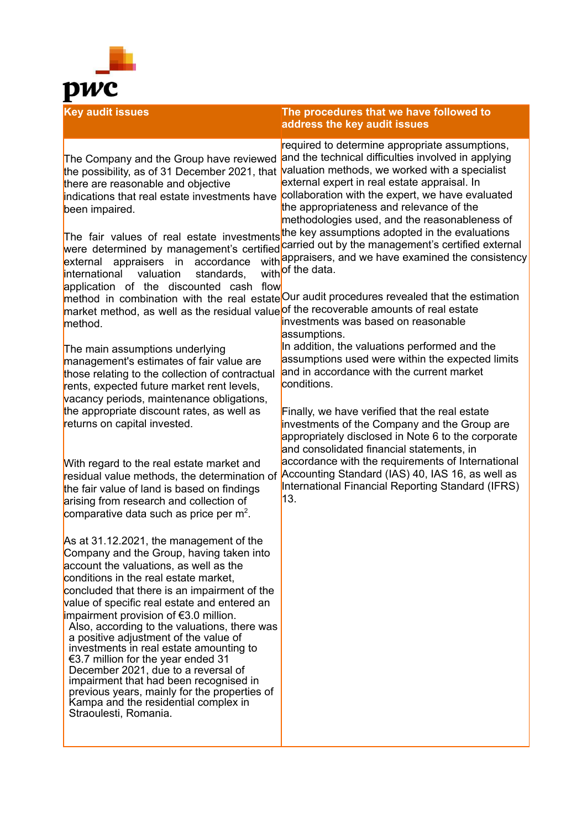

**Key audit issues The procedures that we have followed to address the key audit issues**

|                                                                                                 | required to determine appropriate assumptions,                                                                                                      |
|-------------------------------------------------------------------------------------------------|-----------------------------------------------------------------------------------------------------------------------------------------------------|
| The Company and the Group have reviewed                                                         | and the technical difficulties involved in applying<br>the possibility, as of 31 December 2021, that valuation methods, we worked with a specialist |
| there are reasonable and objective                                                              | external expert in real estate appraisal. In                                                                                                        |
| indications that real estate investments have                                                   | collaboration with the expert, we have evaluated                                                                                                    |
| been impaired.                                                                                  | the appropriateness and relevance of the<br>methodologies used, and the reasonableness of                                                           |
| The fair values of real estate investments                                                      | the key assumptions adopted in the evaluations                                                                                                      |
|                                                                                                 | were determined by management's certified carried out by the management's certified external                                                        |
| external appraisers in<br>accordance                                                            | with appraisers, and we have examined the consistency                                                                                               |
| valuation<br>international<br>standards,                                                        | with of the data.                                                                                                                                   |
| application of the discounted cash<br>flow                                                      | method in combination with the real estate Our audit procedures revealed that the estimation                                                        |
| market method, as well as the residual value of the recoverable amounts of real estate          |                                                                                                                                                     |
| method.                                                                                         | investments was based on reasonable                                                                                                                 |
|                                                                                                 | assumptions.                                                                                                                                        |
| The main assumptions underlying                                                                 | In addition, the valuations performed and the<br>assumptions used were within the expected limits                                                   |
| management's estimates of fair value are<br>those relating to the collection of contractual     | and in accordance with the current market                                                                                                           |
| rents, expected future market rent levels,                                                      | conditions.                                                                                                                                         |
| vacancy periods, maintenance obligations,                                                       |                                                                                                                                                     |
| the appropriate discount rates, as well as<br>returns on capital invested.                      | Finally, we have verified that the real estate                                                                                                      |
|                                                                                                 | investments of the Company and the Group are<br>appropriately disclosed in Note 6 to the corporate                                                  |
|                                                                                                 | and consolidated financial statements, in                                                                                                           |
| With regard to the real estate market and                                                       | accordance with the requirements of International                                                                                                   |
| residual value methods, the determination of                                                    | Accounting Standard (IAS) 40, IAS 16, as well as<br>International Financial Reporting Standard (IFRS)                                               |
| the fair value of land is based on findings<br>arising from research and collection of          | 13.                                                                                                                                                 |
| comparative data such as price per m <sup>2</sup> .                                             |                                                                                                                                                     |
|                                                                                                 |                                                                                                                                                     |
| As at 31.12.2021, the management of the                                                         |                                                                                                                                                     |
| Company and the Group, having taken into<br>account the valuations, as well as the              |                                                                                                                                                     |
| conditions in the real estate market,                                                           |                                                                                                                                                     |
| concluded that there is an impairment of the                                                    |                                                                                                                                                     |
| value of specific real estate and entered an<br>impairment provision of $\epsilon$ 3.0 million. |                                                                                                                                                     |
| Also, according to the valuations, there was                                                    |                                                                                                                                                     |
| a positive adjustment of the value of                                                           |                                                                                                                                                     |
| investments in real estate amounting to<br>$€3.7$ million for the year ended 31                 |                                                                                                                                                     |
| December 2021, due to a reversal of                                                             |                                                                                                                                                     |
| impairment that had been recognised in<br>previous years, mainly for the properties of          |                                                                                                                                                     |
| Kampa and the residential complex in                                                            |                                                                                                                                                     |
| Straoulesti, Romania.                                                                           |                                                                                                                                                     |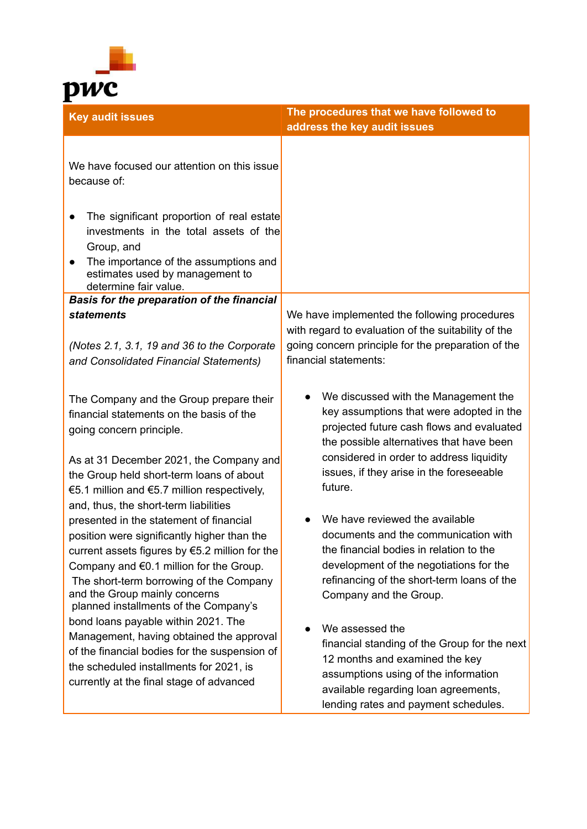

| <b>Key audit issues</b>                                                                                                                                                                                                                                                                                                                             | The procedures that we have followed to<br>address the key audit issues                                                                                                                                                                                                      |
|-----------------------------------------------------------------------------------------------------------------------------------------------------------------------------------------------------------------------------------------------------------------------------------------------------------------------------------------------------|------------------------------------------------------------------------------------------------------------------------------------------------------------------------------------------------------------------------------------------------------------------------------|
|                                                                                                                                                                                                                                                                                                                                                     |                                                                                                                                                                                                                                                                              |
| We have focused our attention on this issue<br>because of:                                                                                                                                                                                                                                                                                          |                                                                                                                                                                                                                                                                              |
| The significant proportion of real estate<br>investments in the total assets of the<br>Group, and<br>The importance of the assumptions and<br>estimates used by management to<br>determine fair value.                                                                                                                                              |                                                                                                                                                                                                                                                                              |
| <b>Basis for the preparation of the financial</b>                                                                                                                                                                                                                                                                                                   |                                                                                                                                                                                                                                                                              |
| <b>statements</b><br>(Notes 2.1, 3.1, 19 and 36 to the Corporate<br>and Consolidated Financial Statements)                                                                                                                                                                                                                                          | We have implemented the following procedures<br>with regard to evaluation of the suitability of the<br>going concern principle for the preparation of the<br>financial statements:                                                                                           |
| The Company and the Group prepare their<br>financial statements on the basis of the<br>going concern principle.<br>As at 31 December 2021, the Company and<br>the Group held short-term loans of about<br>€5.1 million and $€5.7$ million respectively,                                                                                             | We discussed with the Management the<br>key assumptions that were adopted in the<br>projected future cash flows and evaluated<br>the possible alternatives that have been<br>considered in order to address liquidity<br>issues, if they arise in the foreseeable<br>future. |
| and, thus, the short-term liabilities<br>presented in the statement of financial<br>position were significantly higher than the<br>current assets figures by $€5.2$ million for the<br>Company and €0.1 million for the Group.<br>The short-term borrowing of the Company<br>and the Group mainly concerns<br>planned installments of the Company's | We have reviewed the available<br>documents and the communication with<br>the financial bodies in relation to the<br>development of the negotiations for the<br>refinancing of the short-term loans of the<br>Company and the Group.                                         |
| bond loans payable within 2021. The<br>Management, having obtained the approval<br>of the financial bodies for the suspension of<br>the scheduled installments for 2021, is<br>currently at the final stage of advanced                                                                                                                             | We assessed the<br>financial standing of the Group for the next<br>12 months and examined the key<br>assumptions using of the information<br>available regarding loan agreements,<br>lending rates and payment schedules.                                                    |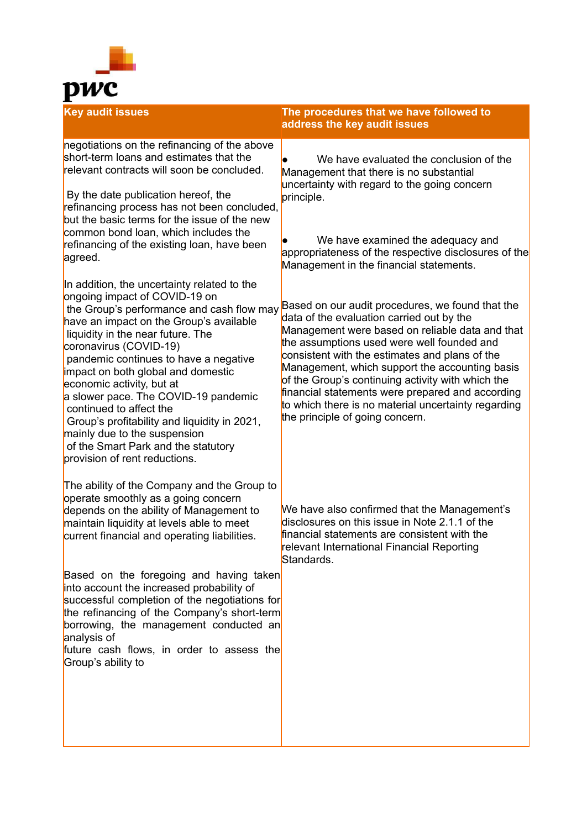

**Key audit issues The procedures that we have followed to address the key audit issues**

negotiations on the refinancing of the above short-term loans and estimates that the relevant contracts will soon be concluded. By the date publication hereof, the refinancing process has not been concluded, but the basic terms for the issue of the new common bond loan, which includes the refinancing of the existing loan, have been agreed. In addition, the uncertainty related to the ongoing impact of COVID-19 on the Group's performance and cash flow may have an impact on the Group's available liquidity in the near future. The coronavirus (COVID-19) pandemic continues to have a negative impact on both global and domestic economic activity, but at a slower pace. The COVID-19 pandemic continued to affect the Group's profitability and liquidity in 2021, mainly due to the suspension of the Smart Park and the statutory provision of rent reductions. The ability of the Company and the Group to operate smoothly as a going concern depends on the ability of Management to maintain liquidity at levels able to meet current financial and operating liabilities. Based on the foregoing and having taken into account the increased probability of successful completion of the negotiations for the refinancing of the Company's short-term borrowing, the management conducted an analysis of future cash flows, in order to assess the Group's ability to We have evaluated the conclusion of the Management that there is no substantial uncertainty with regard to the going concern principle. We have examined the adequacy and appropriateness of the respective disclosures of the Management in the financial statements. Based on our audit procedures, we found that the data of the evaluation carried out by the Management were based on reliable data and that the assumptions used were well founded and consistent with the estimates and plans of the Management, which support the accounting basis of the Group's continuing activity with which the financial statements were prepared and according to which there is no material uncertainty regarding the principle of going concern. We have also confirmed that the Management's disclosures on this issue in Note 2.1.1 of the financial statements are consistent with the relevant International Financial Reporting Standards.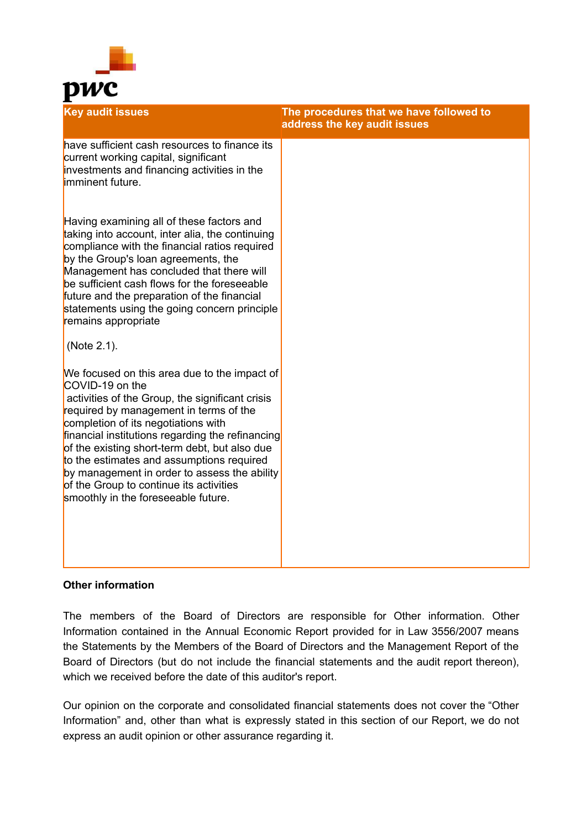

**Key audit issues The procedures that we have followed to address the key audit issues** have sufficient cash resources to finance its current working capital, significant investments and financing activities in the imminent future. Having examining all of these factors and taking into account, inter alia, the continuing compliance with the financial ratios required by the Group's loan agreements, the Management has concluded that there will be sufficient cash flows for the foreseeable future and the preparation of the financial statements using the going concern principle remains appropriate (Note 2.1). We focused on this area due to the impact of COVID-19 on the activities of the Group, the significant crisis required by management in terms of the completion of its negotiations with financial institutions regarding the refinancing of the existing short-term debt, but also due to the estimates and assumptions required by management in order to assess the ability of the Group to continue its activities smoothly in the foreseeable future.

#### **Other information**

The members of the Board of Directors are responsible for Other information. Other Information contained in the Annual Economic Report provided for in Law 3556/2007 means the Statements by the Members of the Board of Directors and the Management Report of the Board of Directors (but do not include the financial statements and the audit report thereon), which we received before the date of this auditor's report.

Our opinion on the corporate and consolidated financial statements does not cover the "Other Information" and, other than what is expressly stated in this section of our Report, we do not express an audit opinion or other assurance regarding it.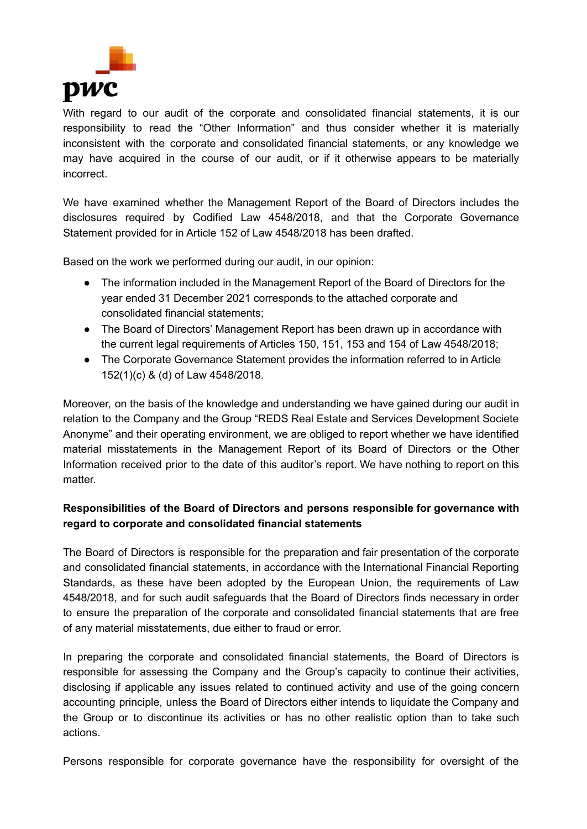

With regard to our audit of the corporate and consolidated financial statements, it is our responsibility to read the "Other Information" and thus consider whether it is materially inconsistent with the corporate and consolidated financial statements, or any knowledge we may have acquired in the course of our audit, or if it otherwise appears to be materially incorrect.

We have examined whether the Management Report of the Board of Directors includes the disclosures required by Codified Law 4548/2018, and that the Corporate Governance Statement provided for in Article 152 of Law 4548/2018 has been drafted.

Based on the work we performed during our audit, in our opinion:

- The information included in the Management Report of the Board of Directors for the year ended 31 December 2021 corresponds to the attached corporate and consolidated financial statements;
- The Board of Directors' Management Report has been drawn up in accordance with the current legal requirements of Articles 150, 151, 153 and 154 of Law 4548/2018;
- The Corporate Governance Statement provides the information referred to in Article 152(1)(c) & (d) of Law 4548/2018.

Moreover, on the basis of the knowledge and understanding we have gained during our audit in relation to the Company and the Group "REDS Real Estate and Services Development Societe Anonyme" and their operating environment, we are obliged to report whether we have identified material misstatements in the Management Report of its Board of Directors or the Other Information received prior to the date of this auditor's report. We have nothing to report on this matter.

# **Responsibilities of the Board of Directors and persons responsible for governance with regard to corporate and consolidated financial statements**

The Board of Directors is responsible for the preparation and fair presentation of the corporate and consolidated financial statements, in accordance with the International Financial Reporting Standards, as these have been adopted by the European Union, the requirements of Law 4548/2018, and for such audit safeguards that the Board of Directors finds necessary in order to ensure the preparation of the corporate and consolidated financial statements that are free of any material misstatements, due either to fraud or error.

In preparing the corporate and consolidated financial statements, the Board of Directors is responsible for assessing the Company and the Group's capacity to continue their activities, disclosing if applicable any issues related to continued activity and use of the going concern accounting principle, unless the Board of Directors either intends to liquidate the Company and the Group or to discontinue its activities or has no other realistic option than to take such actions.

Persons responsible for corporate governance have the responsibility for oversight of the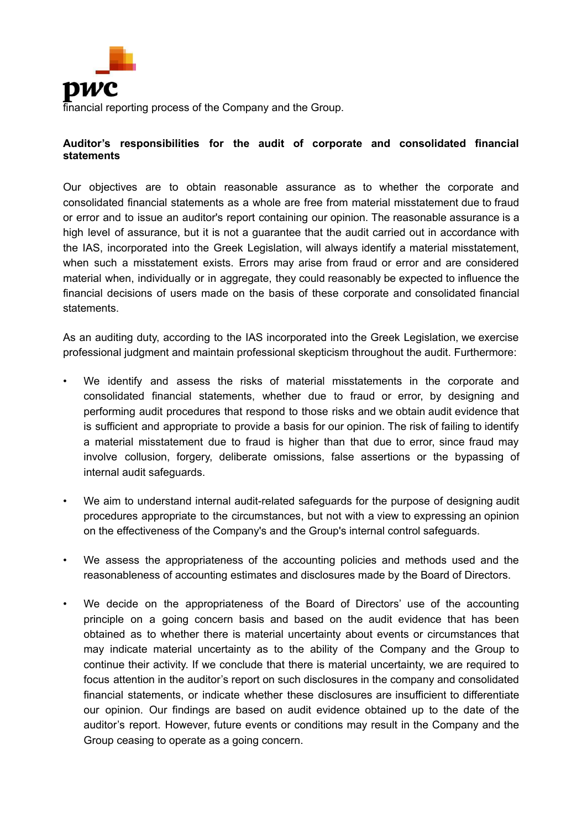

#### **Auditor's responsibilities for the audit of corporate and consolidated financial statements**

Our objectives are to obtain reasonable assurance as to whether the corporate and consolidated financial statements as a whole are free from material misstatement due to fraud or error and to issue an auditor's report containing our opinion. The reasonable assurance is a high level of assurance, but it is not a guarantee that the audit carried out in accordance with the IAS, incorporated into the Greek Legislation, will always identify a material misstatement, when such a misstatement exists. Errors may arise from fraud or error and are considered material when, individually or in aggregate, they could reasonably be expected to influence the financial decisions of users made on the basis of these corporate and consolidated financial statements.

As an auditing duty, according to the IAS incorporated into the Greek Legislation, we exercise professional judgment and maintain professional skepticism throughout the audit. Furthermore:

- We identify and assess the risks of material misstatements in the corporate and consolidated financial statements, whether due to fraud or error, by designing and performing audit procedures that respond to those risks and we obtain audit evidence that is sufficient and appropriate to provide a basis for our opinion. The risk of failing to identify a material misstatement due to fraud is higher than that due to error, since fraud may involve collusion, forgery, deliberate omissions, false assertions or the bypassing of internal audit safeguards.
- We aim to understand internal audit-related safeguards for the purpose of designing audit procedures appropriate to the circumstances, but not with a view to expressing an opinion on the effectiveness of the Company's and the Group's internal control safeguards.
- We assess the appropriateness of the accounting policies and methods used and the reasonableness of accounting estimates and disclosures made by the Board of Directors.
- We decide on the appropriateness of the Board of Directors' use of the accounting principle on a going concern basis and based on the audit evidence that has been obtained as to whether there is material uncertainty about events or circumstances that may indicate material uncertainty as to the ability of the Company and the Group to continue their activity. If we conclude that there is material uncertainty, we are required to focus attention in the auditor's report on such disclosures in the company and consolidated financial statements, or indicate whether these disclosures are insufficient to differentiate our opinion. Our findings are based on audit evidence obtained up to the date of the auditor's report. However, future events or conditions may result in the Company and the Group ceasing to operate as a going concern.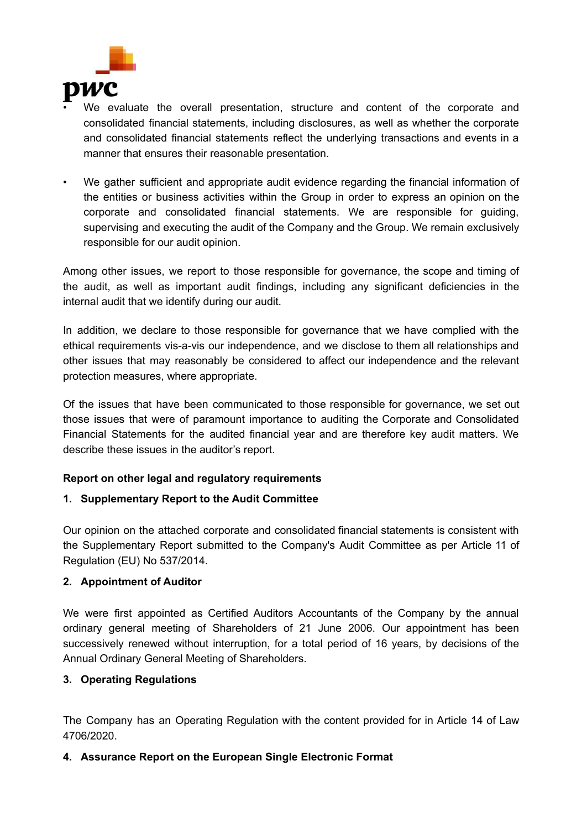

- We evaluate the overall presentation, structure and content of the corporate and consolidated financial statements, including disclosures, as well as whether the corporate and consolidated financial statements reflect the underlying transactions and events in a manner that ensures their reasonable presentation.
- We gather sufficient and appropriate audit evidence regarding the financial information of the entities or business activities within the Group in order to express an opinion on the corporate and consolidated financial statements. We are responsible for guiding, supervising and executing the audit of the Company and the Group. We remain exclusively responsible for our audit opinion.

Among other issues, we report to those responsible for governance, the scope and timing of the audit, as well as important audit findings, including any significant deficiencies in the internal audit that we identify during our audit.

In addition, we declare to those responsible for governance that we have complied with the ethical requirements vis-a-vis our independence, and we disclose to them all relationships and other issues that may reasonably be considered to affect our independence and the relevant protection measures, where appropriate.

Of the issues that have been communicated to those responsible for governance, we set out those issues that were of paramount importance to auditing the Corporate and Consolidated Financial Statements for the audited financial year and are therefore key audit matters. We describe these issues in the auditor's report.

## **Report on other legal and regulatory requirements**

## **1. Supplementary Report to the Audit Committee**

Our opinion on the attached corporate and consolidated financial statements is consistent with the Supplementary Report submitted to the Company's Audit Committee as per Article 11 of Regulation (EU) No 537/2014.

## **2. Appointment of Auditor**

We were first appointed as Certified Auditors Accountants of the Company by the annual ordinary general meeting of Shareholders of 21 June 2006. Our appointment has been successively renewed without interruption, for a total period of 16 years, by decisions of the Annual Ordinary General Meeting of Shareholders.

## **3. Operating Regulations**

The Company has an Operating Regulation with the content provided for in Article 14 of Law 4706/2020.

## **4. Assurance Report on the European Single Electronic Format**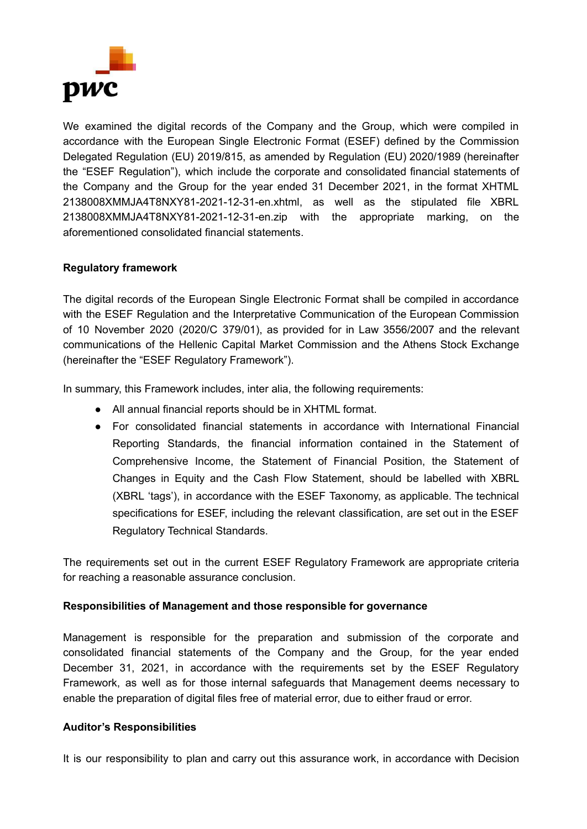

We examined the digital records of the Company and the Group, which were compiled in accordance with the European Single Electronic Format (ESEF) defined by the Commission Delegated Regulation (EU) 2019/815, as amended by Regulation (EU) 2020/1989 (hereinafter the "ESEF Regulation"), which include the corporate and consolidated financial statements of the Company and the Group for the year ended 31 December 2021, in the format XHTML 2138008XMMJA4T8NXY81-2021-12-31-en.xhtml, as well as the stipulated file XBRL 2138008XMMJA4T8NXY81-2021-12-31-en.zip with the appropriate marking, on the aforementioned consolidated financial statements.

#### **Regulatory framework**

The digital records of the European Single Electronic Format shall be compiled in accordance with the ESEF Regulation and the Interpretative Communication of the European Commission of 10 November 2020 (2020/C 379/01), as provided for in Law 3556/2007 and the relevant communications of the Hellenic Capital Market Commission and the Athens Stock Exchange (hereinafter the "ESEF Regulatory Framework").

In summary, this Framework includes, inter alia, the following requirements:

- All annual financial reports should be in XHTML format.
- For consolidated financial statements in accordance with International Financial Reporting Standards, the financial information contained in the Statement of Comprehensive Income, the Statement of Financial Position, the Statement of Changes in Equity and the Cash Flow Statement, should be labelled with XBRL (XBRL 'tags'), in accordance with the ESEF Taxonomy, as applicable. The technical specifications for ESEF, including the relevant classification, are set out in the ESEF Regulatory Technical Standards.

The requirements set out in the current ESEF Regulatory Framework are appropriate criteria for reaching a reasonable assurance conclusion.

#### **Responsibilities of Management and those responsible for governance**

Management is responsible for the preparation and submission of the corporate and consolidated financial statements of the Company and the Group, for the year ended December 31, 2021, in accordance with the requirements set by the ESEF Regulatory Framework, as well as for those internal safeguards that Management deems necessary to enable the preparation of digital files free of material error, due to either fraud or error.

#### **Auditor's Responsibilities**

It is our responsibility to plan and carry out this assurance work, in accordance with Decision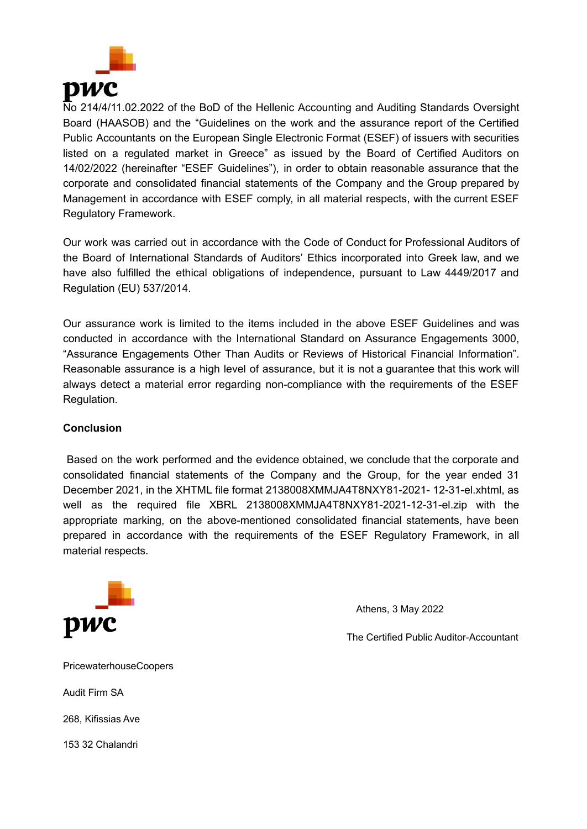

No 214/4/11.02.2022 of the BoD of the Hellenic Accounting and Auditing Standards Oversight Board (HAASOB) and the "Guidelines on the work and the assurance report of the Certified Public Accountants on the European Single Electronic Format (ESEF) of issuers with securities listed on a regulated market in Greece" as issued by the Board of Certified Auditors on 14/02/2022 (hereinafter "ESEF Guidelines"), in order to obtain reasonable assurance that the corporate and consolidated financial statements of the Company and the Group prepared by Management in accordance with ESEF comply, in all material respects, with the current ESEF Regulatory Framework.

Our work was carried out in accordance with the Code of Conduct for Professional Auditors of the Board of International Standards of Auditors' Ethics incorporated into Greek law, and we have also fulfilled the ethical obligations of independence, pursuant to Law 4449/2017 and Regulation (EU) 537/2014.

Our assurance work is limited to the items included in the above ESEF Guidelines and was conducted in accordance with the International Standard on Assurance Engagements 3000, "Assurance Engagements Other Than Audits or Reviews of Historical Financial Information". Reasonable assurance is a high level of assurance, but it is not a guarantee that this work will always detect a material error regarding non-compliance with the requirements of the ESEF Regulation.

#### **Conclusion**

Based on the work performed and the evidence obtained, we conclude that the corporate and consolidated financial statements of the Company and the Group, for the year ended 31 December 2021, in the XHTML file format 2138008XMMJA4T8NXY81-2021- 12-31-el.xhtml, as well as the required file XBRL 2138008XMMJA4T8NXY81-2021-12-31-el.zip with the appropriate marking, on the above-mentioned consolidated financial statements, have been prepared in accordance with the requirements of the ESEF Regulatory Framework, in all material respects.



Athens, 3 May 2022

The Certified Public Auditor-Accountant

PricewaterhouseCoopers

Audit Firm SA

268, Kifissias Ave

153 32 Chalandri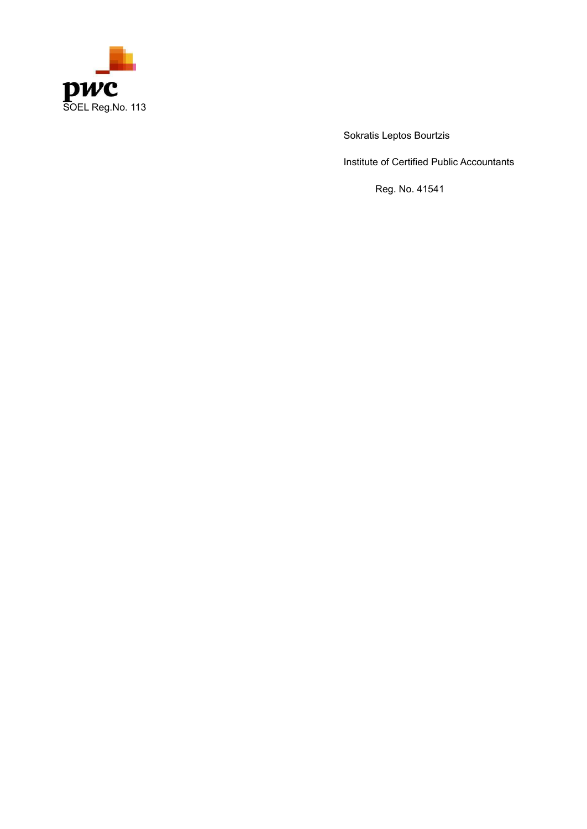

Sokratis Leptos Bourtzis

Institute of Certified Public Accountants

Reg. No. 41541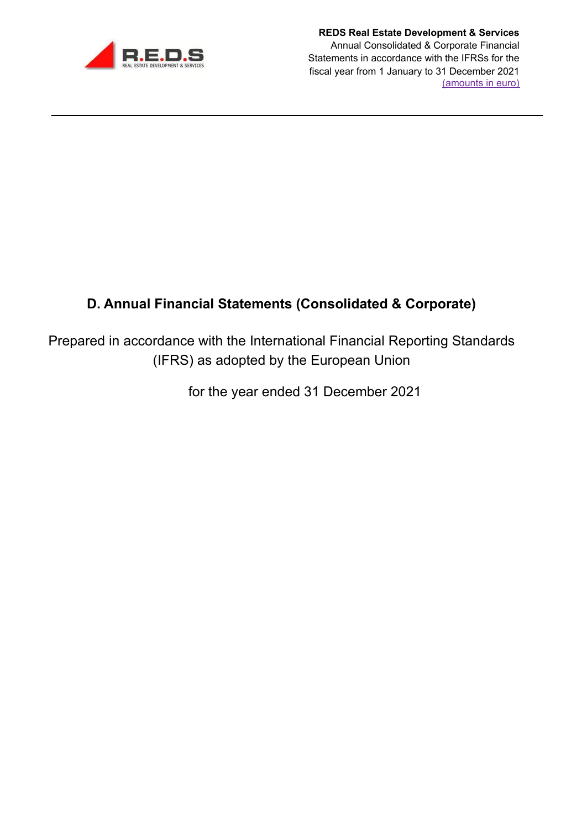

**REDS Real Estate Development & Services** Annual Consolidated & Corporate Financial Statements in accordance with the IFRSs for the fiscal year from 1 January to 31 December 2021 (amounts in euro)

# **D. Annual Financial Statements (Consolidated & Corporate)**

Prepared in accordance with the International Financial Reporting Standards (IFRS) as adopted by the European Union

for the year ended 31 December 2021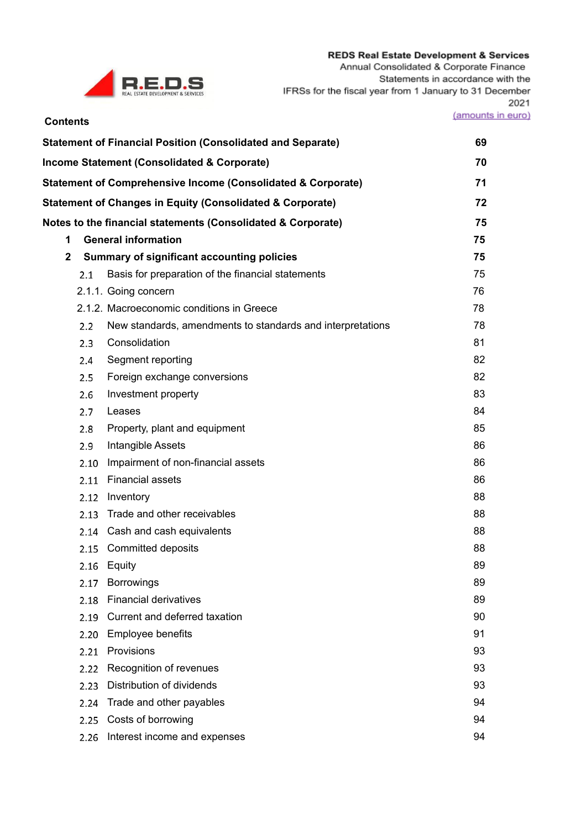#### **REDS Real Estate Development & Services**



Annual Consolidated & Corporate Finance Statements in accordance with the IFRSs for the fiscal year from 1 January to 31 December 2021

(amounts in euro)

| <b>Contents</b> |      |                                                                         | <u>tamounis</u> |
|-----------------|------|-------------------------------------------------------------------------|-----------------|
|                 |      | <b>Statement of Financial Position (Consolidated and Separate)</b>      | 69              |
|                 |      | <b>Income Statement (Consolidated &amp; Corporate)</b>                  | 70              |
|                 |      | <b>Statement of Comprehensive Income (Consolidated &amp; Corporate)</b> | 71              |
|                 |      | <b>Statement of Changes in Equity (Consolidated &amp; Corporate)</b>    | 72              |
|                 |      | Notes to the financial statements (Consolidated & Corporate)            | 75              |
| 1               |      | <b>General information</b>                                              | 75              |
| $\mathbf{2}$    |      | <b>Summary of significant accounting policies</b>                       | 75              |
|                 | 2.1  | Basis for preparation of the financial statements                       | 75              |
|                 |      | 2.1.1. Going concern                                                    | 76              |
|                 |      | 2.1.2. Macroeconomic conditions in Greece                               | 78              |
|                 | 2.2  | New standards, amendments to standards and interpretations              | 78              |
|                 | 2.3  | Consolidation                                                           | 81              |
|                 | 2.4  | Segment reporting                                                       | 82              |
|                 | 2.5  | Foreign exchange conversions                                            | 82              |
|                 | 2.6  | Investment property                                                     | 83              |
|                 | 2.7  | Leases                                                                  | 84              |
|                 | 2.8  | Property, plant and equipment                                           | 85              |
|                 | 2.9  | Intangible Assets                                                       | 86              |
|                 | 2.10 | Impairment of non-financial assets                                      | 86              |
|                 | 2.11 | <b>Financial assets</b>                                                 | 86              |
|                 | 2.12 | Inventory                                                               | 88              |
|                 | 2.13 | Trade and other receivables                                             | 88              |
|                 | 2.14 | Cash and cash equivalents                                               | 88              |
|                 |      | 2.15 Committed deposits                                                 | 88              |
|                 | 2.16 | Equity                                                                  | 89              |
|                 | 2.17 | <b>Borrowings</b>                                                       | 89              |
|                 | 2.18 | <b>Financial derivatives</b>                                            | 89              |
|                 | 2.19 | Current and deferred taxation                                           | 90              |
|                 | 2.20 | Employee benefits                                                       | 91              |
|                 | 2.21 | Provisions                                                              | 93              |
|                 | 2.22 | Recognition of revenues                                                 | 93              |
|                 | 2.23 | Distribution of dividends                                               | 93              |
|                 | 2.24 | Trade and other payables                                                | 94              |
|                 | 2.25 | Costs of borrowing                                                      | 94              |
|                 | 2.26 | Interest income and expenses                                            | 94              |
|                 |      |                                                                         |                 |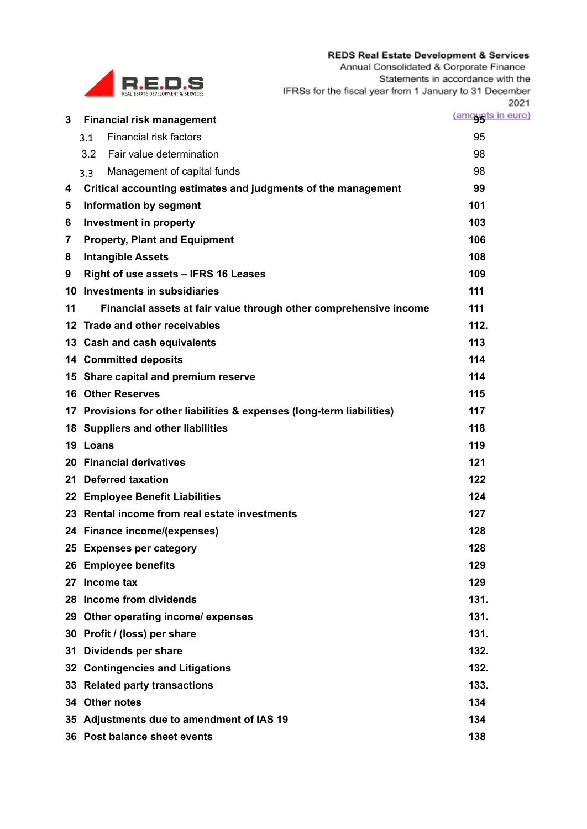#### **REDS Real Estate Development & Services**



Annual Consolidated & Corporate Finance Statements in accordance with the IFRSs for the fiscal year from 1 January to 31 December 

 **[Financial risk management](#page-99-1) 95** [Financial risk factors](#page-99-2) 95 3.2 [Fair value determination](#page-102-0) 98 [Management of capital funds](#page-103-0) **98**  $3.3<sup>1</sup>$  **[Critical accounting estimates and judgments of the management](#page-104-0) 99 [Information by segment](#page-105-0) 101 [Investment in property](#page-108-0) 103 [Property, Plant and Equipment](#page-111-0) 106 [Intangible Assets](#page-113-0) 108 [Right of use assets – IFRS 16 Leases](#page-114-0) 109 [Investments in subsidiaries](#page-116-0) 111 [Financial assets at fair value through other comprehensive income](#page-116-1) 111 [Trade and other receivables](#page-117-0) 112. [Cash and cash equivalents](#page-118-0) 113 [Committed deposits](#page-119-0) 114 [Share capital and premium reserve](#page-119-1) 114 [Other Reserves](#page-120-0) 115 [Provisions for other liabilities & expenses \(long-term liabilities\)](#page-122-0) 117 [Suppliers and other liabilities](#page-123-0) 118 [Loans](#page-124-0) 119 [Financial derivatives](#page-126-0) 121 [Deferred taxation](#page-127-0) 122 [Employee Benefit Liabilities](#page-129-0) 124 [Rental income from real estate investments](#page-133-0) 127 [Finance income/\(expenses\)](#page-134-0) 128 [Expenses per category](#page-134-1) 128 [Employee benefits](#page-135-0) 129 [Income tax](#page-135-1) 129 [Income from dividends](#page-138-0) 131. [Other operating income/ expenses](#page-138-1) 131. [Profit / \(loss\) per share](#page-138-2) 131. [Dividends per share](#page-139-0) 132. [Contingencies and Litigations](#page-139-1) 132. [Related party transactions](#page-140-0) 133. [Other notes](#page-141-0) 134 [Adjustments due to amendment of IAS 19](#page-141-1) 134 [Post balance sheet events](#page-146-0) 138**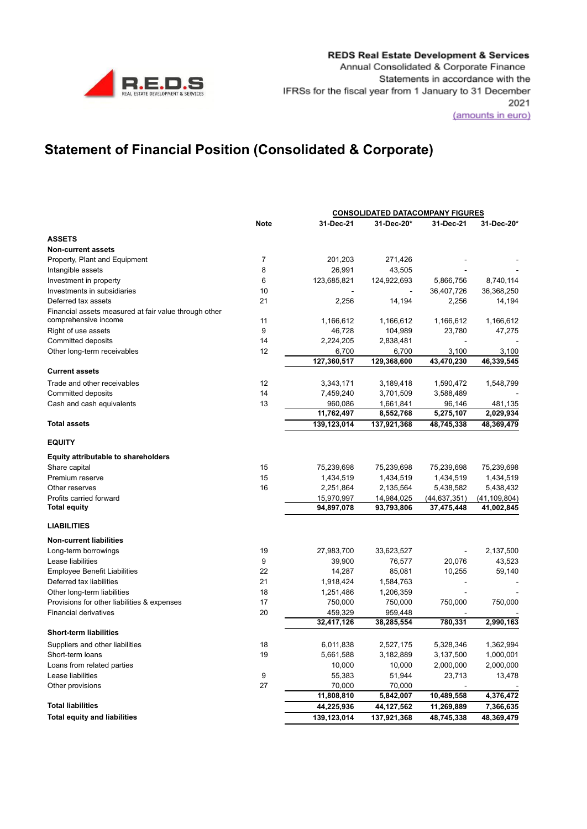

# <span id="page-74-0"></span>**Statement of Financial Position (Consolidated & Corporate)**

|                                                                               |                |             | <b>CONSOLIDATED DATACOMPANY FIGURES</b> |                |                |
|-------------------------------------------------------------------------------|----------------|-------------|-----------------------------------------|----------------|----------------|
|                                                                               | <b>Note</b>    | 31-Dec-21   | 31-Dec-20*                              | 31-Dec-21      | 31-Dec-20*     |
| <b>ASSETS</b>                                                                 |                |             |                                         |                |                |
| <b>Non-current assets</b>                                                     |                |             |                                         |                |                |
| Property, Plant and Equipment                                                 | $\overline{7}$ | 201,203     | 271,426                                 |                |                |
| Intangible assets                                                             | 8              | 26,991      | 43,505                                  |                |                |
| Investment in property                                                        | 6              | 123,685,821 | 124,922,693                             | 5,866,756      | 8,740,114      |
| Investments in subsidiaries                                                   | 10             |             |                                         | 36,407,726     | 36,368,250     |
| Deferred tax assets                                                           | 21             | 2,256       | 14,194                                  | 2,256          | 14,194         |
| Financial assets measured at fair value through other<br>comprehensive income | 11             | 1,166,612   | 1,166,612                               | 1,166,612      | 1,166,612      |
| Right of use assets                                                           | 9              | 46,728      | 104,989                                 | 23,780         | 47,275         |
| Committed deposits                                                            | 14             | 2,224,205   | 2,838,481                               |                |                |
| Other long-term receivables                                                   | 12             | 6,700       | 6,700                                   | 3,100          | 3,100          |
|                                                                               |                | 127,360,517 | 129,368,600                             | 43,470,230     | 46,339,545     |
| <b>Current assets</b>                                                         |                |             |                                         |                |                |
| Trade and other receivables                                                   | 12             | 3,343,171   | 3,189,418                               | 1,590,472      | 1,548,799      |
| Committed deposits                                                            | 14             | 7,459,240   | 3,701,509                               | 3,588,489      |                |
| Cash and cash equivalents                                                     | 13             | 960,086     | 1,661,841                               | 96,146         | 481,135        |
|                                                                               |                | 11,762,497  | 8,552,768                               | 5,275,107      | 2,029,934      |
| <b>Total assets</b>                                                           |                | 139,123,014 | 137,921,368                             | 48,745,338     | 48,369,479     |
| <b>EQUITY</b>                                                                 |                |             |                                         |                |                |
| <b>Equity attributable to shareholders</b>                                    |                |             |                                         |                |                |
| Share capital                                                                 | 15             | 75,239,698  | 75,239,698                              | 75,239,698     | 75,239,698     |
| Premium reserve                                                               | 15             | 1,434,519   | 1,434,519                               | 1,434,519      | 1,434,519      |
| Other reserves                                                                | 16             | 2,251,864   | 2,135,564                               | 5,438,582      | 5,438,432      |
| Profits carried forward                                                       |                | 15,970,997  | 14,984,025                              | (44, 637, 351) | (41, 109, 804) |
| <b>Total equity</b>                                                           |                | 94,897,078  | 93,793,806                              | 37,475,448     | 41,002,845     |
| <b>LIABILITIES</b>                                                            |                |             |                                         |                |                |
| <b>Non-current liabilities</b>                                                |                |             |                                         |                |                |
| Long-term borrowings                                                          | 19             | 27,983,700  | 33,623,527                              |                | 2,137,500      |
| Lease liabilities                                                             | 9              | 39,900      | 76,577                                  | 20,076         | 43,523         |
| <b>Employee Benefit Liabilities</b>                                           | 22             | 14,287      | 85,081                                  | 10,255         | 59,140         |
| Deferred tax liabilities                                                      | 21             | 1,918,424   | 1,584,763                               |                |                |
| Other long-term liabilities                                                   | 18             | 1,251,486   | 1,206,359                               |                |                |
| Provisions for other liabilities & expenses                                   | 17             | 750,000     | 750,000                                 | 750,000        | 750,000        |
| <b>Financial derivatives</b>                                                  | 20             | 459,329     | 959,448                                 |                |                |
|                                                                               |                | 32,417,126  | 38,285,554                              | 780,331        | 2,990,163      |
| <b>Short-term liabilities</b>                                                 |                |             |                                         |                |                |
| Suppliers and other liabilities                                               | 18             | 6,011,838   | 2,527,175                               | 5,328,346      | 1,362,994      |
| Short-term loans                                                              | 19             | 5,661,588   | 3,182,889                               | 3,137,500      | 1,000,001      |
| Loans from related parties                                                    |                | 10,000      | 10,000                                  | 2,000,000      | 2,000,000      |
| Lease liabilities                                                             | 9              | 55,383      | 51,944                                  | 23,713         | 13,478         |
| Other provisions                                                              | 27             | 70,000      | 70,000                                  |                |                |
|                                                                               |                | 11,808,810  | 5,842,007                               | 10,489,558     | 4,376,472      |
| <b>Total liabilities</b>                                                      |                | 44,225,936  | 44,127,562                              | 11,269,889     | 7,366,635      |
| <b>Total equity and liabilities</b>                                           |                | 139,123,014 | 137,921,368                             | 48,745,338     | 48,369,479     |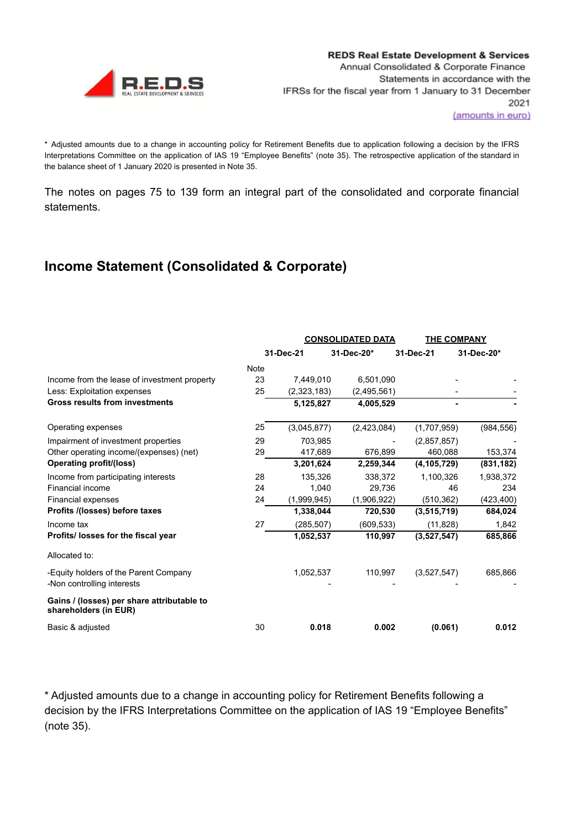

<span id="page-75-0"></span>\* Adjusted amounts due to a change in accounting policy for Retirement Benefits due to application following a decision by the IFRS Interpretations Committee on the application of IAS 19 "Employee Benefits" (note 35). The retrospective application of the standard in the balance sheet of 1 January 2020 is presented in Note 35.

The notes on pages 75 to 139 form an integral part of the consolidated and corporate financial statements.

# **Income Statement (Consolidated & Corporate)**

|                                                                     |      |             | <b>CONSOLIDATED DATA</b> | THE COMPANY   |            |
|---------------------------------------------------------------------|------|-------------|--------------------------|---------------|------------|
|                                                                     |      | 31-Dec-21   | 31-Dec-20*               | 31-Dec-21     | 31-Dec-20* |
|                                                                     | Note |             |                          |               |            |
| Income from the lease of investment property                        | 23   | 7,449,010   | 6,501,090                |               |            |
| Less: Exploitation expenses                                         | 25   | (2,323,183) | (2,495,561)              |               |            |
| <b>Gross results from investments</b>                               |      | 5,125,827   | 4,005,529                |               |            |
| Operating expenses                                                  | 25   | (3,045,877) | (2,423,084)              | (1,707,959)   | (984, 556) |
| Impairment of investment properties                                 | 29   | 703,985     |                          | (2,857,857)   |            |
| Other operating income/(expenses) (net)                             | 29   | 417,689     | 676,899                  | 460,088       | 153,374    |
| Operating profit/(loss)                                             |      | 3,201,624   | 2,259,344                | (4, 105, 729) | (831, 182) |
| Income from participating interests                                 | 28   | 135,326     | 338,372                  | 1,100,326     | 1,938,372  |
| Financial income                                                    | 24   | 1,040       | 29,736                   | 46            | 234        |
| Financial expenses                                                  | 24   | (1,999,945) | (1,906,922)              | (510, 362)    | (423, 400) |
| Profits /(losses) before taxes                                      |      | 1,338,044   | 720,530                  | (3,515,719)   | 684,024    |
| Income tax                                                          | 27   | (285, 507)  | (609, 533)               | (11, 828)     | 1,842      |
| Profits/ losses for the fiscal year                                 |      | 1,052,537   | 110,997                  | (3,527,547)   | 685,866    |
| Allocated to:                                                       |      |             |                          |               |            |
| -Equity holders of the Parent Company<br>-Non controlling interests |      | 1,052,537   | 110,997                  | (3,527,547)   | 685,866    |
| Gains / (losses) per share attributable to<br>shareholders (in EUR) |      |             |                          |               |            |
| Basic & adjusted                                                    | 30   | 0.018       | 0.002                    | (0.061)       | 0.012      |

\* Adjusted amounts due to a change in accounting policy for Retirement Benefits following a decision by the IFRS Interpretations Committee on the application of IAS 19 "Employee Benefits" (note 35).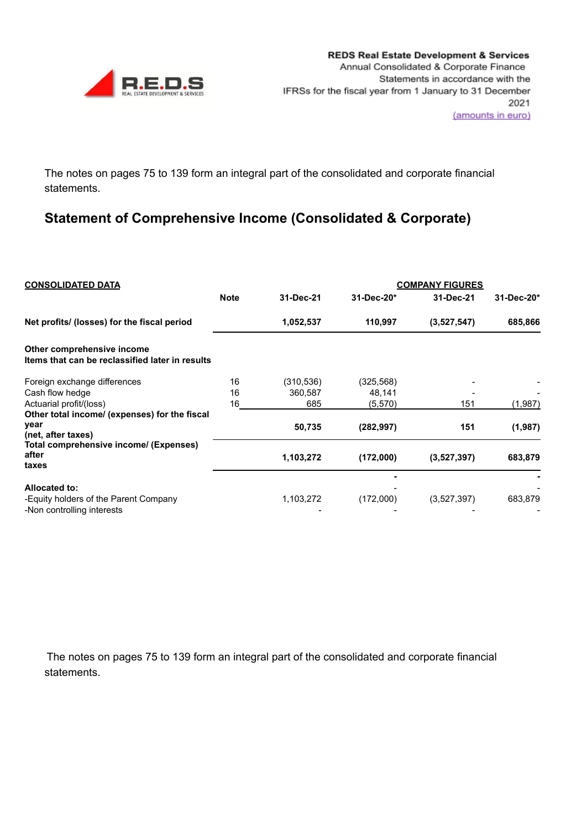

<span id="page-76-0"></span>The notes on pages 75 to 139 form an integral part of the consolidated and corporate financial statements.

# **Statement of Comprehensive Income (Consolidated & Corporate)**

| <b>CONSOLIDATED DATA</b>                                                      |             | <b>COMPANY FIGURES</b> |            |             |            |
|-------------------------------------------------------------------------------|-------------|------------------------|------------|-------------|------------|
|                                                                               | <b>Note</b> | 31-Dec-21              | 31-Dec-20* | 31-Dec-21   | 31-Dec-20* |
| Net profits/ (losses) for the fiscal period                                   |             | 1,052,537              | 110,997    | (3,527,547) | 685,866    |
| Other comprehensive income<br>Items that can be reclassified later in results |             |                        |            |             |            |
| Foreign exchange differences                                                  | 16          | (310, 536)             | (325, 568) |             |            |
| Cash flow hedge                                                               | 16          | 360,587                | 48,141     |             |            |
| Actuarial profit/(loss)                                                       | 16          | 685                    | (5,570)    | 151         | (1,987)    |
| Other total income/ (expenses) for the fiscal                                 |             |                        |            |             |            |
| year<br>(net, after taxes)                                                    |             | 50,735                 | (282, 997) | 151         | (1,987)    |
| Total comprehensive income/ (Expenses)<br>after<br>taxes                      |             | 1,103,272              | (172,000)  | (3,527,397) | 683,879    |
|                                                                               |             |                        |            |             |            |
| <b>Allocated to:</b>                                                          |             |                        |            |             |            |
| -Equity holders of the Parent Company<br>-Non controlling interests           |             | 1,103,272              | (172,000)  | (3,527,397) | 683,879    |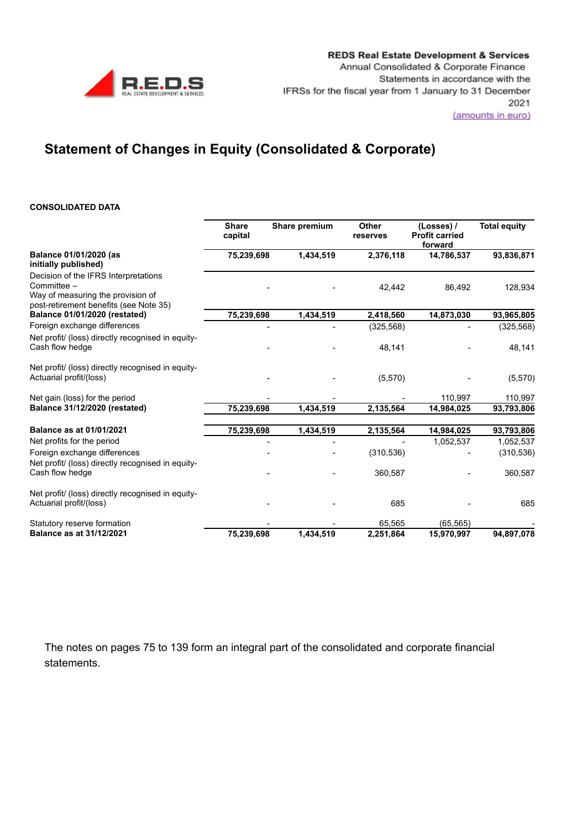

# <span id="page-77-0"></span>**Statement of Changes in Equity (Consolidated & Corporate)**

#### **CONSOLIDATED DATA**

|                                                                                                                                    | <b>Share</b><br>capital | Share premium | <b>Other</b><br>reserves | $(Losses)$ /<br><b>Profit carried</b><br>forward | <b>Total equity</b> |
|------------------------------------------------------------------------------------------------------------------------------------|-------------------------|---------------|--------------------------|--------------------------------------------------|---------------------|
| Balance 01/01/2020 (as<br>initially published)                                                                                     | 75,239,698              | 1,434,519     | 2,376,118                | 14,786,537                                       | 93,836,871          |
| Decision of the IFRS Interpretations<br>Committee -<br>Way of measuring the provision of<br>post-retirement benefits (see Note 35) |                         |               | 42,442                   | 86,492                                           | 128,934             |
| Balance 01/01/2020 (restated)                                                                                                      | 75,239,698              | 1,434,519     | 2,418,560                | 14,873,030                                       | 93,965,805          |
| Foreign exchange differences                                                                                                       |                         |               | (325, 568)               |                                                  | (325, 568)          |
| Net profit/ (loss) directly recognised in equity-<br>Cash flow hedge                                                               |                         |               | 48,141                   |                                                  | 48,141              |
| Net profit/ (loss) directly recognised in equity-<br>Actuarial profit/(loss)                                                       |                         |               | (5,570)                  |                                                  | (5, 570)            |
| Net gain (loss) for the period                                                                                                     |                         |               |                          | 110,997                                          | 110,997             |
| <b>Balance 31/12/2020 (restated)</b>                                                                                               | 75,239,698              | 1,434,519     | 2,135,564                | 14,984,025                                       | 93,793,806          |
| <b>Balance as at 01/01/2021</b>                                                                                                    | 75,239,698              | 1,434,519     | 2,135,564                | 14,984,025                                       | 93,793,806          |
| Net profits for the period                                                                                                         |                         |               |                          | 1,052,537                                        | 1,052,537           |
| Foreign exchange differences<br>Net profit/ (loss) directly recognised in equity-                                                  |                         |               | (310, 536)               |                                                  | (310, 536)          |
| Cash flow hedge                                                                                                                    |                         |               | 360,587                  |                                                  | 360,587             |
| Net profit/ (loss) directly recognised in equity-<br>Actuarial profit/(loss)                                                       |                         |               | 685                      |                                                  | 685                 |
| Statutory reserve formation<br><b>Balance as at 31/12/2021</b>                                                                     | 75,239,698              | 1,434,519     | 65,565<br>2,251,864      | (65, 565)<br>15,970,997                          | 94,897,078          |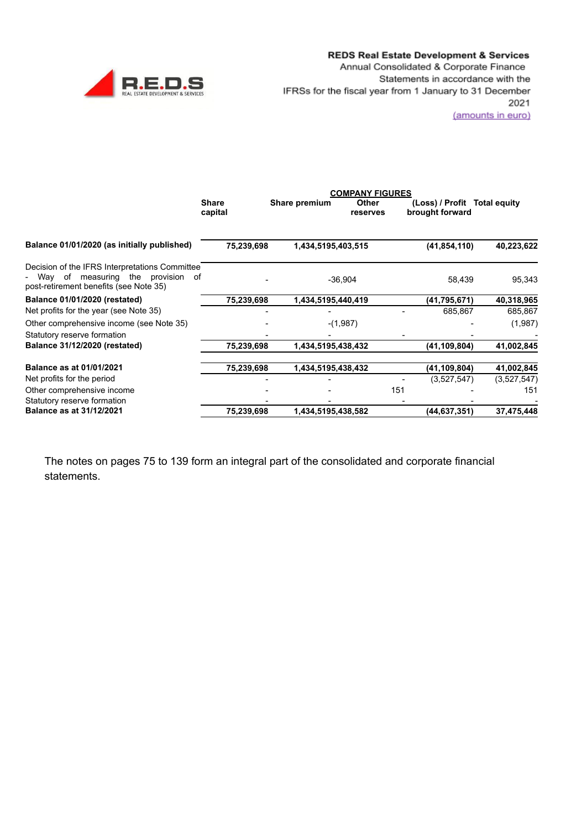

|                                                                                                                                    | <b>COMPANY FIGURES</b>  |                    |                   |                                                 |             |  |  |
|------------------------------------------------------------------------------------------------------------------------------------|-------------------------|--------------------|-------------------|-------------------------------------------------|-------------|--|--|
|                                                                                                                                    | <b>Share</b><br>capital | Share premium      | Other<br>reserves | (Loss) / Profit Total equity<br>brought forward |             |  |  |
| Balance 01/01/2020 (as initially published)                                                                                        | 75,239,698              | 1,434,5195,403,515 |                   | (41, 854, 110)                                  | 40,223,622  |  |  |
| Decision of the IFRS Interpretations Committee<br>- Way of measuring the provision<br>0f<br>post-retirement benefits (see Note 35) |                         |                    | $-36.904$         | 58,439                                          | 95,343      |  |  |
| <b>Balance 01/01/2020 (restated)</b>                                                                                               | 75,239,698              | 1,434,5195,440,419 |                   | (41,795,671)                                    | 40,318,965  |  |  |
| Net profits for the year (see Note 35)                                                                                             |                         |                    |                   | 685,867                                         | 685,867     |  |  |
| Other comprehensive income (see Note 35)                                                                                           |                         |                    | $-(1,987)$        |                                                 | (1,987)     |  |  |
| Statutory reserve formation                                                                                                        |                         |                    |                   |                                                 |             |  |  |
| <b>Balance 31/12/2020 (restated)</b>                                                                                               | 75,239,698              | 1,434,5195,438,432 |                   | (41,109,804)                                    | 41,002,845  |  |  |
| <b>Balance as at 01/01/2021</b>                                                                                                    | 75,239,698              | 1,434,5195,438,432 |                   | (41,109,804)                                    | 41,002,845  |  |  |
| Net profits for the period                                                                                                         |                         |                    |                   | (3,527,547)                                     | (3,527,547) |  |  |
| Other comprehensive income<br>Statutory reserve formation                                                                          |                         |                    |                   | 151                                             | 151         |  |  |
| <b>Balance as at 31/12/2021</b>                                                                                                    | 75,239,698              | 1,434,5195,438,582 |                   | (44,637,351)                                    | 37,475,448  |  |  |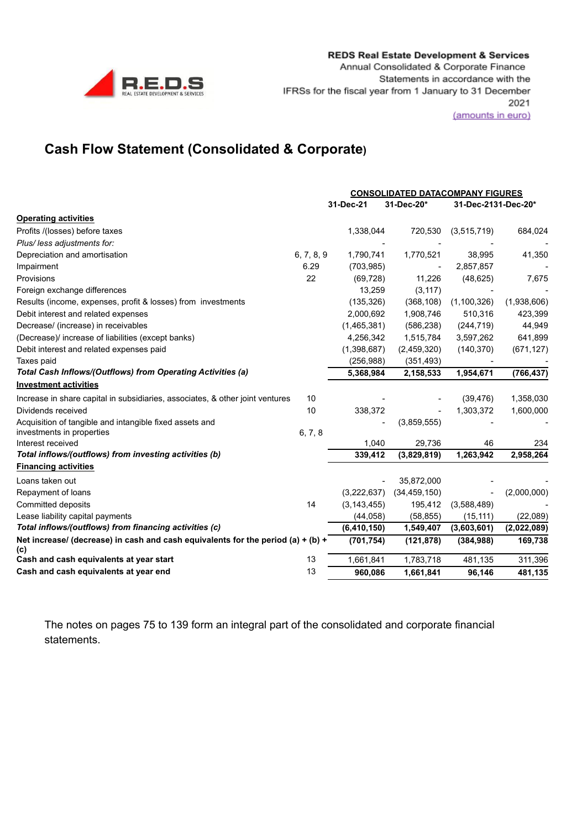

# **Cash Flow Statement (Consolidated & Corporate)**

|                                                                                         |            |               | <b>CONSOLIDATED DATACOMPANY FIGURES</b> |                     |             |  |
|-----------------------------------------------------------------------------------------|------------|---------------|-----------------------------------------|---------------------|-------------|--|
|                                                                                         |            | 31-Dec-21     | 31-Dec-20*                              | 31-Dec-2131-Dec-20* |             |  |
| <b>Operating activities</b>                                                             |            |               |                                         |                     |             |  |
| Profits /(losses) before taxes                                                          |            | 1,338,044     | 720,530                                 | (3,515,719)         | 684,024     |  |
| Plus/ less adjustments for:                                                             |            |               |                                         |                     |             |  |
| Depreciation and amortisation                                                           | 6, 7, 8, 9 | 1,790,741     | 1,770,521                               | 38,995              | 41,350      |  |
| Impairment                                                                              | 6.29       | (703, 985)    |                                         | 2,857,857           |             |  |
| Provisions                                                                              | 22         | (69, 728)     | 11,226                                  | (48, 625)           | 7,675       |  |
| Foreign exchange differences                                                            |            | 13,259        | (3, 117)                                |                     |             |  |
| Results (income, expenses, profit & losses) from investments                            |            | (135, 326)    | (368, 108)                              | (1,100,326)         | (1,938,606) |  |
| Debit interest and related expenses                                                     |            | 2,000,692     | 1,908,746                               | 510,316             | 423,399     |  |
| Decrease/ (increase) in receivables                                                     |            | (1,465,381)   | (586, 238)                              | (244, 719)          | 44,949      |  |
| (Decrease)/ increase of liabilities (except banks)                                      |            | 4,256,342     | 1,515,784                               | 3,597,262           | 641,899     |  |
| Debit interest and related expenses paid                                                |            | (1,398,687)   | (2,459,320)                             | (140, 370)          | (671, 127)  |  |
| Taxes paid                                                                              |            | (256, 988)    | (351, 493)                              |                     |             |  |
| Total Cash Inflows/(Outflows) from Operating Activities (a)                             |            | 5,368,984     | 2,158,533                               | 1,954,671           | (766, 437)  |  |
| <b>Investment activities</b>                                                            |            |               |                                         |                     |             |  |
| Increase in share capital in subsidiaries, associates, & other joint ventures           | 10         |               |                                         | (39, 476)           | 1,358,030   |  |
| Dividends received                                                                      | 10         | 338,372       |                                         | 1,303,372           | 1,600,000   |  |
| Acquisition of tangible and intangible fixed assets and                                 |            |               | (3,859,555)                             |                     |             |  |
| investments in properties                                                               | 6, 7, 8    |               |                                         |                     |             |  |
| Interest received                                                                       |            | 1,040         | 29,736                                  | 46                  | 234         |  |
| Total inflows/(outflows) from investing activities (b)                                  |            | 339,412       | (3,829,819)                             | 1,263,942           | 2,958,264   |  |
| <b>Financing activities</b>                                                             |            |               |                                         |                     |             |  |
| Loans taken out                                                                         |            |               | 35,872,000                              |                     |             |  |
| Repayment of loans                                                                      |            | (3,222,637)   | (34, 459, 150)                          |                     | (2,000,000) |  |
| Committed deposits                                                                      | 14         | (3, 143, 455) | 195,412                                 | (3,588,489)         |             |  |
| Lease liability capital payments                                                        |            | (44, 058)     | (58, 855)                               | (15, 111)           | (22,089)    |  |
| Total inflows/(outflows) from financing activities (c)                                  |            | (6, 410, 150) | 1,549,407                               | (3,603,601)         | (2,022,089) |  |
| Net increase/ (decrease) in cash and cash equivalents for the period (a) + (b) +<br>(c) |            | (701, 754)    | (121, 878)                              | (384, 988)          | 169,738     |  |
| Cash and cash equivalents at year start                                                 | 13         | 1,661,841     | 1,783,718                               | 481,135             | 311,396     |  |
| Cash and cash equivalents at year end                                                   | 13         | 960,086       | 1,661,841                               | 96,146              | 481,135     |  |
|                                                                                         |            |               |                                         |                     |             |  |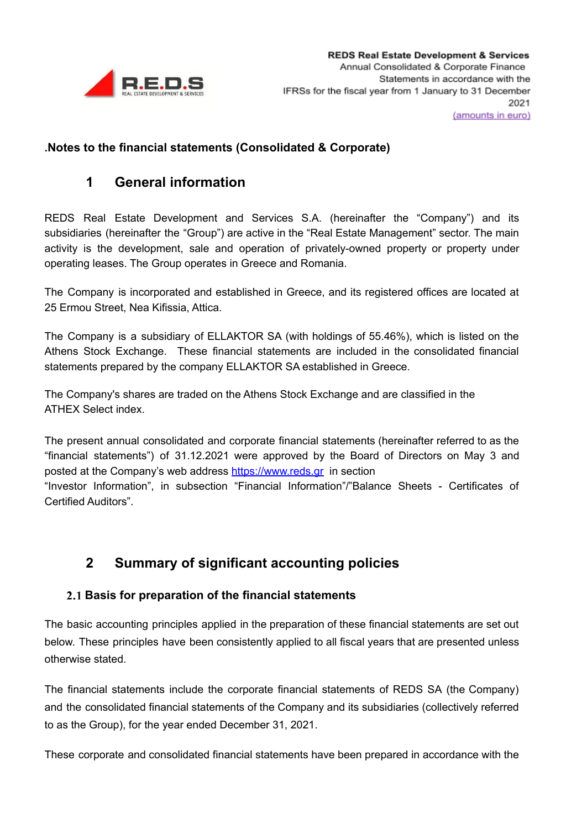

# <span id="page-80-1"></span><span id="page-80-0"></span>**.Notes to the financial statements (Consolidated & Corporate)**

# **1 General information**

REDS Real Estate Development and Services S.A. (hereinafter the "Company") and its subsidiaries (hereinafter the "Group") are active in the "Real Estate Management" sector. The main activity is the development, sale and operation of privately-owned property or property under operating leases. The Group operates in Greece and Romania.

The Company is incorporated and established in Greece, and its registered offices are located at 25 Ermou Street, Nea Kifissia, Attica.

The Company is a subsidiary of ELLAKTOR SA (with holdings of 55.46%), which is listed on the Athens Stock Exchange. These financial statements are included in the consolidated financial statements prepared by the company ELLAKTOR SA established in Greece.

The Company's shares are traded on the Athens Stock Exchange and are classified in the ATHEX Select index.

The present annual consolidated and corporate financial statements (hereinafter referred to as the "financial statements") of 31.12.2021 were approved by the Board of Directors on May 3 and posted at the Company's web address [https://www.reds.gr](https://www.reds.gr/) in section "Investor Information", in subsection "Financial Information"/"Balance Sheets - Certificates of Certified Auditors".

# **2 Summary of significant accounting policies**

### <span id="page-80-2"></span>**Basis for preparation of the financial statements**

<span id="page-80-3"></span>The basic accounting principles applied in the preparation of these financial statements are set out below. These principles have been consistently applied to all fiscal years that are presented unless otherwise stated.

The financial statements include the corporate financial statements of REDS SA (the Company) and the consolidated financial statements of the Company and its subsidiaries (collectively referred to as the Group), for the year ended December 31, 2021.

These corporate and consolidated financial statements have been prepared in accordance with the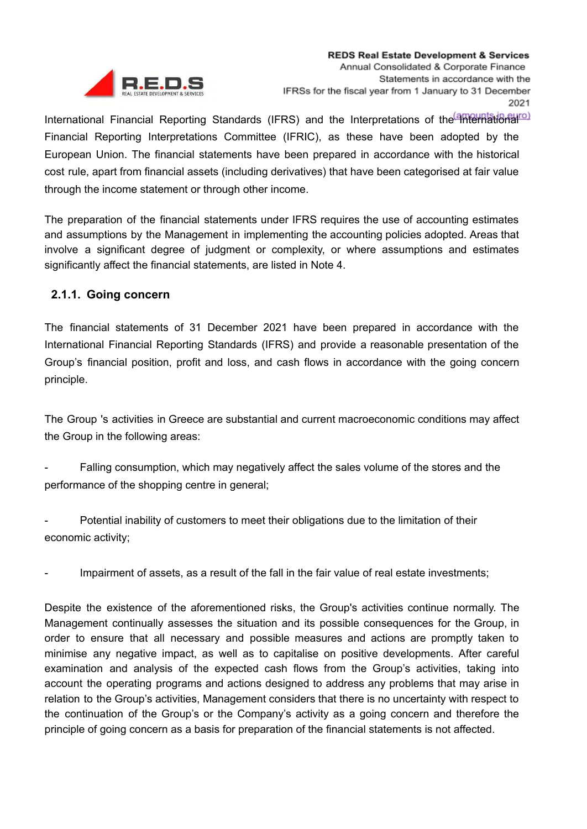

International Financial Reporting Standards (IFRS) and the Interpretations of the *International*<sup>ol</sup> Financial Reporting Interpretations Committee (IFRIC), as these have been adopted by the European Union. The financial statements have been prepared in accordance with the historical cost rule, apart from financial assets (including derivatives) that have been categorised at fair value through the income statement or through other income.

The preparation of the financial statements under IFRS requires the use of accounting estimates and assumptions by the Management in implementing the accounting policies adopted. Areas that involve a significant degree of judgment or complexity, or where assumptions and estimates significantly affect the financial statements, are listed in Note 4.

#### <span id="page-81-0"></span>**2.1.1. Going concern**

The financial statements of 31 December 2021 have been prepared in accordance with the International Financial Reporting Standards (IFRS) and provide a reasonable presentation of the Group's financial position, profit and loss, and cash flows in accordance with the going concern principle.

The Group 's activities in Greece are substantial and current macroeconomic conditions may affect the Group in the following areas:

Falling consumption, which may negatively affect the sales volume of the stores and the performance of the shopping centre in general;

Potential inability of customers to meet their obligations due to the limitation of their economic activity;

Impairment of assets, as a result of the fall in the fair value of real estate investments;

Despite the existence of the aforementioned risks, the Group's activities continue normally. The Management continually assesses the situation and its possible consequences for the Group, in order to ensure that all necessary and possible measures and actions are promptly taken to minimise any negative impact, as well as to capitalise on positive developments. After careful examination and analysis of the expected cash flows from the Group's activities, taking into account the operating programs and actions designed to address any problems that may arise in relation to the Group's activities, Management considers that there is no uncertainty with respect to the continuation of the Group's or the Company's activity as a going concern and therefore the principle of going concern as a basis for preparation of the financial statements is not affected.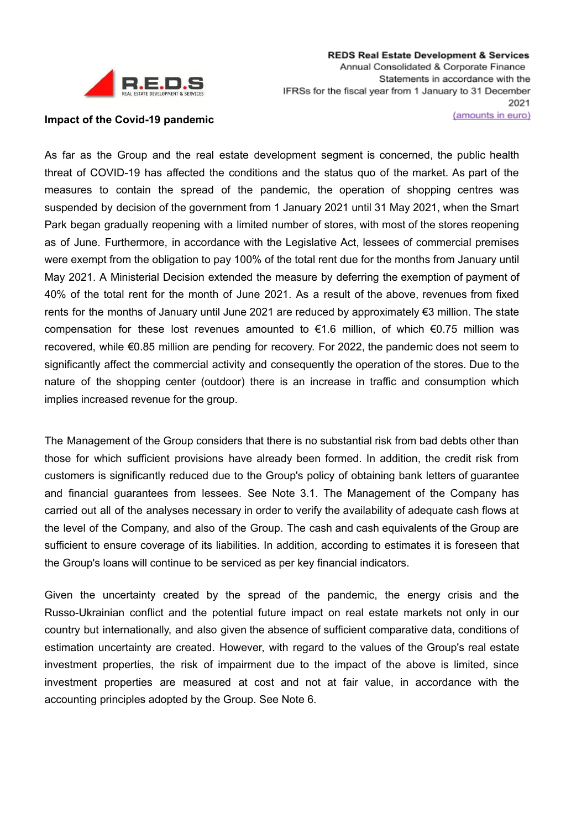

#### **Impact of the Covid-19 pandemic**

As far as the Group and the real estate development segment is concerned, the public health threat of COVID-19 has affected the conditions and the status quo of the market. As part of the measures to contain the spread of the pandemic, the operation of shopping centres was suspended by decision of the government from 1 January 2021 until 31 May 2021, when the Smart Park began gradually reopening with a limited number of stores, with most of the stores reopening as of June. Furthermore, in accordance with the Legislative Act, lessees of commercial premises were exempt from the obligation to pay 100% of the total rent due for the months from January until May 2021. A Ministerial Decision extended the measure by deferring the exemption of payment of 40% of the total rent for the month of June 2021. As a result of the above, revenues from fixed rents for the months of January until June 2021 are reduced by approximately €3 million. The state compensation for these lost revenues amounted to  $\epsilon$ 1.6 million, of which  $\epsilon$ 0.75 million was recovered, while €0.85 million are pending for recovery. For 2022, the pandemic does not seem to significantly affect the commercial activity and consequently the operation of the stores. Due to the nature of the shopping center (outdoor) there is an increase in traffic and consumption which implies increased revenue for the group.

The Management of the Group considers that there is no substantial risk from bad debts other than those for which sufficient provisions have already been formed. In addition, the credit risk from customers is significantly reduced due to the Group's policy of obtaining bank letters of guarantee and financial guarantees from lessees. See Note 3.1. The Management of the Company has carried out all of the analyses necessary in order to verify the availability of adequate cash flows at the level of the Company, and also of the Group. The cash and cash equivalents of the Group are sufficient to ensure coverage of its liabilities. In addition, according to estimates it is foreseen that the Group's loans will continue to be serviced as per key financial indicators.

Given the uncertainty created by the spread of the pandemic, the energy crisis and the Russo-Ukrainian conflict and the potential future impact on real estate markets not only in our country but internationally, and also given the absence of sufficient comparative data, conditions of estimation uncertainty are created. However, with regard to the values of the Group's real estate investment properties, the risk of impairment due to the impact of the above is limited, since investment properties are measured at cost and not at fair value, in accordance with the accounting principles adopted by the Group. See Note 6.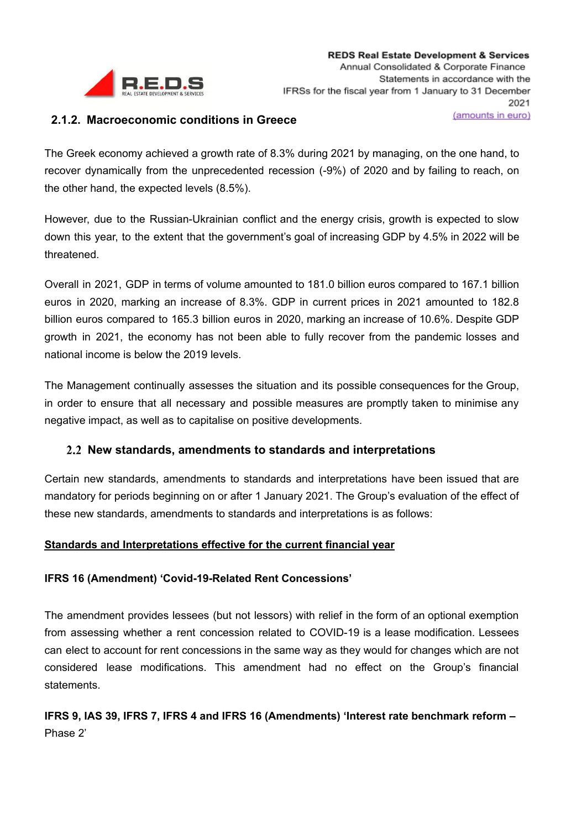

#### <span id="page-83-0"></span>**2.1.2. Macroeconomic conditions in Greece**

The Greek economy achieved a growth rate of 8.3% during 2021 by managing, on the one hand, to recover dynamically from the unprecedented recession (-9%) of 2020 and by failing to reach, on the other hand, the expected levels (8.5%).

However, due to the Russian-Ukrainian conflict and the energy crisis, growth is expected to slow down this year, to the extent that the government's goal of increasing GDP by 4.5% in 2022 will be threatened.

Overall in 2021, GDP in terms of volume amounted to 181.0 billion euros compared to 167.1 billion euros in 2020, marking an increase of 8.3%. GDP in current prices in 2021 amounted to 182.8 billion euros compared to 165.3 billion euros in 2020, marking an increase of 10.6%. Despite GDP growth in 2021, the economy has not been able to fully recover from the pandemic losses and national income is below the 2019 levels.

The Management continually assesses the situation and its possible consequences for the Group, in order to ensure that all necessary and possible measures are promptly taken to minimise any negative impact, as well as to capitalise on positive developments.

### **New standards, amendments to standards and interpretations**

<span id="page-83-1"></span>Certain new standards, amendments to standards and interpretations have been issued that are mandatory for periods beginning on or after 1 January 2021. The Group's evaluation of the effect of these new standards, amendments to standards and interpretations is as follows:

#### **Standards and Interpretations effective for the current financial year**

#### **IFRS 16 (Amendment) 'Covid-19-Related Rent Concessions'**

The amendment provides lessees (but not lessors) with relief in the form of an optional exemption from assessing whether a rent concession related to COVID-19 is a lease modification. Lessees can elect to account for rent concessions in the same way as they would for changes which are not considered lease modifications. This amendment had no effect on the Group's financial statements.

# **IFRS 9, IAS 39, IFRS 7, IFRS 4 and IFRS 16 (Amendments) 'Interest rate benchmark reform –** Phase 2'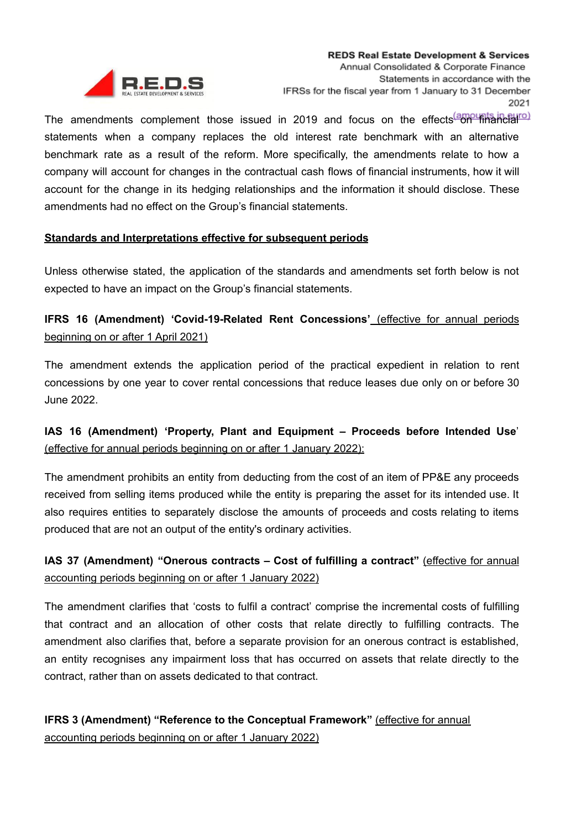

The amendments complement those issued in 2019 and focus on the effects amounts in the statements when a company replaces the old interest rate benchmark with an alternative benchmark rate as a result of the reform. More specifically, the amendments relate to how a company will account for changes in the contractual cash flows of financial instruments, how it will account for the change in its hedging relationships and the information it should disclose. These amendments had no effect on the Group's financial statements.

#### **Standards and Interpretations effective for subsequent periods**

Unless otherwise stated, the application of the standards and amendments set forth below is not expected to have an impact on the Group's financial statements.

# **IFRS 16 (Amendment) 'Covid-19-Related Rent Concessions'** (effective for annual periods beginning on or after 1 April 2021)

The amendment extends the application period of the practical expedient in relation to rent concessions by one year to cover rental concessions that reduce leases due only on or before 30 June 2022.

# **IAS 16 (Amendment) 'Property, Plant and Equipment – Proceeds before Intended Use**' (effective for annual periods beginning on or after 1 January 2022):

The amendment prohibits an entity from deducting from the cost of an item of PP&E any proceeds received from selling items produced while the entity is preparing the asset for its intended use. It also requires entities to separately disclose the amounts of proceeds and costs relating to items produced that are not an output of the entity's ordinary activities.

# **IAS 37 (Amendment) "Onerous contracts – Cost of fulfilling a contract"** (effective for annual accounting periods beginning on or after 1 January 2022)

The amendment clarifies that 'costs to fulfil a contract' comprise the incremental costs of fulfilling that contract and an allocation of other costs that relate directly to fulfilling contracts. The amendment also clarifies that, before a separate provision for an onerous contract is established, an entity recognises any impairment loss that has occurred on assets that relate directly to the contract, rather than on assets dedicated to that contract.

# **IFRS 3 (Amendment) "Reference to the Conceptual Framework"** (effective for annual accounting periods beginning on or after 1 January 2022)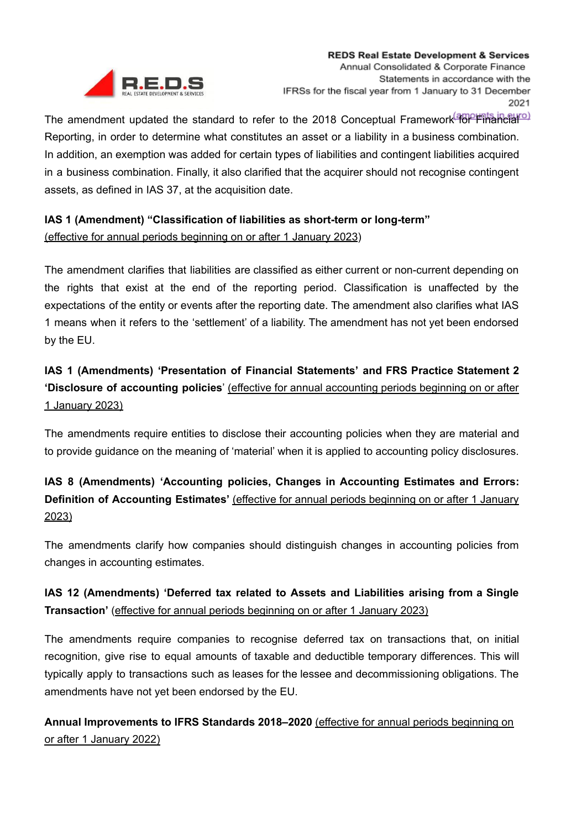

The amendment updated the standard to refer to the 2018 Conceptual Framework for Financial<sup>rol</sup> Reporting, in order to determine what constitutes an asset or a liability in a business combination. In addition, an exemption was added for certain types of liabilities and contingent liabilities acquired in a business combination. Finally, it also clarified that the acquirer should not recognise contingent assets, as defined in IAS 37, at the acquisition date.

# **IAS 1 (Amendment) "Classification of liabilities as short-term or long-term"** (effective for annual periods beginning on or after 1 January 2023)

The amendment clarifies that liabilities are classified as either current or non-current depending on the rights that exist at the end of the reporting period. Classification is unaffected by the expectations of the entity or events after the reporting date. The amendment also clarifies what IAS 1 means when it refers to the 'settlement' of a liability. The amendment has not yet been endorsed by the EU.

# **IAS 1 (Amendments) 'Presentation of Financial Statements' and FRS Practice Statement 2 'Disclosure of accounting policies**' (effective for annual accounting periods beginning on or after 1 January 2023)

The amendments require entities to disclose their accounting policies when they are material and to provide guidance on the meaning of 'material' when it is applied to accounting policy disclosures.

# **IAS 8 (Amendments) 'Accounting policies, Changes in Accounting Estimates and Errors: Definition of Accounting Estimates'** (effective for annual periods beginning on or after 1 January 2023)

The amendments clarify how companies should distinguish changes in accounting policies from changes in accounting estimates.

# **IΑS 12 (Amendments) 'Deferred tax related to Assets and Liabilities arising from a Single Transaction'** (effective for annual periods beginning on or after 1 January 2023)

The amendments require companies to recognise deferred tax on transactions that, on initial recognition, give rise to equal amounts of taxable and deductible temporary differences. This will typically apply to transactions such as leases for the lessee and decommissioning obligations. The amendments have not yet been endorsed by the EU.

**Annual Improvements to IFRS Standards 2018–2020** (effective for annual periods beginning on or after 1 January 2022)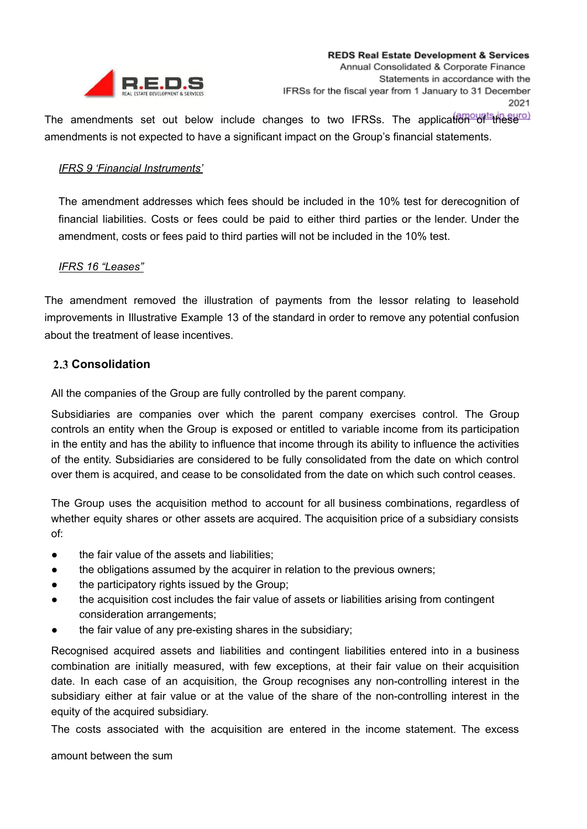

The amendments set out below include changes to two IFRSs. The application of these of amendments is not expected to have a significant impact on the Group's financial statements.

#### *IFRS 9 'Financial Instruments'*

The amendment addresses which fees should be included in the 10% test for derecognition of financial liabilities. Costs or fees could be paid to either third parties or the lender. Under the amendment, costs or fees paid to third parties will not be included in the 10% test.

#### *IFRS 16 "Leases"*

The amendment removed the illustration of payments from the lessor relating to leasehold improvements in Illustrative Example 13 of the standard in order to remove any potential confusion about the treatment of lease incentives.

#### <span id="page-86-0"></span>2.3 Consolidation

All the companies of the Group are fully controlled by the parent company.

Subsidiaries are companies over which the parent company exercises control. The Group controls an entity when the Group is exposed or entitled to variable income from its participation in the entity and has the ability to influence that income through its ability to influence the activities of the entity. Subsidiaries are considered to be fully consolidated from the date on which control over them is acquired, and cease to be consolidated from the date on which such control ceases.

The Group uses the acquisition method to account for all business combinations, regardless of whether equity shares or other assets are acquired. The acquisition price of a subsidiary consists of:

- the fair value of the assets and liabilities;
- the obligations assumed by the acquirer in relation to the previous owners;
- the participatory rights issued by the Group;
- the acquisition cost includes the fair value of assets or liabilities arising from contingent consideration arrangements;
- the fair value of any pre-existing shares in the subsidiary;

Recognised acquired assets and liabilities and contingent liabilities entered into in a business combination are initially measured, with few exceptions, at their fair value on their acquisition date. In each case of an acquisition, the Group recognises any non-controlling interest in the subsidiary either at fair value or at the value of the share of the non-controlling interest in the equity of the acquired subsidiary.

The costs associated with the acquisition are entered in the income statement. The excess

amount between the sum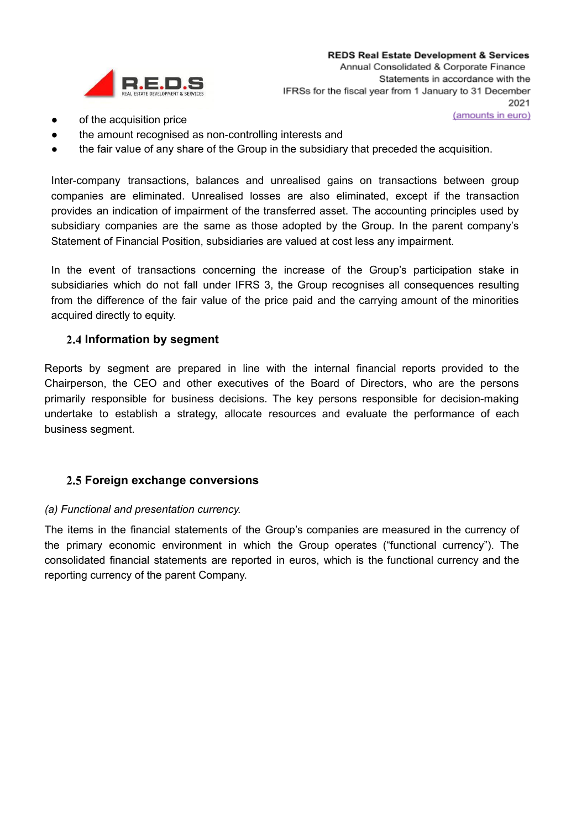

- of the acquisition price
- the amount recognised as non-controlling interests and
- the fair value of any share of the Group in the subsidiary that preceded the acquisition.

Inter-company transactions, balances and unrealised gains on transactions between group companies are eliminated. Unrealised losses are also eliminated, except if the transaction provides an indication of impairment of the transferred asset. The accounting principles used by subsidiary companies are the same as those adopted by the Group. In the parent company's Statement of Financial Position, subsidiaries are valued at cost less any impairment.

In the event of transactions concerning the increase of the Group's participation stake in subsidiaries which do not fall under IFRS 3, the Group recognises all consequences resulting from the difference of the fair value of the price paid and the carrying amount of the minorities acquired directly to equity.

#### **Information by segment**

<span id="page-87-0"></span>Reports by segment are prepared in line with the internal financial reports provided to the Chairperson, the CEO and other executives of the Board of Directors, who are the persons primarily responsible for business decisions. The key persons responsible for decision-making undertake to establish a strategy, allocate resources and evaluate the performance of each business segment.

#### **Foreign exchange conversions**

#### <span id="page-87-1"></span>*(a) Functional and presentation currency.*

The items in the financial statements of the Group's companies are measured in the currency of the primary economic environment in which the Group operates ("functional currency"). The consolidated financial statements are reported in euros, which is the functional currency and the reporting currency of the parent Company.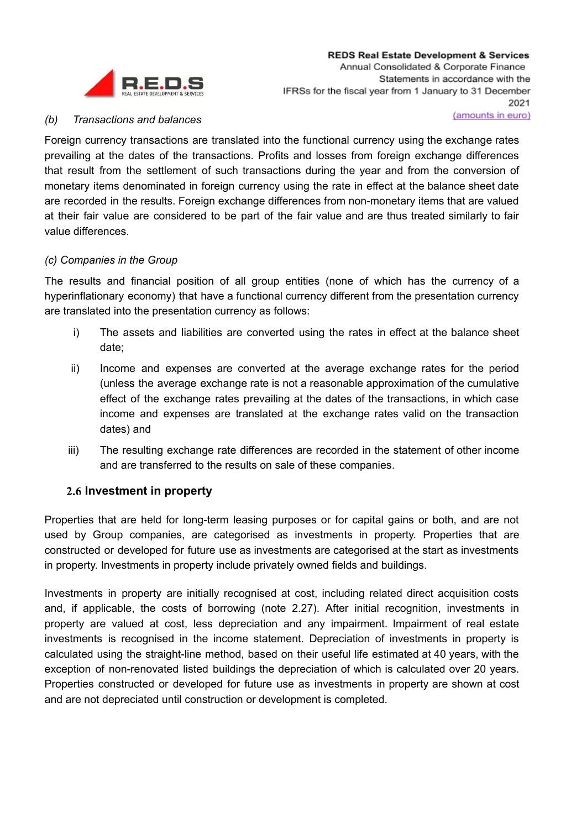

#### *(b) Transactions and balances*

Foreign currency transactions are translated into the functional currency using the exchange rates prevailing at the dates of the transactions. Profits and losses from foreign exchange differences that result from the settlement of such transactions during the year and from the conversion of monetary items denominated in foreign currency using the rate in effect at the balance sheet date are recorded in the results. Foreign exchange differences from non-monetary items that are valued at their fair value are considered to be part of the fair value and are thus treated similarly to fair value differences.

#### *(c) Companies in the Group*

The results and financial position of all group entities (none of which has the currency of a hyperinflationary economy) that have a functional currency different from the presentation currency are translated into the presentation currency as follows:

- i) The assets and liabilities are converted using the rates in effect at the balance sheet date;
- ii) Income and expenses are converted at the average exchange rates for the period (unless the average exchange rate is not a reasonable approximation of the cumulative effect of the exchange rates prevailing at the dates of the transactions, in which case income and expenses are translated at the exchange rates valid on the transaction dates) and
- iii) The resulting exchange rate differences are recorded in the statement of other income and are transferred to the results on sale of these companies.

#### **Investment in property**

<span id="page-88-0"></span>Properties that are held for long-term leasing purposes or for capital gains or both, and are not used by Group companies, are categorised as investments in property. Properties that are constructed or developed for future use as investments are categorised at the start as investments in property. Investments in property include privately owned fields and buildings.

Investments in property are initially recognised at cost, including related direct acquisition costs and, if applicable, the costs of borrowing (note 2.27). After initial recognition, investments in property are valued at cost, less depreciation and any impairment. Impairment of real estate investments is recognised in the income statement. Depreciation of investments in property is calculated using the straight-line method, based on their useful life estimated at 40 years, with the exception of non-renovated listed buildings the depreciation of which is calculated over 20 years. Properties constructed or developed for future use as investments in property are shown at cost and are not depreciated until construction or development is completed.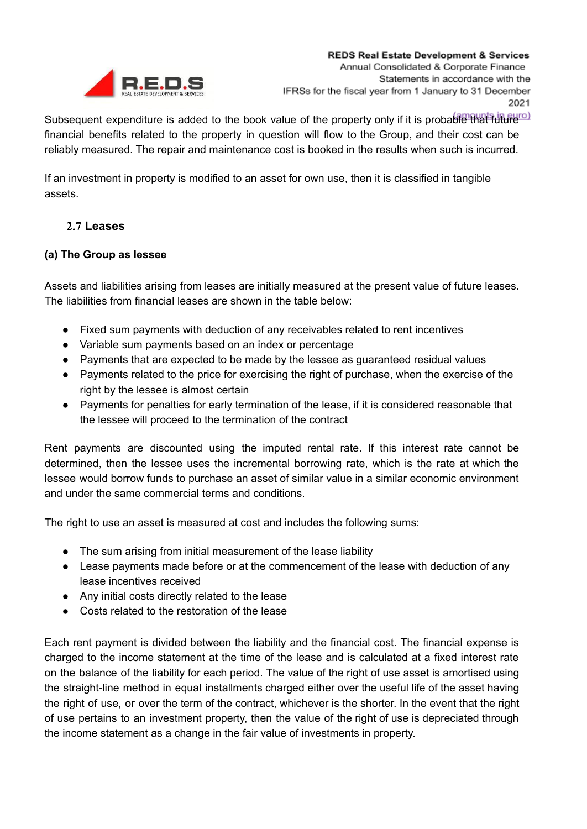

Subsequent expenditure is added to the book value of the property only if it is probable that future in financial benefits related to the property in question will flow to the Group, and their cost can be reliably measured. The repair and maintenance cost is booked in the results when such is incurred.

If an investment in property is modified to an asset for own use, then it is classified in tangible assets.

# **Leases**

#### <span id="page-89-0"></span>**(a) The Group as lessee**

Assets and liabilities arising from leases are initially measured at the present value of future leases. The liabilities from financial leases are shown in the table below:

- Fixed sum payments with deduction of any receivables related to rent incentives
- Variable sum payments based on an index or percentage
- Payments that are expected to be made by the lessee as guaranteed residual values
- Payments related to the price for exercising the right of purchase, when the exercise of the right by the lessee is almost certain
- Payments for penalties for early termination of the lease, if it is considered reasonable that the lessee will proceed to the termination of the contract

Rent payments are discounted using the imputed rental rate. If this interest rate cannot be determined, then the lessee uses the incremental borrowing rate, which is the rate at which the lessee would borrow funds to purchase an asset of similar value in a similar economic environment and under the same commercial terms and conditions.

The right to use an asset is measured at cost and includes the following sums:

- The sum arising from initial measurement of the lease liability
- Lease payments made before or at the commencement of the lease with deduction of any lease incentives received
- Any initial costs directly related to the lease
- Costs related to the restoration of the lease

Each rent payment is divided between the liability and the financial cost. The financial expense is charged to the income statement at the time of the lease and is calculated at a fixed interest rate on the balance of the liability for each period. The value of the right of use asset is amortised using the straight-line method in equal installments charged either over the useful life of the asset having the right of use, or over the term of the contract, whichever is the shorter. In the event that the right of use pertains to an investment property, then the value of the right of use is depreciated through the income statement as a change in the fair value of investments in property.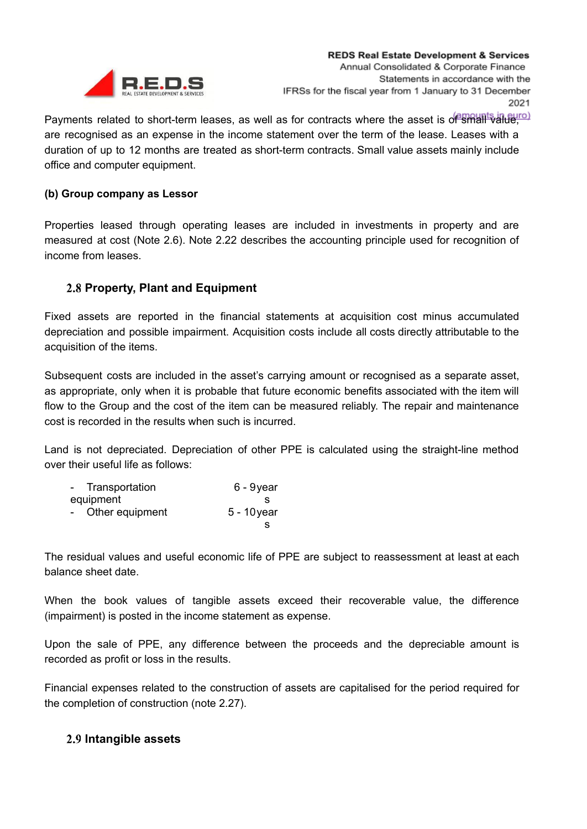

Payments related to short-term leases, as well as for contracts where the asset is of small value, are recognised as an expense in the income statement over the term of the lease. Leases with a duration of up to 12 months are treated as short-term contracts. Small value assets mainly include office and computer equipment.

#### **(b) Group company as Lessor**

Properties leased through operating leases are included in investments in property and are measured at cost (Note 2.6). Note 2.22 describes the accounting principle used for recognition of income from leases.

### **Property, Plant and Equipment**

<span id="page-90-0"></span>Fixed assets are reported in the financial statements at acquisition cost minus accumulated depreciation and possible impairment. Acquisition costs include all costs directly attributable to the acquisition of the items.

Subsequent costs are included in the asset's carrying amount or recognised as a separate asset, as appropriate, only when it is probable that future economic benefits associated with the item will flow to the Group and the cost of the item can be measured reliably. The repair and maintenance cost is recorded in the results when such is incurred.

Land is not depreciated. Depreciation of other PPE is calculated using the straight-line method over their useful life as follows:

| - Transportation | $6 - 9$ year  |
|------------------|---------------|
| equipment        |               |
| Other equipment  | $5 - 10$ year |
|                  | s             |

The residual values and useful economic life of PPE are subject to reassessment at least at each balance sheet date.

When the book values of tangible assets exceed their recoverable value, the difference (impairment) is posted in the income statement as expense.

Upon the sale of PPE, any difference between the proceeds and the depreciable amount is recorded as profit or loss in the results.

<span id="page-90-1"></span>Financial expenses related to the construction of assets are capitalised for the period required for the completion of construction (note 2.27).

#### **Intangible assets**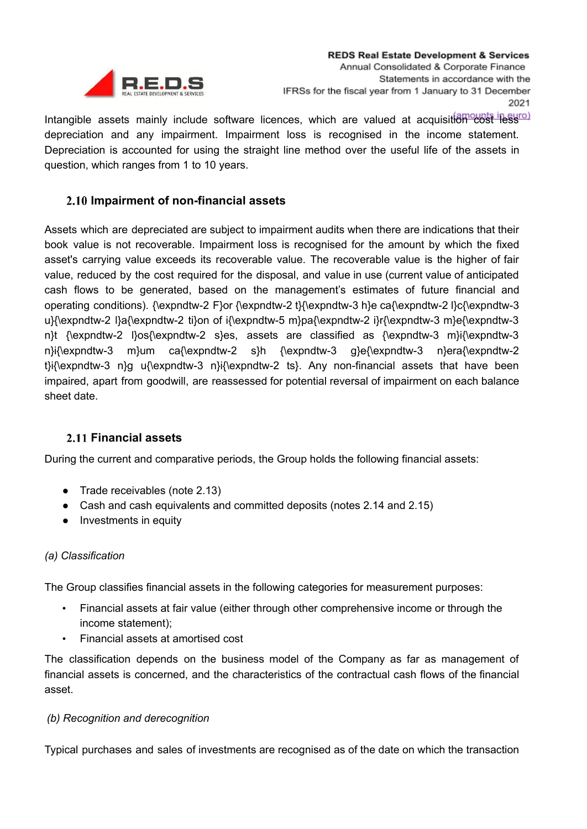

Intangible assets mainly include software licences, which are valued at acquisition cost lessrol depreciation and any impairment. Impairment loss is recognised in the income statement. Depreciation is accounted for using the straight line method over the useful life of the assets in question, which ranges from 1 to 10 years.

#### **Impairment of non-financial assets**

<span id="page-91-0"></span>Assets which are depreciated are subject to impairment audits when there are indications that their book value is not recoverable. Impairment loss is recognised for the amount by which the fixed asset's carrying value exceeds its recoverable value. The recoverable value is the higher of fair value, reduced by the cost required for the disposal, and value in use (current value of anticipated cash flows to be generated, based on the management's estimates of future financial and operating conditions). {\expndtw-2 F}or {\expndtw-2 t}{\expndtw-3 h}e ca{\expndtw-2 l}c{\expndtw-3 u}{\expndtw-2 l}a{\expndtw-2 ti}on of i{\expndtw-5 m}pa{\expndtw-2 i}r{\expndtw-3 m}e{\expndtw-3 n}t {\expndtw-2 l}os{\expndtw-2 s}es, assets are classified as {\expndtw-3 m}i{\expndtw-3 n}i{\expndtw-3 m}um ca{\expndtw-2 s}h {\expndtw-3 g}e{\expndtw-3 n}era{\expndtw-2 t}i{\expndtw-3 n}g u{\expndtw-3 n}i{\expndtw-2 ts}. Any non-financial assets that have been impaired, apart from goodwill, are reassessed for potential reversal of impairment on each balance sheet date.

#### 2.11 Financial assets

<span id="page-91-1"></span>During the current and comparative periods, the Group holds the following financial assets:

- Trade receivables (note 2.13)
- Cash and cash equivalents and committed deposits (notes 2.14 and 2.15)
- Investments in equity

#### *(a) Classification*

The Group classifies financial assets in the following categories for measurement purposes:

- Financial assets at fair value (either through other comprehensive income or through the income statement);
- Financial assets at amortised cost

The classification depends on the business model of the Company as far as management of financial assets is concerned, and the characteristics of the contractual cash flows of the financial asset.

#### *(b) Recognition and derecognition*

Typical purchases and sales of investments are recognised as of the date on which the transaction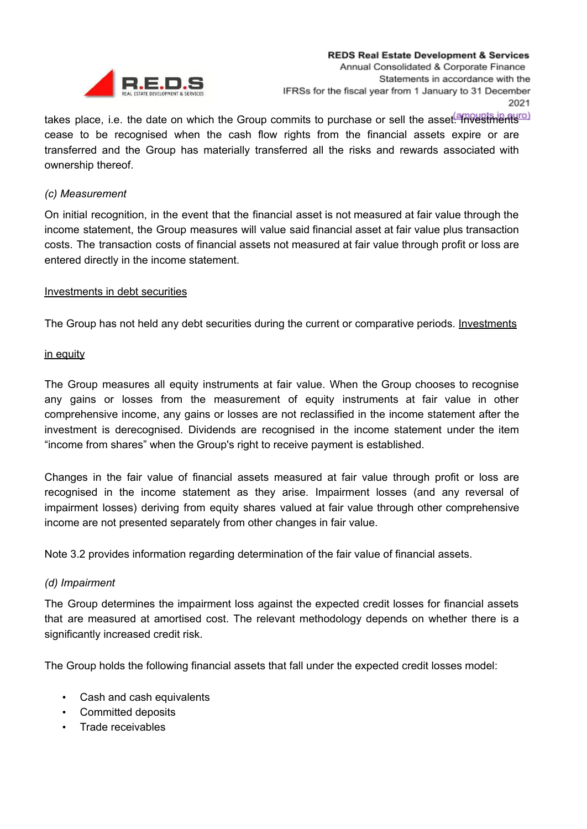

takes place, i.e. the date on which the Group commits to purchase or sell the asset.<sup>4</sup> investiments<sup>to)</sup> cease to be recognised when the cash flow rights from the financial assets expire or are transferred and the Group has materially transferred all the risks and rewards associated with ownership thereof.

#### *(c) Measurement*

On initial recognition, in the event that the financial asset is not measured at fair value through the income statement, the Group measures will value said financial asset at fair value plus transaction costs. The transaction costs of financial assets not measured at fair value through profit or loss are entered directly in the income statement.

#### Investments in debt securities

The Group has not held any debt securities during the current or comparative periods. Investments

#### in equity

The Group measures all equity instruments at fair value. When the Group chooses to recognise any gains or losses from the measurement of equity instruments at fair value in other comprehensive income, any gains or losses are not reclassified in the income statement after the investment is derecognised. Dividends are recognised in the income statement under the item "income from shares" when the Group's right to receive payment is established.

Changes in the fair value of financial assets measured at fair value through profit or loss are recognised in the income statement as they arise. Impairment losses (and any reversal of impairment losses) deriving from equity shares valued at fair value through other comprehensive income are not presented separately from other changes in fair value.

Note 3.2 provides information regarding determination of the fair value of financial assets.

#### *(d) Impairment*

The Group determines the impairment loss against the expected credit losses for financial assets that are measured at amortised cost. The relevant methodology depends on whether there is a significantly increased credit risk.

The Group holds the following financial assets that fall under the expected credit losses model:

- Cash and cash equivalents
- Committed deposits
- Trade receivables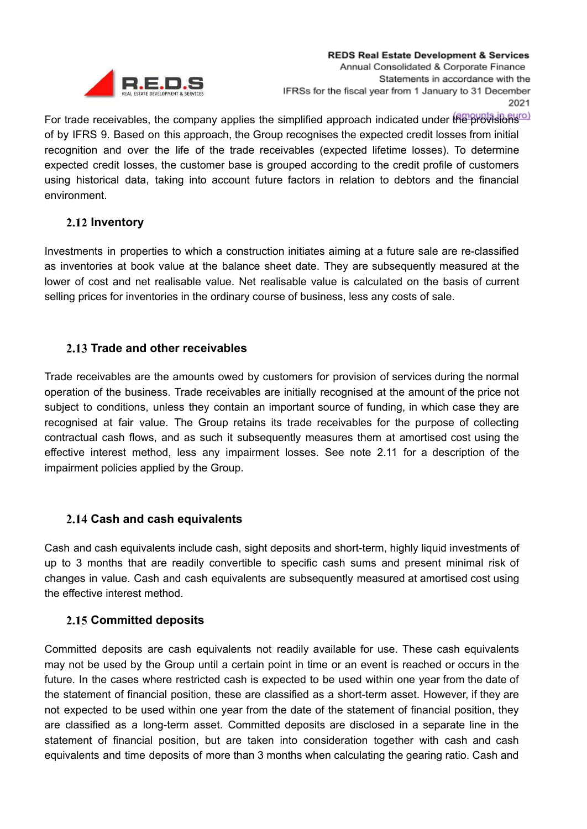

For trade receivables, the company applies the simplified approach indicated under the provisions of by IFRS 9. Based on this approach, the Group recognises the expected credit losses from initial recognition and over the life of the trade receivables (expected lifetime losses). To determine expected credit losses, the customer base is grouped according to the credit profile of customers using historical data, taking into account future factors in relation to debtors and the financial environment.

#### **2.12 Inventory**

<span id="page-93-0"></span>Investments in properties to which a construction initiates aiming at a future sale are re-classified as inventories at book value at the balance sheet date. They are subsequently measured at the lower of cost and net realisable value. Net realisable value is calculated on the basis of current selling prices for inventories in the ordinary course of business, less any costs of sale.

#### **Trade and other receivables**

<span id="page-93-1"></span>Trade receivables are the amounts owed by customers for provision of services during the normal operation of the business. Trade receivables are initially recognised at the amount of the price not subject to conditions, unless they contain an important source of funding, in which case they are recognised at fair value. The Group retains its trade receivables for the purpose of collecting contractual cash flows, and as such it subsequently measures them at amortised cost using the effective interest method, less any impairment losses. See note 2.11 for a description of the impairment policies applied by the Group.

#### **Cash and cash equivalents**

<span id="page-93-2"></span>Cash and cash equivalents include cash, sight deposits and short-term, highly liquid investments of up to 3 months that are readily convertible to specific cash sums and present minimal risk of changes in value. Cash and cash equivalents are subsequently measured at amortised cost using the effective interest method.

### **Committed deposits**

<span id="page-93-3"></span>Committed deposits are cash equivalents not readily available for use. These cash equivalents may not be used by the Group until a certain point in time or an event is reached or occurs in the future. In the cases where restricted cash is expected to be used within one year from the date of the statement of financial position, these are classified as a short-term asset. However, if they are not expected to be used within one year from the date of the statement of financial position, they are classified as a long-term asset. Committed deposits are disclosed in a separate line in the statement of financial position, but are taken into consideration together with cash and cash equivalents and time deposits of more than 3 months when calculating the gearing ratio. Cash and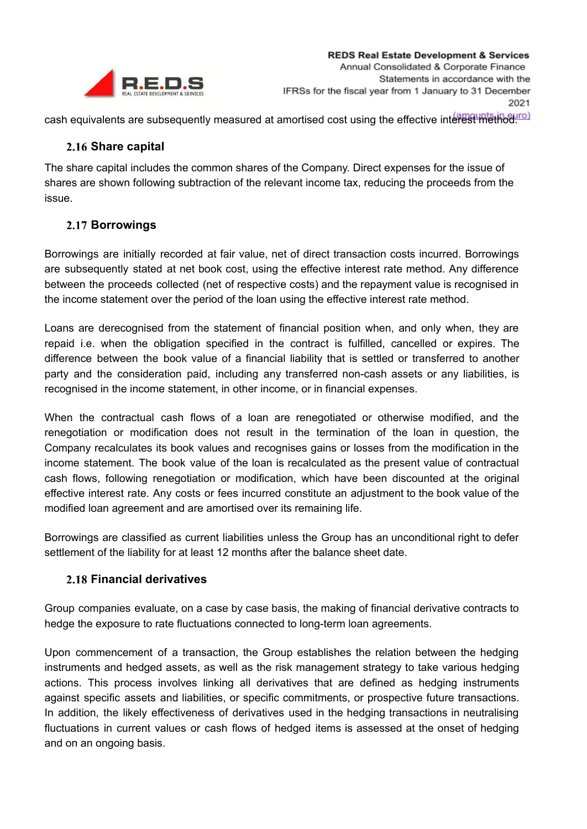

cash equivalents are subsequently measured at amortised cost using the effective interest method.<sup>ro)</sup>

#### 2.16 Share capital

<span id="page-94-0"></span>The share capital includes the common shares of the Company. Direct expenses for the issue of shares are shown following subtraction of the relevant income tax, reducing the proceeds from the issue.

### 2.17 Borrowings

<span id="page-94-1"></span>Borrowings are initially recorded at fair value, net of direct transaction costs incurred. Borrowings are subsequently stated at net book cost, using the effective interest rate method. Any difference between the proceeds collected (net of respective costs) and the repayment value is recognised in the income statement over the period of the loan using the effective interest rate method.

Loans are derecognised from the statement of financial position when, and only when, they are repaid i.e. when the obligation specified in the contract is fulfilled, cancelled or expires. The difference between the book value of a financial liability that is settled or transferred to another party and the consideration paid, including any transferred non-cash assets or any liabilities, is recognised in the income statement, in other income, or in financial expenses.

When the contractual cash flows of a loan are renegotiated or otherwise modified, and the renegotiation or modification does not result in the termination of the loan in question, the Company recalculates its book values and recognises gains or losses from the modification in the income statement. The book value of the loan is recalculated as the present value of contractual cash flows, following renegotiation or modification, which have been discounted at the original effective interest rate. Any costs or fees incurred constitute an adjustment to the book value of the modified loan agreement and are amortised over its remaining life.

Borrowings are classified as current liabilities unless the Group has an unconditional right to defer settlement of the liability for at least 12 months after the balance sheet date.

#### **Financial derivatives**

<span id="page-94-2"></span>Group companies evaluate, on a case by case basis, the making of financial derivative contracts to hedge the exposure to rate fluctuations connected to long-term loan agreements.

Upon commencement of a transaction, the Group establishes the relation between the hedging instruments and hedged assets, as well as the risk management strategy to take various hedging actions. This process involves linking all derivatives that are defined as hedging instruments against specific assets and liabilities, or specific commitments, or prospective future transactions. In addition, the likely effectiveness of derivatives used in the hedging transactions in neutralising fluctuations in current values or cash flows of hedged items is assessed at the onset of hedging and on an ongoing basis.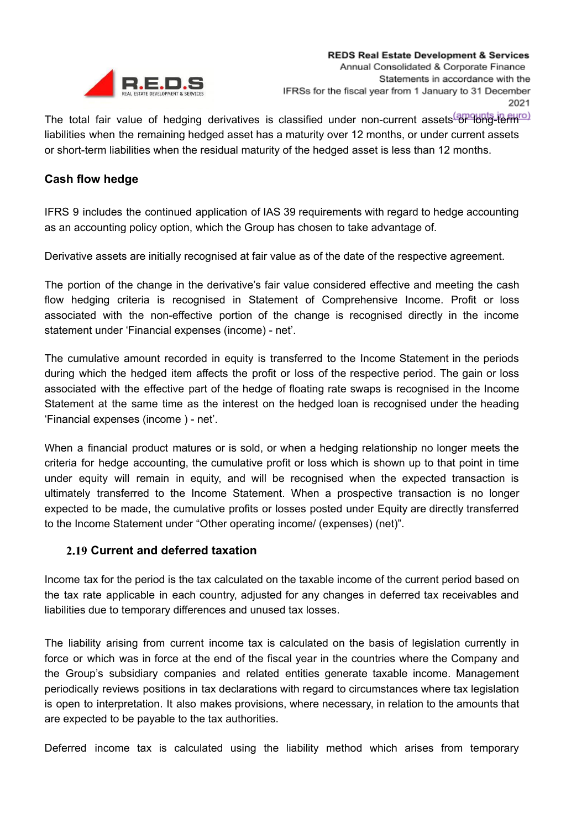

The total fair value of hedging derivatives is classified under non-current assets <sup>[31] The</sup> liabilities when the remaining hedged asset has a maturity over 12 months, or under current assets or short-term liabilities when the residual maturity of the hedged asset is less than 12 months.

#### **Cash flow hedge**

IFRS 9 includes the continued application of IAS 39 requirements with regard to hedge accounting as an accounting policy option, which the Group has chosen to take advantage of.

Derivative assets are initially recognised at fair value as of the date of the respective agreement.

The portion of the change in the derivative's fair value considered effective and meeting the cash flow hedging criteria is recognised in Statement of Comprehensive Income. Profit or loss associated with the non-effective portion of the change is recognised directly in the income statement under 'Financial expenses (income) - net'.

The cumulative amount recorded in equity is transferred to the Income Statement in the periods during which the hedged item affects the profit or loss of the respective period. The gain or loss associated with the effective part of the hedge of floating rate swaps is recognised in the Income Statement at the same time as the interest on the hedged loan is recognised under the heading 'Financial expenses (income ) - net'.

When a financial product matures or is sold, or when a hedging relationship no longer meets the criteria for hedge accounting, the cumulative profit or loss which is shown up to that point in time under equity will remain in equity, and will be recognised when the expected transaction is ultimately transferred to the Income Statement. When a prospective transaction is no longer expected to be made, the cumulative profits or losses posted under Equity are directly transferred to the Income Statement under "Other operating income/ (expenses) (net)".

#### **Current and deferred taxation**

<span id="page-95-0"></span>Income tax for the period is the tax calculated on the taxable income of the current period based on the tax rate applicable in each country, adjusted for any changes in deferred tax receivables and liabilities due to temporary differences and unused tax losses.

The liability arising from current income tax is calculated on the basis of legislation currently in force or which was in force at the end of the fiscal year in the countries where the Company and the Group's subsidiary companies and related entities generate taxable income. Management periodically reviews positions in tax declarations with regard to circumstances where tax legislation is open to interpretation. It also makes provisions, where necessary, in relation to the amounts that are expected to be payable to the tax authorities.

Deferred income tax is calculated using the liability method which arises from temporary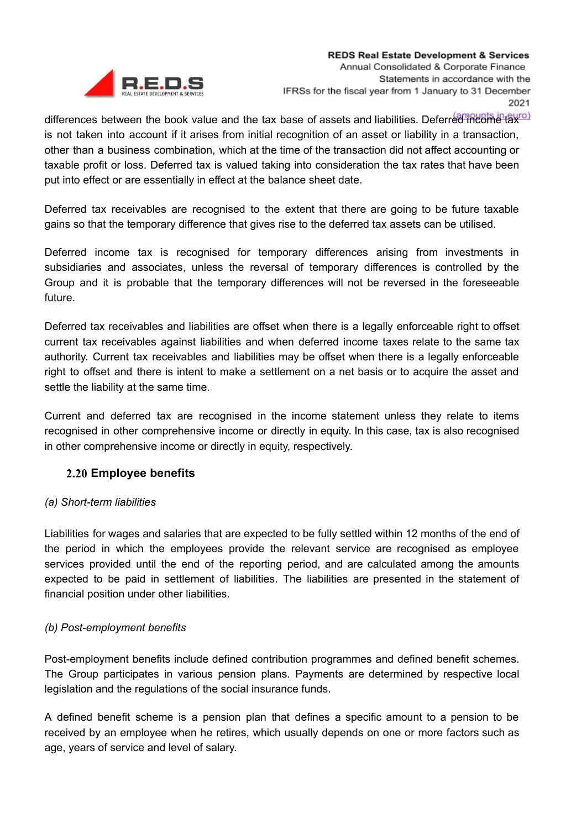

differences between the book value and the tax base of assets and liabilities. Deferred income tax is not taken into account if it arises from initial recognition of an asset or liability in a transaction, other than a business combination, which at the time of the transaction did not affect accounting or taxable profit or loss. Deferred tax is valued taking into consideration the tax rates that have been put into effect or are essentially in effect at the balance sheet date.

Deferred tax receivables are recognised to the extent that there are going to be future taxable gains so that the temporary difference that gives rise to the deferred tax assets can be utilised.

Deferred income tax is recognised for temporary differences arising from investments in subsidiaries and associates, unless the reversal of temporary differences is controlled by the Group and it is probable that the temporary differences will not be reversed in the foreseeable future.

Deferred tax receivables and liabilities are offset when there is a legally enforceable right to offset current tax receivables against liabilities and when deferred income taxes relate to the same tax authority. Current tax receivables and liabilities may be offset when there is a legally enforceable right to offset and there is intent to make a settlement on a net basis or to acquire the asset and settle the liability at the same time.

Current and deferred tax are recognised in the income statement unless they relate to items recognised in other comprehensive income or directly in equity. In this case, tax is also recognised in other comprehensive income or directly in equity, respectively.

### **Employee benefits**

#### <span id="page-96-0"></span>*(a) Short-term liabilities*

Liabilities for wages and salaries that are expected to be fully settled within 12 months of the end of the period in which the employees provide the relevant service are recognised as employee services provided until the end of the reporting period, and are calculated among the amounts expected to be paid in settlement of liabilities. The liabilities are presented in the statement of financial position under other liabilities.

#### *(b) Post-employment benefits*

Post-employment benefits include defined contribution programmes and defined benefit schemes. The Group participates in various pension plans. Payments are determined by respective local legislation and the regulations of the social insurance funds.

A defined benefit scheme is a pension plan that defines a specific amount to a pension to be received by an employee when he retires, which usually depends on one or more factors such as age, years of service and level of salary.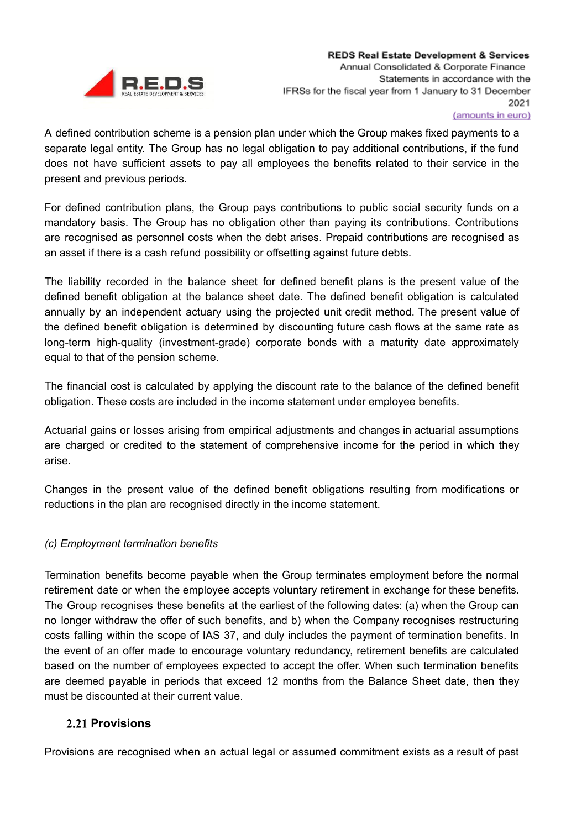

A defined contribution scheme is a pension plan under which the Group makes fixed payments to a separate legal entity. The Group has no legal obligation to pay additional contributions, if the fund does not have sufficient assets to pay all employees the benefits related to their service in the present and previous periods.

For defined contribution plans, the Group pays contributions to public social security funds on a mandatory basis. The Group has no obligation other than paying its contributions. Contributions are recognised as personnel costs when the debt arises. Prepaid contributions are recognised as an asset if there is a cash refund possibility or offsetting against future debts.

The liability recorded in the balance sheet for defined benefit plans is the present value of the defined benefit obligation at the balance sheet date. The defined benefit obligation is calculated annually by an independent actuary using the projected unit credit method. The present value of the defined benefit obligation is determined by discounting future cash flows at the same rate as long-term high-quality (investment-grade) corporate bonds with a maturity date approximately equal to that of the pension scheme.

The financial cost is calculated by applying the discount rate to the balance of the defined benefit obligation. These costs are included in the income statement under employee benefits.

Actuarial gains or losses arising from empirical adjustments and changes in actuarial assumptions are charged or credited to the statement of comprehensive income for the period in which they arise.

Changes in the present value of the defined benefit obligations resulting from modifications or reductions in the plan are recognised directly in the income statement.

#### *(c) Employment termination benefits*

Termination benefits become payable when the Group terminates employment before the normal retirement date or when the employee accepts voluntary retirement in exchange for these benefits. The Group recognises these benefits at the earliest of the following dates: (a) when the Group can no longer withdraw the offer of such benefits, and b) when the Company recognises restructuring costs falling within the scope of IAS 37, and duly includes the payment of termination benefits. In the event of an offer made to encourage voluntary redundancy, retirement benefits are calculated based on the number of employees expected to accept the offer. When such termination benefits are deemed payable in periods that exceed 12 months from the Balance Sheet date, then they must be discounted at their current value.

#### **2.21 Provisions**

<span id="page-97-0"></span>Provisions are recognised when an actual legal or assumed commitment exists as a result of past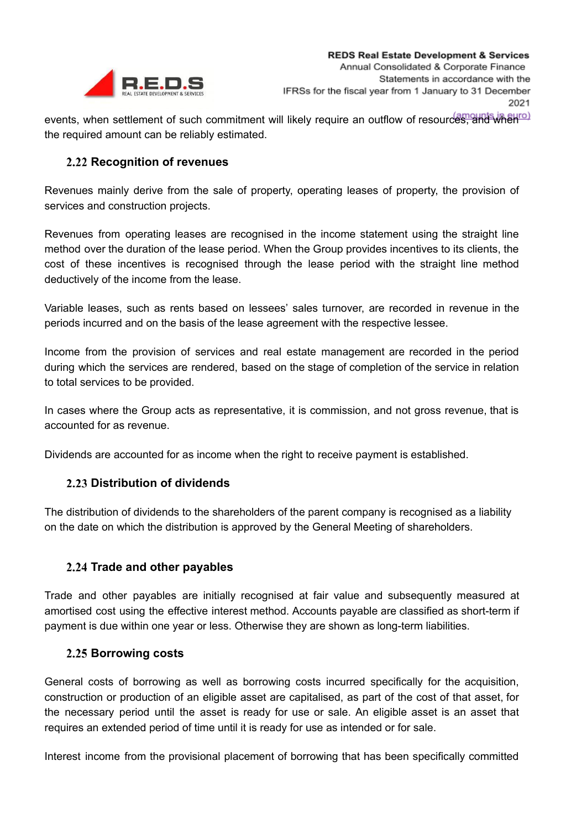

events, when settlement of such commitment will likely require an outflow of resources, and when the required amount can be reliably estimated.

#### **2.22 Recognition of revenues**

<span id="page-98-0"></span>Revenues mainly derive from the sale of property, operating leases of property, the provision of services and construction projects.

Revenues from operating leases are recognised in the income statement using the straight line method over the duration of the lease period. When the Group provides incentives to its clients, the cost of these incentives is recognised through the lease period with the straight line method deductively of the income from the lease.

Variable leases, such as rents based on lessees' sales turnover, are recorded in revenue in the periods incurred and on the basis of the lease agreement with the respective lessee.

Income from the provision of services and real estate management are recorded in the period during which the services are rendered, based on the stage of completion of the service in relation to total services to be provided.

In cases where the Group acts as representative, it is commission, and not gross revenue, that is accounted for as revenue.

<span id="page-98-1"></span>Dividends are accounted for as income when the right to receive payment is established.

#### **Distribution of dividends**

The distribution of dividends to the shareholders of the parent company is recognised as a liability on the date on which the distribution is approved by the General Meeting of shareholders.

#### **Trade and other payables**

<span id="page-98-2"></span>Trade and other payables are initially recognised at fair value and subsequently measured at amortised cost using the effective interest method. Accounts payable are classified as short-term if payment is due within one year or less. Otherwise they are shown as long-term liabilities.

#### 2.25 Borrowing costs

<span id="page-98-3"></span>General costs of borrowing as well as borrowing costs incurred specifically for the acquisition, construction or production of an eligible asset are capitalised, as part of the cost of that asset, for the necessary period until the asset is ready for use or sale. An eligible asset is an asset that requires an extended period of time until it is ready for use as intended or for sale.

Interest income from the provisional placement of borrowing that has been specifically committed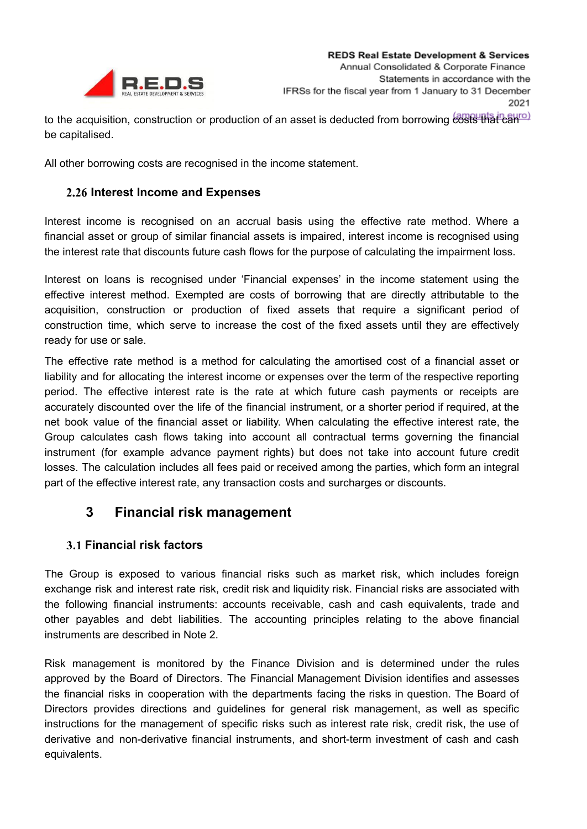

to the acquisition, construction or production of an asset is deducted from borrowing costs that canno be capitalised.

<span id="page-99-0"></span>All other borrowing costs are recognised in the income statement.

#### **Interest Income and Expenses**

Interest income is recognised on an accrual basis using the effective rate method. Where a financial asset or group of similar financial assets is impaired, interest income is recognised using the interest rate that discounts future cash flows for the purpose of calculating the impairment loss.

Interest on loans is recognised under 'Financial expenses' in the income statement using the effective interest method. Exempted are costs of borrowing that are directly attributable to the acquisition, construction or production of fixed assets that require a significant period of construction time, which serve to increase the cost of the fixed assets until they are effectively ready for use or sale.

The effective rate method is a method for calculating the amortised cost of a financial asset or liability and for allocating the interest income or expenses over the term of the respective reporting period. The effective interest rate is the rate at which future cash payments or receipts are accurately discounted over the life of the financial instrument, or a shorter period if required, at the net book value of the financial asset or liability. When calculating the effective interest rate, the Group calculates cash flows taking into account all contractual terms governing the financial instrument (for example advance payment rights) but does not take into account future credit losses. The calculation includes all fees paid or received among the parties, which form an integral part of the effective interest rate, any transaction costs and surcharges or discounts.

# **3 Financial risk management**

### <span id="page-99-1"></span>**Financial risk factors**

<span id="page-99-2"></span>The Group is exposed to various financial risks such as market risk, which includes foreign exchange risk and interest rate risk, credit risk and liquidity risk. Financial risks are associated with the following financial instruments: accounts receivable, cash and cash equivalents, trade and other payables and debt liabilities. The accounting principles relating to the above financial instruments are described in Note 2.

Risk management is monitored by the Finance Division and is determined under the rules approved by the Board of Directors. The Financial Management Division identifies and assesses the financial risks in cooperation with the departments facing the risks in question. The Board of Directors provides directions and guidelines for general risk management, as well as specific instructions for the management of specific risks such as interest rate risk, credit risk, the use of derivative and non-derivative financial instruments, and short-term investment of cash and cash equivalents.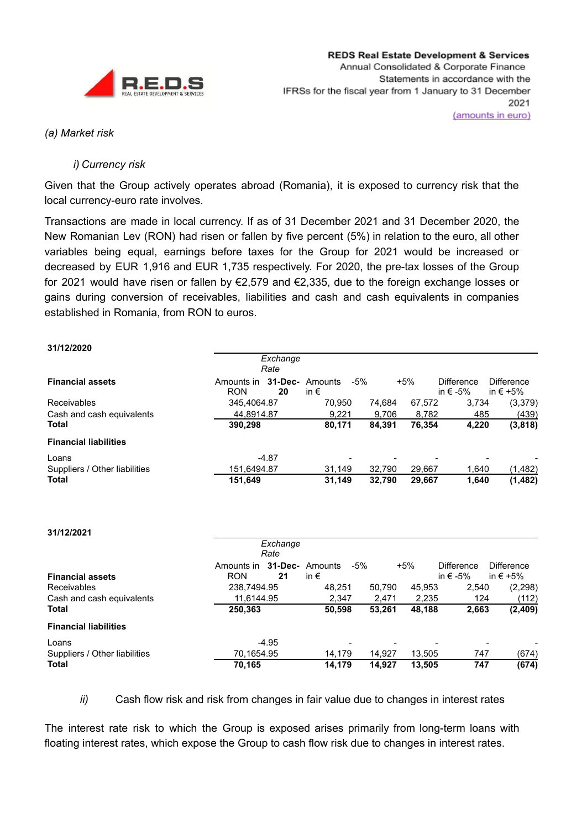

#### *(a) Market risk*

#### *i) Currency risk*

Given that the Group actively operates abroad (Romania), it is exposed to currency risk that the local currency-euro rate involves.

Transactions are made in local currency. If as of 31 December 2021 and 31 December 2020, the New Romanian Lev (RON) had risen or fallen by five percent (5%) in relation to the euro, all other variables being equal, earnings before taxes for the Group for 2021 would be increased or decreased by EUR 1,916 and EUR 1,735 respectively. For 2020, the pre-tax losses of the Group for 2021 would have risen or fallen by €2,579 and €2,335, due to the foreign exchange losses or gains during conversion of receivables, liabilities and cash and cash equivalents in companies established in Romania, from RON to euros.

#### **31/12/2020**

|                               | Exchange         |                                  |        |        |                   |                   |
|-------------------------------|------------------|----------------------------------|--------|--------|-------------------|-------------------|
|                               | Rate             |                                  |        |        |                   |                   |
| <b>Financial assets</b>       | Amounts in       | <b>31-Dec-</b> Amounts<br>$-5\%$ |        | $+5%$  | Difference        | Difference        |
|                               | <b>RON</b><br>20 | in $\epsilon$                    |        |        | in $\epsilon$ -5% | in $\epsilon$ +5% |
| Receivables                   | 345,4064.87      | 70.950                           | 74.684 | 67.572 | 3,734             | (3,379)           |
| Cash and cash equivalents     | 44.8914.87       | 9,221                            | 9.706  | 8,782  | 485               | (439)             |
| <b>Total</b>                  | 390.298          | 80.171                           | 84.391 | 76.354 | 4,220             | (3,818)           |
| <b>Financial liabilities</b>  |                  |                                  |        |        |                   |                   |
| Loans                         | $-4.87$          |                                  |        |        |                   |                   |
| Suppliers / Other liabilities | 151,6494.87      | 31,149                           | 32.790 | 29,667 | 1,640             | (1,482)           |
| <b>Total</b>                  | 151,649          | 31,149                           | 32,790 | 29,667 | 1,640             | (1, 482)          |

#### **31/12/2021**

|                               | Exchange<br>Rate                          |                          |        |        |                                 |                                 |
|-------------------------------|-------------------------------------------|--------------------------|--------|--------|---------------------------------|---------------------------------|
| <b>Financial assets</b>       | 31-Dec-<br>Amounts in<br><b>RON</b><br>21 | Amounts<br>in $\epsilon$ | $-5\%$ | $+5%$  | Difference<br>in $\epsilon$ -5% | Difference<br>in $\epsilon$ +5% |
| <b>Receivables</b>            | 238.7494.95                               | 48.251                   | 50.790 | 45.953 | 2.540                           | (2,298)                         |
| Cash and cash equivalents     | 11,6144.95                                | 2,347                    | 2,471  | 2,235  | 124                             | (112)                           |
| <b>Total</b>                  | 250,363                                   | 50,598                   | 53.261 | 48.188 | 2,663                           | (2, 409)                        |
| <b>Financial liabilities</b>  |                                           |                          |        |        |                                 |                                 |
| Loans                         | $-4.95$                                   |                          |        |        |                                 |                                 |
| Suppliers / Other liabilities | 70.1654.95                                | 14.179                   | 14.927 | 13.505 | 747                             | (674)                           |
| <b>Total</b>                  | 70,165                                    | 14.179                   | 14.927 | 13.505 | 747                             | (674)                           |

*ii)* Cash flow risk and risk from changes in fair value due to changes in interest rates

The interest rate risk to which the Group is exposed arises primarily from long-term loans with floating interest rates, which expose the Group to cash flow risk due to changes in interest rates.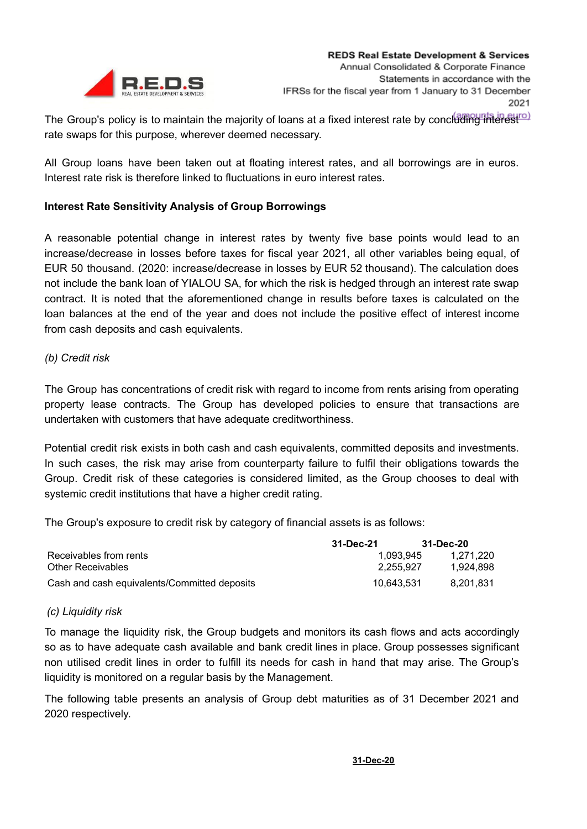

The Group's policy is to maintain the majority of loans at a fixed interest rate by concluding interestion rate swaps for this purpose, wherever deemed necessary.

All Group loans have been taken out at floating interest rates, and all borrowings are in euros. Interest rate risk is therefore linked to fluctuations in euro interest rates.

#### **Interest Rate Sensitivity Analysis of Group Borrowings**

A reasonable potential change in interest rates by twenty five base points would lead to an increase/decrease in losses before taxes for fiscal year 2021, all other variables being equal, of EUR 50 thousand. (2020: increase/decrease in losses by EUR 52 thousand). The calculation does not include the bank loan of YIALOU SA, for which the risk is hedged through an interest rate swap contract. It is noted that the aforementioned change in results before taxes is calculated on the loan balances at the end of the year and does not include the positive effect of interest income from cash deposits and cash equivalents.

#### *(b) Credit risk*

The Group has concentrations of credit risk with regard to income from rents arising from operating property lease contracts. The Group has developed policies to ensure that transactions are undertaken with customers that have adequate creditworthiness.

Potential credit risk exists in both cash and cash equivalents, committed deposits and investments. In such cases, the risk may arise from counterparty failure to fulfil their obligations towards the Group. Credit risk of these categories is considered limited, as the Group chooses to deal with systemic credit institutions that have a higher credit rating.

The Group's exposure to credit risk by category of financial assets is as follows:

|                                              | 31-Dec-21  | 31-Dec-20 |
|----------------------------------------------|------------|-----------|
| Receivables from rents                       | 1.093.945  | 1.271.220 |
| <b>Other Receivables</b>                     | 2.255.927  | 1.924.898 |
| Cash and cash equivalents/Committed deposits | 10.643.531 | 8.201.831 |

#### *(c) Liquidity risk*

To manage the liquidity risk, the Group budgets and monitors its cash flows and acts accordingly so as to have adequate cash available and bank credit lines in place. Group possesses significant non utilised credit lines in order to fulfill its needs for cash in hand that may arise. The Group's liquidity is monitored on a regular basis by the Management.

The following table presents an analysis of Group debt maturities as of 31 December 2021 and 2020 respectively.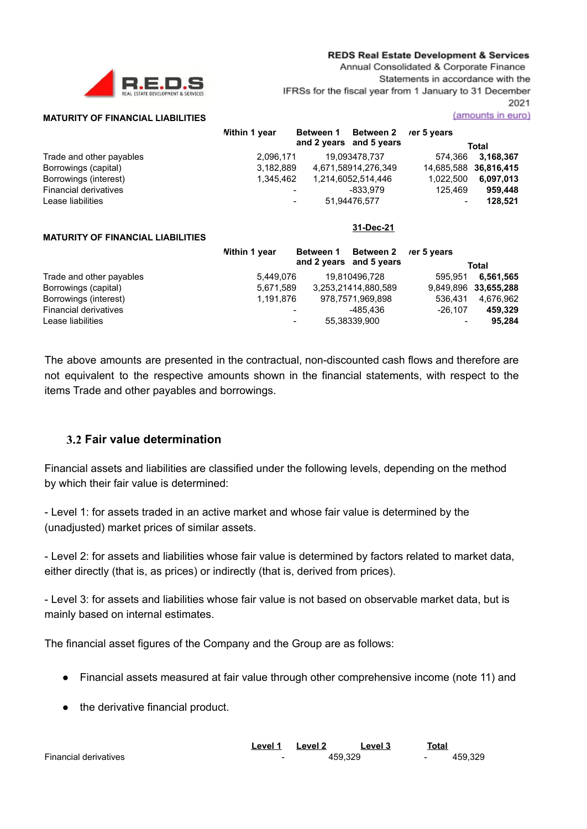#### **REDS Real Estate Development & Services**



Annual Consolidated & Corporate Finance Statements in accordance with the IFRSs for the fiscal year from 1 January to 31 December 2021 (amounts in euro)

#### **MATURITY OF FINANCIAL LIABILITIES**

|                          | <b>Nithin 1 year</b> | Between 1                | Between 2 rer 5 years |           |                       |
|--------------------------|----------------------|--------------------------|-----------------------|-----------|-----------------------|
|                          |                      | and 2 years and 5 years  |                       |           | Total                 |
| Trade and other payables | 2,096,171            |                          | 19.093478.737         | 574.366   | 3.168.367             |
| Borrowings (capital)     | 3,182,889            |                          | 4.671.58914.276.349   |           | 14,685,588 36,816,415 |
| Borrowings (interest)    | 1.345.462            |                          | 1,214,6052,514,446    | 1.022.500 | 6,097,013             |
| Financial derivatives    |                      | $\overline{\phantom{a}}$ | -833.979              | 125.469   | 959.448               |
| Lease liabilities        |                      | $\overline{\phantom{a}}$ | 51.94476.577          |           | 128.521               |

#### **31-Dec-21**

| <b>MATURITY OF FINANCIAL LIABILITIES</b> |                      |                         |                     |                          |                      |
|------------------------------------------|----------------------|-------------------------|---------------------|--------------------------|----------------------|
|                                          | <b>Nithin 1 year</b> | <b>Between 1</b>        | Between 2           | rer 5 vears              |                      |
|                                          |                      | and 2 years and 5 years |                     |                          | Total                |
| Trade and other payables                 | 5.449.076            |                         | 19.810496.728       | 595.951                  | 6.561.565            |
| Borrowings (capital)                     | 5.671.589            |                         | 3.253.21414.880.589 |                          | 9,849,896 33,655,288 |
| Borrowings (interest)                    | 1,191,876            |                         | 978,7571,969,898    | 536.431                  | 4,676,962            |
| <b>Financial derivatives</b>             |                      | -                       | -485.436            | $-26.107$                | 459.329              |
| Lease liabilities                        |                      | $\blacksquare$          | 55,38339,900        | $\overline{\phantom{a}}$ | 95.284               |

The above amounts are presented in the contractual, non-discounted cash flows and therefore are not equivalent to the respective amounts shown in the financial statements, with respect to the items Trade and other payables and borrowings.

#### **Fair value determination**

<span id="page-102-0"></span>Financial assets and liabilities are classified under the following levels, depending on the method by which their fair value is determined:

- Level 1: for assets traded in an active market and whose fair value is determined by the (unadjusted) market prices of similar assets.

- Level 2: for assets and liabilities whose fair value is determined by factors related to market data, either directly (that is, as prices) or indirectly (that is, derived from prices).

- Level 3: for assets and liabilities whose fair value is not based on observable market data, but is mainly based on internal estimates.

The financial asset figures of the Company and the Group are as follows:

- Financial assets measured at fair value through other comprehensive income (note 11) and
- the derivative financial product.

|                              | ∟evel 1 | Level 2 | ∟evel 3 | Total                    |         |
|------------------------------|---------|---------|---------|--------------------------|---------|
| <b>Financial derivatives</b> | -       |         | 459.329 | $\overline{\phantom{0}}$ | 459.329 |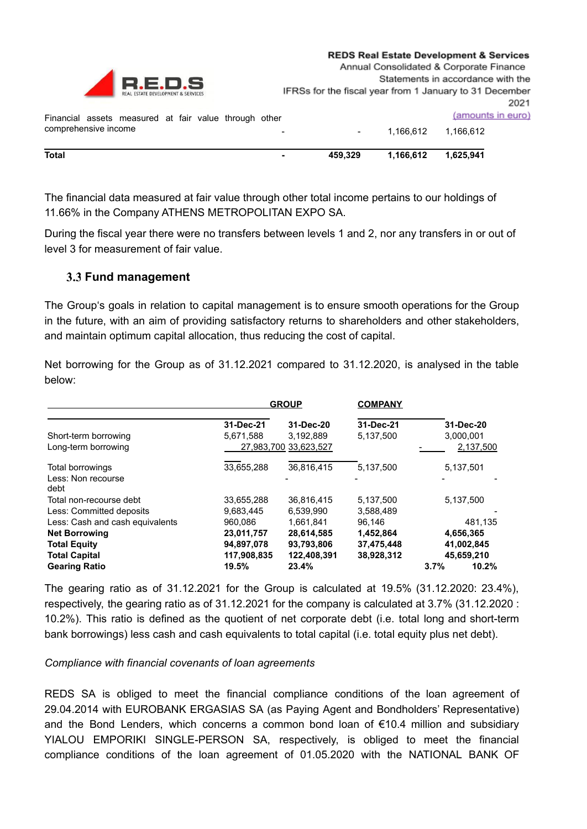

|                      | Financial assets measured at fair value through other |  |  |                          |               | tamoun |
|----------------------|-------------------------------------------------------|--|--|--------------------------|---------------|--------|
| comprehensive income |                                                       |  |  | $\overline{\phantom{0}}$ | $\sim$ $\sim$ |        |
|                      |                                                       |  |  |                          |               |        |

**Total - 459,329 1,166,612 1,625,941**

The financial data measured at fair value through other total income pertains to our holdings of 11.66% in the Company ATHENS METROPOLITAN EXPO SA.

During the fiscal year there were no transfers between levels 1 and 2, nor any transfers in or out of level 3 for measurement of fair value.

#### **Fund management**

<span id="page-103-0"></span>The Group's goals in relation to capital management is to ensure smooth operations for the Group in the future, with an aim of providing satisfactory returns to shareholders and other stakeholders, and maintain optimum capital allocation, thus reducing the cost of capital.

Net borrowing for the Group as of 31.12.2021 compared to 31.12.2020, is analysed in the table below:

|                                 | <b>GROUP</b> |                       | <b>COMPANY</b> |      |            |  |
|---------------------------------|--------------|-----------------------|----------------|------|------------|--|
|                                 | 31-Dec-21    | 31-Dec-20             | 31-Dec-21      |      | 31-Dec-20  |  |
| Short-term borrowing            | 5,671,588    | 3,192,889             | 5,137,500      |      | 3,000,001  |  |
| Long-term borrowing             |              | 27,983,700 33,623,527 |                |      | 2,137,500  |  |
| Total borrowings                | 33,655,288   | 36,816,415            | 5.137.500      |      | 5,137,501  |  |
| Less: Non recourse<br>debt      |              |                       |                |      |            |  |
| Total non-recourse debt         | 33,655,288   | 36.816.415            | 5.137.500      |      | 5,137,500  |  |
| Less: Committed deposits        | 9.683.445    | 6.539.990             | 3,588,489      |      |            |  |
| Less: Cash and cash equivalents | 960.086      | 1.661.841             | 96.146         |      | 481,135    |  |
| <b>Net Borrowing</b>            | 23,011,757   | 28,614,585            | 1,452,864      |      | 4,656,365  |  |
| <b>Total Equity</b>             | 94,897,078   | 93,793,806            | 37,475,448     |      | 41,002,845 |  |
| <b>Total Capital</b>            | 117,908,835  | 122,408,391           | 38,928,312     |      | 45,659,210 |  |
| <b>Gearing Ratio</b>            | 19.5%        | 23.4%                 |                | 3.7% | 10.2%      |  |

The gearing ratio as of 31.12.2021 for the Group is calculated at 19.5% (31.12.2020: 23.4%), respectively, the gearing ratio as of 31.12.2021 for the company is calculated at 3.7% (31.12.2020 : 10.2%). This ratio is defined as the quotient of net corporate debt (i.e. total long and short-term bank borrowings) less cash and cash equivalents to total capital (i.e. total equity plus net debt).

#### *Compliance with financial covenants of loan agreements*

REDS SA is obliged to meet the financial compliance conditions of the loan agreement of 29.04.2014 with EUROBANK ERGASIAS SA (as Paying Agent and Bondholders' Representative) and the Bond Lenders, which concerns a common bond loan of €10.4 million and subsidiary YIALOU EMPORIKI SINGLE-PERSON SA, respectively, is obliged to meet the financial compliance conditions of the loan agreement of 01.05.2020 with the NATIONAL BANK OF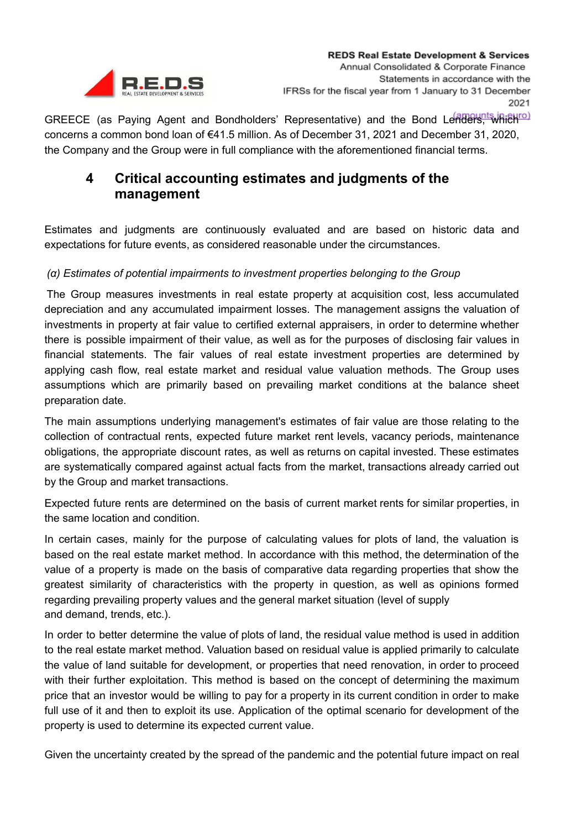

GREECE (as Paying Agent and Bondholders' Representative) and the Bond Lenders, which conconcerns a common bond loan of €41.5 million. As of December 31, 2021 and December 31, 2020, the Company and the Group were in full compliance with the aforementioned financial terms.

# **4 Critical accounting estimates and judgments of the management**

<span id="page-104-0"></span>Estimates and judgments are continuously evaluated and are based on historic data and expectations for future events, as considered reasonable under the circumstances.

#### *(α) Estimates of potential impairments to investment properties belonging to the Group*

The Group measures investments in real estate property at acquisition cost, less accumulated depreciation and any accumulated impairment losses. The management assigns the valuation of investments in property at fair value to certified external appraisers, in order to determine whether there is possible impairment of their value, as well as for the purposes of disclosing fair values in financial statements. The fair values of real estate investment properties are determined by applying cash flow, real estate market and residual value valuation methods. The Group uses assumptions which are primarily based on prevailing market conditions at the balance sheet preparation date.

The main assumptions underlying management's estimates of fair value are those relating to the collection of contractual rents, expected future market rent levels, vacancy periods, maintenance obligations, the appropriate discount rates, as well as returns on capital invested. These estimates are systematically compared against actual facts from the market, transactions already carried out by the Group and market transactions.

Expected future rents are determined on the basis of current market rents for similar properties, in the same location and condition.

In certain cases, mainly for the purpose of calculating values for plots of land, the valuation is based on the real estate market method. In accordance with this method, the determination of the value of a property is made on the basis of comparative data regarding properties that show the greatest similarity of characteristics with the property in question, as well as opinions formed regarding prevailing property values and the general market situation (level of supply and demand, trends, etc.).

In order to better determine the value of plots of land, the residual value method is used in addition to the real estate market method. Valuation based on residual value is applied primarily to calculate the value of land suitable for development, or properties that need renovation, in order to proceed with their further exploitation. This method is based on the concept of determining the maximum price that an investor would be willing to pay for a property in its current condition in order to make full use of it and then to exploit its use. Application of the optimal scenario for development of the property is used to determine its expected current value.

Given the uncertainty created by the spread of the pandemic and the potential future impact on real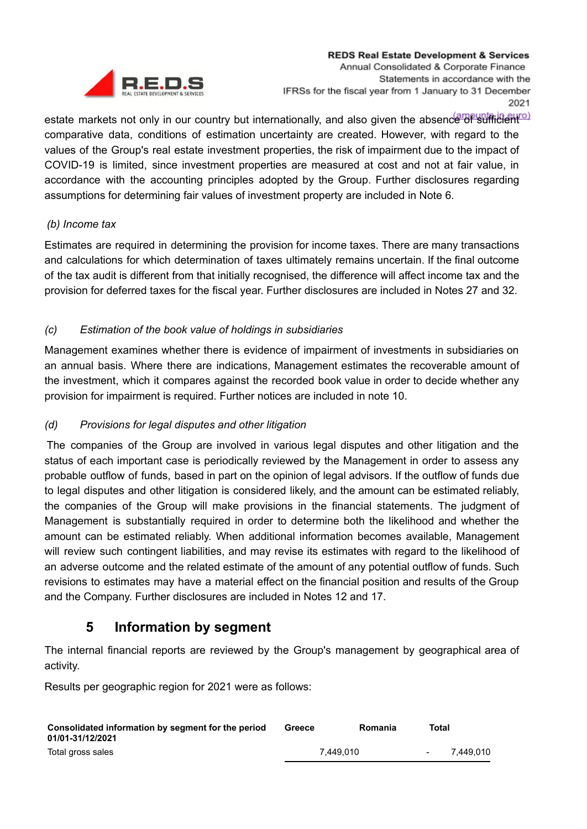

estate markets not only in our country but internationally, and also given the absence of sufficient of comparative data, conditions of estimation uncertainty are created. However, with regard to the values of the Group's real estate investment properties, the risk of impairment due to the impact of COVID-19 is limited, since investment properties are measured at cost and not at fair value, in accordance with the accounting principles adopted by the Group. Further disclosures regarding assumptions for determining fair values of investment property are included in Note 6.

#### *(b) Income tax*

Estimates are required in determining the provision for income taxes. There are many transactions and calculations for which determination of taxes ultimately remains uncertain. If the final outcome of the tax audit is different from that initially recognised, the difference will affect income tax and the provision for deferred taxes for the fiscal year. Further disclosures are included in Notes 27 and 32.

#### *(c) Estimation of the book value of holdings in subsidiaries*

Management examines whether there is evidence of impairment of investments in subsidiaries on an annual basis. Where there are indications, Management estimates the recoverable amount of the investment, which it compares against the recorded book value in order to decide whether any provision for impairment is required. Further notices are included in note 10.

#### *(d) Provisions for legal disputes and other litigation*

The companies of the Group are involved in various legal disputes and other litigation and the status of each important case is periodically reviewed by the Management in order to assess any probable outflow of funds, based in part on the opinion of legal advisors. If the outflow of funds due to legal disputes and other litigation is considered likely, and the amount can be estimated reliably, the companies of the Group will make provisions in the financial statements. The judgment of Management is substantially required in order to determine both the likelihood and whether the amount can be estimated reliably. When additional information becomes available, Management will review such contingent liabilities, and may revise its estimates with regard to the likelihood of an adverse outcome and the related estimate of the amount of any potential outflow of funds. Such revisions to estimates may have a material effect on the financial position and results of the Group and the Company. Further disclosures are included in Notes 12 and 17.

### **5 Information by segment**

<span id="page-105-0"></span>The internal financial reports are reviewed by the Group's management by geographical area of activity.

Results per geographic region for 2021 were as follows:

| Consolidated information by segment for the period<br>01/01-31/12/2021 | Greece    | Romania | Total          |           |
|------------------------------------------------------------------------|-----------|---------|----------------|-----------|
| Total gross sales                                                      | 7.449.010 |         | $\blacksquare$ | 7.449.010 |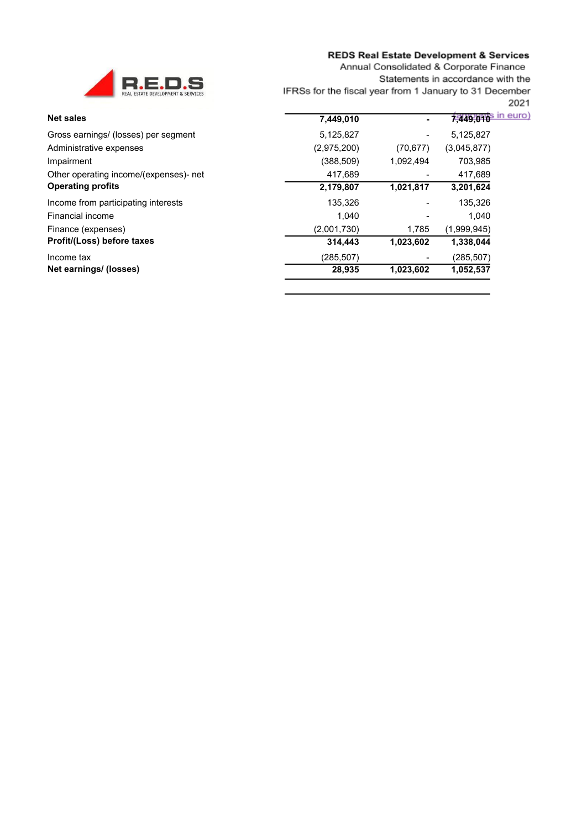# RED.S

#### **REDS Real Estate Development & Services**

Annual Consolidated & Corporate Finance Statements in accordance with the IFRSs for the fiscal year from 1 January to 31 December 2021

| <b>Net sales</b>                       | 7,449,010   |           | <b>7-449-010</b> |
|----------------------------------------|-------------|-----------|------------------|
| Gross earnings/ (losses) per segment   | 5,125,827   |           | 5,125,827        |
| Administrative expenses                | (2,975,200) | (70, 677) | (3,045,877)      |
| Impairment                             | (388, 509)  | 1,092,494 | 703,985          |
| Other operating income/(expenses)- net | 417,689     |           | 417,689          |
| <b>Operating profits</b>               | 2,179,807   | 1,021,817 | 3,201,624        |
| Income from participating interests    | 135,326     |           | 135,326          |
| Financial income                       | 1.040       |           | 1.040            |
| Finance (expenses)                     | (2,001,730) | 1,785     | (1,999,945)      |
| Profit/(Loss) before taxes             | 314,443     | 1,023,602 | 1,338,044        |
| Income tax                             | (285, 507)  | -         | (285, 507)       |
| Net earnings/ (losses)                 | 28,935      | 1,023,602 | 1,052,537        |
|                                        |             |           |                  |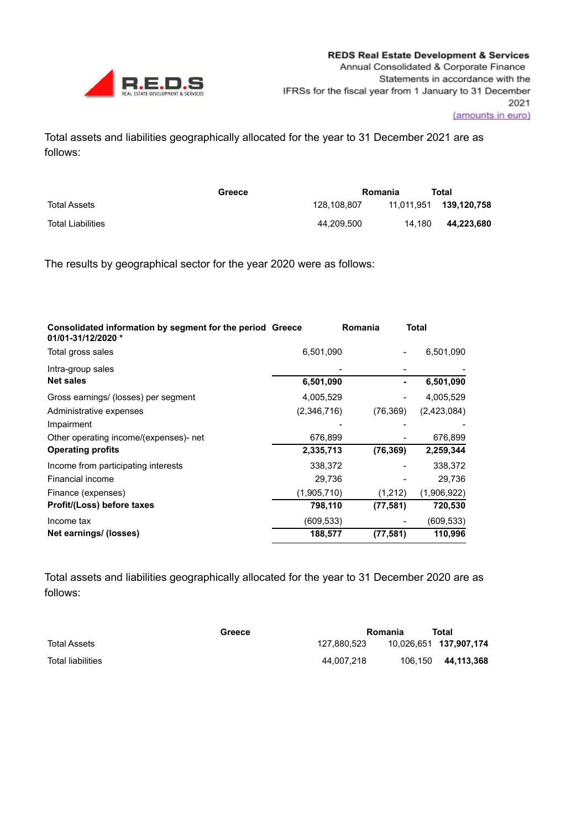

Total assets and liabilities geographically allocated for the year to 31 December 2021 are as follows:

|                          | Greece      | Romania | Total      |
|--------------------------|-------------|---------|------------|
| <b>Total Assets</b>      | 128.108.807 |         |            |
| <b>Total Liabilities</b> | 44.209.500  | 14.180  | 44.223.680 |

The results by geographical sector for the year 2020 were as follows:

| Consolidated information by segment for the period Greece<br>01/01-31/12/2020 * |             | Romania   | Total       |
|---------------------------------------------------------------------------------|-------------|-----------|-------------|
| Total gross sales                                                               | 6,501,090   |           | 6,501,090   |
| Intra-group sales                                                               |             |           |             |
| <b>Net sales</b>                                                                | 6,501,090   |           | 6,501,090   |
| Gross earnings/ (losses) per segment                                            | 4,005,529   |           | 4,005,529   |
| Administrative expenses                                                         | (2,346,716) | (76, 369) | (2,423,084) |
| Impairment                                                                      |             |           |             |
| Other operating income/(expenses)- net                                          | 676,899     |           | 676,899     |
| <b>Operating profits</b>                                                        | 2,335,713   | (76, 369) | 2,259,344   |
| Income from participating interests                                             | 338,372     |           | 338,372     |
| Financial income                                                                | 29,736      |           | 29,736      |
| Finance (expenses)                                                              | (1,905,710) | (1,212)   | (1,906,922) |
| Profit/(Loss) before taxes                                                      | 798,110     | (77, 581) | 720,530     |
| Income tax                                                                      | (609, 533)  |           | (609, 533)  |
| Net earnings/ (losses)                                                          | 188,577     | (77, 581) | 110,996     |

Total assets and liabilities geographically allocated for the year to 31 December 2020 are as follows:

|                   | Greece      | Romania | Total                  |
|-------------------|-------------|---------|------------------------|
| Total Assets      | 127.880.523 |         | 10,026,651 137,907,174 |
| Total liabilities | 44.007.218  |         | 106.150 44.113.368     |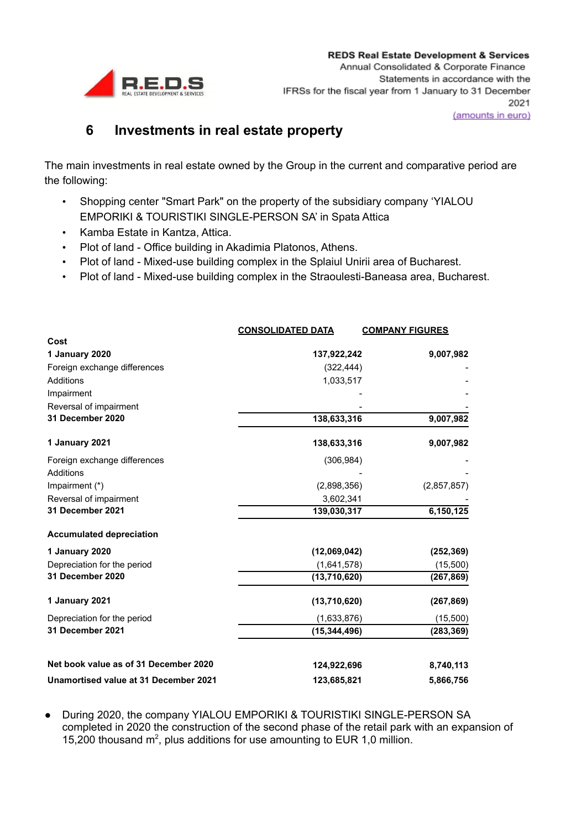

## **6 Investments in real estate property**

The main investments in real estate owned by the Group in the current and comparative period are the following:

- Shopping center "Smart Park" on the property of the subsidiary company 'YIALOU EMPORIKI & TOURISTIKI SINGLE-PERSON SA' in Spata Attica
- Kamba Estate in Kantza, Attica.
- Plot of land Office building in Akadimia Platonos, Athens.
- Plot of land Mixed-use building complex in the Splaiul Unirii area of Bucharest.
- Plot of land Mixed-use building complex in the Straoulesti-Baneasa area, Bucharest.

|                                       | <b>CONSOLIDATED DATA</b> | <b>COMPANY FIGURES</b> |
|---------------------------------------|--------------------------|------------------------|
| Cost                                  |                          |                        |
| 1 January 2020                        | 137,922,242              | 9,007,982              |
| Foreign exchange differences          | (322, 444)               |                        |
| Additions                             | 1,033,517                |                        |
| Impairment                            |                          |                        |
| Reversal of impairment                |                          |                        |
| 31 December 2020                      | 138,633,316              | 9,007,982              |
| 1 January 2021                        | 138,633,316              | 9,007,982              |
| Foreign exchange differences          | (306, 984)               |                        |
| Additions                             |                          |                        |
| Impairment (*)                        | (2,898,356)              | (2,857,857)            |
| Reversal of impairment                | 3,602,341                |                        |
| 31 December 2021                      | 139,030,317              | 6,150,125              |
| <b>Accumulated depreciation</b>       |                          |                        |
| 1 January 2020                        | (12,069,042)             | (252, 369)             |
| Depreciation for the period           | (1,641,578)              | (15,500)               |
| 31 December 2020                      | (13,710,620)             | (267, 869)             |
| 1 January 2021                        | (13,710,620)             | (267, 869)             |
| Depreciation for the period           | (1,633,876)              | (15,500)               |
| 31 December 2021                      | (15, 344, 496)           | (283, 369)             |
| Net book value as of 31 December 2020 | 124,922,696              | 8,740,113              |
| Unamortised value at 31 December 2021 | 123,685,821              | 5,866,756              |

● During 2020, the company YIALOU EMPORIKI & TOURISTIKI SINGLE-PERSON SA completed in 2020 the construction of the second phase of the retail park with an expansion of 15,200 thousand  $m^2$ , plus additions for use amounting to EUR 1,0 million.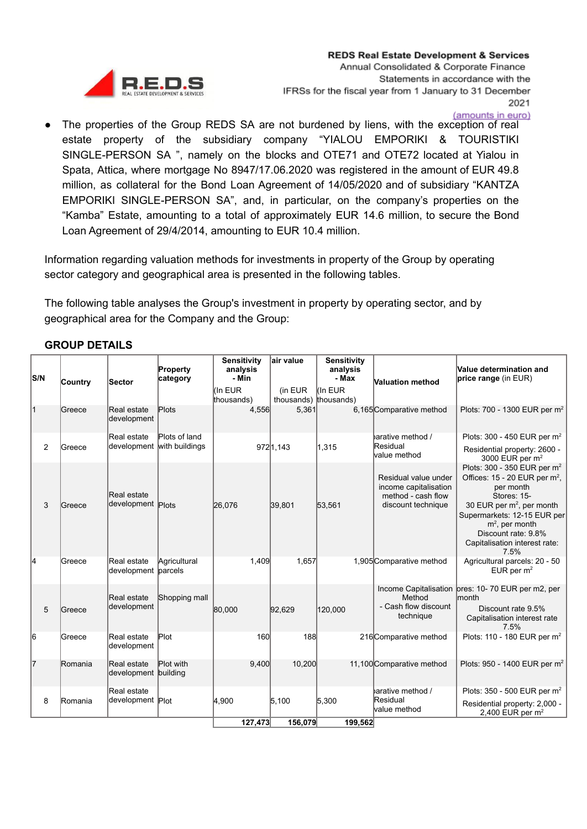

#### (amounts in euro)

The properties of the Group REDS SA are not burdened by liens, with the exception of real estate property of the subsidiary company "YIALOU EMPORIKI & TOURISTIKI SINGLE-PERSON SA ", namely on the blocks and OTE71 and OTE72 located at Yialou in Spata, Attica, where mortgage No 8947/17.06.2020 was registered in the amount of EUR 49.8 million, as collateral for the Bond Loan Agreement of 14/05/2020 and of subsidiary "KANTZA EMPORIKI SINGLE-PERSON SA", and, in particular, on the company's properties on the "Kamba" Estate, amounting to a total of approximately EUR 14.6 million, to secure the Bond Loan Agreement of 29/4/2014, amounting to EUR 10.4 million.

Information regarding valuation methods for investments in property of the Group by operating sector category and geographical area is presented in the following tables.

The following table analyses the Group's investment in property by operating sector, and by geographical area for the Company and the Group:

| ls/N      | Country | Sector                              | Property<br>category            | Sensitivity<br>analysis<br>- Min<br>(In EUR<br>thousands) | air value<br>(in EUR<br>thousands) | <b>Sensitivity</b><br>analysis<br>- Max<br>l(In EUR<br>thousands) | <b>Valuation method</b>                                                                   | Value determination and<br>price range (in EUR)                                                                                                                                                                                                                      |
|-----------|---------|-------------------------------------|---------------------------------|-----------------------------------------------------------|------------------------------------|-------------------------------------------------------------------|-------------------------------------------------------------------------------------------|----------------------------------------------------------------------------------------------------------------------------------------------------------------------------------------------------------------------------------------------------------------------|
| $\vert$ 1 | Greece  | Real estate<br>development          | Plots                           | 4,556                                                     | 5,361                              |                                                                   | 6,165 Comparative method                                                                  | Plots: 700 - 1300 EUR per $m2$                                                                                                                                                                                                                                       |
| 2         | Greece  | Real estate<br>development          | Plots of land<br>with buildings |                                                           | 9721,143                           | 1.315                                                             | barative method /<br>Residual<br>value method                                             | Plots: $300 - 450$ EUR per m <sup>2</sup><br>Residential property: 2600 -<br>3000 EUR per m <sup>2</sup>                                                                                                                                                             |
| 3         | Greece  | Real estate<br>development Plots    |                                 | 26.076                                                    | 39,801                             | 53,561                                                            | Residual value under<br>income capitalisation<br>method - cash flow<br>discount technique | Plots: 300 - 350 EUR per $m2$<br>Offices: $15 - 20$ EUR per m <sup>2</sup> ,<br>per month<br>Stores: 15-<br>30 EUR per m <sup>2</sup> , per month<br>Supermarkets: 12-15 EUR per<br>$m2$ , per month<br>Discount rate: 9.8%<br>Capitalisation interest rate:<br>7.5% |
| 4         | Greece  | Real estate<br>development parcels  | Agricultural                    | 1.409                                                     | 1.657                              |                                                                   | 1,905 Comparative method                                                                  | Agricultural parcels: 20 - 50<br>EUR per $m2$                                                                                                                                                                                                                        |
| 5         | Greece  | Real estate<br>development          | Shopping mall                   | 80,000                                                    | 92,629                             | 120,000                                                           | Method<br>- Cash flow discount<br>technique                                               | Income Capitalisation ores: 10-70 EUR per m2, per<br>lmonth<br>Discount rate 9.5%<br>Capitalisation interest rate<br>7.5%                                                                                                                                            |
| 6         | Greece  | Real estate<br>development          | Plot                            | 160                                                       | 188                                |                                                                   | 216 Comparative method                                                                    | Plots: 110 - 180 EUR per m <sup>2</sup>                                                                                                                                                                                                                              |
| 17        | Romania | Real estate<br>development building | Plot with                       | 9,400                                                     | 10,200                             |                                                                   | 11,100 Comparative method                                                                 | Plots: 950 - 1400 EUR per m <sup>2</sup>                                                                                                                                                                                                                             |
| 8         | Romania | Real estate<br>development Plot     |                                 | 4,900<br>127,473                                          | 5.100<br>156,079                   | 5.300<br>199,562                                                  | barative method /<br>Residual<br>value method                                             | Plots: $350 - 500$ EUR per m <sup>2</sup><br>Residential property: 2,000 -<br>2,400 EUR per $m2$                                                                                                                                                                     |

#### **GROUP DETAILS**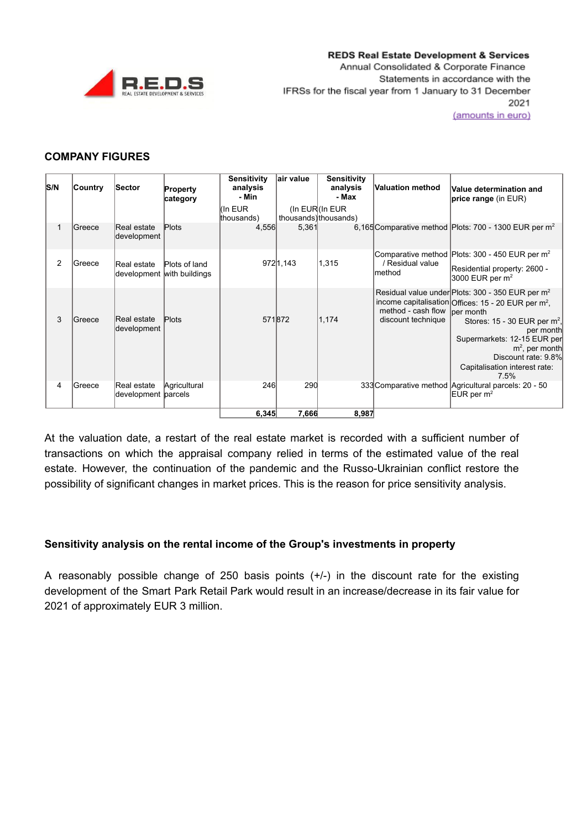

#### **COMPANY FIGURES**

| S/N          | Country        | Sector                             | Property<br>category                        | <b>Sensitivity</b><br>analysis<br>- Min<br>In EUR | ∣air value | <b>Sensitivity</b><br>analysis<br>- Max<br>( $\ln$ EUR( $\ln$ EUR | Valuation method                         | Value determination and<br>price range (in EUR)                                                                                                                                                                                                                                                                              |
|--------------|----------------|------------------------------------|---------------------------------------------|---------------------------------------------------|------------|-------------------------------------------------------------------|------------------------------------------|------------------------------------------------------------------------------------------------------------------------------------------------------------------------------------------------------------------------------------------------------------------------------------------------------------------------------|
|              |                |                                    |                                             | thousands)                                        |            | thousands) thousands)                                             |                                          |                                                                                                                                                                                                                                                                                                                              |
| $\mathbf{1}$ | Greece         | Real estate<br>development         | <b>Plots</b>                                | 4,556                                             | 5,361      |                                                                   |                                          | 6,165 Comparative method Plots: 700 - 1300 EUR per $m2$                                                                                                                                                                                                                                                                      |
|              |                |                                    |                                             |                                                   |            |                                                                   |                                          | Comparative method $ P$ lots: 300 - 450 EUR per m <sup>2</sup>                                                                                                                                                                                                                                                               |
| 2            | lGreece        | Real estate                        | Plots of land<br>development with buildings |                                                   | 9721,143   | 1,315                                                             | / Residual value<br>Imethod              | Residential property: 2600 -<br>3000 EUR per $m2$                                                                                                                                                                                                                                                                            |
| 3            | <b>Screece</b> | Real estate<br>development         | <b>Plots</b>                                |                                                   | 571872     | 1,174                                                             | method - cash flow<br>discount technique | Residual value under Plots: 300 - 350 EUR per m <sup>2</sup><br>income capitalisation Offices: 15 - 20 EUR per m <sup>2</sup> ,<br>lper month<br>Stores: $15 - 30$ EUR per m <sup>2</sup> ,<br>per month<br>Supermarkets: 12-15 EUR per<br>$m^2$ , per month<br>Discount rate: 9.8%<br>Capitalisation interest rate:<br>7.5% |
| 4            | <b>Greece</b>  | Real estate<br>development parcels | Agricultural                                | 246                                               | 290        |                                                                   |                                          | 333 Comparative method Agricultural parcels: 20 - 50<br>$E$ UR per m <sup>2</sup>                                                                                                                                                                                                                                            |
|              |                |                                    |                                             | 6,345                                             | 7,666      | 8,987                                                             |                                          |                                                                                                                                                                                                                                                                                                                              |

At the valuation date, a restart of the real estate market is recorded with a sufficient number of transactions on which the appraisal company relied in terms of the estimated value of the real estate. However, the continuation of the pandemic and the Russo-Ukrainian conflict restore the possibility of significant changes in market prices. This is the reason for price sensitivity analysis.

#### **Sensitivity analysis on the rental income of the Group's investments in property**

A reasonably possible change of 250 basis points  $(+/-)$  in the discount rate for the existing development of the Smart Park Retail Park would result in an increase/decrease in its fair value for 2021 of approximately EUR 3 million.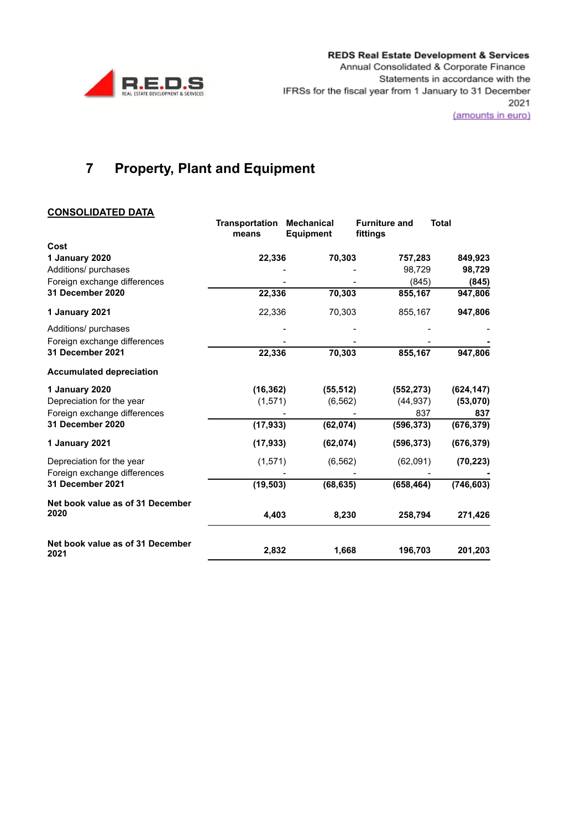

# **7 Property, Plant and Equipment**

#### **CONSOLIDATED DATA**

|                                          | <b>Transportation</b><br>means | <b>Mechanical</b><br><b>Equipment</b> | <b>Furniture and</b><br>fittings | <b>Total</b> |
|------------------------------------------|--------------------------------|---------------------------------------|----------------------------------|--------------|
| Cost                                     |                                |                                       |                                  |              |
| 1 January 2020                           | 22,336                         | 70,303                                | 757,283                          | 849,923      |
| Additions/ purchases                     |                                |                                       | 98,729                           | 98,729       |
| Foreign exchange differences             |                                |                                       | (845)                            | (845)        |
| 31 December 2020                         | 22,336                         | 70,303                                | 855,167                          | 947,806      |
| 1 January 2021                           | 22,336                         | 70,303                                | 855,167                          | 947,806      |
| Additions/ purchases                     |                                |                                       |                                  |              |
| Foreign exchange differences             |                                |                                       |                                  |              |
| 31 December 2021                         | 22,336                         | 70,303                                | 855,167                          | 947,806      |
| <b>Accumulated depreciation</b>          |                                |                                       |                                  |              |
| 1 January 2020                           | (16, 362)                      | (55, 512)                             | (552, 273)                       | (624, 147)   |
| Depreciation for the year                | (1,571)                        | (6, 562)                              | (44, 937)                        | (53,070)     |
| Foreign exchange differences             |                                |                                       | 837                              | 837          |
| 31 December 2020                         | (17, 933)                      | (62, 074)                             | (596, 373)                       | (676, 379)   |
| 1 January 2021                           | (17, 933)                      | (62, 074)                             | (596, 373)                       | (676, 379)   |
| Depreciation for the year                | (1,571)                        | (6, 562)                              | (62,091)                         | (70, 223)    |
| Foreign exchange differences             |                                |                                       |                                  |              |
| <b>31 December 2021</b>                  | (19, 503)                      | (68, 635)                             | (658, 464)                       | (746, 603)   |
| Net book value as of 31 December         |                                |                                       |                                  |              |
| 2020                                     | 4,403                          | 8,230                                 | 258,794                          | 271,426      |
| Net book value as of 31 December<br>2021 | 2,832                          | 1,668                                 | 196,703                          | 201,203      |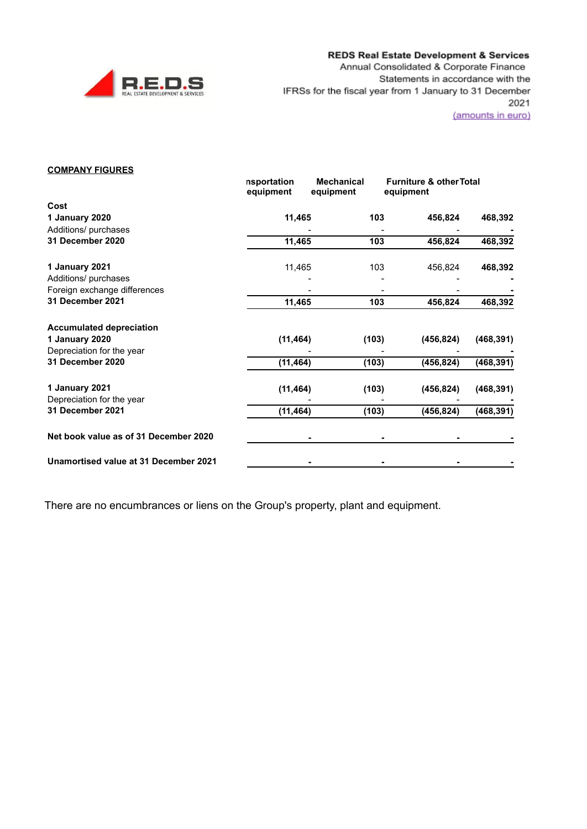

#### **COMPANY FIGURES**

|                                       | nsportation<br>equipment | <b>Mechanical</b><br>equipment | equipment | <b>Furniture &amp; other Total</b> |            |
|---------------------------------------|--------------------------|--------------------------------|-----------|------------------------------------|------------|
| Cost                                  |                          |                                |           |                                    |            |
| 1 January 2020                        | 11,465                   |                                | 103       | 456,824                            | 468,392    |
| Additions/ purchases                  |                          |                                |           |                                    |            |
| 31 December 2020                      | 11,465                   |                                | 103       | 456,824                            | 468,392    |
| 1 January 2021                        | 11,465                   |                                | 103       | 456,824                            | 468,392    |
| Additions/ purchases                  |                          |                                |           |                                    |            |
| Foreign exchange differences          |                          |                                |           |                                    |            |
| 31 December 2021                      | 11,465                   |                                | 103       | 456,824                            | 468,392    |
| <b>Accumulated depreciation</b>       |                          |                                |           |                                    |            |
| 1 January 2020                        | (11, 464)                |                                | (103)     | (456, 824)                         | (468, 391) |
| Depreciation for the year             |                          |                                |           |                                    |            |
| 31 December 2020                      | (11, 464)                |                                | (103)     | (456, 824)                         | (468, 391) |
| 1 January 2021                        | (11, 464)                |                                | (103)     | (456, 824)                         | (468, 391) |
| Depreciation for the year             |                          |                                |           |                                    |            |
| 31 December 2021                      | (11, 464)                |                                | (103)     | (456, 824)                         | (468, 391) |
| Net book value as of 31 December 2020 |                          |                                |           |                                    |            |
| Unamortised value at 31 December 2021 |                          |                                |           |                                    |            |

There are no encumbrances or liens on the Group's property, plant and equipment.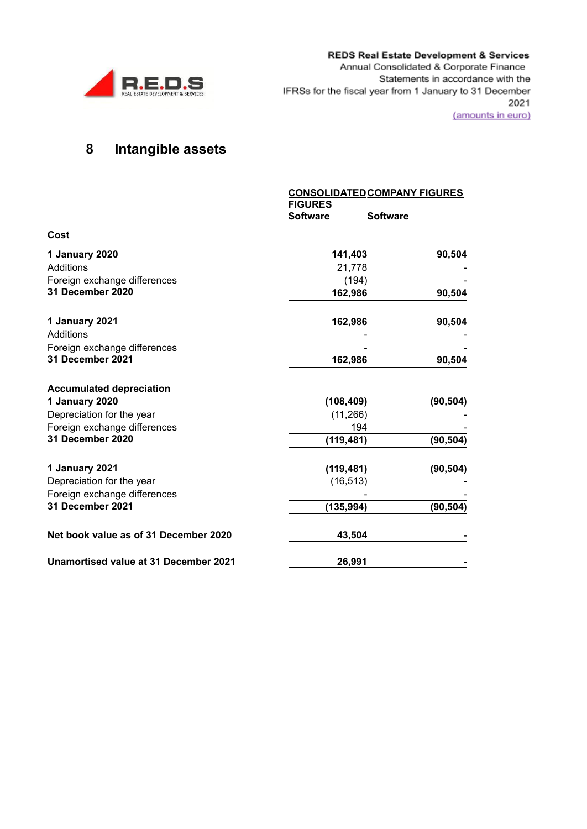

# **8 Intangible assets**

|                                              | <b>CONSOLIDATED COMPANY FIGURES</b><br><b>FIGURES</b> |                 |           |  |
|----------------------------------------------|-------------------------------------------------------|-----------------|-----------|--|
|                                              | <b>Software</b>                                       | <b>Software</b> |           |  |
| Cost                                         |                                                       |                 |           |  |
| 1 January 2020                               | 141,403                                               |                 | 90,504    |  |
| <b>Additions</b>                             | 21,778                                                |                 |           |  |
| Foreign exchange differences                 | (194)                                                 |                 |           |  |
| <b>31 December 2020</b>                      | 162,986                                               |                 | 90,504    |  |
| 1 January 2021<br><b>Additions</b>           | 162,986                                               |                 | 90,504    |  |
| Foreign exchange differences                 |                                                       |                 |           |  |
| 31 December 2021                             | 162,986                                               |                 | 90,504    |  |
| <b>Accumulated depreciation</b>              |                                                       |                 |           |  |
| 1 January 2020                               | (108, 409)                                            |                 | (90, 504) |  |
| Depreciation for the year                    | (11, 266)                                             |                 |           |  |
| Foreign exchange differences                 |                                                       | 194             |           |  |
| 31 December 2020                             | (119, 481)                                            |                 | (90, 504) |  |
| 1 January 2021                               | (119, 481)                                            |                 | (90, 504) |  |
| Depreciation for the year                    | (16, 513)                                             |                 |           |  |
| Foreign exchange differences                 |                                                       |                 |           |  |
| 31 December 2021                             | (135, 994)                                            |                 | (90, 504) |  |
| Net book value as of 31 December 2020        | 43,504                                                |                 |           |  |
| <b>Unamortised value at 31 December 2021</b> | 26,991                                                |                 |           |  |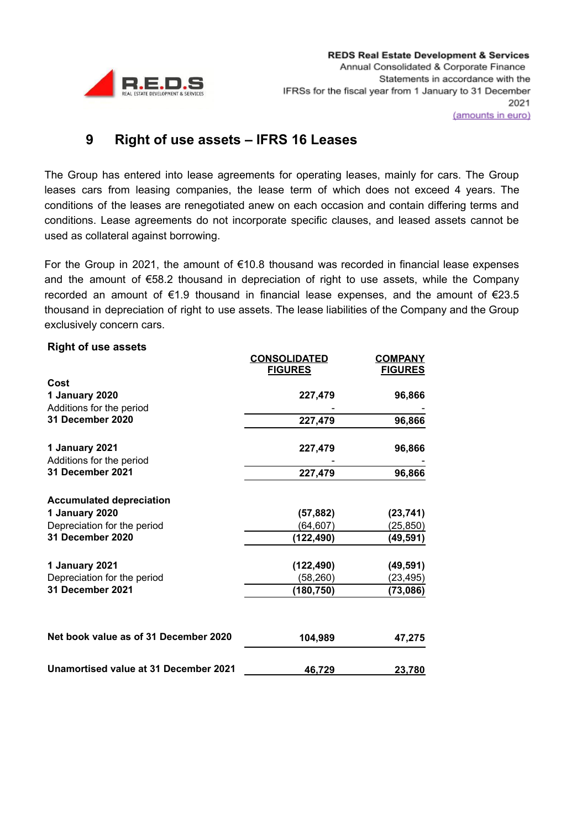

## **9 Right of use assets – IFRS 16 Leases**

The Group has entered into lease agreements for operating leases, mainly for cars. The Group leases cars from leasing companies, the lease term of which does not exceed 4 years. The conditions of the leases are renegotiated anew on each occasion and contain differing terms and conditions. Lease agreements do not incorporate specific clauses, and leased assets cannot be used as collateral against borrowing.

For the Group in 2021, the amount of €10.8 thousand was recorded in financial lease expenses and the amount of €58.2 thousand in depreciation of right to use assets, while the Company recorded an amount of €1.9 thousand in financial lease expenses, and the amount of €23.5 thousand in depreciation of right to use assets. The lease liabilities of the Company and the Group exclusively concern cars.

#### **Right of use assets**

|                                       | <b>CONSOLIDATED</b><br><b>FIGURES</b> | <b>COMPANY</b><br><b>FIGURES</b> |
|---------------------------------------|---------------------------------------|----------------------------------|
| Cost                                  |                                       |                                  |
| 1 January 2020                        | 227,479                               | 96,866                           |
| Additions for the period              |                                       |                                  |
| 31 December 2020                      | 227,479                               | 96,866                           |
| 1 January 2021                        | 227,479                               | 96,866                           |
| Additions for the period              |                                       |                                  |
| 31 December 2021                      | 227,479                               | 96,866                           |
| <b>Accumulated depreciation</b>       |                                       |                                  |
| 1 January 2020                        | (57, 882)                             | (23, 741)                        |
| Depreciation for the period           | (64,607)                              | (25,850)                         |
| 31 December 2020                      | (122,490)                             | (49,591)                         |
| 1 January 2021                        | (122, 490)                            | (49, 591)                        |
| Depreciation for the period           | (58, 260)                             | (23,495)                         |
| 31 December 2021                      | (180, 750)                            | (73,086)                         |
|                                       |                                       |                                  |
| Net book value as of 31 December 2020 | 104,989                               | 47,275                           |
| Unamortised value at 31 December 2021 | 46,729                                | 23,780                           |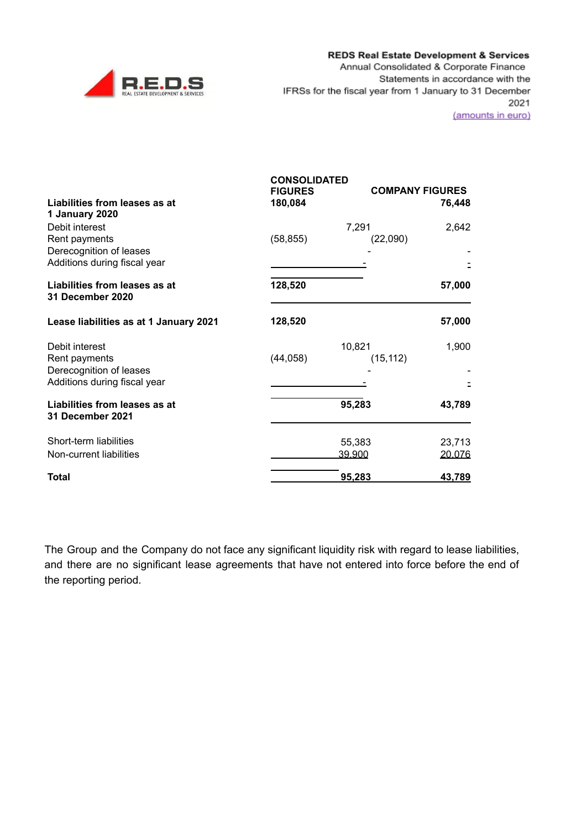

| Liabilities from leases as at<br>1 January 2020                                            | <b>CONSOLIDATED</b><br><b>FIGURES</b><br>180,084 | <b>COMPANY FIGURES</b>  | 76,448           |
|--------------------------------------------------------------------------------------------|--------------------------------------------------|-------------------------|------------------|
| Debit interest<br>Rent payments<br>Derecognition of leases<br>Additions during fiscal year | (58, 855)                                        | 7,291<br>(22,090)       | 2,642            |
| Liabilities from leases as at<br><b>31 December 2020</b>                                   | 128,520                                          |                         | 57,000           |
| Lease liabilities as at 1 January 2021                                                     | 128,520                                          |                         | 57,000           |
| Debit interest<br>Rent payments<br>Derecognition of leases<br>Additions during fiscal year | (44, 058)                                        | 10,821<br>(15, 112)     | 1,900            |
| Liabilities from leases as at<br>31 December 2021                                          |                                                  | 95,283                  | 43,789           |
| Short-term liabilities<br>Non-current liabilities                                          |                                                  | 55,383<br><u>39.900</u> | 23,713<br>20.076 |
| <b>Total</b>                                                                               |                                                  | 95,283                  | 43,789           |

The Group and the Company do not face any significant liquidity risk with regard to lease liabilities, and there are no significant lease agreements that have not entered into force before the end of the reporting period.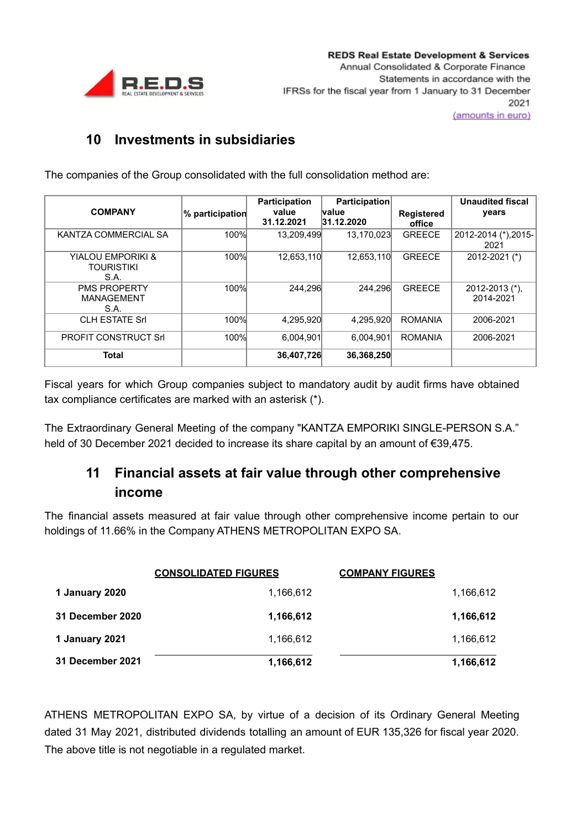

# **10 Investments in subsidiaries**

The companies of the Group consolidated with the full consolidation method are:

| <b>COMPANY</b>                                   | % participation | <b>Participation</b><br>value<br>31.12.2021 | Participation<br>lvalue<br>31.12.2020 | <b>Registered</b><br>office | <b>Unaudited fiscal</b><br>years |
|--------------------------------------------------|-----------------|---------------------------------------------|---------------------------------------|-----------------------------|----------------------------------|
| KANTZA COMMERCIAL SA                             | 100%            | 13,209,499                                  | 13,170,023                            | <b>GREECE</b>               | 2012-2014 (*), 2015-<br>2021     |
| YIALOU EMPORIKI &<br><b>TOURISTIKI</b><br>S.A.   | <b>100%</b>     | 12,653,110                                  | 12,653,110                            | <b>GREECE</b>               | 2012-2021 (*)                    |
| <b>PMS PROPERTY</b><br><b>MANAGEMENT</b><br>S.A. | 100%            | 244.296                                     | 244.296                               | <b>GREECE</b>               | 2012-2013 (*),<br>2014-2021      |
| <b>CLH ESTATE Srl</b>                            | 100%            | 4,295,920                                   | 4,295,920                             | <b>ROMANIA</b>              | 2006-2021                        |
| <b>PROFIT CONSTRUCT Srl</b>                      | 100%            | 6.004.901                                   | 6.004.901                             | <b>ROMANIA</b>              | 2006-2021                        |
| <b>Total</b>                                     |                 | 36,407,726                                  | 36,368,250                            |                             |                                  |

Fiscal years for which Group companies subject to mandatory audit by audit firms have obtained tax compliance certificates are marked with an asterisk (\*).

The Extraordinary General Meeting of the company "KANTZA EMPORIKI SINGLE-PERSON S.A." held of 30 December 2021 decided to increase its share capital by an amount of €39,475.

# **11 Financial assets at fair value through other comprehensive income**

The financial assets measured at fair value through other comprehensive income pertain to our holdings of 11.66% in the Company ATHENS METROPOLITAN EXPO SA.

|                  | <b>CONSOLIDATED FIGURES</b> | <b>COMPANY FIGURES</b> |           |
|------------------|-----------------------------|------------------------|-----------|
| 1 January 2020   | 1,166,612                   |                        | 1,166,612 |
| 31 December 2020 | 1,166,612                   |                        | 1,166,612 |
| 1 January 2021   | 1,166,612                   |                        | 1,166,612 |
| 31 December 2021 | 1,166,612                   |                        | 1,166,612 |

ATHENS METROPOLITAN EXPO SA, by virtue of a decision of its Ordinary General Meeting dated 31 May 2021, distributed dividends totalling an amount of EUR 135,326 for fiscal year 2020. The above title is not negotiable in a regulated market.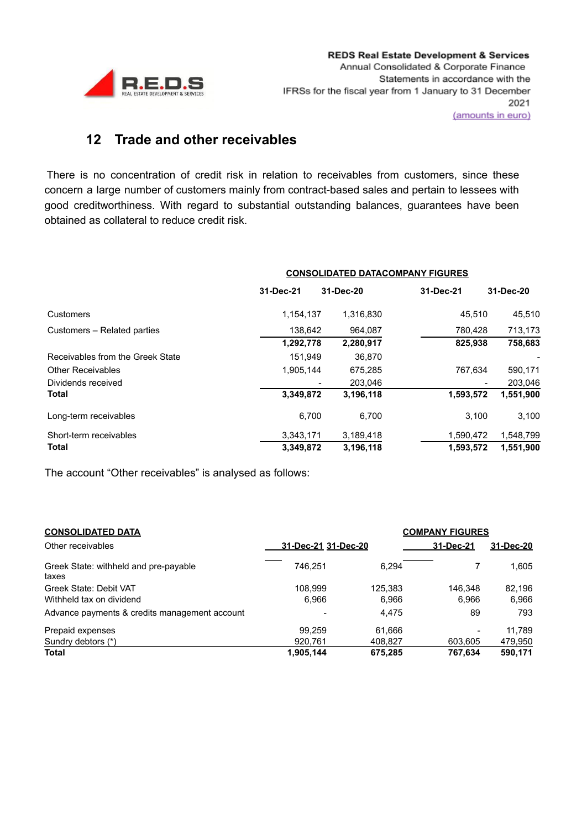

## **12 Trade and other receivables**

There is no concentration of credit risk in relation to receivables from customers, since these concern a large number of customers mainly from contract-based sales and pertain to lessees with good creditworthiness. With regard to substantial outstanding balances, guarantees have been obtained as collateral to reduce credit risk.

|                                  | <b>CONSOLIDATED DATACOMPANY FIGURES</b> |           |           |           |  |  |
|----------------------------------|-----------------------------------------|-----------|-----------|-----------|--|--|
|                                  | 31-Dec-21                               | 31-Dec-20 | 31-Dec-21 | 31-Dec-20 |  |  |
| Customers                        | 1,154,137                               | 1,316,830 | 45,510    | 45,510    |  |  |
| Customers - Related parties      | 138,642                                 | 964.087   | 780.428   | 713,173   |  |  |
|                                  | 1,292,778                               | 2,280,917 | 825,938   | 758,683   |  |  |
| Receivables from the Greek State | 151.949                                 | 36,870    |           |           |  |  |
| <b>Other Receivables</b>         | 1,905,144                               | 675,285   | 767.634   | 590,171   |  |  |
| Dividends received               |                                         | 203.046   |           | 203,046   |  |  |
| Total                            | 3,349,872                               | 3,196,118 | 1,593,572 | 1,551,900 |  |  |
| Long-term receivables            | 6.700                                   | 6.700     | 3.100     | 3,100     |  |  |
| Short-term receivables           | 3,343,171                               | 3.189.418 | 1.590.472 | 1,548,799 |  |  |
| <b>Total</b>                     | 3,349,872                               | 3,196,118 | 1,593,572 | 1,551,900 |  |  |

The account "Other receivables" is analysed as follows:

| <b>CONSOLIDATED DATA</b>                       | <b>COMPANY FIGURES</b> |         |           |           |  |  |
|------------------------------------------------|------------------------|---------|-----------|-----------|--|--|
| Other receivables                              | 31-Dec-21 31-Dec-20    |         | 31-Dec-21 | 31-Dec-20 |  |  |
| Greek State: withheld and pre-payable<br>taxes | 746.251                | 6.294   | 7         | 1.605     |  |  |
| Greek State: Debit VAT                         | 108.999                | 125.383 | 146.348   | 82.196    |  |  |
| Withheld tax on dividend                       | 6.966                  | 6,966   | 6.966     | 6,966     |  |  |
| Advance payments & credits management account  |                        | 4.475   | 89        | 793       |  |  |
| Prepaid expenses                               | 99.259                 | 61,666  |           | 11.789    |  |  |
| Sundry debtors (*)                             | 920.761                | 408.827 | 603.605   | 479,950   |  |  |
| <b>Total</b>                                   | 1,905,144              | 675,285 | 767,634   | 590,171   |  |  |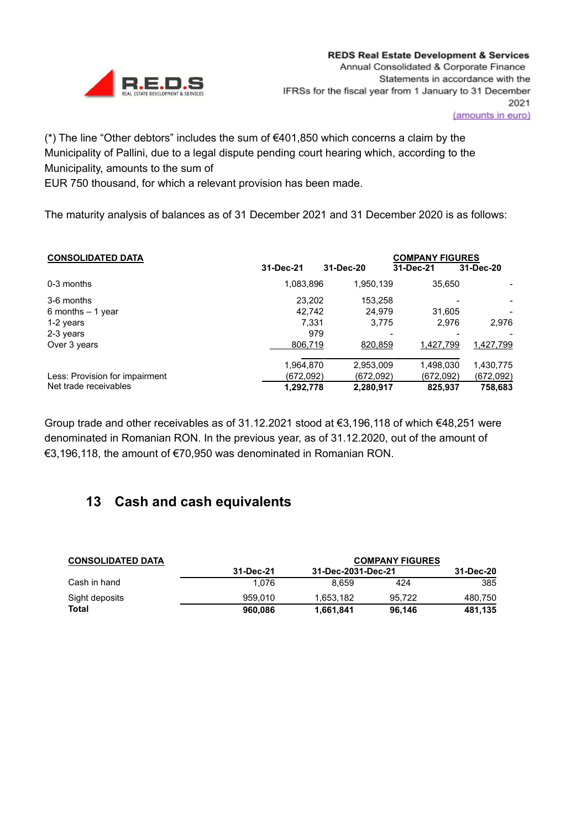

(\*) The line "Other debtors" includes the sum of  $€401,850$  which concerns a claim by the Municipality of Pallini, due to a legal dispute pending court hearing which, according to the Municipality, amounts to the sum of

EUR 750 thousand, for which a relevant provision has been made.

The maturity analysis of balances as of 31 December 2021 and 31 December 2020 is as follows:

| <b>CONSOLIDATED DATA</b>       | 31-Dec-21 | 31-Dec-20 | <b>COMPANY FIGURES</b><br>31-Dec-21<br>31-Dec-20 |                          |  |
|--------------------------------|-----------|-----------|--------------------------------------------------|--------------------------|--|
|                                |           |           |                                                  |                          |  |
| 0-3 months                     | 1,083,896 | 1,950,139 | 35,650                                           |                          |  |
| 3-6 months                     | 23.202    | 153.258   |                                                  |                          |  |
| 6 months $-1$ year             | 42,742    | 24.979    | 31,605                                           | $\overline{\phantom{0}}$ |  |
| 1-2 years                      | 7.331     | 3,775     | 2.976                                            | 2,976                    |  |
| 2-3 years                      | 979       |           |                                                  |                          |  |
| Over 3 years                   | 806.719   | 820,859   | 1,427,799                                        | 1,427,799                |  |
|                                | 1,964,870 | 2,953,009 | 1,498,030                                        | 1,430,775                |  |
| Less: Provision for impairment | (672,092) | (672,092) | (672,092)                                        | (672,092)                |  |
| Net trade receivables          | 1,292,778 | 2,280,917 | 825,937                                          | 758,683                  |  |

Group trade and other receivables as of 31.12.2021 stood at €3,196,118 of which €48,251 were denominated in Romanian RON. In the previous year, as of 31.12.2020, out of the amount of €3,196,118, the amount of €70,950 was denominated in Romanian RON.

# **13 Cash and cash equivalents**

| <b>CONSOLIDATED DATA</b> |           |                    | <b>COMPANY FIGURES</b> |           |
|--------------------------|-----------|--------------------|------------------------|-----------|
|                          | 31-Dec-21 | 31-Dec-2031-Dec-21 |                        | 31-Dec-20 |
| Cash in hand             | 1.076     | 8.659              | 424                    | 385       |
| Sight deposits           | 959.010   | 1.653.182          | 95.722                 | 480,750   |
| Total                    | 960,086   | 1,661,841          | 96,146                 | 481,135   |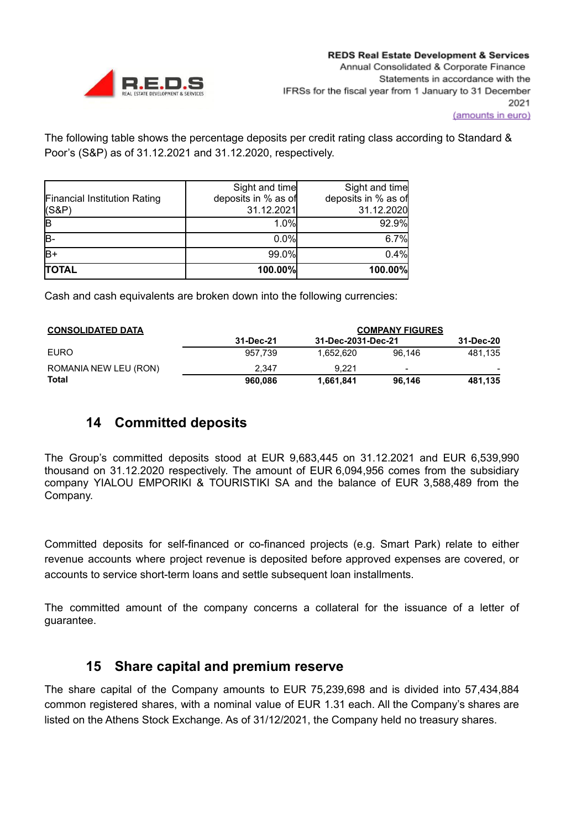

The following table shows the percentage deposits per credit rating class according to Standard & Poor's (S&P) as of 31.12.2021 and 31.12.2020, respectively.

| <b>Financial Institution Rating</b><br>$(S\&P)$ | Sight and time<br>deposits in % as of<br>31.12.2021 | Sight and time<br>deposits in % as of<br>31.12.2020 |
|-------------------------------------------------|-----------------------------------------------------|-----------------------------------------------------|
| IB                                              | 1.0%                                                | 92.9%                                               |
| B-                                              | 0.0%                                                | 6.7%                                                |
| lB+                                             | 99.0%                                               | 0.4%                                                |
| <b>TOTAL</b>                                    | 100.00%                                             | 100.00%                                             |

Cash and cash equivalents are broken down into the following currencies:

| <b>CONSOLIDATED DATA</b> |           |                    | <b>COMPANY FIGURES</b>   |           |
|--------------------------|-----------|--------------------|--------------------------|-----------|
|                          | 31-Dec-21 | 31-Dec-2031-Dec-21 |                          | 31-Dec-20 |
| <b>EURO</b>              | 957.739   | 1.652.620          | 96.146                   | 481,135   |
| ROMANIA NEW LEU (RON)    | 2.347     | 9.221              | $\overline{\phantom{0}}$ | -         |
| Total                    | 960.086   | 1,661,841          | 96.146                   | 481,135   |

## **14 Committed deposits**

The Group's committed deposits stood at EUR 9,683,445 on 31.12.2021 and EUR 6,539,990 thousand on 31.12.2020 respectively. The amount of EUR 6,094,956 comes from the subsidiary company YIALOU EMPORIKI & TOURISTIKI SA and the balance of EUR 3,588,489 from the Company.

Committed deposits for self-financed or co-financed projects (e.g. Smart Park) relate to either revenue accounts where project revenue is deposited before approved expenses are covered, or accounts to service short-term loans and settle subsequent loan installments.

The committed amount of the company concerns a collateral for the issuance of a letter of guarantee.

## **15 Share capital and premium reserve**

The share capital of the Company amounts to EUR 75,239,698 and is divided into 57,434,884 common registered shares, with a nominal value of EUR 1.31 each. All the Company's shares are listed on the Athens Stock Exchange. As of 31/12/2021, the Company held no treasury shares.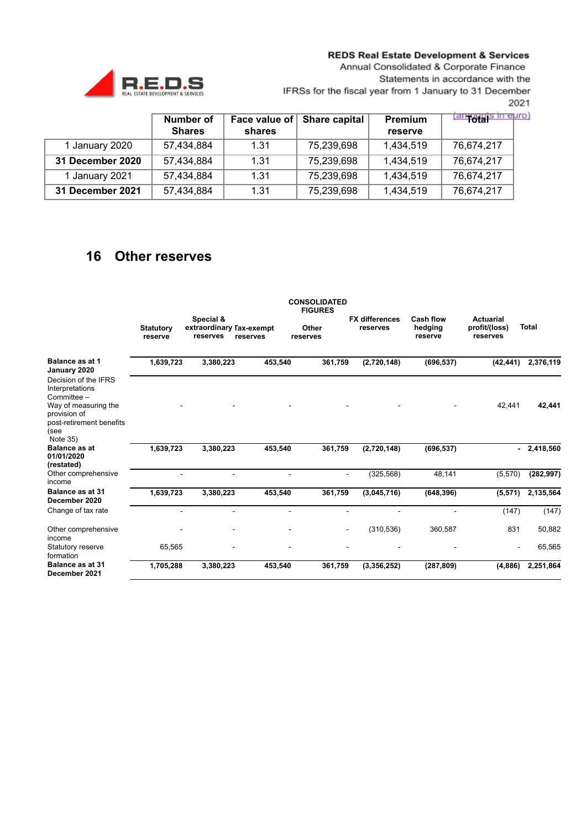**REDS Real Estate Development & Services** 



Annual Consolidated & Corporate Finance Statements in accordance with the IFRSs for the fiscal year from 1 January to 31 December 2021

|                  | Number of<br><b>Shares</b> | Face value of<br>shares | <b>Share capital</b> | <b>Premium</b><br>reserve | tampunis in euro) |
|------------------|----------------------------|-------------------------|----------------------|---------------------------|-------------------|
| 1 January 2020   | 57,434,884                 | 1.31                    | 75,239,698           | 1,434,519                 | 76,674,217        |
| 31 December 2020 | 57,434,884                 | 1.31                    | 75,239,698           | 1,434,519                 | 76,674,217        |
| 1 January 2021   | 57,434,884                 | 1.31                    | 75,239,698           | 1,434,519                 | 76,674,217        |
| 31 December 2021 | 57,434,884                 | 1.31                    | 75,239,698           | 1,434,519                 | 76,674,217        |

## **16 Other reserves**

|                                                                                                                                                |                             |                                                   |                | <b>CONSOLIDATED</b><br><b>FIGURES</b> |                                   |                                        |                                               |              |
|------------------------------------------------------------------------------------------------------------------------------------------------|-----------------------------|---------------------------------------------------|----------------|---------------------------------------|-----------------------------------|----------------------------------------|-----------------------------------------------|--------------|
|                                                                                                                                                | <b>Statutory</b><br>reserve | Special &<br>extraordinary Tax-exempt<br>reserves | reserves       | Other<br>reserves                     | <b>FX differences</b><br>reserves | <b>Cash flow</b><br>hedging<br>reserve | <b>Actuarial</b><br>profit/(loss)<br>reserves | <b>Total</b> |
| Balance as at 1<br>January 2020                                                                                                                | 1,639,723                   | 3,380,223                                         | 453,540        | 361,759                               | (2,720,148)                       | (696, 537)                             | (42, 441)                                     | 2,376,119    |
| Decision of the IFRS<br>Interpretations<br>Committee -<br>Way of measuring the<br>provision of<br>post-retirement benefits<br>(see<br>Note 35) |                             |                                                   |                |                                       |                                   |                                        | 42,441                                        | 42,441       |
| <b>Balance as at</b><br>01/01/2020<br>(restated)                                                                                               | 1,639,723                   | 3,380,223                                         | 453,540        | 361,759                               | (2,720,148)                       | (696, 537)                             |                                               | $-2,418,560$ |
| Other comprehensive<br>income                                                                                                                  | $\blacksquare$              | $\blacksquare$                                    | $\blacksquare$ | $\blacksquare$                        | (325, 568)                        | 48,141                                 | (5,570)                                       | (282, 997)   |
| Balance as at 31<br>December 2020                                                                                                              | 1,639,723                   | 3,380,223                                         | 453,540        | 361,759                               | (3,045,716)                       | (648, 396)                             | (5,571)                                       | 2,135,564    |
| Change of tax rate                                                                                                                             | $\blacksquare$              |                                                   | $\rightarrow$  |                                       |                                   |                                        | (147)                                         | (147)        |
| Other comprehensive<br>income                                                                                                                  |                             |                                                   |                | $\blacksquare$                        | (310, 536)                        | 360,587                                | 831                                           | 50,882       |
| Statutory reserve<br>formation                                                                                                                 | 65,565                      |                                                   |                |                                       |                                   |                                        |                                               | 65,565       |
| <b>Balance as at 31</b><br>December 2021                                                                                                       | 1,705,288                   | 3,380,223                                         | 453,540        | 361,759                               | (3,356,252)                       | (287, 809)                             | (4,886)                                       | 2,251,864    |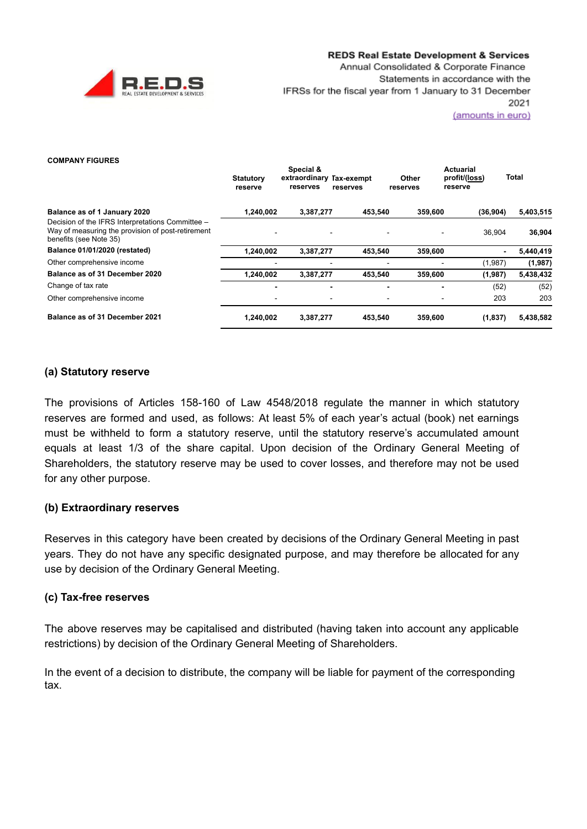

#### **REDS Real Estate Development & Services**

Annual Consolidated & Corporate Finance Statements in accordance with the IFRSs for the fiscal year from 1 January to 31 December 2021 (amounts in euro)

**COMPANY FIGURES**

|                                                                                                                                 | <b>Statutory</b><br>reserve | Special &<br>extraordinary<br>reserves | Tax-exempt<br>reserves | Other<br>reserves             | <b>Actuarial</b><br>profit/(loss)<br>reserve | Total     |
|---------------------------------------------------------------------------------------------------------------------------------|-----------------------------|----------------------------------------|------------------------|-------------------------------|----------------------------------------------|-----------|
| Balance as of 1 January 2020                                                                                                    | 1,240,002                   | 3,387,277                              | 453,540                | 359,600                       | (36,904)                                     | 5,403,515 |
| Decision of the IFRS Interpretations Committee -<br>Way of measuring the provision of post-retirement<br>benefits (see Note 35) |                             |                                        |                        |                               | 36.904                                       | 36,904    |
| Balance 01/01/2020 (restated)                                                                                                   | 1,240,002                   | 3,387,277                              | 453,540                | 359,600                       | $\blacksquare$                               | 5,440,419 |
| Other comprehensive income                                                                                                      |                             |                                        |                        |                               | (1,987)                                      | (1,987)   |
| Balance as of 31 December 2020                                                                                                  | 1,240,002                   | 3,387,277                              | 453,540                | 359,600                       | (1,987)                                      | 5,438,432 |
| Change of tax rate                                                                                                              |                             |                                        |                        |                               | (52)                                         | (52)      |
| Other comprehensive income                                                                                                      |                             |                                        |                        | ٠<br>$\overline{\phantom{a}}$ | 203                                          | 203       |
| Balance as of 31 December 2021                                                                                                  | 1,240,002                   | 3,387,277                              | 453.540                | 359,600                       | (1,837)                                      | 5,438,582 |

#### **(a) Statutory reserve**

The provisions of Articles 158-160 of Law 4548/2018 regulate the manner in which statutory reserves are formed and used, as follows: At least 5% of each year's actual (book) net earnings must be withheld to form a statutory reserve, until the statutory reserve's accumulated amount equals at least 1/3 of the share capital. Upon decision of the Ordinary General Meeting of Shareholders, the statutory reserve may be used to cover losses, and therefore may not be used for any other purpose.

#### **(b) Extraordinary reserves**

Reserves in this category have been created by decisions of the Ordinary General Meeting in past years. They do not have any specific designated purpose, and may therefore be allocated for any use by decision of the Ordinary General Meeting.

#### **(c) Tax-free reserves**

The above reserves may be capitalised and distributed (having taken into account any applicable restrictions) by decision of the Ordinary General Meeting of Shareholders.

In the event of a decision to distribute, the company will be liable for payment of the corresponding tax.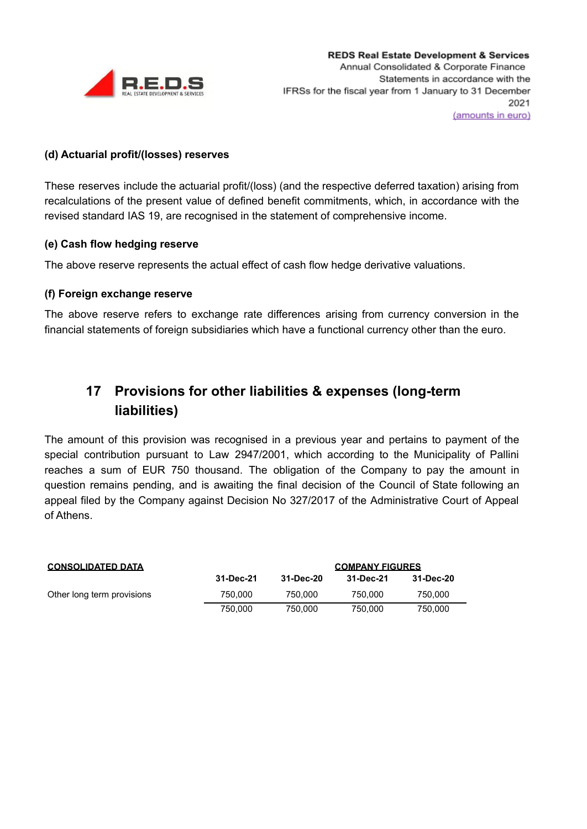

#### **(d) Actuarial profit/(losses) reserves**

These reserves include the actuarial profit/(loss) (and the respective deferred taxation) arising from recalculations of the present value of defined benefit commitments, which, in accordance with the revised standard IAS 19, are recognised in the statement of comprehensive income.

#### **(e) Cash flow hedging reserve**

The above reserve represents the actual effect of cash flow hedge derivative valuations.

#### **(f) Foreign exchange reserve**

The above reserve refers to exchange rate differences arising from currency conversion in the financial statements of foreign subsidiaries which have a functional currency other than the euro.

# **17 Provisions for other liabilities & expenses (long-term liabilities)**

The amount of this provision was recognised in a previous year and pertains to payment of the special contribution pursuant to Law 2947/2001, which according to the Municipality of Pallini reaches a sum of EUR 750 thousand. The obligation of the Company to pay the amount in question remains pending, and is awaiting the final decision of the Council of State following an appeal filed by the Company against Decision No 327/2017 of the Administrative Court of Appeal of Athens.

| <b>CONSOLIDATED DATA</b>   |           | <b>COMPANY FIGURES</b> |           |           |  |
|----------------------------|-----------|------------------------|-----------|-----------|--|
|                            | 31-Dec-21 | 31-Dec-20              | 31-Dec-21 | 31-Dec-20 |  |
| Other long term provisions | 750.000   | 750.000                | 750.000   | 750.000   |  |
|                            | 750.000   | 750,000                | 750.000   | 750.000   |  |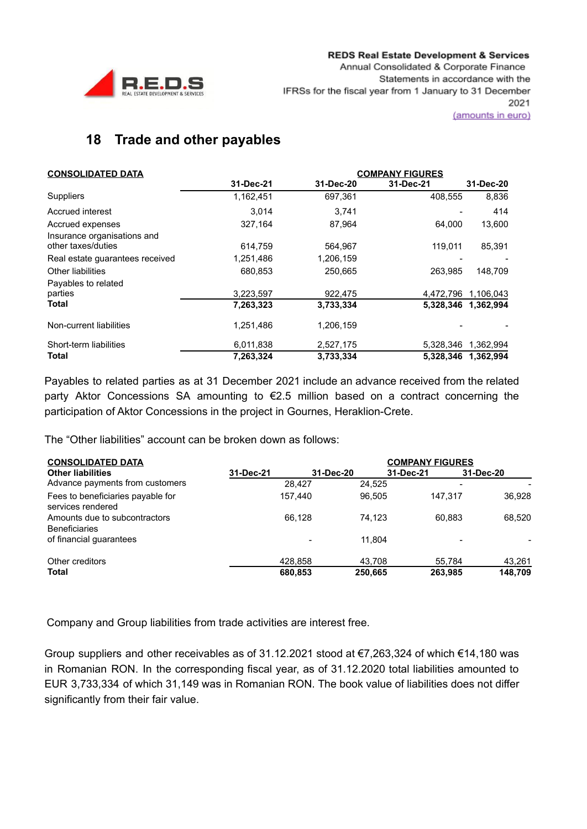

## **18 Trade and other payables**

| <b>CONSOLIDATED DATA</b>                          | <b>COMPANY FIGURES</b> |           |           |                     |  |  |  |
|---------------------------------------------------|------------------------|-----------|-----------|---------------------|--|--|--|
|                                                   | 31-Dec-21              | 31-Dec-20 | 31-Dec-21 | 31-Dec-20           |  |  |  |
| <b>Suppliers</b>                                  | 1,162,451              | 697,361   | 408,555   | 8,836               |  |  |  |
| Accrued interest                                  | 3,014                  | 3.741     |           | 414                 |  |  |  |
| Accrued expenses                                  | 327,164                | 87,964    | 64.000    | 13,600              |  |  |  |
| Insurance organisations and<br>other taxes/duties | 614.759                | 564.967   | 119.011   | 85,391              |  |  |  |
| Real estate guarantees received                   | 1,251,486              | 1,206,159 |           |                     |  |  |  |
| Other liabilities                                 | 680,853                | 250,665   | 263.985   | 148,709             |  |  |  |
| Payables to related                               |                        |           |           |                     |  |  |  |
| parties                                           | 3,223,597              | 922,475   | 4,472,796 | 1,106,043           |  |  |  |
| <b>Total</b>                                      | 7,263,323              | 3,733,334 |           | 5,328,346 1,362,994 |  |  |  |
| Non-current liabilities                           | 1,251,486              | 1,206,159 |           |                     |  |  |  |
| Short-term liabilities                            | 6,011,838              | 2,527,175 | 5,328,346 | 1,362,994           |  |  |  |
| Total                                             | 7,263,324              | 3,733,334 |           | 5,328,346 1,362,994 |  |  |  |

Payables to related parties as at 31 December 2021 include an advance received from the related party Aktor Concessions SA amounting to €2.5 million based on a contract concerning the participation of Aktor Concessions in the project in Gournes, Heraklion-Crete.

The "Other liabilities" account can be broken down as follows:

| <b>CONSOLIDATED DATA</b>                               | <b>COMPANY FIGURES</b> |           |           |           |  |
|--------------------------------------------------------|------------------------|-----------|-----------|-----------|--|
| <b>Other liabilities</b>                               | 31-Dec-21              | 31-Dec-20 | 31-Dec-21 | 31-Dec-20 |  |
| Advance payments from customers                        | 28.427                 | 24.525    |           |           |  |
| Fees to beneficiaries payable for<br>services rendered | 157,440                | 96.505    | 147.317   | 36.928    |  |
| Amounts due to subcontractors<br><b>Beneficiaries</b>  | 66.128                 | 74.123    | 60.883    | 68.520    |  |
| of financial guarantees                                |                        | 11.804    |           |           |  |
| Other creditors                                        | 428.858                | 43.708    | 55.784    | 43,261    |  |
| <b>Total</b>                                           | 680,853                | 250,665   | 263,985   | 148.709   |  |

Company and Group liabilities from trade activities are interest free.

Group suppliers and other receivables as of 31.12.2021 stood at €7,263,324 of which €14,180 was in Romanian RON. In the corresponding fiscal year, as of 31.12.2020 total liabilities amounted to EUR 3,733,334 of which 31,149 was in Romanian RON. The book value of liabilities does not differ significantly from their fair value.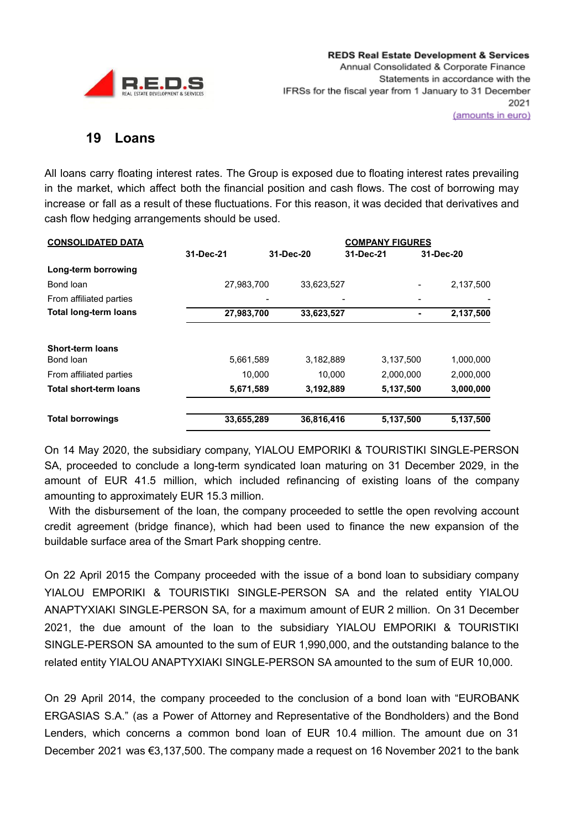

## **19 Loans**

All loans carry floating interest rates. The Group is exposed due to floating interest rates prevailing in the market, which affect both the financial position and cash flows. The cost of borrowing may increase or fall as a result of these fluctuations. For this reason, it was decided that derivatives and cash flow hedging arrangements should be used.

| <b>CONSOLIDATED DATA</b>             |            |        | <b>COMPANY FIGURES</b> |           |  |           |
|--------------------------------------|------------|--------|------------------------|-----------|--|-----------|
|                                      | 31-Dec-21  |        | 31-Dec-20              | 31-Dec-21 |  | 31-Dec-20 |
| Long-term borrowing                  |            |        |                        |           |  |           |
| Bond loan                            | 27,983,700 |        | 33,623,527             |           |  | 2,137,500 |
| From affiliated parties              |            |        |                        |           |  |           |
| <b>Total long-term loans</b>         | 27,983,700 |        | 33,623,527             |           |  | 2,137,500 |
| <b>Short-term loans</b><br>Bond loan |            |        |                        |           |  |           |
|                                      | 5,661,589  |        | 3,182,889              | 3,137,500 |  | 1,000,000 |
| From affiliated parties              |            | 10,000 | 10,000                 | 2,000,000 |  | 2,000,000 |
| Total short-term loans               | 5,671,589  |        | 3,192,889              | 5,137,500 |  | 3,000,000 |
| <b>Total borrowings</b>              | 33,655,289 |        | 36,816,416             | 5,137,500 |  | 5,137,500 |

On 14 May 2020, the subsidiary company, YIALOU EMPORIKI & TOURISTIKI SINGLE-PERSON SA, proceeded to conclude a long-term syndicated loan maturing on 31 December 2029, in the amount of EUR 41.5 million, which included refinancing of existing loans of the company amounting to approximately EUR 15.3 million.

With the disbursement of the loan, the company proceeded to settle the open revolving account credit agreement (bridge finance), which had been used to finance the new expansion of the buildable surface area of the Smart Park shopping centre.

On 22 April 2015 the Company proceeded with the issue of a bond loan to subsidiary company YIALOU EMPORIKI & TOURISTIKI SINGLE-PERSON SA and the related entity YIALOU ANAPTYXIAKI SINGLE-PERSON SA, for a maximum amount of EUR 2 million. On 31 December 2021, the due amount of the loan to the subsidiary YIALOU EMPORIKI & TOURISTIKI SINGLE-PERSON SA amounted to the sum of EUR 1,990,000, and the outstanding balance to the related entity YIALOU ANAPTYXIAKI SINGLE-PERSON SA amounted to the sum of EUR 10,000.

On 29 April 2014, the company proceeded to the conclusion of a bond loan with "EUROBANK ERGASIAS S.A." (as a Power of Attorney and Representative of the Bondholders) and the Bond Lenders, which concerns a common bond loan of EUR 10.4 million. The amount due on 31 December 2021 was €3,137,500. The company made a request on 16 November 2021 to the bank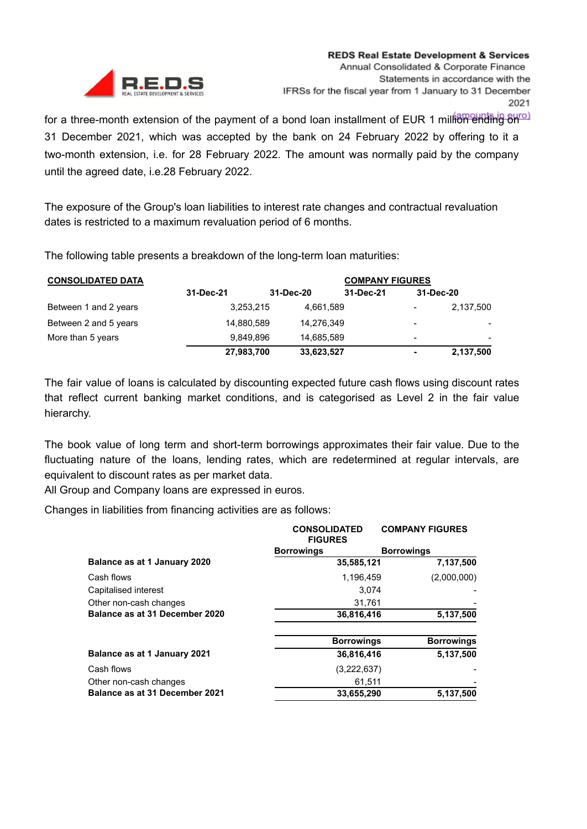

for a three-month extension of the payment of a bond loan installment of EUR 1 million ending our of 31 December 2021, which was accepted by the bank on 24 February 2022 by offering to it a two-month extension, i.e. for 28 February 2022. The amount was normally paid by the company until the agreed date, i.e.28 February 2022.

The exposure of the Group's loan liabilities to interest rate changes and contractual revaluation dates is restricted to a maximum revaluation period of 6 months.

The following table presents a breakdown of the long-term loan maturities:

| <b>CONSOLIDATED DATA</b> |            | <b>COMPANY FIGURES</b> |            |           |                          |           |
|--------------------------|------------|------------------------|------------|-----------|--------------------------|-----------|
|                          | 31-Dec-21  |                        | 31-Dec-20  | 31-Dec-21 |                          | 31-Dec-20 |
| Between 1 and 2 years    | 3,253,215  |                        | 4,661,589  |           | ۰.                       | 2,137,500 |
| Between 2 and 5 years    | 14,880,589 |                        | 14,276,349 |           | $\overline{\phantom{a}}$ |           |
| More than 5 years        | 9.849.896  |                        | 14.685.589 |           | $\overline{\phantom{0}}$ |           |
|                          | 27,983,700 |                        | 33,623,527 |           | ۰                        | 2,137,500 |

The fair value of loans is calculated by discounting expected future cash flows using discount rates that reflect current banking market conditions, and is categorised as Level 2 in the fair value hierarchy.

The book value of long term and short-term borrowings approximates their fair value. Due to the fluctuating nature of the loans, lending rates, which are redetermined at regular intervals, are equivalent to discount rates as per market data.

All Group and Company loans are expressed in euros.

Changes in liabilities from financing activities are as follows:

|                                | <b>CONSOLIDATED</b><br><b>FIGURES</b> |                   | <b>COMPANY FIGURES</b> |
|--------------------------------|---------------------------------------|-------------------|------------------------|
|                                | <b>Borrowings</b>                     | <b>Borrowings</b> |                        |
| Balance as at 1 January 2020   | 35,585,121                            |                   | 7,137,500              |
| Cash flows                     |                                       | 1,196,459         | (2,000,000)            |
| Capitalised interest           |                                       | 3,074             |                        |
| Other non-cash changes         |                                       | 31,761            |                        |
| Balance as at 31 December 2020 | 36,816,416                            |                   | 5,137,500              |
|                                | <b>Borrowings</b>                     |                   | <b>Borrowings</b>      |
| Balance as at 1 January 2021   | 36,816,416                            |                   | 5,137,500              |
| Cash flows                     | (3,222,637)                           |                   |                        |
| Other non-cash changes         |                                       | 61,511            |                        |
| Balance as at 31 December 2021 | 33,655,290                            |                   | 5,137,500              |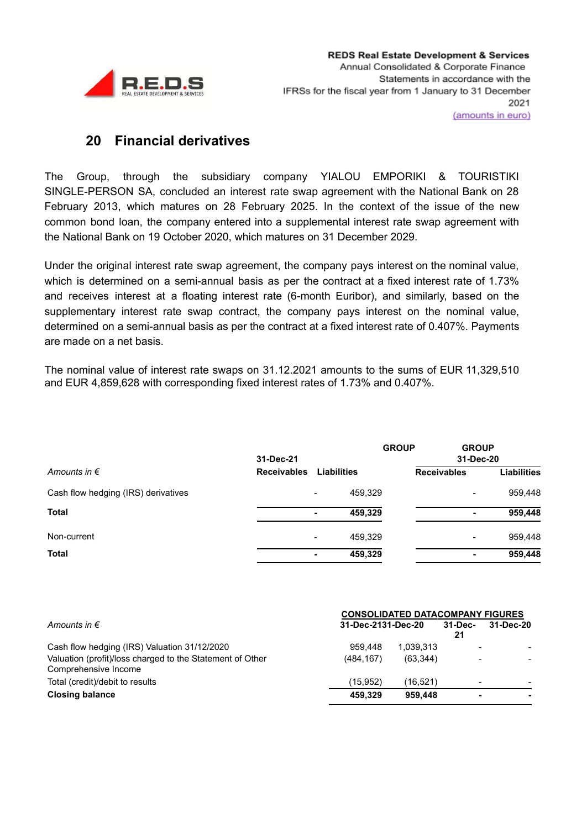

## **20 Financial derivatives**

The Group, through the subsidiary company YIALOU EMPORIKI & TOURISTIKI SINGLE-PERSON SA, concluded an interest rate swap agreement with the National Bank on 28 February 2013, which matures on 28 February 2025. In the context of the issue of the new common bond loan, the company entered into a supplemental interest rate swap agreement with the National Bank on 19 October 2020, which matures on 31 December 2029.

Under the original interest rate swap agreement, the company pays interest on the nominal value, which is determined on a semi-annual basis as per the contract at a fixed interest rate of 1.73% and receives interest at a floating interest rate (6-month Euribor), and similarly, based on the supplementary interest rate swap contract, the company pays interest on the nominal value, determined on a semi-annual basis as per the contract at a fixed interest rate of 0.407%. Payments are made on a net basis.

The nominal value of interest rate swaps on 31.12.2021 amounts to the sums of EUR 11,329,510 and EUR 4,859,628 with corresponding fixed interest rates of 1.73% and 0.407%.

|                                     | 31-Dec-21          |                          |             | <b>GROUP</b> | <b>GROUP</b><br>31-Dec-20    |                    |
|-------------------------------------|--------------------|--------------------------|-------------|--------------|------------------------------|--------------------|
| Amounts in $\epsilon$               | <b>Receivables</b> |                          | Liabilities |              | <b>Receivables</b>           | <b>Liabilities</b> |
| Cash flow hedging (IRS) derivatives |                    | -                        | 459,329     |              | $\qquad \qquad \blacksquare$ | 959,448            |
| <b>Total</b>                        |                    | $\overline{\phantom{0}}$ | 459,329     |              | ۰                            | 959,448            |
| Non-current                         |                    | -                        | 459,329     |              | -                            | 959,448            |
| <b>Total</b>                        |                    | ۰                        | 459,329     |              | ٠                            | 959,448            |

|                                                                                   | <b>CONSOLIDATED DATACOMPANY FIGURES</b> |           |                          |           |  |  |
|-----------------------------------------------------------------------------------|-----------------------------------------|-----------|--------------------------|-----------|--|--|
| Amounts in $\epsilon$                                                             | 31-Dec-2131-Dec-20                      |           | $31 - Dec-$<br>21        | 31-Dec-20 |  |  |
| Cash flow hedging (IRS) Valuation 31/12/2020                                      | 959.448                                 | 1.039.313 | -                        |           |  |  |
| Valuation (profit)/loss charged to the Statement of Other<br>Comprehensive Income | (484.167)                               | (63.344)  | $\overline{\phantom{0}}$ |           |  |  |
| Total (credit)/debit to results                                                   | (15.952)                                | (16, 521) | -                        |           |  |  |
| <b>Closing balance</b>                                                            | 459.329                                 | 959.448   | ۰                        |           |  |  |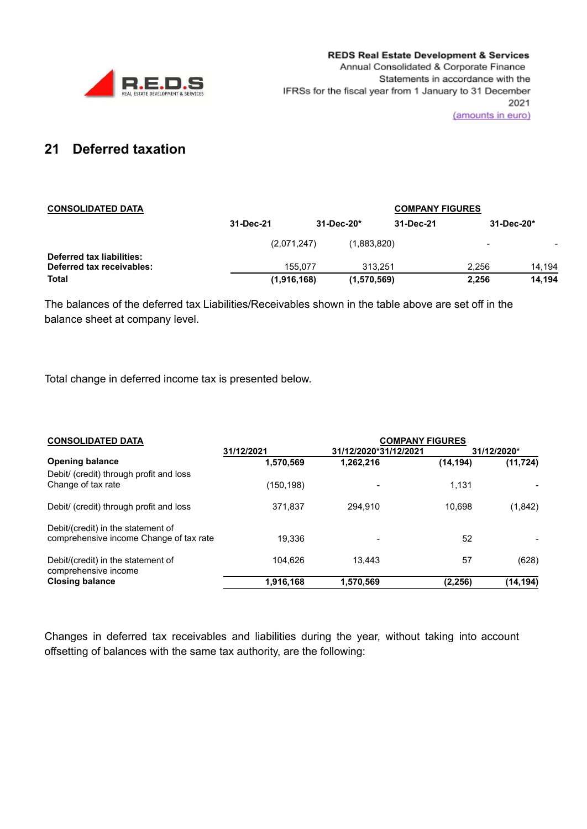

## **21 Deferred taxation**

| <b>CONSOLIDATED DATA</b>                               |             | <b>COMPANY FIGURES</b> |                  |           |                          |                  |
|--------------------------------------------------------|-------------|------------------------|------------------|-----------|--------------------------|------------------|
|                                                        | 31-Dec-21   |                        | $31 - Dec - 20*$ | 31-Dec-21 |                          | $31 - Dec - 20*$ |
|                                                        | (2,071,247) |                        | (1,883,820)      |           | $\overline{\phantom{a}}$ |                  |
| Deferred tax liabilities:<br>Deferred tax receivables: |             | 155.077                | 313.251          |           | 2.256                    | 14.194           |
| Total                                                  | (1,916,168) |                        | (1,570,569)      |           | 2,256                    | 14.194           |

The balances of the deferred tax Liabilities/Receivables shown in the table above are set off in the balance sheet at company level.

Total change in deferred income tax is presented below.

| <b>CONSOLIDATED DATA</b>                                                      |            | <b>COMPANY FIGURES</b> |           |             |  |  |
|-------------------------------------------------------------------------------|------------|------------------------|-----------|-------------|--|--|
|                                                                               | 31/12/2021 | 31/12/2020*31/12/2021  |           | 31/12/2020* |  |  |
| <b>Opening balance</b>                                                        | 1,570,569  | 1,262,216              | (14, 194) | (11, 724)   |  |  |
| Debit/ (credit) through profit and loss<br>Change of tax rate                 | (150, 198) |                        | 1.131     |             |  |  |
| Debit/ (credit) through profit and loss                                       | 371.837    | 294.910                | 10.698    | (1,842)     |  |  |
| Debit/(credit) in the statement of<br>comprehensive income Change of tax rate | 19.336     |                        | 52        |             |  |  |
| Debit/(credit) in the statement of<br>comprehensive income                    | 104.626    | 13.443                 | 57        | (628)       |  |  |
| <b>Closing balance</b>                                                        | 1,916,168  | 1.570.569              | (2, 256)  | (14, 194)   |  |  |

Changes in deferred tax receivables and liabilities during the year, without taking into account offsetting of balances with the same tax authority, are the following: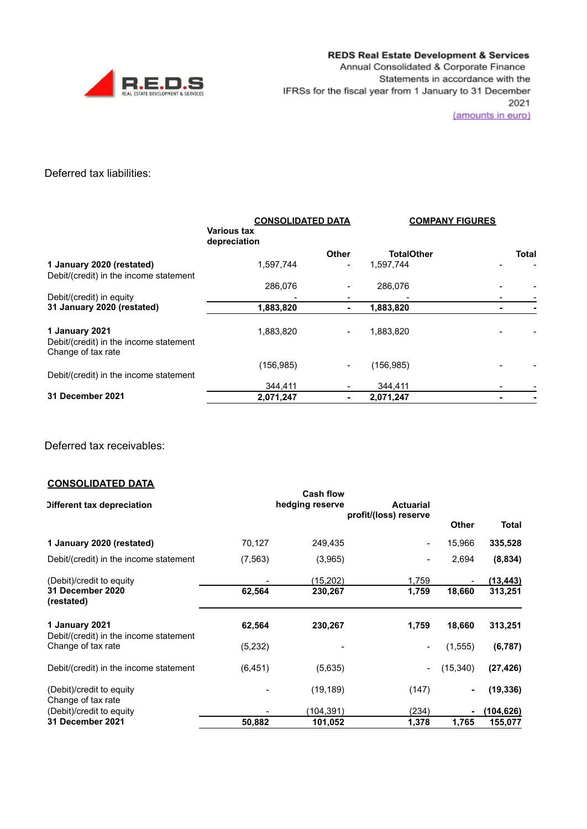

Deferred tax liabilities:

|                                                                                |                                    | <b>CONSOLIDATED DATA</b> |                   | <b>COMPANY FIGURES</b> |
|--------------------------------------------------------------------------------|------------------------------------|--------------------------|-------------------|------------------------|
|                                                                                | <b>Various tax</b><br>depreciation |                          |                   |                        |
|                                                                                |                                    | <b>Other</b>             | <b>TotalOther</b> | <b>Total</b>           |
| 1 January 2020 (restated)                                                      | 1,597,744                          | -                        | 1,597,744         |                        |
| Debit/(credit) in the income statement                                         |                                    |                          |                   |                        |
|                                                                                | 286,076                            |                          | 286,076           |                        |
| Debit/(credit) in equity                                                       |                                    |                          |                   |                        |
| 31 January 2020 (restated)                                                     | 1,883,820                          |                          | 1,883,820         |                        |
| 1 January 2021<br>Debit/(credit) in the income statement<br>Change of tax rate | 1,883,820                          |                          | 1,883,820         |                        |
| Debit/(credit) in the income statement                                         | (156, 985)                         |                          | (156, 985)        |                        |
|                                                                                | 344.411                            |                          | 344.411           |                        |
| 31 December 2021                                                               | 2,071,247                          |                          | 2,071,247         |                        |
|                                                                                |                                    |                          |                   |                        |

Deferred tax receivables:

#### **CONSOLIDATED DATA**

| <u>UUNUULIUMI LU UMIM</u>                                |                                                              | <b>Cash flow</b> |                          |              |              |
|----------------------------------------------------------|--------------------------------------------------------------|------------------|--------------------------|--------------|--------------|
| Different tax depreciation                               | hedging reserve<br><b>Actuarial</b><br>profit/(loss) reserve |                  |                          |              |              |
|                                                          |                                                              |                  |                          | <b>Other</b> | <b>Total</b> |
| 1 January 2020 (restated)                                | 70,127                                                       | 249,435          |                          | 15,966       | 335,528      |
| Debit/(credit) in the income statement                   | (7, 563)                                                     | (3,965)          |                          | 2,694        | (8, 834)     |
| (Debit)/credit to equity                                 |                                                              | (15, 202)        | 1,759                    |              | (13, 443)    |
| 31 December 2020<br>(restated)                           | 62,564                                                       | 230,267          | 1,759                    | 18,660       | 313,251      |
| 1 January 2021<br>Debit/(credit) in the income statement | 62,564                                                       | 230,267          | 1,759                    | 18,660       | 313,251      |
| Change of tax rate                                       | (5,232)                                                      |                  | $\overline{\phantom{0}}$ | (1, 555)     | (6, 787)     |
| Debit/(credit) in the income statement                   | (6, 451)                                                     | (5,635)          |                          | (15,340)     | (27, 426)    |
| (Debit)/credit to equity<br>Change of tax rate           |                                                              | (19, 189)        | (147)                    | ٠            | (19, 336)    |
| (Debit)/credit to equity                                 |                                                              | (104, 391)       | (234)                    |              | (104, 626)   |
| <b>31 December 2021</b>                                  | 50,882                                                       | 101,052          | 1,378                    | 1,765        | 155,077      |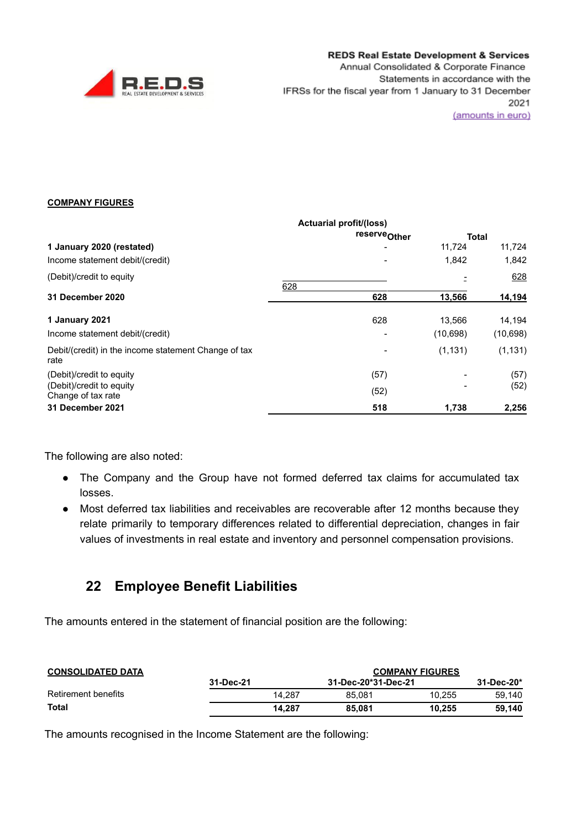

#### **COMPANY FIGURES**

|                                                              | <b>Actuarial profit/(loss)</b> |          |          |
|--------------------------------------------------------------|--------------------------------|----------|----------|
|                                                              | reserve <sub>Other</sub>       | Total    |          |
| 1 January 2020 (restated)                                    |                                | 11,724   | 11,724   |
| Income statement debit/(credit)                              |                                | 1,842    | 1,842    |
| (Debit)/credit to equity                                     | 628                            |          | 628      |
| 31 December 2020                                             | 628                            | 13,566   | 14,194   |
| 1 January 2021                                               | 628                            | 13,566   | 14,194   |
| Income statement debit/(credit)                              |                                | (10,698) | (10,698) |
| Debit/(credit) in the income statement Change of tax<br>rate |                                | (1, 131) | (1, 131) |
| (Debit)/credit to equity                                     | (57)                           |          | (57)     |
| (Debit)/credit to equity<br>Change of tax rate               | (52)                           |          | (52)     |
| 31 December 2021                                             | 518                            | 1,738    | 2,256    |

The following are also noted:

- The Company and the Group have not formed deferred tax claims for accumulated tax losses.
- Most deferred tax liabilities and receivables are recoverable after 12 months because they relate primarily to temporary differences related to differential depreciation, changes in fair values of investments in real estate and inventory and personnel compensation provisions.

## **22 Employee Benefit Liabilities**

The amounts entered in the statement of financial position are the following:

| <b>CONSOLIDATED DATA</b> |           | <b>COMPANY FIGURES</b> |                     |        |                  |  |
|--------------------------|-----------|------------------------|---------------------|--------|------------------|--|
|                          | 31-Dec-21 |                        | 31-Dec-20*31-Dec-21 |        | $31 - Dec - 20*$ |  |
| Retirement benefits      |           | 14.287                 | 85.081              | 10.255 | 59.140           |  |
| Total                    |           | 14.287                 | 85.081              | 10.255 | 59,140           |  |

The amounts recognised in the Income Statement are the following: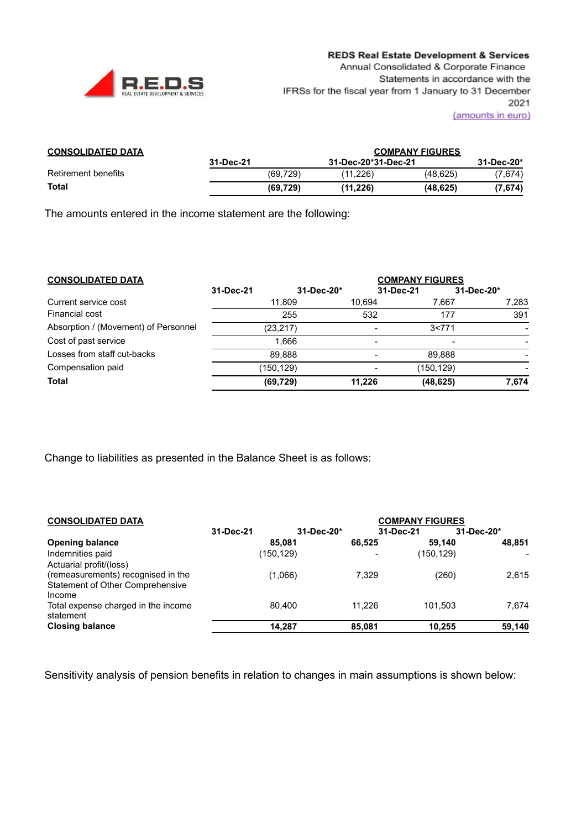

| <b>CONSOLIDATED DATA</b> |           |           | <b>COMPANY FIGURES</b> |           |                  |
|--------------------------|-----------|-----------|------------------------|-----------|------------------|
|                          | 31-Dec-21 |           | 31-Dec-20*31-Dec-21    |           | $31 - Dec - 20*$ |
| Retirement benefits      |           | (69, 729) | (11.226)               | (48, 625) | (7,674)          |
| <b>Total</b>             |           | (69, 729) | (11, 226)              | (48, 625) | (7,674)          |

The amounts entered in the income statement are the following:

| <b>CONSOLIDATED DATA</b>             |           | <b>COMPANY FIGURES</b> |           |            |            |  |  |
|--------------------------------------|-----------|------------------------|-----------|------------|------------|--|--|
|                                      | 31-Dec-21 | 31-Dec-20*             | 31-Dec-21 |            | 31-Dec-20* |  |  |
| Current service cost                 |           | 11,809                 | 10.694    | 7,667      | 7,283      |  |  |
| Financial cost                       |           | 255                    | 532       | 177        | 391        |  |  |
| Absorption / (Movement) of Personnel |           | (23, 217)              |           | 3<771      |            |  |  |
| Cost of past service                 |           | 1.666                  |           |            |            |  |  |
| Losses from staff cut-backs          |           | 89.888                 |           | 89.888     |            |  |  |
| Compensation paid                    |           | (150,129)              |           | (150, 129) |            |  |  |
| <b>Total</b>                         |           | (69, 729)              | 11,226    | (48, 625)  | 7,674      |  |  |

Change to liabilities as presented in the Balance Sheet is as follows:

| <b>CONSOLIDATED DATA</b>                                                   |           | <b>COMPANY FIGURES</b> |           |           |            |  |  |
|----------------------------------------------------------------------------|-----------|------------------------|-----------|-----------|------------|--|--|
|                                                                            | 31-Dec-21 | 31-Dec-20*             | 31-Dec-21 |           | 31-Dec-20* |  |  |
| <b>Opening balance</b>                                                     |           | 85,081                 | 66.525    | 59.140    | 48.851     |  |  |
| Indemnities paid                                                           |           | (150, 129)             |           | (150,129) |            |  |  |
| Actuarial profit/(loss)                                                    |           |                        |           |           |            |  |  |
| (remeasurements) recognised in the                                         |           | (1.066)                | 7.329     | (260)     | 2.615      |  |  |
| Statement of Other Comprehensive                                           |           |                        |           |           |            |  |  |
| Income                                                                     |           |                        |           |           |            |  |  |
|                                                                            |           | 80.400                 | 11.226    | 101.503   | 7.674      |  |  |
|                                                                            |           |                        |           |           |            |  |  |
|                                                                            |           |                        |           | 10,255    | 59,140     |  |  |
| Total expense charged in the income<br>statement<br><b>Closing balance</b> |           | 14,287                 | 85.081    |           |            |  |  |

Sensitivity analysis of pension benefits in relation to changes in main assumptions is shown below: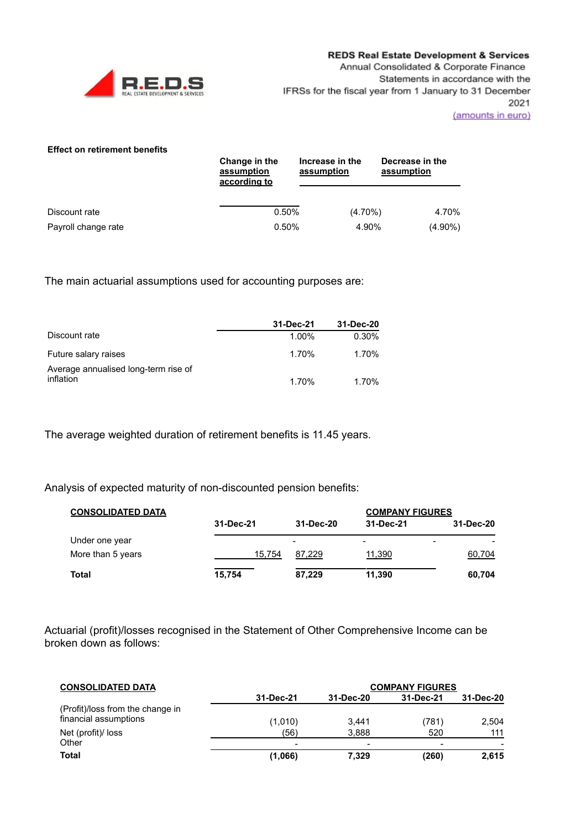

**Effect on retirement benefits**

|                     | Change in the<br>assumption<br>according to | Increase in the<br>assumption | Decrease in the<br>assumption |  |
|---------------------|---------------------------------------------|-------------------------------|-------------------------------|--|
| Discount rate       | 0.50%                                       | $(4.70\%)$                    | 4.70%                         |  |
| Payroll change rate | 0.50%                                       | 4.90%                         | $(4.90\%)$                    |  |

The main actuarial assumptions used for accounting purposes are:

|                                                   | 31-Dec-21 | 31-Dec-20 |
|---------------------------------------------------|-----------|-----------|
| Discount rate                                     | $1.00\%$  | $0.30\%$  |
| Future salary raises                              | 1.70%     | 1.70%     |
| Average annualised long-term rise of<br>inflation | 1.70%     | 1.70%     |

The average weighted duration of retirement benefits is 11.45 years.

Analysis of expected maturity of non-discounted pension benefits:

| <b>CONSOLIDATED DATA</b> |           |                          | <b>COMPANY FIGURES</b> |           |
|--------------------------|-----------|--------------------------|------------------------|-----------|
|                          | 31-Dec-21 | 31-Dec-20                | 31-Dec-21              | 31-Dec-20 |
| Under one year           |           | $\overline{\phantom{0}}$ |                        | -         |
| More than 5 years        | 15,754    | 87.229                   | 11,390                 | 60,704    |
| Total                    | 15.754    | 87,229                   | 11.390                 | 60,704    |

Actuarial (profit)/losses recognised in the Statement of Other Comprehensive Income can be broken down as follows:

| <b>CONSOLIDATED DATA</b>         | <b>COMPANY FIGURES</b> |           |           |           |  |  |
|----------------------------------|------------------------|-----------|-----------|-----------|--|--|
|                                  | 31-Dec-21              | 31-Dec-20 | 31-Dec-21 | 31-Dec-20 |  |  |
| (Profit)/loss from the change in |                        |           |           |           |  |  |
| financial assumptions            | (1,010)                | 3.441     | (781)     | 2.504     |  |  |
| Net (profit)/ loss               | (56)                   | 3.888     | 520       | 111       |  |  |
| Other                            |                        |           |           |           |  |  |
| <b>Total</b>                     | (1,066)                | 7,329     | (260)     | 2,615     |  |  |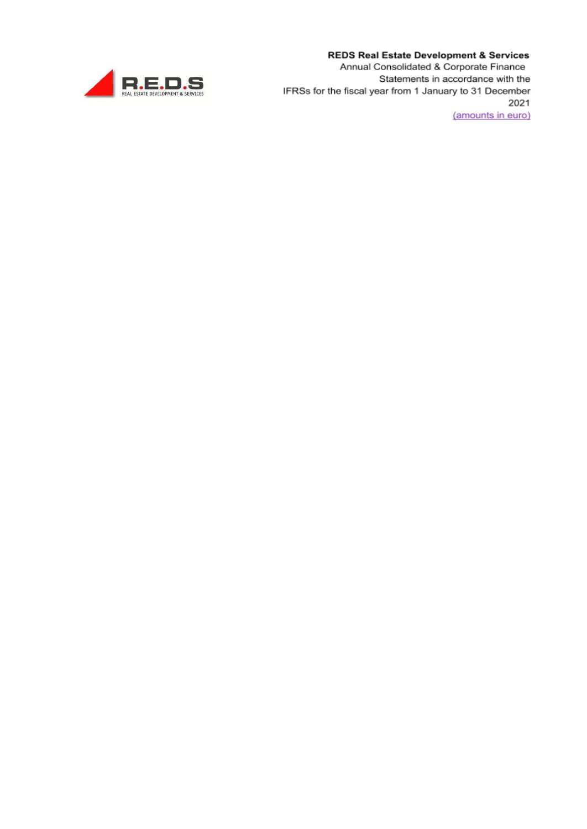#### **REDS Real Estate Development & Services**



Annual Consolidated & Corporate Finance Statements in accordance with the IFRSs for the fiscal year from 1 January to 31 December 2021 (amounts in euro)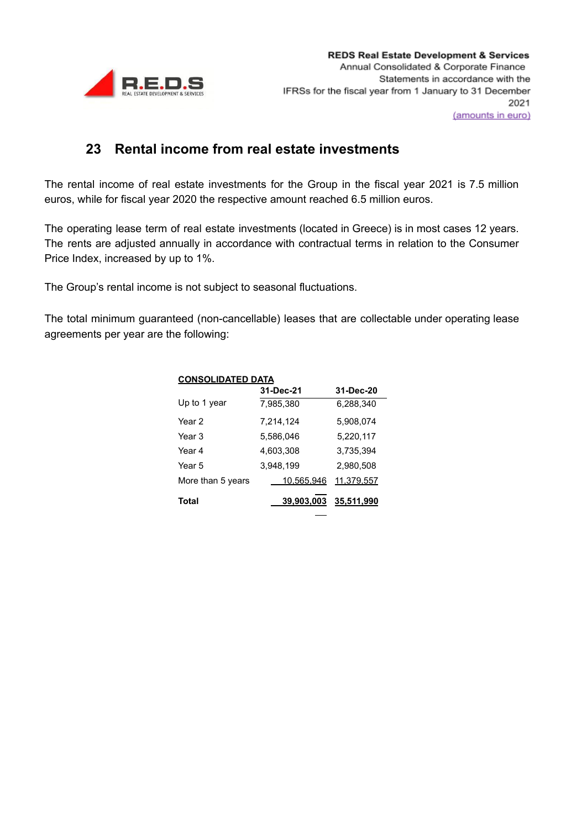

## **23 Rental income from real estate investments**

The rental income of real estate investments for the Group in the fiscal year 2021 is 7.5 million euros, while for fiscal year 2020 the respective amount reached 6.5 million euros.

The operating lease term of real estate investments (located in Greece) is in most cases 12 years. The rents are adjusted annually in accordance with contractual terms in relation to the Consumer Price Index, increased by up to 1%.

The Group's rental income is not subject to seasonal fluctuations.

The total minimum guaranteed (non-cancellable) leases that are collectable under operating lease agreements per year are the following:

| <b>CONSOLIDATED DATA</b> |            |            |  |  |  |  |
|--------------------------|------------|------------|--|--|--|--|
|                          | 31-Dec-21  | 31-Dec-20  |  |  |  |  |
| Up to 1 year             | 7,985,380  | 6,288,340  |  |  |  |  |
| Year 2                   | 7,214,124  | 5,908,074  |  |  |  |  |
| Year 3                   | 5,586,046  | 5,220,117  |  |  |  |  |
| Year 4                   | 4,603,308  | 3,735,394  |  |  |  |  |
| Year 5                   | 3,948,199  | 2,980,508  |  |  |  |  |
| More than 5 years        | 10.565.946 | 11,379,557 |  |  |  |  |
| Total                    | 39,903,003 | 35,511,990 |  |  |  |  |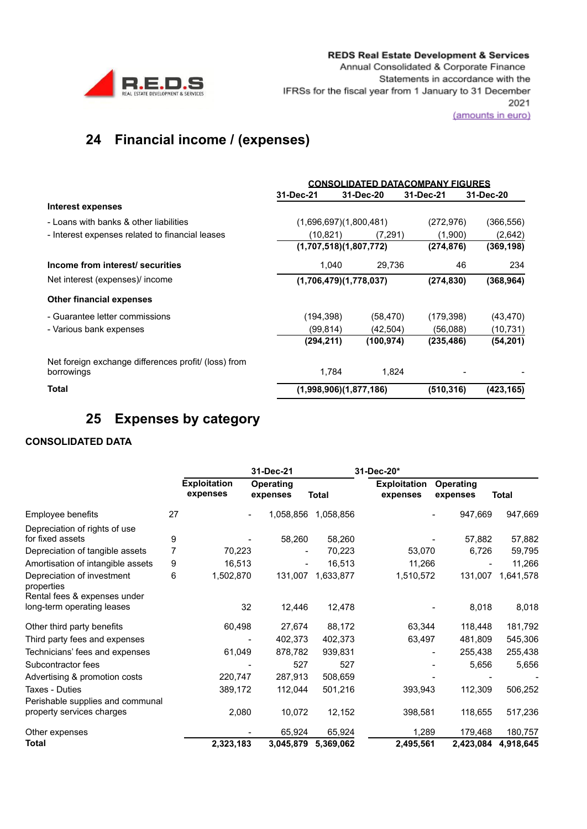

# **24 Financial income / (expenses)**

|                                                      | <b>CONSOLIDATED DATACOMPANY FIGURES</b> |                        |                        |            |           |           |
|------------------------------------------------------|-----------------------------------------|------------------------|------------------------|------------|-----------|-----------|
|                                                      | 31-Dec-21                               |                        | 31-Dec-20              | 31-Dec-21  |           | 31-Dec-20 |
| Interest expenses                                    |                                         |                        |                        |            |           |           |
| - Loans with banks & other liabilities               |                                         |                        | (1,696,697)(1,800,481) | (272,976)  |           | (366,556) |
| - Interest expenses related to financial leases      | (10, 821)                               |                        | (7, 291)               | (1,900)    |           | (2,642)   |
|                                                      |                                         |                        | (1,707,518)(1,807,772) | (274, 876) |           | (369,198) |
| Income from interest/ securities                     |                                         | 1,040                  | 29.736                 |            | 46        | 234       |
| Net interest (expenses)/ income                      |                                         | (1,706,479)(1,778,037) |                        | (274, 830) |           | (368,964) |
| <b>Other financial expenses</b>                      |                                         |                        |                        |            |           |           |
| - Guarantee letter commissions                       | (194, 398)                              |                        | (58, 470)              | (179, 398) |           | (43, 470) |
| - Various bank expenses                              | (99, 814)                               |                        | (42,504)               | (56,088)   |           | (10, 731) |
|                                                      | (294, 211)                              |                        | (100, 974)             | (235, 486) |           | (54, 201) |
| Net foreign exchange differences profit/ (loss) from |                                         |                        |                        |            |           |           |
| borrowings                                           |                                         | 1.784                  | 1.824                  |            |           |           |
| Total                                                | (1,998,906)(1,877,186)                  |                        | (510,316)              |            | (423,165) |           |
|                                                      |                                         |                        |                        |            |           |           |

# **25 Expenses by category**

## **CONSOLIDATED DATA**

|                                                                          |    |                                 | 31-Dec-21                    |           |           | 31-Dec-20*                      |                       |           |
|--------------------------------------------------------------------------|----|---------------------------------|------------------------------|-----------|-----------|---------------------------------|-----------------------|-----------|
|                                                                          |    | <b>Exploitation</b><br>expenses | <b>Operating</b><br>expenses |           | Total     | <b>Exploitation</b><br>expenses | Operating<br>expenses | Total     |
| Employee benefits                                                        | 27 |                                 |                              | 1,058,856 | 1,058,856 |                                 | 947,669               | 947,669   |
| Depreciation of rights of use<br>for fixed assets                        | 9  |                                 |                              | 58,260    | 58,260    |                                 | 57,882                | 57,882    |
| Depreciation of tangible assets                                          | 7  | 70,223                          |                              |           | 70,223    | 53,070                          | 6,726                 | 59,795    |
| Amortisation of intangible assets                                        | 9  | 16,513                          |                              |           | 16,513    | 11,266                          |                       | 11,266    |
| Depreciation of investment<br>properties<br>Rental fees & expenses under | 6  | 1,502,870                       |                              | 131,007   | 1,633,877 | 1,510,572                       | 131,007               | 1,641,578 |
| long-term operating leases                                               |    | 32                              |                              | 12,446    | 12,478    |                                 | 8,018                 | 8,018     |
| Other third party benefits                                               |    | 60,498                          |                              | 27,674    | 88,172    | 63,344                          | 118,448               | 181,792   |
| Third party fees and expenses                                            |    |                                 |                              | 402,373   | 402,373   | 63,497                          | 481,809               | 545,306   |
| Technicians' fees and expenses                                           |    | 61,049                          |                              | 878,782   | 939,831   |                                 | 255,438               | 255,438   |
| Subcontractor fees                                                       |    |                                 |                              | 527       | 527       |                                 | 5,656                 | 5,656     |
| Advertising & promotion costs                                            |    | 220,747                         |                              | 287,913   | 508,659   |                                 |                       |           |
| Taxes - Duties                                                           |    | 389,172                         |                              | 112,044   | 501,216   | 393,943                         | 112,309               | 506,252   |
| Perishable supplies and communal<br>property services charges            |    | 2,080                           |                              | 10,072    | 12,152    | 398,581                         | 118,655               | 517,236   |
| Other expenses                                                           |    |                                 |                              | 65,924    | 65,924    | 1,289                           | 179,468               | 180,757   |
| <b>Total</b>                                                             |    | 2,323,183                       |                              | 3,045,879 | 5,369,062 | 2,495,561                       | 2,423,084             | 4,918,645 |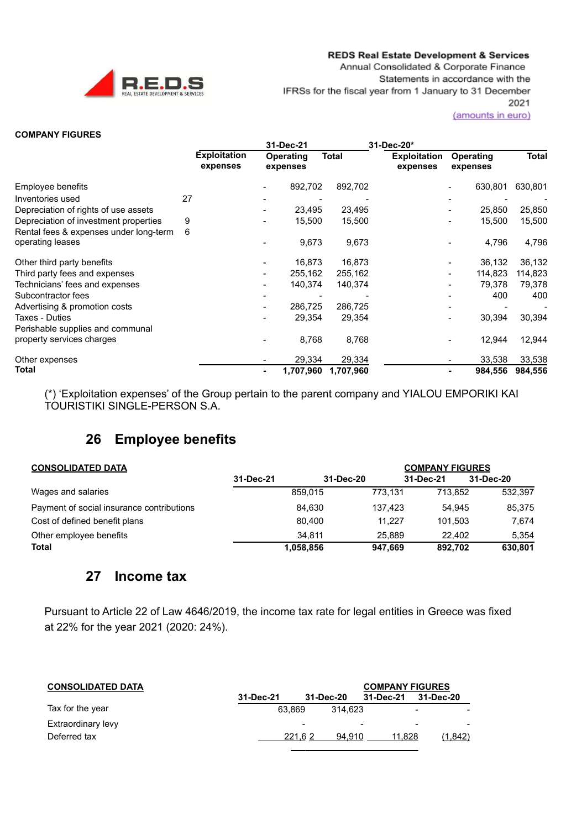**REDS Real Estate Development & Services** 



Annual Consolidated & Corporate Finance Statements in accordance with the IFRSs for the fiscal year from 1 January to 31 December 2021 (amounts in euro)

#### **COMPANY FIGURES**

|                                        |                                 | 31-Dec-21                    |              | 31-Dec-20*                      |                              |         |
|----------------------------------------|---------------------------------|------------------------------|--------------|---------------------------------|------------------------------|---------|
|                                        | <b>Exploitation</b><br>expenses | <b>Operating</b><br>expenses | <b>Total</b> | <b>Exploitation</b><br>expenses | <b>Operating</b><br>expenses | Total   |
| Employee benefits                      |                                 | 892,702                      | 892,702      |                                 | 630,801                      | 630,801 |
| Inventories used                       | 27                              |                              |              |                                 |                              |         |
| Depreciation of rights of use assets   |                                 | 23.495                       | 23,495       |                                 | 25,850                       | 25,850  |
| Depreciation of investment properties  | 9                               | 15,500                       | 15,500       |                                 | 15,500                       | 15,500  |
| Rental fees & expenses under long-term | 6                               |                              |              |                                 |                              |         |
| operating leases                       |                                 | 9,673                        | 9,673        |                                 | 4,796                        | 4,796   |
| Other third party benefits             |                                 | 16,873                       | 16,873       |                                 | 36,132                       | 36,132  |
| Third party fees and expenses          |                                 | 255,162                      | 255,162      |                                 | 114,823                      | 114,823 |
| Technicians' fees and expenses         |                                 | 140,374                      | 140,374      |                                 | 79,378                       | 79,378  |
| Subcontractor fees                     |                                 |                              |              |                                 | 400                          | 400     |
| Advertising & promotion costs          |                                 | 286,725                      | 286,725      |                                 |                              |         |
| Taxes - Duties                         |                                 | 29,354                       | 29,354       |                                 | 30,394                       | 30,394  |
| Perishable supplies and communal       |                                 |                              |              |                                 |                              |         |
| property services charges              |                                 | 8,768                        | 8,768        |                                 | 12,944                       | 12,944  |
| Other expenses                         |                                 | 29,334                       | 29,334       |                                 | 33,538                       | 33,538  |
| Total                                  |                                 | 1,707,960                    | 1,707,960    |                                 | 984,556                      | 984,556 |

(\*) 'Exploitation expenses' of the Group pertain to the parent company and YIALOU EMPORIKI KAI TOURISTIKI SINGLE-PERSON S.A.

## **26 Employee benefits**

| <b>CONSOLIDATED DATA</b>                  |           |           | <b>COMPANY FIGURES</b> |           |           |  |
|-------------------------------------------|-----------|-----------|------------------------|-----------|-----------|--|
|                                           | 31-Dec-21 | 31-Dec-20 |                        | 31-Dec-21 | 31-Dec-20 |  |
| Wages and salaries                        |           | 859.015   | 773.131                | 713.852   | 532.397   |  |
| Payment of social insurance contributions |           | 84.630    | 137.423                | 54.945    | 85.375    |  |
| Cost of defined benefit plans             |           | 80.400    | 11.227                 | 101.503   | 7.674     |  |
| Other employee benefits                   |           | 34.811    | 25.889                 | 22.402    | 5.354     |  |
| <b>Total</b>                              |           | 1,058,856 | 947.669                | 892.702   | 630.801   |  |

## **27 Income tax**

Pursuant to Article 22 of Law 4646/2019, the income tax rate for legal entities in Greece was fixed at 22% for the year 2021 (2020: 24%).

| <b>CONSOLIDATED DATA</b> |           |           | <b>COMPANY FIGURES</b>   |           |
|--------------------------|-----------|-----------|--------------------------|-----------|
|                          | 31-Dec-21 | 31-Dec-20 | 31-Dec-21                | 31-Dec-20 |
| Tax for the year         | 63.869    | 314.623   |                          | -         |
| Extraordinary levy       |           | -         | $\overline{\phantom{0}}$ | -         |
| Deferred tax             | 221.62    | 94.910    | 11.828                   | (1.842)   |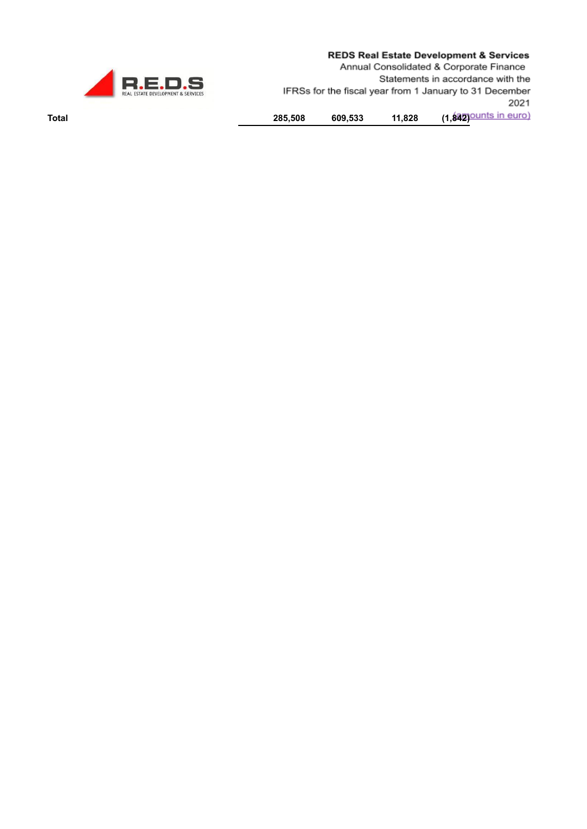**REDS Real Estate Development & Services** 



Annual Consolidated & Corporate Finance Statements in accordance with the IFRSs for the fiscal year from 1 January to 31 December 2021 **Total 285,508 609,533 11,828 (1,842)**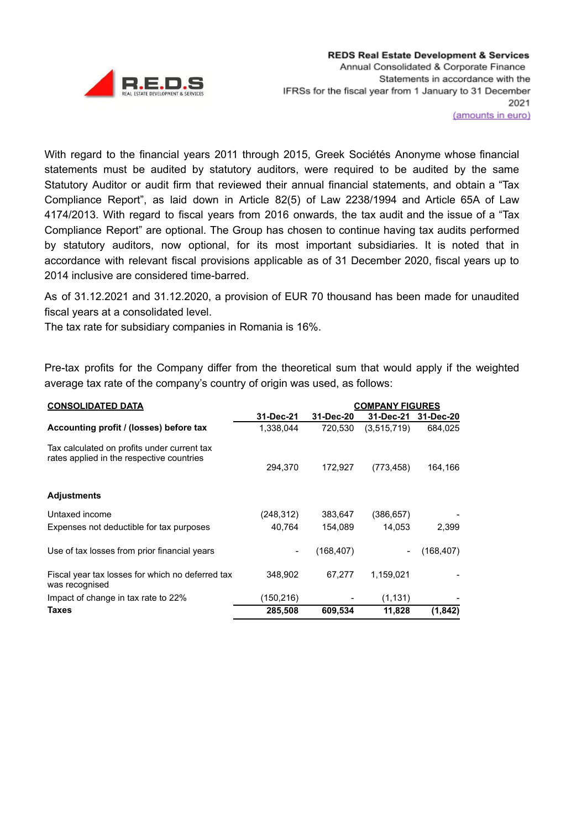

With regard to the financial years 2011 through 2015, Greek Sociétés Anonyme whose financial statements must be audited by statutory auditors, were required to be audited by the same Statutory Auditor or audit firm that reviewed their annual financial statements, and obtain a "Tax Compliance Report", as laid down in [Article](https://eur02.safelinks.protection.outlook.com/?url=http%3A%2F%2Fwww.e-forologia.gr%2Flawbank%2Fdocument.aspx%3Fdigest%3DD2510C09ACCA3910.2CCCF4E1B778%26show%3Dlast&data=04%7C01%7Cthioti%40ellaktor.com%7C30168a9d21854c37f5a308d8fa98f983%7Cc5d6c03433574763a4d71780733cdcc8%7C0%7C0%7C637534882224022994%7CUnknown%7CTWFpbGZsb3d8eyJWIjoiMC4wLjAwMDAiLCJQIjoiV2luMzIiLCJBTiI6Ik1haWwiLCJXVCI6Mn0%3D%7C1000&sdata=LEypDDpbsgL7lG9Dvtw1NKijgR3DV%2BP8ETHDxI37ZK0%3D&reserved=0) 82(5) of Law [2238/1994](https://eur02.safelinks.protection.outlook.com/?url=http%3A%2F%2Fwww.e-forologia.gr%2Flawbank%2Fdocument.aspx%3Fdigest%3DD2510C09ACCA3910.2CCCF4E1B778%26show%3Dlast&data=04%7C01%7Cthioti%40ellaktor.com%7C30168a9d21854c37f5a308d8fa98f983%7Cc5d6c03433574763a4d71780733cdcc8%7C0%7C0%7C637534882224022994%7CUnknown%7CTWFpbGZsb3d8eyJWIjoiMC4wLjAwMDAiLCJQIjoiV2luMzIiLCJBTiI6Ik1haWwiLCJXVCI6Mn0%3D%7C1000&sdata=LEypDDpbsgL7lG9Dvtw1NKijgR3DV%2BP8ETHDxI37ZK0%3D&reserved=0) and Article 65A of Law 4174/2013. With regard to fiscal years from 2016 onwards, the tax audit and the issue of a "Tax Compliance Report" are optional. The Group has chosen to continue having tax audits performed by statutory auditors, now optional, for its most important subsidiaries. It is noted that in accordance with relevant fiscal provisions applicable as of 31 December 2020, fiscal years up to 2014 inclusive are considered time-barred.

As of 31.12.2021 and 31.12.2020, a provision of EUR 70 thousand has been made for unaudited fiscal years at a consolidated level.

The tax rate for subsidiary companies in Romania is 16%.

Pre-tax profits for the Company differ from the theoretical sum that would apply if the weighted average tax rate of the company's country of origin was used, as follows:

| <b>CONSOLIDATED DATA</b>                                                                 |            | <b>COMPANY FIGURES</b> |             |            |  |  |  |
|------------------------------------------------------------------------------------------|------------|------------------------|-------------|------------|--|--|--|
|                                                                                          | 31-Dec-21  | 31-Dec-20              | 31-Dec-21   | 31-Dec-20  |  |  |  |
| Accounting profit / (losses) before tax                                                  | 1,338,044  | 720,530                | (3,515,719) | 684,025    |  |  |  |
| Tax calculated on profits under current tax<br>rates applied in the respective countries | 294.370    | 172.927                | (773, 458)  | 164,166    |  |  |  |
| <b>Adjustments</b>                                                                       |            |                        |             |            |  |  |  |
| Untaxed income                                                                           | (248, 312) | 383,647                | (386, 657)  |            |  |  |  |
| Expenses not deductible for tax purposes                                                 | 40.764     | 154,089                | 14,053      | 2,399      |  |  |  |
| Use of tax losses from prior financial years                                             |            | (168, 407)             |             | (168, 407) |  |  |  |
| Fiscal year tax losses for which no deferred tax<br>was recognised                       | 348,902    | 67,277                 | 1,159,021   |            |  |  |  |
| Impact of change in tax rate to 22%                                                      | (150,216)  |                        | (1, 131)    |            |  |  |  |
| <b>Taxes</b>                                                                             | 285,508    | 609,534                | 11,828      | (1, 842)   |  |  |  |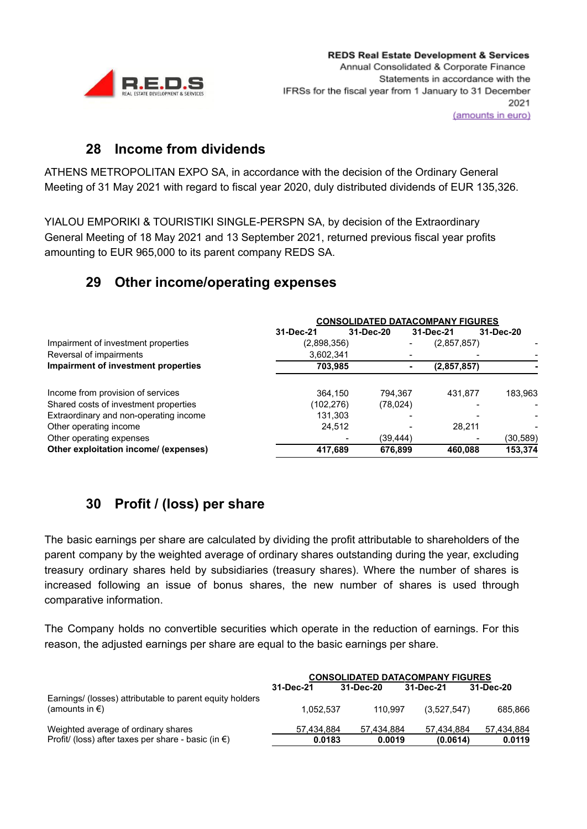

## **28 Income from dividends**

ATHENS METROPOLITAN EXPO SA, in accordance with the decision of the Ordinary General Meeting of 31 May 2021 with regard to fiscal year 2020, duly distributed dividends of EUR 135,326.

YIALOU EMPORIKI & TOURISTIKI SINGLE-PERSPN SA, by decision of the Extraordinary General Meeting of 18 May 2021 and 13 September 2021, returned previous fiscal year profits amounting to EUR 965,000 to its parent company REDS SA.

## **29 Other income/operating expenses**

|                                        | <b>CONSOLIDATED DATACOMPANY FIGURES</b> |           |             |           |  |  |  |  |
|----------------------------------------|-----------------------------------------|-----------|-------------|-----------|--|--|--|--|
|                                        | 31-Dec-21                               | 31-Dec-20 | 31-Dec-21   | 31-Dec-20 |  |  |  |  |
| Impairment of investment properties    | (2,898,356)                             |           | (2,857,857) |           |  |  |  |  |
| Reversal of impairments                | 3,602,341                               |           |             |           |  |  |  |  |
| Impairment of investment properties    | 703,985                                 |           | (2,857,857) |           |  |  |  |  |
| Income from provision of services      | 364.150                                 | 794.367   | 431.877     | 183,963   |  |  |  |  |
| Shared costs of investment properties  | (102,276)                               | (78,024)  |             |           |  |  |  |  |
| Extraordinary and non-operating income | 131,303                                 |           |             |           |  |  |  |  |
| Other operating income                 | 24,512                                  |           | 28.211      |           |  |  |  |  |
| Other operating expenses               |                                         | (39,444)  |             | (30,589)  |  |  |  |  |
| Other exploitation income/ (expenses)  | 417,689                                 | 676,899   | 460,088     | 153,374   |  |  |  |  |

# **30 Profit / (loss) per share**

The basic earnings per share are calculated by dividing the profit attributable to shareholders of the parent company by the weighted average of ordinary shares outstanding during the year, excluding treasury ordinary shares held by subsidiaries (treasury shares). Where the number of shares is increased following an issue of bonus shares, the new number of shares is used through comparative information.

The Company holds no convertible securities which operate in the reduction of earnings. For this reason, the adjusted earnings per share are equal to the basic earnings per share.

|                                                                                      | 31-Dec-21  | 31-Dec-20  | <b>CONSOLIDATED DATACOMPANY FIGURES</b><br>31-Dec-21 | 31-Dec-20  |
|--------------------------------------------------------------------------------------|------------|------------|------------------------------------------------------|------------|
| Earnings/ (losses) attributable to parent equity holders<br>(amounts in $\epsilon$ ) | 1.052.537  | 110.997    | (3.527.547)                                          | 685.866    |
| Weighted average of ordinary shares                                                  | 57,434,884 | 57.434.884 | 57.434.884                                           | 57,434,884 |
| Profit/ (loss) after taxes per share - basic (in $\epsilon$ )                        | 0.0183     | 0.0019     | (0.0614)                                             | 0.0119     |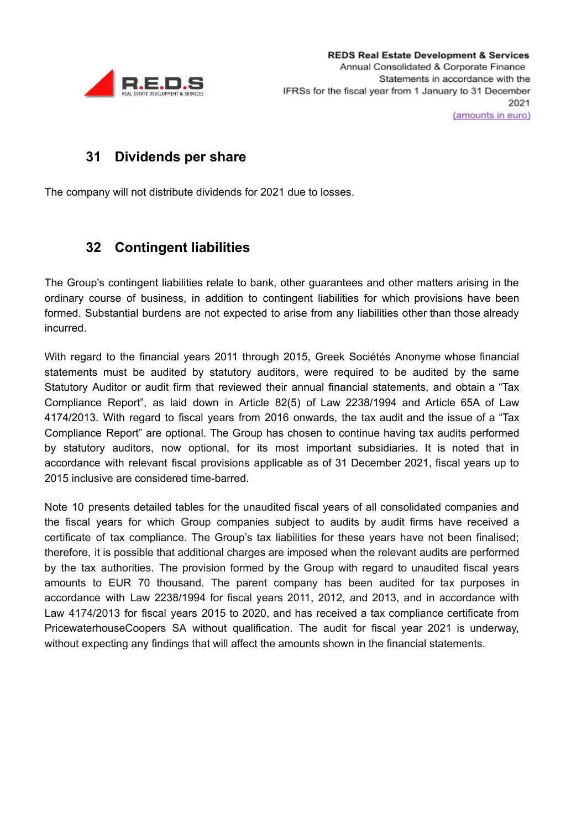

## **31 Dividends per share**

The company will not distribute dividends for 2021 due to losses.

## **32 Contingent liabilities**

The Group's contingent liabilities relate to bank, other guarantees and other matters arising in the ordinary course of business, in addition to contingent liabilities for which provisions have been formed. Substantial burdens are not expected to arise from any liabilities other than those already incurred.

With regard to the financial years 2011 through 2015, Greek Sociétés Anonyme whose financial statements must be audited by statutory auditors, were required to be audited by the same Statutory Auditor or audit firm that reviewed their annual financial statements, and obtain a "Tax Compliance Report", as laid down in [Article](https://eur02.safelinks.protection.outlook.com/?url=http%3A%2F%2Fwww.e-forologia.gr%2Flawbank%2Fdocument.aspx%3Fdigest%3DD2510C09ACCA3910.2CCCF4E1B778%26show%3Dlast&data=04%7C01%7Cthioti%40ellaktor.com%7C30168a9d21854c37f5a308d8fa98f983%7Cc5d6c03433574763a4d71780733cdcc8%7C0%7C0%7C637534882224022994%7CUnknown%7CTWFpbGZsb3d8eyJWIjoiMC4wLjAwMDAiLCJQIjoiV2luMzIiLCJBTiI6Ik1haWwiLCJXVCI6Mn0%3D%7C1000&sdata=LEypDDpbsgL7lG9Dvtw1NKijgR3DV%2BP8ETHDxI37ZK0%3D&reserved=0) 82(5) of Law [2238/1994](https://eur02.safelinks.protection.outlook.com/?url=http%3A%2F%2Fwww.e-forologia.gr%2Flawbank%2Fdocument.aspx%3Fdigest%3DD2510C09ACCA3910.2CCCF4E1B778%26show%3Dlast&data=04%7C01%7Cthioti%40ellaktor.com%7C30168a9d21854c37f5a308d8fa98f983%7Cc5d6c03433574763a4d71780733cdcc8%7C0%7C0%7C637534882224022994%7CUnknown%7CTWFpbGZsb3d8eyJWIjoiMC4wLjAwMDAiLCJQIjoiV2luMzIiLCJBTiI6Ik1haWwiLCJXVCI6Mn0%3D%7C1000&sdata=LEypDDpbsgL7lG9Dvtw1NKijgR3DV%2BP8ETHDxI37ZK0%3D&reserved=0) and Article 65A of Law 4174/2013. With regard to fiscal years from 2016 onwards, the tax audit and the issue of a "Tax Compliance Report" are optional. The Group has chosen to continue having tax audits performed by statutory auditors, now optional, for its most important subsidiaries. It is noted that in accordance with relevant fiscal provisions applicable as of 31 December 2021, fiscal years up to 2015 inclusive are considered time-barred.

Note 10 presents detailed tables for the unaudited fiscal years of all consolidated companies and the fiscal years for which Group companies subject to audits by audit firms have received a certificate of tax compliance. The Group's tax liabilities for these years have not been finalised; therefore, it is possible that additional charges are imposed when the relevant audits are performed by the tax authorities. The provision formed by the Group with regard to unaudited fiscal years amounts to EUR 70 thousand. The parent company has been audited for tax purposes in accordance with Law 2238/1994 for fiscal years 2011, 2012, and 2013, and in accordance with Law 4174/2013 for fiscal years 2015 to 2020, and has received a tax compliance certificate from PricewaterhouseCoopers SA without qualification. The audit for fiscal year 2021 is underway, without expecting any findings that will affect the amounts shown in the financial statements.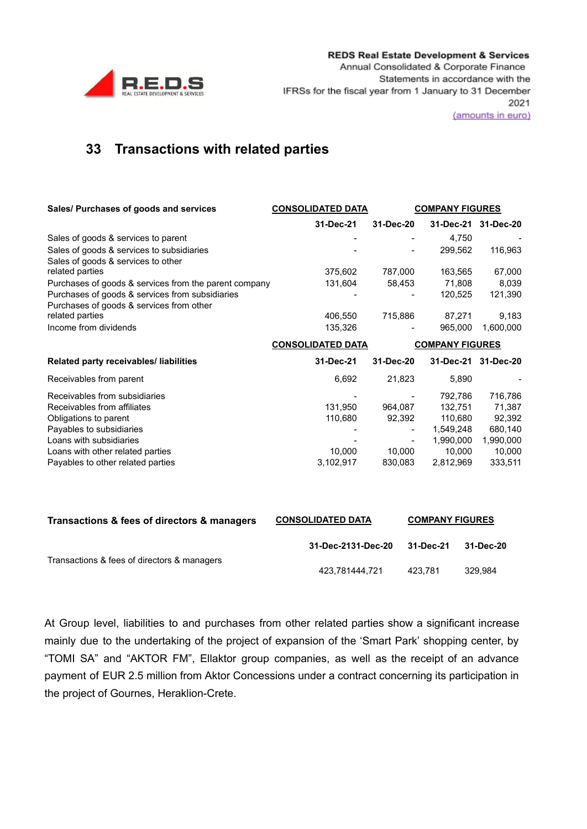

## **33 Transactions with related parties**

| Sales/ Purchases of goods and services                | <b>CONSOLIDATED DATA</b> | <b>COMPANY FIGURES</b> |                        |           |  |
|-------------------------------------------------------|--------------------------|------------------------|------------------------|-----------|--|
|                                                       | 31-Dec-21                | 31-Dec-20              | 31-Dec-21              | 31-Dec-20 |  |
| Sales of goods & services to parent                   |                          |                        | 4,750                  |           |  |
| Sales of goods & services to subsidiaries             |                          |                        | 299,562                | 116,963   |  |
| Sales of goods & services to other                    |                          |                        |                        |           |  |
| related parties                                       | 375,602                  | 787,000                | 163,565                | 67,000    |  |
| Purchases of goods & services from the parent company | 131,604                  | 58,453                 | 71,808                 | 8,039     |  |
| Purchases of goods & services from subsidiaries       |                          |                        | 120,525                | 121,390   |  |
| Purchases of goods & services from other              |                          |                        |                        |           |  |
| related parties                                       | 406,550                  | 715,886                | 87,271                 | 9,183     |  |
| Income from dividends                                 | 135,326                  |                        | 965,000                | 1,600,000 |  |
|                                                       |                          |                        | <b>COMPANY FIGURES</b> |           |  |
|                                                       | <b>CONSOLIDATED DATA</b> |                        |                        |           |  |
| Related party receivables/ liabilities                | 31-Dec-21                | 31-Dec-20              | 31-Dec-21              | 31-Dec-20 |  |
| Receivables from parent                               | 6,692                    | 21,823                 | 5,890                  |           |  |
| Receivables from subsidiaries                         |                          |                        | 792,786                | 716,786   |  |
| Receivables from affiliates                           | 131,950                  | 964,087                | 132,751                | 71,387    |  |
| Obligations to parent                                 | 110,680                  | 92,392                 | 110,680                | 92,392    |  |
| Payables to subsidiaries                              |                          |                        | 1,549,248              | 680,140   |  |
| Loans with subsidiaries                               |                          |                        | 1,990,000              | 1,990,000 |  |
| Loans with other related parties                      | 10,000                   | 10,000                 | 10,000                 | 10,000    |  |

| Transactions & fees of directors & managers | <b>CONSOLIDATED DATA</b> | <b>COMPANY FIGURES</b> |           |
|---------------------------------------------|--------------------------|------------------------|-----------|
|                                             | 31-Dec-2131-Dec-20       | 31-Dec-21              | 31-Dec-20 |
| Transactions & fees of directors & managers | 423.781444.721           | 423.781                | 329.984   |
|                                             |                          |                        |           |

At Group level, liabilities to and purchases from other related parties show a significant increase mainly due to the undertaking of the project of expansion of the 'Smart Park' shopping center, by "TOMI SA" and "AKTOR FM", Ellaktor group companies, as well as the receipt of an advance payment of EUR 2.5 million from Aktor Concessions under a contract concerning its participation in the project of Gournes, Heraklion-Crete.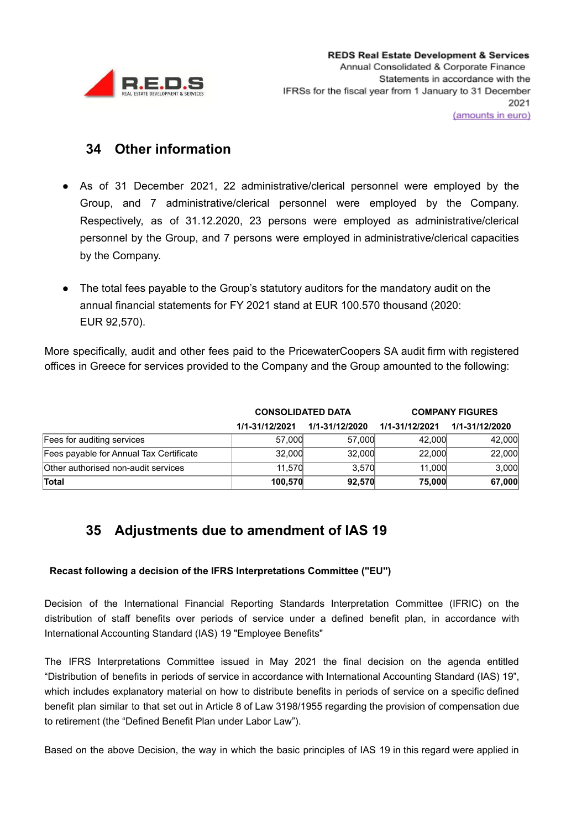

## **34 Other information**

- As of 31 December 2021, 22 administrative/clerical personnel were employed by the Group, and 7 administrative/clerical personnel were employed by the Company. Respectively, as of 31.12.2020, 23 persons were employed as administrative/clerical personnel by the Group, and 7 persons were employed in administrative/clerical capacities by the Company.
- The total fees payable to the Group's statutory auditors for the mandatory audit on the annual financial statements for FY 2021 stand at EUR 100.570 thousand (2020: EUR 92,570).

More specifically, audit and other fees paid to the PricewaterCoopers SA audit firm with registered offices in Greece for services provided to the Company and the Group amounted to the following:

|                                         | <b>CONSOLIDATED DATA</b> |                | <b>COMPANY FIGURES</b> |                |  |
|-----------------------------------------|--------------------------|----------------|------------------------|----------------|--|
|                                         | 1/1-31/12/2021           | 1/1-31/12/2020 | 1/1-31/12/2021         | 1/1-31/12/2020 |  |
| Fees for auditing services              | 57,000                   | 57,000         | 42,000                 | 42,000         |  |
| Fees payable for Annual Tax Certificate | 32,000                   | 32,000         | 22,000                 | 22,000         |  |
| Other authorised non-audit services     | 11.570                   | 3.570          | 11.000                 | 3,000          |  |
| <b>Total</b>                            | 100,570                  | 92,570         | 75,000                 | 67,000         |  |

# **35 Adjustments due to amendment of IAS 19**

#### **Recast following a decision of the IFRS Interpretations Committee ("EU")**

Decision of the International Financial Reporting Standards Interpretation Committee (IFRIC) on the distribution of staff benefits over periods of service under a defined benefit plan, in accordance with International Accounting Standard (IAS) 19 "Employee Benefits"

The IFRS Interpretations Committee issued in May 2021 the final decision on the agenda entitled "Distribution of benefits in periods of service in accordance with International Accounting Standard (IAS) 19", which includes explanatory material on how to distribute benefits in periods of service on a specific defined benefit plan similar to that set out in Article 8 of Law 3198/1955 regarding the provision of compensation due to retirement (the "Defined Benefit Plan under Labor Law").

Based on the above Decision, the way in which the basic principles of IAS 19 in this regard were applied in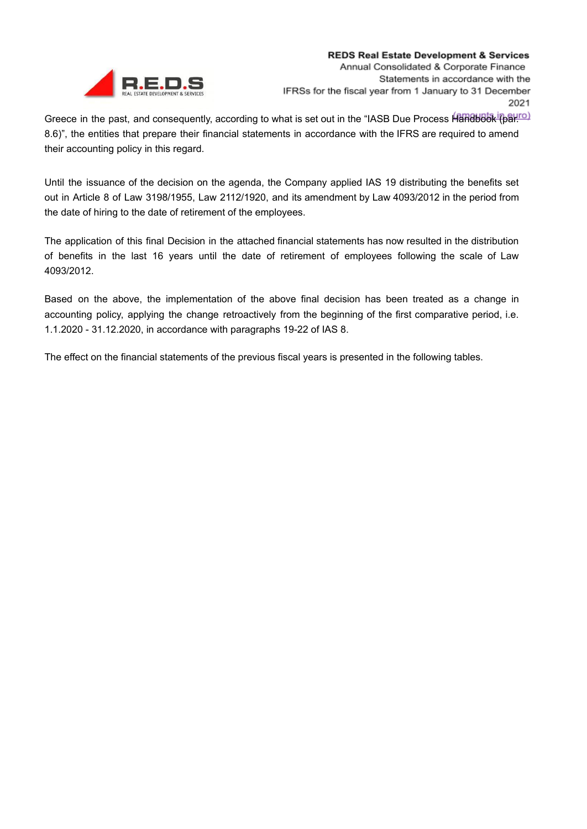

Greece in the past, and consequently, according to what is set out in the "IASB Due Process Handbook (payro) 8.6)", the entities that prepare their financial statements in accordance with the IFRS are required to amend their accounting policy in this regard.

Until the issuance of the decision on the agenda, the Company applied IAS 19 distributing the benefits set out in Article 8 of Law 3198/1955, Law 2112/1920, and its amendment by Law 4093/2012 in the period from the date of hiring to the date of retirement of the employees.

The application of this final Decision in the attached financial statements has now resulted in the distribution of benefits in the last 16 years until the date of retirement of employees following the scale of Law 4093/2012.

Based on the above, the implementation of the above final decision has been treated as a change in accounting policy, applying the change retroactively from the beginning of the first comparative period, i.e. 1.1.2020 - 31.12.2020, in accordance with paragraphs 19-22 of IAS 8.

The effect on the financial statements of the previous fiscal years is presented in the following tables.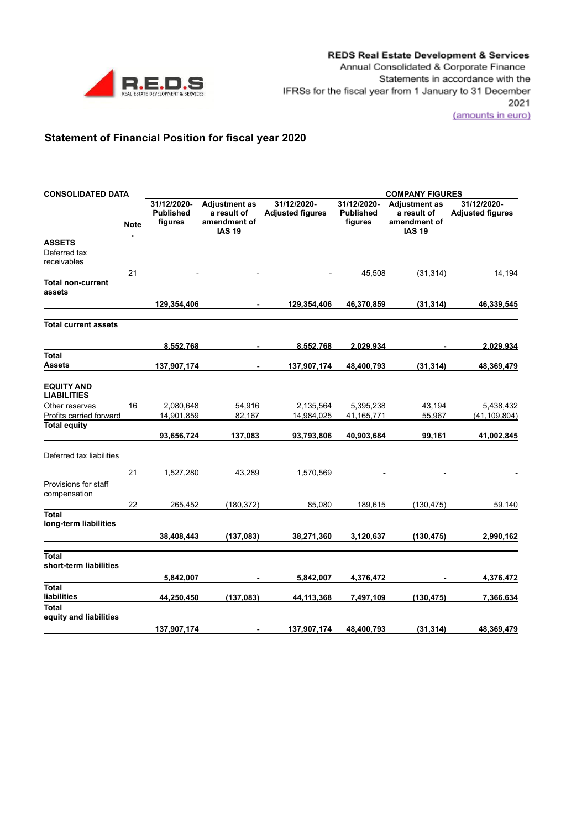

## **Statement of Financial Position for fiscal year 2020**

| <b>CONSOLIDATED DATA</b>                  |             |                                            |                                                                      |                                        | <b>COMPANY FIGURES</b>                     |                                                                      |                                        |  |
|-------------------------------------------|-------------|--------------------------------------------|----------------------------------------------------------------------|----------------------------------------|--------------------------------------------|----------------------------------------------------------------------|----------------------------------------|--|
|                                           | <b>Note</b> | 31/12/2020-<br><b>Published</b><br>figures | <b>Adjustment as</b><br>a result of<br>amendment of<br><b>IAS 19</b> | 31/12/2020-<br><b>Adjusted figures</b> | 31/12/2020-<br><b>Published</b><br>figures | <b>Adjustment as</b><br>a result of<br>amendment of<br><b>IAS 19</b> | 31/12/2020-<br><b>Adjusted figures</b> |  |
| ASSETS<br>Deferred tax<br>receivables     |             |                                            |                                                                      |                                        |                                            |                                                                      |                                        |  |
| <b>Total non-current</b>                  | 21          |                                            |                                                                      |                                        | 45,508                                     | (31, 314)                                                            | 14,194                                 |  |
| assets                                    |             |                                            |                                                                      |                                        |                                            |                                                                      |                                        |  |
|                                           |             | 129,354,406                                | $\blacksquare$                                                       | 129,354,406                            | 46,370,859                                 | (31, 314)                                                            | 46,339,545                             |  |
| <b>Total current assets</b>               |             |                                            |                                                                      |                                        |                                            |                                                                      |                                        |  |
|                                           |             | 8,552,768                                  |                                                                      | 8,552,768                              | 2,029,934                                  |                                                                      | 2,029,934                              |  |
| Total<br>Assets                           |             | 137,907,174                                |                                                                      | 137,907,174                            | 48,400,793                                 | (31, 314)                                                            | 48,369,479                             |  |
| <b>EQUITY AND</b><br><b>LIABILITIES</b>   |             |                                            |                                                                      |                                        |                                            |                                                                      |                                        |  |
| Other reserves<br>Profits carried forward | 16          | 2,080,648<br>14.901.859                    | 54,916<br>82.167                                                     | 2,135,564<br>14,984,025                | 5,395,238<br>41,165,771                    | 43,194<br>55,967                                                     | 5,438,432<br>(41,109,804)              |  |
| <b>Total equity</b>                       |             |                                            |                                                                      |                                        |                                            |                                                                      |                                        |  |
|                                           |             | 93,656,724                                 | 137,083                                                              | 93,793,806                             | 40,903,684                                 | 99,161                                                               | 41,002,845                             |  |
| Deferred tax liabilities                  |             |                                            |                                                                      |                                        |                                            |                                                                      |                                        |  |
|                                           | 21          | 1,527,280                                  | 43,289                                                               | 1,570,569                              |                                            |                                                                      |                                        |  |
| Provisions for staff<br>compensation      |             |                                            |                                                                      |                                        |                                            |                                                                      |                                        |  |
|                                           | 22          | 265,452                                    | (180,372)                                                            | 85,080                                 | 189,615                                    | (130, 475)                                                           | 59,140                                 |  |
| <b>Total</b><br>long-term liabilities     |             |                                            |                                                                      |                                        |                                            |                                                                      |                                        |  |
|                                           |             | 38,408,443                                 | (137, 083)                                                           | 38,271,360                             | 3,120,637                                  | (130, 475)                                                           | 2,990,162                              |  |
| <b>Total</b><br>short-term liabilities    |             |                                            |                                                                      |                                        |                                            |                                                                      |                                        |  |
|                                           |             | 5,842,007                                  |                                                                      | 5,842,007                              | 4,376,472                                  |                                                                      | 4,376,472                              |  |
| Total<br>liabilities                      |             | 44,250,450                                 | (137, 083)                                                           | 44, 113, 368                           | 7,497,109                                  | (130, 475)                                                           | 7,366,634                              |  |
| <b>Total</b><br>equity and liabilities    |             |                                            |                                                                      |                                        |                                            |                                                                      |                                        |  |
|                                           |             | 137,907,174                                |                                                                      | 137,907,174                            | 48,400,793                                 | (31, 314)                                                            | 48,369,479                             |  |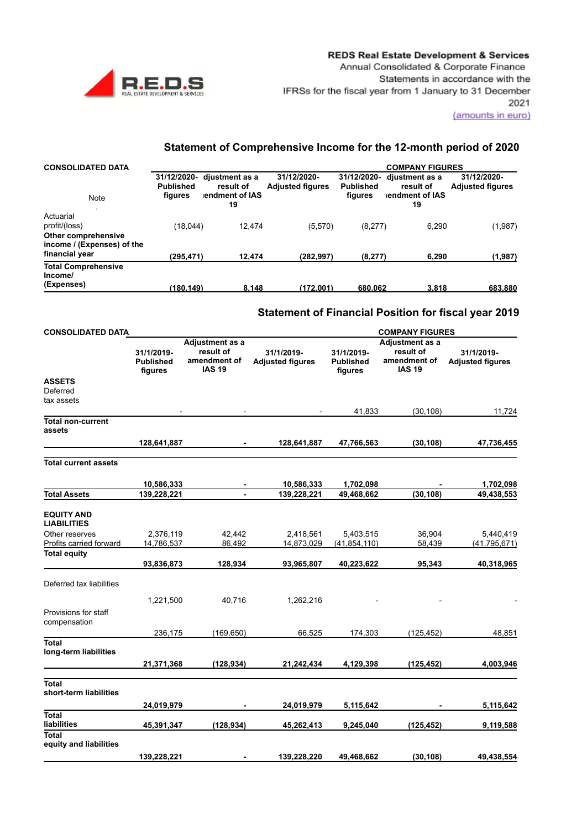

## **Statement of Comprehensive Income for the 12-month period of 2020**

| <b>CONSOLIDATED DATA</b>                            | <b>COMPANY FIGURES</b>                     |                                                             |                                        |                                            |                                                             |                                        |
|-----------------------------------------------------|--------------------------------------------|-------------------------------------------------------------|----------------------------------------|--------------------------------------------|-------------------------------------------------------------|----------------------------------------|
| Note<br>٠                                           | 31/12/2020-<br><b>Published</b><br>figures | diustment as a<br>result of<br><b>iendment of IAS</b><br>19 | 31/12/2020-<br><b>Adjusted figures</b> | 31/12/2020-<br><b>Published</b><br>figures | diustment as a<br>result of<br><b>iendment of IAS</b><br>19 | 31/12/2020-<br><b>Adjusted figures</b> |
| Actuarial<br>profit/(loss)<br>Other comprehensive   | (18, 044)                                  | 12.474                                                      | (5,570)                                | (8,277)                                    | 6,290                                                       | (1,987)                                |
| income / (Expenses) of the<br>financial year        | (295,471)                                  | 12,474                                                      | (282,997)                              | (8, 277)                                   | 6.290                                                       | (1, 987)                               |
| <b>Total Comprehensive</b><br>Income/<br>(Expenses) | (180.149)                                  | 8.148                                                       | (172.001)                              | 680.062                                    | 3.818                                                       | 683,880                                |

## **Statement of Financial Position for fiscal year 2019**

| <b>CONSOLIDATED DATA</b>                       |                                           |                                                               |                                       | <b>COMPANY FIGURES</b>                    |                                                               |                                       |  |
|------------------------------------------------|-------------------------------------------|---------------------------------------------------------------|---------------------------------------|-------------------------------------------|---------------------------------------------------------------|---------------------------------------|--|
|                                                | 31/1/2019-<br><b>Published</b><br>figures | Adjustment as a<br>result of<br>amendment of<br><b>IAS 19</b> | 31/1/2019-<br><b>Adjusted figures</b> | 31/1/2019-<br><b>Published</b><br>figures | Adjustment as a<br>result of<br>amendment of<br><b>IAS 19</b> | 31/1/2019-<br><b>Adjusted figures</b> |  |
| ASSETS<br>Deferred<br>tax assets               |                                           |                                                               |                                       |                                           |                                                               |                                       |  |
|                                                |                                           |                                                               |                                       | 41,833                                    | (30, 108)                                                     | 11,724                                |  |
| <b>Total non-current</b><br>assets             |                                           |                                                               |                                       |                                           |                                                               |                                       |  |
|                                                | 128,641,887                               |                                                               | 128,641,887                           | 47,766,563                                | (30, 108)                                                     | 47,736,455                            |  |
| <b>Total current assets</b>                    |                                           |                                                               |                                       |                                           |                                                               |                                       |  |
|                                                | 10,586,333                                |                                                               | 10,586,333                            | 1,702,098                                 |                                                               | 1,702,098                             |  |
| <b>Total Assets</b>                            | 139,228,221                               |                                                               | 139,228,221                           | 49,468,662                                | (30, 108)                                                     | 49,438,553                            |  |
| <b>EQUITY AND</b><br><b>LIABILITIES</b>        |                                           |                                                               |                                       |                                           |                                                               |                                       |  |
| Other reserves                                 | 2,376,119                                 | 42,442                                                        | 2,418,561                             | 5,403,515                                 | 36,904                                                        | 5,440,419                             |  |
| Profits carried forward<br><b>Total equity</b> | 14,786,537                                | 86.492                                                        | 14,873,029                            | (41, 854, 110)                            | 58,439                                                        | (41, 795, 671)                        |  |
|                                                | 93,836,873                                | 128,934                                                       | 93,965,807                            | 40,223,622                                | 95,343                                                        | 40,318,965                            |  |
| Deferred tax liabilities                       |                                           |                                                               |                                       |                                           |                                                               |                                       |  |
| Provisions for staff                           | 1,221,500                                 | 40,716                                                        | 1,262,216                             |                                           |                                                               |                                       |  |
| compensation                                   |                                           |                                                               |                                       |                                           |                                                               |                                       |  |
| <b>Total</b>                                   | 236,175                                   | (169, 650)                                                    | 66,525                                | 174,303                                   | (125, 452)                                                    | 48,851                                |  |
| long-term liabilities                          | 21,371,368                                | (128, 934)                                                    | 21,242,434                            | 4,129,398                                 | (125, 452)                                                    | 4,003,946                             |  |
|                                                |                                           |                                                               |                                       |                                           |                                                               |                                       |  |
| <b>Total</b><br>short-term liabilities         |                                           |                                                               |                                       |                                           |                                                               |                                       |  |
|                                                | 24,019,979                                |                                                               | 24,019,979                            | 5,115,642                                 |                                                               | 5,115,642                             |  |
| Total<br>liabilities                           | 45,391,347                                | (128, 934)                                                    | 45,262,413                            | 9,245,040                                 | (125, 452)                                                    | 9,119,588                             |  |
| Total<br>equity and liabilities                |                                           |                                                               |                                       |                                           |                                                               |                                       |  |
|                                                | 139,228,221                               |                                                               | 139,228,220                           | 49,468,662                                | (30, 108)                                                     | 49,438,554                            |  |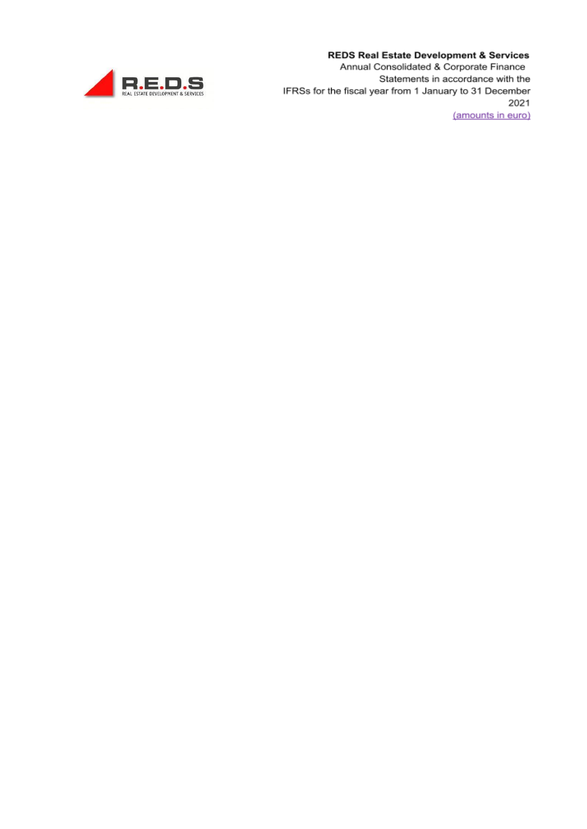#### **REDS Real Estate Development & Services**



Annual Consolidated & Corporate Finance Statements in accordance with the IFRSs for the fiscal year from 1 January to 31 December 2021 (amounts in euro)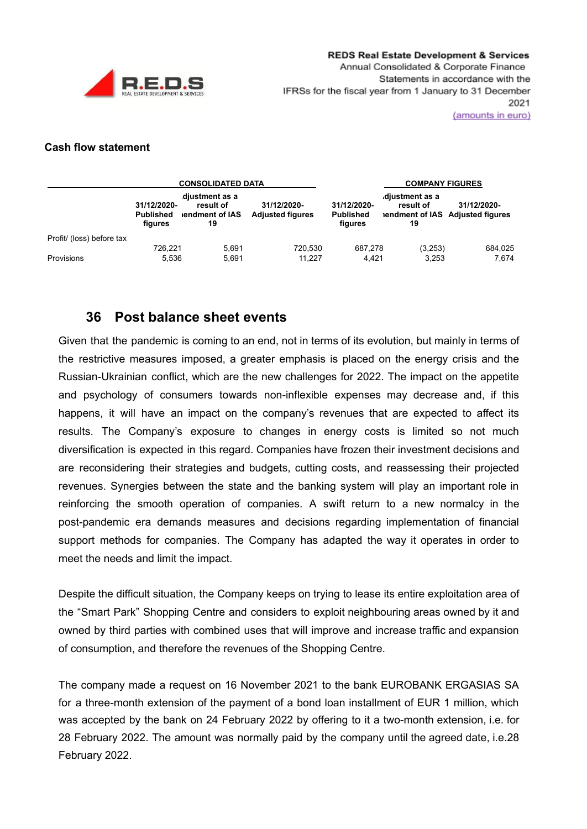

### **Cash flow statement**

|                           | <b>CONSOLIDATED DATA</b>                   |                                                             |                                        |                                            | <b>COMPANY FIGURES</b>            |                                                        |
|---------------------------|--------------------------------------------|-------------------------------------------------------------|----------------------------------------|--------------------------------------------|-----------------------------------|--------------------------------------------------------|
|                           | 31/12/2020-<br><b>Published</b><br>figures | djustment as a<br>result of<br><b>iendment of IAS</b><br>19 | 31/12/2020-<br><b>Adjusted figures</b> | 31/12/2020-<br><b>Published</b><br>figures | djustment as a<br>result of<br>19 | 31/12/2020-<br><b>iendment of IAS Adjusted figures</b> |
| Profit/ (loss) before tax |                                            |                                                             |                                        |                                            |                                   |                                                        |
| Provisions                | 726.221<br>5.536                           | 5.691<br>5.691                                              | 720.530<br>11.227                      | 687.278<br>4.421                           | (3,253)<br>3,253                  | 684,025<br>7.674                                       |

# **36 Post balance sheet events**

Given that the pandemic is coming to an end, not in terms of its evolution, but mainly in terms of the restrictive measures imposed, a greater emphasis is placed on the energy crisis and the Russian-Ukrainian conflict, which are the new challenges for 2022. The impact on the appetite and psychology of consumers towards non-inflexible expenses may decrease and, if this happens, it will have an impact on the company's revenues that are expected to affect its results. The Company's exposure to changes in energy costs is limited so not much diversification is expected in this regard. Companies have frozen their investment decisions and are reconsidering their strategies and budgets, cutting costs, and reassessing their projected revenues. Synergies between the state and the banking system will play an important role in reinforcing the smooth operation of companies. A swift return to a new normalcy in the post-pandemic era demands measures and decisions regarding implementation of financial support methods for companies. The Company has adapted the way it operates in order to meet the needs and limit the impact.

Despite the difficult situation, the Company keeps on trying to lease its entire exploitation area of the "Smart Park" Shopping Centre and considers to exploit neighbouring areas owned by it and owned by third parties with combined uses that will improve and increase traffic and expansion of consumption, and therefore the revenues of the Shopping Centre.

The company made a request on 16 November 2021 to the bank EUROBANK ERGASIAS SA for a three-month extension of the payment of a bond loan installment of EUR 1 million, which was accepted by the bank on 24 February 2022 by offering to it a two-month extension, i.e. for 28 February 2022. The amount was normally paid by the company until the agreed date, i.e.28 February 2022.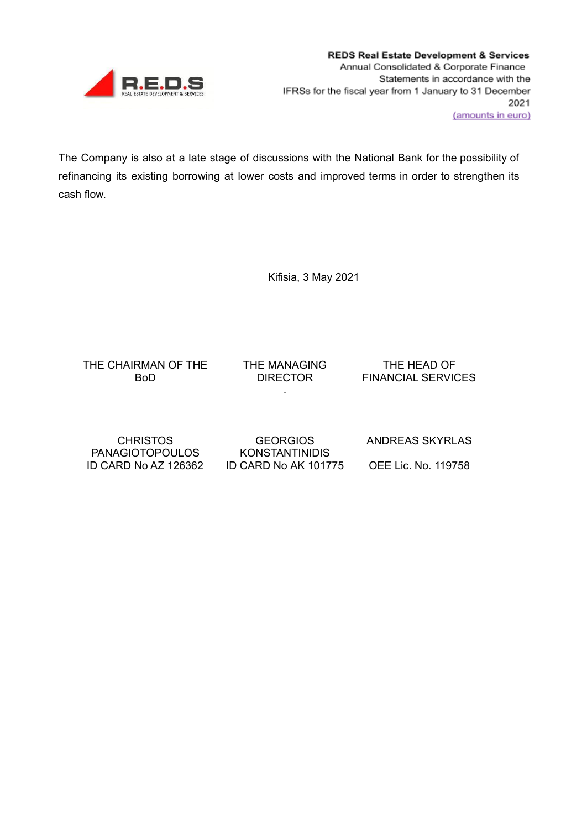

The Company is also at a late stage of discussions with the National Bank for the possibility of refinancing its existing borrowing at lower costs and improved terms in order to strengthen its cash flow.

Kifisia, 3 May 2021

THE CHAIRMAN OF THE BoD

THE MANAGING DIRECTOR .

THE HEAD OF FINANCIAL SERVICES

**CHRISTOS** PANAGIOTOPOULOS ID CARD No AZ 126362 ID CARD No ΑΚ 101775 OEE Lic. No. 119758

**GEORGIOS** KONSTANTINIDIS ANDREAS SKYRLAS